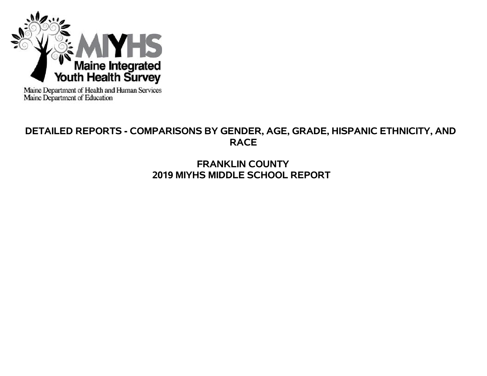

Maine Department of Health and Human Services<br>Maine Department of Education

# **DETAILED REPORTS - COMPARISONS BY GENDER, AGE, GRADE, HISPANIC ETHNICITY, AND RACE**

# **FRANKLIN COUNTY 2019 MIYHS MIDDLE SCHOOL REPORT**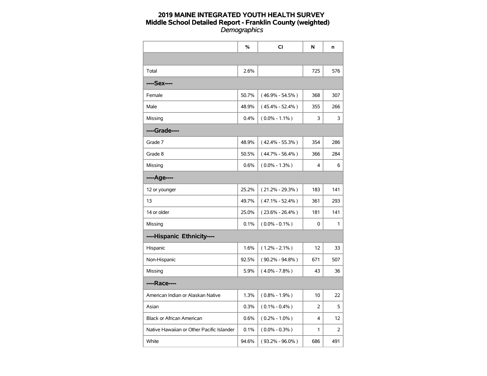|                                           | $\%$  | <b>CI</b>           | N   | n   |
|-------------------------------------------|-------|---------------------|-----|-----|
|                                           |       |                     |     |     |
| Total                                     | 2.6%  |                     | 725 | 576 |
| ----Sex----                               |       |                     |     |     |
| Female                                    | 50.7% | $(46.9\% - 54.5\%)$ | 368 | 307 |
| Male                                      | 48.9% | $(45.4\% - 52.4\%)$ | 355 | 266 |
| Missing                                   | 0.4%  | $(0.0\% - 1.1\%)$   | 3   | 3   |
| ----Grade----                             |       |                     |     |     |
| Grade 7                                   | 48.9% | $(42.4\% - 55.3\%)$ | 354 | 286 |
| Grade 8                                   | 50.5% | $(44.7\% - 56.4\%)$ | 366 | 284 |
| Missing                                   | 0.6%  | $(0.0\% - 1.3\%)$   | 4   | 6   |
| ----Age----                               |       |                     |     |     |
| 12 or younger                             | 25.2% | $(21.2\% - 29.3\%)$ | 183 | 141 |
| 13                                        | 49.7% | $(47.1\% - 52.4\%)$ | 361 | 293 |
| 14 or older                               | 25.0% | $(23.6\% - 26.4\%)$ | 181 | 141 |
| Missing                                   | 0.1%  | $(0.0\% - 0.1\%)$   | 0   | 1   |
| ----Hispanic Ethnicity----                |       |                     |     |     |
| Hispanic                                  | 1.6%  | $(1.2\% - 2.1\%)$   | 12  | 33  |
| Non-Hispanic                              | 92.5% | $(90.2\% - 94.8\%)$ | 671 | 507 |
| Missing                                   | 5.9%  | $(4.0\% - 7.8\%)$   | 43  | 36  |
| ----Race----                              |       |                     |     |     |
| American Indian or Alaskan Native         | 1.3%  | $(0.8\% - 1.9\%)$   | 10  | 22  |
| Asian                                     | 0.3%  | $(0.1\% - 0.4\%)$   | 2   | 5   |
| Black or African American                 | 0.6%  | $(0.2\% - 1.0\%)$   | 4   | 12  |
| Native Hawaiian or Other Pacific Islander | 0.1%  | $(0.0\% - 0.3\%)$   | 1   | 2   |
| White                                     | 94.6% | $(93.2\% - 96.0\%)$ | 686 | 491 |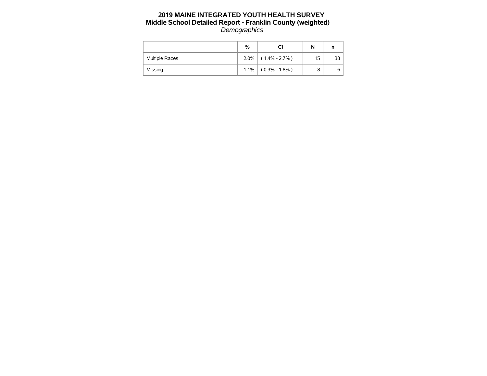|                       | %    |                   | N  | n  |
|-----------------------|------|-------------------|----|----|
| <b>Multiple Races</b> | 2.0% | $(1.4\% - 2.7\%)$ | 15 | 38 |
| Missing               | 1.1% | $(0.3\% - 1.8\%)$ | 8  | 6  |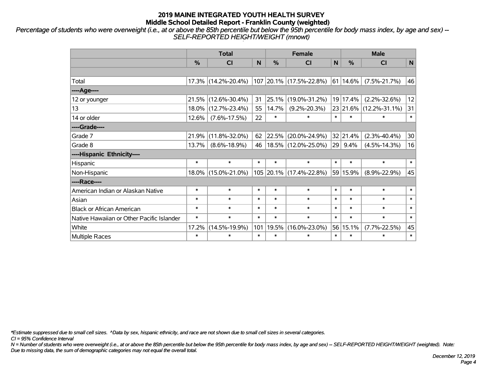*Percentage of students who were overweight (i.e., at or above the 85th percentile but below the 95th percentile for body mass index, by age and sex) -- SELF-REPORTED HEIGHT/WEIGHT (mnowt)*

|                                           |               | <b>Total</b>        |        | <b>Female</b> | <b>Male</b>             |        |               |                        |           |
|-------------------------------------------|---------------|---------------------|--------|---------------|-------------------------|--------|---------------|------------------------|-----------|
|                                           | $\frac{0}{0}$ | CI                  | N      | $\frac{0}{0}$ | <b>CI</b>               | N      | $\frac{0}{0}$ | <b>CI</b>              | ${\sf N}$ |
|                                           |               |                     |        |               |                         |        |               |                        |           |
| Total                                     |               | 17.3% (14.2%-20.4%) |        |               | 107 20.1% (17.5%-22.8%) |        | 61 14.6%      | $(7.5\% - 21.7\%)$     | 46        |
| ----Age----                               |               |                     |        |               |                         |        |               |                        |           |
| 12 or younger                             |               | 21.5% (12.6%-30.4%) | 31     | 25.1%         | $(19.0\% - 31.2\%)$     |        | 19 17.4%      | $(2.2\% - 32.6\%)$     | 12        |
| 13                                        |               | 18.0% (12.7%-23.4%) | 55     | 14.7%         | $(9.2\% - 20.3\%)$      |        |               | 23 21.6% (12.2%-31.1%) | 31        |
| 14 or older                               | 12.6%         | $(7.6\% - 17.5\%)$  | 22     | $\ast$        | $\ast$                  | $\ast$ | $\ast$        | $\ast$                 | $\ast$    |
| ----Grade----                             |               |                     |        |               |                         |        |               |                        |           |
| Grade 7                                   | 21.9%         | $(11.8\% - 32.0\%)$ | 62     | 22.5%         | $(20.0\% - 24.9\%)$     |        | 32 21.4%      | $(2.3\% - 40.4\%)$     | 30        |
| Grade 8                                   | 13.7%         | $(8.6\% - 18.9\%)$  | 46     |               | $18.5\%$ (12.0%-25.0%)  |        | 29 9.4%       | $(4.5\% - 14.3\%)$     | 16        |
| ----Hispanic Ethnicity----                |               |                     |        |               |                         |        |               |                        |           |
| Hispanic                                  | $\ast$        | $\ast$              | $\ast$ | $\ast$        | $\ast$                  | $\ast$ | $\ast$        | $\ast$                 | $\ast$    |
| Non-Hispanic                              |               | 18.0% (15.0%-21.0%) |        |               | 105 20.1% (17.4%-22.8%) |        | 59 15.9%      | $(8.9\% - 22.9\%)$     | 45        |
| ----Race----                              |               |                     |        |               |                         |        |               |                        |           |
| American Indian or Alaskan Native         | $\ast$        | $\ast$              | $\ast$ | $\ast$        | $\ast$                  | $\ast$ | $\ast$        | $\ast$                 | $\ast$    |
| Asian                                     | $\ast$        | $\ast$              | $\ast$ | $\ast$        | $\ast$                  | $\ast$ | $\ast$        | $\ast$                 | $\ast$    |
| <b>Black or African American</b>          | $\ast$        | $\ast$              | $\ast$ | $\ast$        | $\ast$                  | $\ast$ | $\ast$        | $\ast$                 | $\ast$    |
| Native Hawaiian or Other Pacific Islander | $\ast$        | $\ast$              | $\ast$ | $\ast$        | $\ast$                  | $\ast$ | $\ast$        | $\ast$                 | $\ast$    |
| White                                     | 17.2%         | $(14.5\% - 19.9\%)$ | 101    | 19.5%         | $(16.0\% - 23.0\%)$     |        | 56 15.1%      | $(7.7\% - 22.5\%)$     | 45        |
| <b>Multiple Races</b>                     | $\ast$        | $\ast$              | $\ast$ | $\ast$        | $\ast$                  | $\ast$ | $\ast$        | $\ast$                 | $\ast$    |

*\*Estimate suppressed due to small cell sizes. ^Data by sex, hispanic ethnicity, and race are not shown due to small cell sizes in several categories.*

*CI = 95% Confidence Interval*

*N = Number of students who were overweight (i.e., at or above the 85th percentile but below the 95th percentile for body mass index, by age and sex) -- SELF-REPORTED HEIGHT/WEIGHT (weighted). Note: Due to missing data, the sum of demographic categories may not equal the overall total.*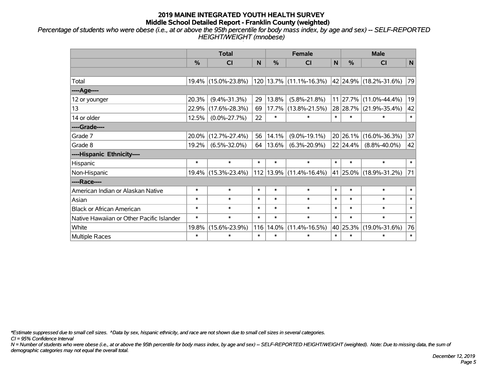*Percentage of students who were obese (i.e., at or above the 95th percentile for body mass index, by age and sex) -- SELF-REPORTED HEIGHT/WEIGHT (mnobese)*

|                                           |               | <b>Total</b>        |        | <b>Female</b> | <b>Male</b>             |              |          |                        |        |
|-------------------------------------------|---------------|---------------------|--------|---------------|-------------------------|--------------|----------|------------------------|--------|
|                                           | $\frac{0}{0}$ | CI                  | N      | $\frac{9}{6}$ | <b>CI</b>               | $\mathsf{N}$ | %        | <b>CI</b>              | N      |
|                                           |               |                     |        |               |                         |              |          |                        |        |
| Total                                     |               | 19.4% (15.0%-23.8%) |        |               | 120 13.7% (11.1%-16.3%) |              |          | 42 24.9% (18.2%-31.6%) | 79     |
| ---- Age----                              |               |                     |        |               |                         |              |          |                        |        |
| 12 or younger                             | 20.3%         | $(9.4\% - 31.3\%)$  | 29     | 13.8%         | $(5.8\% - 21.8\%)$      | 11           | 27.7%    | $(11.0\% - 44.4\%)$    | 19     |
| 13                                        | 22.9%         | $(17.6\% - 28.3\%)$ | 69     | 17.7%         | $(13.8\% - 21.5\%)$     |              |          | 28 28.7% (21.9%-35.4%) | 42     |
| 14 or older                               | 12.5%         | $(0.0\% - 27.7\%)$  | 22     | $\ast$        | $\ast$                  | $\ast$       | $\ast$   | $\ast$                 | $\ast$ |
| ----Grade----                             |               |                     |        |               |                         |              |          |                        |        |
| Grade 7                                   | 20.0%         | $(12.7\% - 27.4\%)$ | 56     | 14.1%         | $(9.0\% - 19.1\%)$      |              | 20 26.1% | $(16.0\% - 36.3\%)$    | 37     |
| Grade 8                                   | 19.2%         | $(6.5\% - 32.0\%)$  | 64     | 13.6%         | $(6.3\% - 20.9\%)$      |              | 22 24.4% | $(8.8\% - 40.0\%)$     | 42     |
| ----Hispanic Ethnicity----                |               |                     |        |               |                         |              |          |                        |        |
| Hispanic                                  | $\ast$        | $\ast$              | $\ast$ | $\ast$        | $\ast$                  | $\ast$       | $\ast$   | $\ast$                 | $\ast$ |
| Non-Hispanic                              |               | 19.4% (15.3%-23.4%) |        | $112$   13.9% | $(11.4\% - 16.4\%)$     |              |          | 41 25.0% (18.9%-31.2%) | 71     |
| ----Race----                              |               |                     |        |               |                         |              |          |                        |        |
| American Indian or Alaskan Native         | $\ast$        | $\ast$              | $\ast$ | $\ast$        | $\ast$                  | $\ast$       | $\ast$   | $\ast$                 | $\ast$ |
| Asian                                     | $\ast$        | $\ast$              | $\ast$ | $\ast$        | $\ast$                  | $\ast$       | $\ast$   | $\ast$                 | $\ast$ |
| <b>Black or African American</b>          | $\ast$        | $\ast$              | $\ast$ | $\ast$        | $\ast$                  | $\ast$       | $\ast$   | $\ast$                 | $\ast$ |
| Native Hawaiian or Other Pacific Islander | $\ast$        | $\ast$              | $\ast$ | $\ast$        | $\ast$                  | $\ast$       | $\ast$   | $\ast$                 | $\ast$ |
| White                                     | 19.8%         | $(15.6\% - 23.9\%)$ | 116    | 14.0%         | $(11.4\% - 16.5\%)$     |              | 40 25.3% | $(19.0\% - 31.6\%)$    | 76     |
| Multiple Races                            | $\ast$        | $\ast$              | $\ast$ | $\ast$        | $\ast$                  | $\ast$       | $\ast$   | $\ast$                 | $\ast$ |

*\*Estimate suppressed due to small cell sizes. ^Data by sex, hispanic ethnicity, and race are not shown due to small cell sizes in several categories.*

*CI = 95% Confidence Interval*

*N = Number of students who were obese (i.e., at or above the 95th percentile for body mass index, by age and sex) -- SELF-REPORTED HEIGHT/WEIGHT (weighted). Note: Due to missing data, the sum of demographic categories may not equal the overall total.*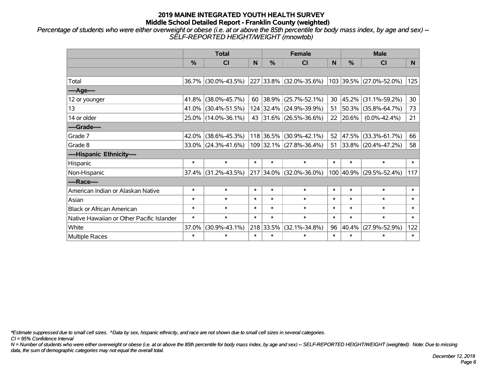*Percentage of students who were either overweight or obese (i.e. at or above the 85th percentile for body mass index, by age and sex) -- SELF-REPORTED HEIGHT/WEIGHT (mnowtob)*

|                                           |               | <b>Total</b>           |        | <b>Female</b> |                         | <b>Male</b> |           |                         |        |
|-------------------------------------------|---------------|------------------------|--------|---------------|-------------------------|-------------|-----------|-------------------------|--------|
|                                           | $\frac{0}{0}$ | <b>CI</b>              | N      | $\frac{9}{6}$ | <b>CI</b>               | N           | %         | <b>CI</b>               | N.     |
|                                           |               |                        |        |               |                         |             |           |                         |        |
| Total                                     |               | 36.7% (30.0%-43.5%)    |        |               | 227 33.8% (32.0%-35.6%) |             |           | 103 39.5% (27.0%-52.0%) | 125    |
| ----Age----                               |               |                        |        |               |                         |             |           |                         |        |
| 12 or younger                             | 41.8%         | $(38.0\% - 45.7\%)$    | 60     | 38.9%         | $(25.7\% - 52.1\%)$     | 30          | 45.2%     | $(31.1\% - 59.2\%)$     | 30     |
| 13                                        |               | 41.0% (30.4%-51.5%)    |        |               | 124 32.4% (24.9%-39.9%) | 51          | 50.3%     | $(35.8\% - 64.7\%)$     | 73     |
| 14 or older                               |               | 25.0% (14.0%-36.1%)    |        |               | 43 31.6% (26.5%-36.6%)  |             | 22 20.6%  | $(0.0\% - 42.4\%)$      | 21     |
| ----Grade----                             |               |                        |        |               |                         |             |           |                         |        |
| Grade 7                                   | $42.0\%$      | $(38.6\% - 45.3\%)$    |        |               | 118 36.5% (30.9%-42.1%) | 52          | 47.5%     | $(33.3\% - 61.7\%)$     | 66     |
| Grade 8                                   |               | $33.0\%$ (24.3%-41.6%) |        |               | 109 32.1% (27.8%-36.4%) |             |           | 51 33.8% (20.4%-47.2%)  | 58     |
| ----Hispanic Ethnicity----                |               |                        |        |               |                         |             |           |                         |        |
| Hispanic                                  | $\ast$        | $\ast$                 | $\ast$ | $\ast$        | $\ast$                  | $\ast$      | $\ast$    | $\ast$                  | $\ast$ |
| Non-Hispanic                              |               | $37.4\%$ (31.2%-43.5%) |        |               | 217 34.0% (32.0%-36.0%) |             | 100 40.9% | $(29.5\% - 52.4\%)$     | 117    |
| ----Race----                              |               |                        |        |               |                         |             |           |                         |        |
| American Indian or Alaskan Native         | $\ast$        | $\ast$                 | $\ast$ | $\ast$        | $\ast$                  | $\ast$      | $\ast$    | $\ast$                  | $\ast$ |
| Asian                                     | $\ast$        | $\ast$                 | $\ast$ | $\ast$        | $\ast$                  | $\ast$      | $\ast$    | $\ast$                  | $\ast$ |
| <b>Black or African American</b>          | $\ast$        | $\ast$                 | $\ast$ | $\ast$        | $\ast$                  | $\ast$      | $\ast$    | $\ast$                  | $\ast$ |
| Native Hawaiian or Other Pacific Islander | $\ast$        | $\ast$                 | $\ast$ | $\ast$        | $\ast$                  | $\ast$      | $\ast$    | $\ast$                  | $\ast$ |
| White                                     | 37.0%         | $(30.9\% - 43.1\%)$    |        | 218 33.5%     | $(32.1\% - 34.8\%)$     | 96          | 40.4%     | $(27.9\% - 52.9\%)$     | 122    |
| Multiple Races                            | $\ast$        | $\ast$                 | $\ast$ | $\ast$        | $\ast$                  | $\ast$      | $\ast$    | $\ast$                  | $\ast$ |

*\*Estimate suppressed due to small cell sizes. ^Data by sex, hispanic ethnicity, and race are not shown due to small cell sizes in several categories.*

*CI = 95% Confidence Interval*

*N = Number of students who were either overweight or obese (i.e. at or above the 85th percentile for body mass index, by age and sex) -- SELF-REPORTED HEIGHT/WEIGHT (weighted). Note: Due to missing data, the sum of demographic categories may not equal the overall total.*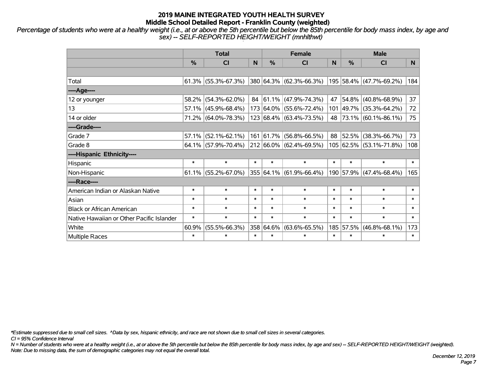*Percentage of students who were at a healthy weight (i.e., at or above the 5th percentile but below the 85th percentile for body mass index, by age and sex) -- SELF-REPORTED HEIGHT/WEIGHT (mnhlthwt)*

|                                           |               | <b>Total</b>           |        |               | <b>Female</b>                    |        | <b>Male</b>   |                         |        |  |
|-------------------------------------------|---------------|------------------------|--------|---------------|----------------------------------|--------|---------------|-------------------------|--------|--|
|                                           | $\frac{0}{0}$ | <b>CI</b>              | N      | $\frac{0}{0}$ | <b>CI</b>                        | N      | $\frac{0}{0}$ | <b>CI</b>               | N.     |  |
|                                           |               |                        |        |               |                                  |        |               |                         |        |  |
| Total                                     |               | $61.3\%$ (55.3%-67.3%) |        |               | 380 64.3% (62.3%-66.3%)          |        |               | 195 58.4% (47.7%-69.2%) | 184    |  |
| ----Age----                               |               |                        |        |               |                                  |        |               |                         |        |  |
| 12 or younger                             | 58.2%         | $(54.3\% - 62.0\%)$    |        |               | 84 61.1% (47.9%-74.3%)           | 47     | 54.8%         | $(40.8\% - 68.9\%)$     | 37     |  |
| 13                                        |               | $57.1\%$ (45.9%-68.4%) |        |               | 173 64.0% (55.6%-72.4%)          |        | 101 49.7%     | $(35.3\% - 64.2\%)$     | 72     |  |
| 14 or older                               |               | 71.2% (64.0%-78.3%)    |        |               | 123 68.4% (63.4%-73.5%)          |        |               | 48 73.1% (60.1%-86.1%)  | 75     |  |
| ----Grade----                             |               |                        |        |               |                                  |        |               |                         |        |  |
| Grade 7                                   | 57.1%         | $(52.1\% - 62.1\%)$    |        | 161 61.7%     | $(56.8\% - 66.5\%)$              | 88     | 52.5%         | $(38.3\% - 66.7\%)$     | 73     |  |
| Grade 8                                   |               | $64.1\%$ (57.9%-70.4%) |        |               | $ 212 66.0\%  (62.4\% - 69.5\%)$ |        |               | 105 62.5% (53.1%-71.8%) | 108    |  |
| ----Hispanic Ethnicity----                |               |                        |        |               |                                  |        |               |                         |        |  |
| Hispanic                                  | $\ast$        | $\ast$                 | $\ast$ | $\ast$        | $\ast$                           | $\ast$ | $\ast$        | $\ast$                  | $\ast$ |  |
| Non-Hispanic                              |               | $61.1\%$ (55.2%-67.0%) |        |               | 355 64.1% (61.9%-66.4%)          |        | 190 57.9%     | $(47.4\% - 68.4\%)$     | 165    |  |
| ----Race----                              |               |                        |        |               |                                  |        |               |                         |        |  |
| American Indian or Alaskan Native         | $\ast$        | $\ast$                 | $\ast$ | $\ast$        | $\ast$                           | $\ast$ | $\ast$        | $\ast$                  | $\ast$ |  |
| Asian                                     | $\ast$        | $\ast$                 | $\ast$ | $\ast$        | $\ast$                           | $\ast$ | $\ast$        | $\ast$                  | $\ast$ |  |
| <b>Black or African American</b>          | $\ast$        | $\ast$                 | $\ast$ | $\ast$        | $\ast$                           | $\ast$ | $\ast$        | $\ast$                  | $\ast$ |  |
| Native Hawaiian or Other Pacific Islander | $\ast$        | $\ast$                 | $\ast$ | $\ast$        | $\ast$                           | $\ast$ | $\ast$        | $\ast$                  | $\ast$ |  |
| White                                     | 60.9%         | $(55.5\% - 66.3\%)$    |        | 358 64.6%     | $(63.6\% - 65.5\%)$              | 185    | 57.5%         | $(46.8\% - 68.1\%)$     | 173    |  |
| Multiple Races                            | $\ast$        | $\ast$                 | $\ast$ | $\ast$        | $\ast$                           | $\ast$ | $\ast$        | $\ast$                  | $\ast$ |  |

*\*Estimate suppressed due to small cell sizes. ^Data by sex, hispanic ethnicity, and race are not shown due to small cell sizes in several categories.*

*CI = 95% Confidence Interval*

*N = Number of students who were at a healthy weight (i.e., at or above the 5th percentile but below the 85th percentile for body mass index, by age and sex) -- SELF-REPORTED HEIGHT/WEIGHT (weighted). Note: Due to missing data, the sum of demographic categories may not equal the overall total.*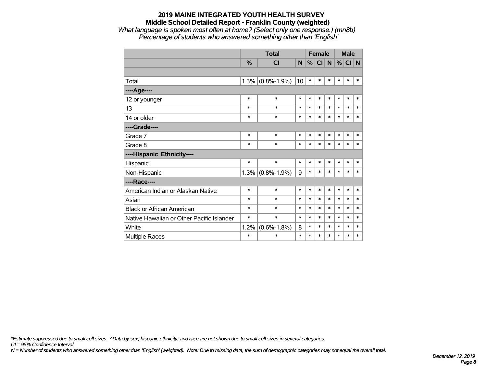#### **2019 MAINE INTEGRATED YOUTH HEALTH SURVEY Middle School Detailed Report - Franklin County (weighted)** *What language is spoken most often at home? (Select only one response.) (mn8b)*

*Percentage of students who answered something other than 'English'*

|                                           |               | <b>Total</b>      |        |        | <b>Female</b> |           |        | <b>Male</b> |        |
|-------------------------------------------|---------------|-------------------|--------|--------|---------------|-----------|--------|-------------|--------|
|                                           | $\frac{0}{0}$ | <b>CI</b>         | N      | %      | <b>CI</b>     | ${\sf N}$ | %      | CI N        |        |
|                                           |               |                   |        |        |               |           |        |             |        |
| Total                                     | 1.3%          | $(0.8\% - 1.9\%)$ | 10     | $\ast$ | $\ast$        | $\ast$    | $\ast$ | $\ast$      | $\ast$ |
| ----Age----                               |               |                   |        |        |               |           |        |             |        |
| 12 or younger                             | $\ast$        | $\ast$            | $\ast$ | $\ast$ | $\ast$        | $\ast$    | $\ast$ | $\ast$      | $\ast$ |
| 13                                        | $\ast$        | $\ast$            | $\ast$ | $\ast$ | $\ast$        | $\ast$    | $\ast$ | $\ast$      | $\ast$ |
| 14 or older                               | $\ast$        | $\ast$            | $\ast$ | $\ast$ | $\ast$        | $\ast$    | $\ast$ | $\ast$      | $\ast$ |
| ----Grade----                             |               |                   |        |        |               |           |        |             |        |
| Grade 7                                   | $\ast$        | $\ast$            | $\ast$ | $\ast$ | $\ast$        | $\ast$    | $\ast$ | $\ast$      | $\ast$ |
| Grade 8                                   | $\ast$        | $\ast$            | $\ast$ | $\ast$ | $\ast$        | $\ast$    | $\ast$ | $\ast$      | $\ast$ |
| ----Hispanic Ethnicity----                |               |                   |        |        |               |           |        |             |        |
| Hispanic                                  | $\ast$        | $\ast$            | $\ast$ | $\ast$ | $\ast$        | $\ast$    | $\ast$ | $\ast$      | $\ast$ |
| Non-Hispanic                              | 1.3%          | $(0.8\% - 1.9\%)$ | 9      | $\ast$ | $\ast$        | $\ast$    | $\ast$ | $\ast$      | *      |
| ----Race----                              |               |                   |        |        |               |           |        |             |        |
| American Indian or Alaskan Native         | $\ast$        | $\ast$            | $\ast$ | $\ast$ | $\ast$        | $\ast$    | $\ast$ | $\ast$      | $\ast$ |
| Asian                                     | $\ast$        | $\ast$            | $\ast$ | $\ast$ | $\ast$        | $\ast$    | $\ast$ | $\ast$      | $\ast$ |
| <b>Black or African American</b>          | $\ast$        | $\ast$            | $\ast$ | $\ast$ | $\ast$        | $\ast$    | $\ast$ | $\ast$      | $\ast$ |
| Native Hawaiian or Other Pacific Islander | *             | $\ast$            | $\ast$ | $\ast$ | $\ast$        | $\ast$    | $\ast$ | $\ast$      | $\ast$ |
| White                                     | 1.2%          | $(0.6\% - 1.8\%)$ | 8      | $\ast$ | $\ast$        | $\ast$    | $\ast$ | $\ast$      | $\ast$ |
| <b>Multiple Races</b>                     | $\ast$        | $\ast$            | $\ast$ | $\ast$ | $\ast$        | $\ast$    | $\ast$ | $\ast$      | $\ast$ |

*\*Estimate suppressed due to small cell sizes. ^Data by sex, hispanic ethnicity, and race are not shown due to small cell sizes in several categories.*

*CI = 95% Confidence Interval*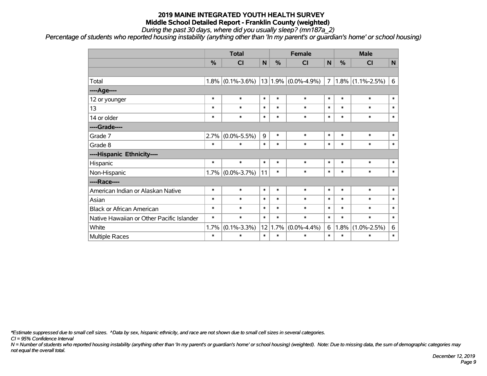*During the past 30 days, where did you usually sleep? (mn187a\_2)*

*Percentage of students who reported housing instability (anything other than 'In my parent's or guardian's home' or school housing)*

|                                           |        | <b>Total</b>      |        | <b>Female</b> |                         | <b>Male</b> |        |                     |              |
|-------------------------------------------|--------|-------------------|--------|---------------|-------------------------|-------------|--------|---------------------|--------------|
|                                           | %      | CI                | N      | %             | C <sub>1</sub>          | N           | %      | <b>CI</b>           | $\mathsf{N}$ |
|                                           |        |                   |        |               |                         |             |        |                     |              |
| Total                                     | 1.8%   | $(0.1\% - 3.6\%)$ |        |               | $13 1.9\% $ (0.0%-4.9%) | 7           |        | $1.8\%$ (1.1%-2.5%) | 6            |
| ----Age----                               |        |                   |        |               |                         |             |        |                     |              |
| 12 or younger                             | $\ast$ | $\ast$            | $\ast$ | $\ast$        | $\ast$                  | $\ast$      | $\ast$ | $\ast$              | $\ast$       |
| 13                                        | $\ast$ | $\ast$            | $\ast$ | $\ast$        | $\ast$                  | $\ast$      | $\ast$ | $\ast$              | $\ast$       |
| 14 or older                               | $\ast$ | $\ast$            | $\ast$ | $\ast$        | $\ast$                  | $\ast$      | $\ast$ | $\ast$              | $\ast$       |
| ----Grade----                             |        |                   |        |               |                         |             |        |                     |              |
| Grade 7                                   | 2.7%   | $(0.0\% - 5.5\%)$ | 9      | $\ast$        | $\ast$                  | $\ast$      | $\ast$ | $\ast$              | $\ast$       |
| Grade 8                                   | $\ast$ | $\ast$            | $\ast$ | $\ast$        | $\ast$                  | $\ast$      | $\ast$ | $\ast$              | $\ast$       |
| ----Hispanic Ethnicity----                |        |                   |        |               |                         |             |        |                     |              |
| Hispanic                                  | $\ast$ | $\ast$            | $\ast$ | $\ast$        | $\ast$                  | $\ast$      | $\ast$ | $\ast$              | $\ast$       |
| Non-Hispanic                              | 1.7%   | $(0.0\% - 3.7\%)$ | 11     | $\ast$        | $\ast$                  | $\ast$      | $\ast$ | $\ast$              | $\ast$       |
| ----Race----                              |        |                   |        |               |                         |             |        |                     |              |
| American Indian or Alaskan Native         | $\ast$ | $\ast$            | $\ast$ | $\ast$        | $\ast$                  | $\ast$      | $\ast$ | $\ast$              | $\ast$       |
| Asian                                     | $\ast$ | $\ast$            | $\ast$ | $\ast$        | $\ast$                  | $\ast$      | $\ast$ | $\ast$              | $\ast$       |
| <b>Black or African American</b>          | $\ast$ | $\ast$            | $\ast$ | $\ast$        | $\ast$                  | $\ast$      | $\ast$ | $\ast$              | $\ast$       |
| Native Hawaiian or Other Pacific Islander | $\ast$ | $\ast$            | $\ast$ | $\ast$        | $\ast$                  | $\ast$      | $\ast$ | $\ast$              | $\ast$       |
| White                                     | 1.7%   | $(0.1\% - 3.3\%)$ | 12     | 1.7%          | $(0.0\% - 4.4\%)$       | 6           | 1.8%   | $(1.0\% - 2.5\%)$   | 6            |
| <b>Multiple Races</b>                     | $\ast$ | $\ast$            | $\ast$ | $\ast$        | $\ast$                  | $\ast$      | $\ast$ | $\ast$              | $\ast$       |

*\*Estimate suppressed due to small cell sizes. ^Data by sex, hispanic ethnicity, and race are not shown due to small cell sizes in several categories.*

*CI = 95% Confidence Interval*

*N = Number of students who reported housing instability (anything other than 'In my parent's or guardian's home' or school housing) (weighted). Note: Due to missing data, the sum of demographic categories may not equal the overall total.*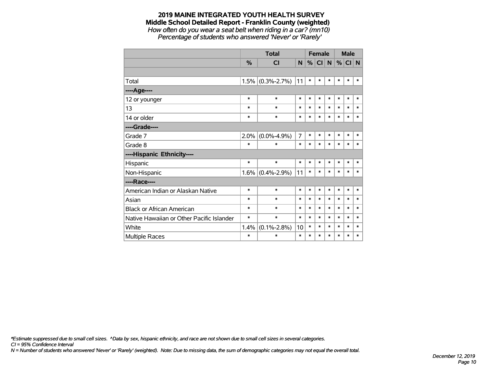#### **2019 MAINE INTEGRATED YOUTH HEALTH SURVEY Middle School Detailed Report - Franklin County (weighted)** *How often do you wear a seat belt when riding in a car? (mn10)*

*Percentage of students who answered 'Never' or 'Rarely'*

|                                           |               | <b>Total</b>        |                |        | <b>Female</b> |        |        | <b>Male</b> |        |  |
|-------------------------------------------|---------------|---------------------|----------------|--------|---------------|--------|--------|-------------|--------|--|
|                                           | $\frac{9}{6}$ | <b>CI</b>           | N.             | %      | CI            | N      | %      | CI N        |        |  |
|                                           |               |                     |                |        |               |        |        |             |        |  |
| Total                                     | 1.5%          | $(0.3\% - 2.7\%)$   | 11             | $\ast$ | $\ast$        | $\ast$ | *      | $\ast$      | $\ast$ |  |
| ---- Age----                              |               |                     |                |        |               |        |        |             |        |  |
| 12 or younger                             | *             | $\ast$              | $\ast$         | $\ast$ | $\ast$        | $\ast$ | $\ast$ | $\ast$      | $\ast$ |  |
| 13                                        | $\ast$        | $\ast$              | $\ast$         | $\ast$ | $\ast$        | $\ast$ | $\ast$ | $\ast$      | $\ast$ |  |
| 14 or older                               | *             | $\ast$              | $\ast$         | $\ast$ | $\ast$        | $\ast$ | $\ast$ | $\ast$      | $\ast$ |  |
| ----Grade----                             |               |                     |                |        |               |        |        |             |        |  |
| Grade 7                                   | 2.0%          | $(0.0\% - 4.9\%)$   | $\overline{7}$ | $\ast$ | $\ast$        | $\ast$ | $\ast$ | $\ast$      | $\ast$ |  |
| Grade 8                                   | $\ast$        | $\ast$              | $\ast$         | $\ast$ | $\ast$        | $\ast$ | $\ast$ | $\ast$      | $\ast$ |  |
| ----Hispanic Ethnicity----                |               |                     |                |        |               |        |        |             |        |  |
| Hispanic                                  | $\ast$        | $\ast$              | $\ast$         | *      | $\ast$        | $\ast$ | $\ast$ | *           | ∗      |  |
| Non-Hispanic                              |               | $1.6\%$ (0.4%-2.9%) | 11             | $\ast$ | $\ast$        | $\ast$ | *      | $\ast$      | $\ast$ |  |
| ----Race----                              |               |                     |                |        |               |        |        |             |        |  |
| American Indian or Alaskan Native         | $\ast$        | $\ast$              | $\ast$         | $\ast$ | $\ast$        | $\ast$ | $\ast$ | $\ast$      | $\ast$ |  |
| Asian                                     | *             | $\ast$              | $\ast$         | $\ast$ | $\ast$        | $\ast$ | *      | $\ast$      | $\ast$ |  |
| <b>Black or African American</b>          | *             | $\ast$              | $\ast$         | $\ast$ | $\ast$        | $\ast$ | $\ast$ | $\ast$      | $\ast$ |  |
| Native Hawaiian or Other Pacific Islander | *             | $\ast$              | $\ast$         | *      | $\ast$        | $\ast$ | *      | *           | $\ast$ |  |
| White                                     | 1.4%          | $(0.1\% - 2.8\%)$   | 10             | $\ast$ | $\ast$        | $\ast$ | *      | *           | $\ast$ |  |
| Multiple Races                            | $\ast$        | $\ast$              | $\ast$         | *      | $\ast$        | $\ast$ | *      | *           | $\ast$ |  |

*\*Estimate suppressed due to small cell sizes. ^Data by sex, hispanic ethnicity, and race are not shown due to small cell sizes in several categories.*

*CI = 95% Confidence Interval*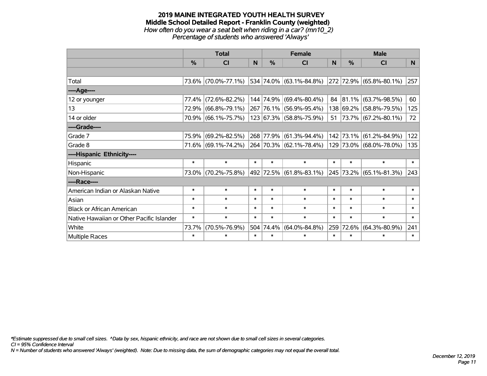#### **2019 MAINE INTEGRATED YOUTH HEALTH SURVEY Middle School Detailed Report - Franklin County (weighted)** *How often do you wear a seat belt when riding in a car? (mn10\_2) Percentage of students who answered 'Always'*

|                                           |               | <b>Total</b>        |        |           | <b>Female</b>                                   |              | <b>Male</b> |                         |        |  |
|-------------------------------------------|---------------|---------------------|--------|-----------|-------------------------------------------------|--------------|-------------|-------------------------|--------|--|
|                                           | $\frac{0}{0}$ | CI                  | N      | %         | <b>CI</b>                                       | <sub>N</sub> | %           | <b>CI</b>               | N      |  |
|                                           |               |                     |        |           |                                                 |              |             |                         |        |  |
| Total                                     |               | 73.6% (70.0%-77.1%) |        |           | 534 74.0% (63.1%-84.8%)                         |              |             | 272 72.9% (65.8%-80.1%) | 257    |  |
| ----Age----                               |               |                     |        |           |                                                 |              |             |                         |        |  |
| 12 or younger                             | 77.4%         | $(72.6\% - 82.2\%)$ |        |           | 144 74.9% (69.4%-80.4%)                         | 84           | 81.1%       | $(63.7\% - 98.5\%)$     | 60     |  |
| 13                                        | 72.9%         | $(66.8\% - 79.1\%)$ |        |           | 267 76.1% (56.9%-95.4%)                         |              |             | 138 69.2% (58.8%-79.5%) | 125    |  |
| 14 or older                               |               | 70.9% (66.1%-75.7%) |        |           | 123 67.3% (58.8%-75.9%)                         | $51 \mid$    |             | 73.7% (67.2%-80.1%)     | 72     |  |
| ----Grade----                             |               |                     |        |           |                                                 |              |             |                         |        |  |
| Grade 7                                   | 75.9%         | $(69.2\% - 82.5\%)$ |        |           | 268 77.9% (61.3%-94.4%)                         |              | 142 73.1%   | $(61.2\% - 84.9\%)$     | 122    |  |
| Grade 8                                   |               | 71.6% (69.1%-74.2%) |        |           | $\vert$ 264 $\vert$ 70.3% $\vert$ (62.1%-78.4%) |              |             | 129 73.0% (68.0%-78.0%) | 135    |  |
| ----Hispanic Ethnicity----                |               |                     |        |           |                                                 |              |             |                         |        |  |
| Hispanic                                  | $\ast$        | $\ast$              | $\ast$ | $\ast$    | $\ast$                                          | $\ast$       | $\ast$      | $\ast$                  | $\ast$ |  |
| Non-Hispanic                              |               | 73.0% (70.2%-75.8%) |        |           | 492  72.5%  (61.8%-83.1%)                       |              |             | 245 73.2% (65.1%-81.3%) | 243    |  |
| ----Race----                              |               |                     |        |           |                                                 |              |             |                         |        |  |
| American Indian or Alaskan Native         | $\ast$        | $\ast$              | $\ast$ | $\ast$    | $\ast$                                          | $\ast$       | $\ast$      | $\ast$                  | $\ast$ |  |
| Asian                                     | $\ast$        | $\ast$              | $\ast$ | $\ast$    | $\ast$                                          | $\ast$       | $\ast$      | $\ast$                  | $\ast$ |  |
| <b>Black or African American</b>          | $\ast$        | $\ast$              | $\ast$ | $\ast$    | $\ast$                                          | $\ast$       | $\ast$      | $\ast$                  | $\ast$ |  |
| Native Hawaiian or Other Pacific Islander | $\ast$        | $\ast$              | $\ast$ | $\ast$    | $\ast$                                          | $\ast$       | $\ast$      | $\ast$                  | $\ast$ |  |
| White                                     | 73.7%         | $(70.5\% - 76.9\%)$ |        | 504 74.4% | $(64.0\% - 84.8\%)$                             | 259          | 72.6%       | $(64.3\% - 80.9\%)$     | 241    |  |
| Multiple Races                            | $\ast$        | $\ast$              | $\ast$ | $\ast$    | $\ast$                                          | $\ast$       | $\ast$      | $\ast$                  | $\ast$ |  |

*\*Estimate suppressed due to small cell sizes. ^Data by sex, hispanic ethnicity, and race are not shown due to small cell sizes in several categories.*

*CI = 95% Confidence Interval*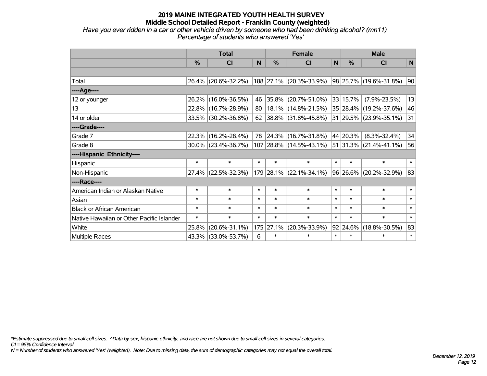*Have you ever ridden in a car or other vehicle driven by someone who had been drinking alcohol? (mn11) Percentage of students who answered 'Yes'*

|                                           |        | <b>Total</b>           |        | <b>Female</b> | <b>Male</b>               |        |              |                            |        |
|-------------------------------------------|--------|------------------------|--------|---------------|---------------------------|--------|--------------|----------------------------|--------|
|                                           | $\%$   | <b>CI</b>              | N      | $\frac{0}{0}$ | <b>CI</b>                 | N      | $\%$         | <b>CI</b>                  | N      |
|                                           |        |                        |        |               |                           |        |              |                            |        |
| Total                                     |        | 26.4% (20.6%-32.2%)    |        |               | 188 27.1% (20.3%-33.9%)   |        |              | 98 25.7% (19.6%-31.8%)     | 90     |
| ----Age----                               |        |                        |        |               |                           |        |              |                            |        |
| 12 or younger                             | 26.2%  | $(16.0\% - 36.5\%)$    | 46     | 35.8%         | $(20.7\% - 51.0\%)$       |        | 33 15.7%     | $(7.9\% - 23.5\%)$         | 13     |
| 13                                        | 22.8%  | $(16.7\% - 28.9\%)$    | 80     |               | 18.1% (14.8%-21.5%)       |        |              | 35 28.4% (19.2%-37.6%)     | 46     |
| 14 or older                               |        | 33.5% (30.2%-36.8%)    | 62     |               | 38.8% (31.8%-45.8%)       |        |              | 31 29.5% (23.9%-35.1%)     | 31     |
| ----Grade----                             |        |                        |        |               |                           |        |              |                            |        |
| Grade 7                                   | 22.3%  | $(16.2\% - 28.4\%)$    | 78     | $ 24.3\% $    | $(16.7\% - 31.8\%)$       |        | 44 20.3%     | $(8.3\% - 32.4\%)$         | 34     |
| Grade 8                                   |        | $30.0\%$ (23.4%-36.7%) |        |               | 107 28.8% (14.5%-43.1%)   |        |              | $51 31.3\% $ (21.4%-41.1%) | 56     |
| ----Hispanic Ethnicity----                |        |                        |        |               |                           |        |              |                            |        |
| Hispanic                                  | $\ast$ | $\ast$                 | $\ast$ | $\ast$        | $\ast$                    | $\ast$ | $\ast$       | $\ast$                     | $\ast$ |
| Non-Hispanic                              | 27.4%  | $(22.5\% - 32.3\%)$    |        |               | $179$ 28.1% (22.1%-34.1%) |        | $96 26.6\% $ | $(20.2\% - 32.9\%)$        | 83     |
| ----Race----                              |        |                        |        |               |                           |        |              |                            |        |
| American Indian or Alaskan Native         | $\ast$ | $\ast$                 | $\ast$ | $\ast$        | $\ast$                    | $\ast$ | $\ast$       | $\ast$                     | $\ast$ |
| Asian                                     | $\ast$ | $\ast$                 | $\ast$ | $\ast$        | $\ast$                    | $\ast$ | $\ast$       | $\ast$                     | $\ast$ |
| <b>Black or African American</b>          | $\ast$ | $\ast$                 | $\ast$ | $\ast$        | $\ast$                    | $\ast$ | $\ast$       | $\ast$                     | $\ast$ |
| Native Hawaiian or Other Pacific Islander | $\ast$ | $\ast$                 | $\ast$ | $\ast$        | $\ast$                    | $\ast$ | $\ast$       | $\ast$                     | $\ast$ |
| White                                     | 25.8%  | $(20.6\% - 31.1\%)$    |        | 175 27.1%     | $(20.3\% - 33.9\%)$       |        | 92 24.6%     | $(18.8\% - 30.5\%)$        | 83     |
| Multiple Races                            |        | 43.3% (33.0%-53.7%)    | 6      | $\ast$        | $\ast$                    | $\ast$ | $\ast$       | $\ast$                     | $\ast$ |

*\*Estimate suppressed due to small cell sizes. ^Data by sex, hispanic ethnicity, and race are not shown due to small cell sizes in several categories.*

*CI = 95% Confidence Interval*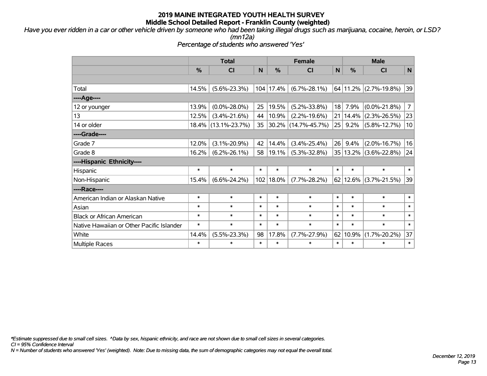*Have you ever ridden in a car or other vehicle driven by someone who had been taking illegal drugs such as marijuana, cocaine, heroin, or LSD?*

*(mn12a)*

*Percentage of students who answered 'Yes'*

|                                           | <b>Total</b>  |                     |        |                            | <b>Female</b>       |        |        | <b>Male</b>                 |                |  |  |
|-------------------------------------------|---------------|---------------------|--------|----------------------------|---------------------|--------|--------|-----------------------------|----------------|--|--|
|                                           | $\frac{0}{0}$ | <b>CI</b>           | N      | $\frac{0}{0}$<br><b>CI</b> |                     | N      | %      | <b>CI</b>                   | $\mathbf N$    |  |  |
|                                           |               |                     |        |                            |                     |        |        |                             |                |  |  |
| Total                                     | 14.5%         | $(5.6\% - 23.3\%)$  |        | 104 17.4%                  | $(6.7\% - 28.1\%)$  |        |        | $64$   11.2%   (2.7%-19.8%) | 39             |  |  |
| ----Age----                               |               |                     |        |                            |                     |        |        |                             |                |  |  |
| 12 or younger                             | 13.9%         | $(0.0\% - 28.0\%)$  | 25     | 19.5%                      | $(5.2\% - 33.8\%)$  | 18     | 7.9%   | $(0.0\% - 21.8\%)$          | $\overline{7}$ |  |  |
| 13                                        | 12.5%         | $(3.4\% - 21.6\%)$  | 44     | 10.9%                      | $(2.2\% - 19.6\%)$  | 21     | 14.4%  | $(2.3\% - 26.5\%)$          | 23             |  |  |
| 14 or older                               |               | 18.4% (13.1%-23.7%) | 35     |                            | 30.2% (14.7%-45.7%) | 25     | 9.2%   | $(5.8\% - 12.7\%)$          | 10             |  |  |
| ----Grade----                             |               |                     |        |                            |                     |        |        |                             |                |  |  |
| Grade 7                                   | 12.0%         | $(3.1\% - 20.9\%)$  | 42     | 14.4%                      | $(3.4\% - 25.4\%)$  | 26     | 9.4%   | $(2.0\% - 16.7\%)$          | 16             |  |  |
| Grade 8                                   | 16.2%         | $(6.2\% - 26.1\%)$  | 58     | 19.1%                      | $(5.3\% - 32.8\%)$  | 35     |        | $13.2\%$ (3.6%-22.8%)       | 24             |  |  |
| ----Hispanic Ethnicity----                |               |                     |        |                            |                     |        |        |                             |                |  |  |
| Hispanic                                  | $\ast$        | $\ast$              | $\ast$ | $\ast$                     | $\ast$              | $\ast$ | $\ast$ | $\ast$                      | $\ast$         |  |  |
| Non-Hispanic                              | 15.4%         | $(6.6\% - 24.2\%)$  | 102    | $ 18.0\%$                  | $(7.7\% - 28.2\%)$  |        |        | $62 12.6\% $ (3.7%-21.5%)   | 39             |  |  |
| ----Race----                              |               |                     |        |                            |                     |        |        |                             |                |  |  |
| American Indian or Alaskan Native         | $\ast$        | $\ast$              | $\ast$ | $\ast$                     | $\ast$              | $\ast$ | $\ast$ | $\ast$                      | $\ast$         |  |  |
| Asian                                     | $\ast$        | $\ast$              | $\ast$ | $\ast$                     | $\ast$              | $\ast$ | $\ast$ | $\ast$                      | $\ast$         |  |  |
| <b>Black or African American</b>          | $\ast$        | $\ast$              | $\ast$ | $\ast$                     | $\ast$              | $\ast$ | $\ast$ | $\ast$                      | $\ast$         |  |  |
| Native Hawaiian or Other Pacific Islander | $\ast$        | $\ast$              | $\ast$ | $\ast$                     | $\ast$              | $\ast$ | $\ast$ | $\ast$                      | $\ast$         |  |  |
| White                                     | 14.4%         | $(5.5\% - 23.3\%)$  | 98     | 17.8%                      | $(7.7\% - 27.9\%)$  | 62     | 10.9%  | $(1.7\% - 20.2\%)$          | 37             |  |  |
| <b>Multiple Races</b>                     | $\ast$        | $\ast$              | $\ast$ | *                          | $\ast$              | $\ast$ | $\ast$ | *                           | $\ast$         |  |  |

*\*Estimate suppressed due to small cell sizes. ^Data by sex, hispanic ethnicity, and race are not shown due to small cell sizes in several categories.*

*CI = 95% Confidence Interval*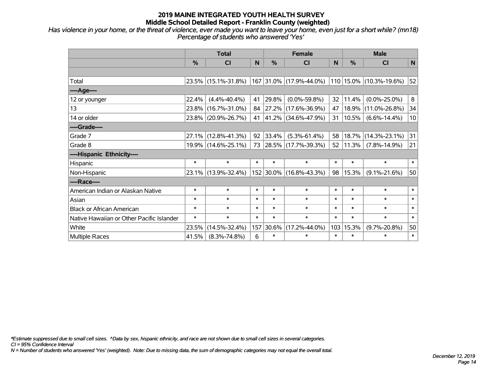*Has violence in your home, or the threat of violence, ever made you want to leave your home, even just for a short while? (mn18) Percentage of students who answered 'Yes'*

|                                           |        | <b>Total</b>        |        |           | <b>Female</b>            |        |        | <b>Male</b>                  |        |
|-------------------------------------------|--------|---------------------|--------|-----------|--------------------------|--------|--------|------------------------------|--------|
|                                           | %      | <b>CI</b>           | N      | %         | <b>CI</b>                | N      | %      | <b>CI</b>                    | N      |
|                                           |        |                     |        |           |                          |        |        |                              |        |
| Total                                     |        | 23.5% (15.1%-31.8%) |        |           | 167 31.0% (17.9%-44.0%)  |        |        | $ 110 15.0\% $ (10.3%-19.6%) | 52     |
| ----Age----                               |        |                     |        |           |                          |        |        |                              |        |
| 12 or younger                             | 22.4%  | $(4.4\% - 40.4\%)$  | 41     | 29.8%     | $(0.0\% - 59.8\%)$       | 32     | 11.4%  | $(0.0\% - 25.0\%)$           | 8      |
| 13                                        | 23.8%  | $(16.7\% - 31.0\%)$ | 84     | 27.2%     | $(17.6\% - 36.9\%)$      | 47     | 18.9%  | $(11.0\% - 26.8\%)$          | 34     |
| 14 or older                               |        | 23.8% (20.9%-26.7%) | 41     |           | 41.2% (34.6%-47.9%)      | 31     | 10.5%  | $(6.6\% - 14.4\%)$           | 10     |
| ----Grade----                             |        |                     |        |           |                          |        |        |                              |        |
| Grade 7                                   | 27.1%  | $(12.8\% - 41.3\%)$ | 92     | 33.4%     | $(5.3\% - 61.4\%)$       | 58     |        | $18.7\%$ (14.3%-23.1%)       | 31     |
| Grade 8                                   |        | 19.9% (14.6%-25.1%) | 73     |           | $ 28.5\% $ (17.7%-39.3%) | 52     | 11.3%  | $(7.8\% - 14.9\%)$           | 21     |
| ----Hispanic Ethnicity----                |        |                     |        |           |                          |        |        |                              |        |
| Hispanic                                  | $\ast$ | $\ast$              | $\ast$ | $\ast$    | $\ast$                   | $\ast$ | $\ast$ | $\ast$                       | $\ast$ |
| Non-Hispanic                              |        | 23.1% (13.9%-32.4%) |        | 152 30.0% | $(16.8\% - 43.3\%)$      | 98     | 15.3%  | $(9.1\% - 21.6\%)$           | 50     |
| ----Race----                              |        |                     |        |           |                          |        |        |                              |        |
| American Indian or Alaskan Native         | $\ast$ | $\ast$              | $\ast$ | $\ast$    | $\ast$                   | $\ast$ | $\ast$ | $\ast$                       | $\ast$ |
| Asian                                     | $\ast$ | $\ast$              | $\ast$ | $\ast$    | $\ast$                   | $\ast$ | $\ast$ | $\ast$                       | $\ast$ |
| <b>Black or African American</b>          | $\ast$ | $\ast$              | $\ast$ | $\ast$    | $\ast$                   | $\ast$ | $\ast$ | $\ast$                       | $\ast$ |
| Native Hawaiian or Other Pacific Islander | $\ast$ | $\ast$              | $\ast$ | $\ast$    | $\ast$                   | $\ast$ | $\ast$ | $\ast$                       | $\ast$ |
| White                                     | 23.5%  | $(14.5\% - 32.4\%)$ | 157    | 30.6%     | $(17.2\% - 44.0\%)$      | 103    | 15.3%  | $(9.7\% - 20.8\%)$           | 50     |
| Multiple Races                            | 41.5%  | $(8.3\% - 74.8\%)$  | 6      | $\ast$    | $\ast$                   | $\ast$ | $\ast$ | $\ast$                       | $\ast$ |

*\*Estimate suppressed due to small cell sizes. ^Data by sex, hispanic ethnicity, and race are not shown due to small cell sizes in several categories.*

*CI = 95% Confidence Interval*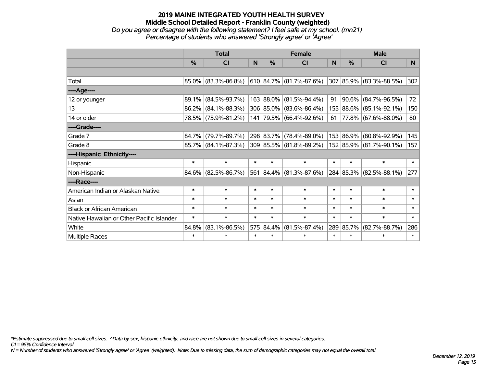#### **2019 MAINE INTEGRATED YOUTH HEALTH SURVEY Middle School Detailed Report - Franklin County (weighted)** *Do you agree or disagree with the following statement? I feel safe at my school. (mn21) Percentage of students who answered 'Strongly agree' or 'Agree'*

|                                           |               | <b>Total</b>           |        |           | <b>Female</b>             |        |           | <b>Male</b>                |        |
|-------------------------------------------|---------------|------------------------|--------|-----------|---------------------------|--------|-----------|----------------------------|--------|
|                                           | $\frac{0}{0}$ | <b>CI</b>              | N      | %         | CI                        | N      | %         | <b>CI</b>                  | N      |
|                                           |               |                        |        |           |                           |        |           |                            |        |
| Total                                     |               | $85.0\%$ (83.3%-86.8%) |        |           | $610$ 84.7% (81.7%-87.6%) |        |           | 307 85.9% (83.3%-88.5%)    | 302    |
| ---- Age----                              |               |                        |        |           |                           |        |           |                            |        |
| 12 or younger                             |               | 89.1% (84.5%-93.7%)    |        |           | 163 88.0% (81.5%-94.4%)   | 91     | 90.6%     | $(84.7\% - 96.5\%)$        | 72     |
| 13                                        |               | $86.2\%$ (84.1%-88.3%) |        |           | 306 85.0% (83.6%-86.4%)   |        | 155 88.6% | $(85.1\% - 92.1\%)$        | 150    |
| 14 or older                               |               | 78.5% (75.9%-81.2%)    |        |           | 141 79.5% (66.4%-92.6%)   |        |           | 61   77.8%   (67.6%-88.0%) | 80     |
| ----Grade----                             |               |                        |        |           |                           |        |           |                            |        |
| Grade 7                                   |               | 84.7% (79.7%-89.7%)    |        | 298 83.7% | $(78.4\% - 89.0\%)$       |        | 153 86.9% | $(80.8\% - 92.9\%)$        | 145    |
| Grade 8                                   |               | $85.7\%$ (84.1%-87.3%) |        |           | 309 85.5% (81.8%-89.2%)   |        |           | 152 85.9% (81.7%-90.1%)    | 157    |
| ----Hispanic Ethnicity----                |               |                        |        |           |                           |        |           |                            |        |
| Hispanic                                  | $\ast$        | $\ast$                 | $\ast$ | $\ast$    | $\ast$                    | $\ast$ | $\ast$    | $\ast$                     | $\ast$ |
| Non-Hispanic                              |               | $84.6\%$ (82.5%-86.7%) |        |           | 561 84.4% (81.3%-87.6%)   |        |           | 284 85.3% (82.5%-88.1%)    | 277    |
| ----Race----                              |               |                        |        |           |                           |        |           |                            |        |
| American Indian or Alaskan Native         | $\ast$        | $\ast$                 | $\ast$ | $\ast$    | $\ast$                    | $\ast$ | $\ast$    | $\ast$                     | $\ast$ |
| Asian                                     | $\ast$        | $\ast$                 | $\ast$ | $\ast$    | $\ast$                    | $\ast$ | $\ast$    | $\ast$                     | $\ast$ |
| <b>Black or African American</b>          | $\ast$        | $\ast$                 | $\ast$ | $\ast$    | $\ast$                    | $\ast$ | $\ast$    | $\ast$                     | $\ast$ |
| Native Hawaiian or Other Pacific Islander | $\ast$        | $\ast$                 | $\ast$ | $\ast$    | $\ast$                    | $\ast$ | $\ast$    | $\ast$                     | $\ast$ |
| White                                     | 84.8%         | $(83.1\% - 86.5\%)$    |        | 575 84.4% | $(81.5\% - 87.4\%)$       |        | 289 85.7% | $(82.7\% - 88.7\%)$        | 286    |
| Multiple Races                            | $\ast$        | $\ast$                 | $\ast$ | $\ast$    | $\ast$                    | $\ast$ | $\ast$    | $\ast$                     | $\ast$ |

*\*Estimate suppressed due to small cell sizes. ^Data by sex, hispanic ethnicity, and race are not shown due to small cell sizes in several categories.*

*CI = 95% Confidence Interval*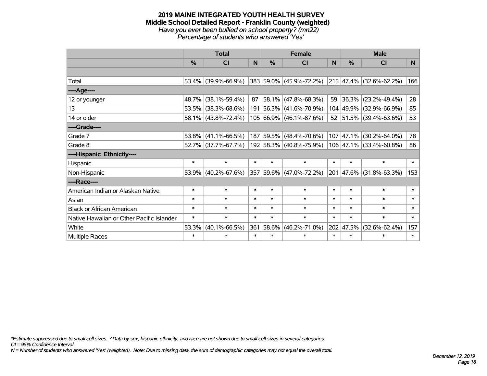#### **2019 MAINE INTEGRATED YOUTH HEALTH SURVEY Middle School Detailed Report - Franklin County (weighted)** *Have you ever been bullied on school property? (mn22) Percentage of students who answered 'Yes'*

|                                           |               | <b>Total</b>        |        |           | <b>Female</b>                                   |          |        | <b>Male</b>             |        |
|-------------------------------------------|---------------|---------------------|--------|-----------|-------------------------------------------------|----------|--------|-------------------------|--------|
|                                           | $\frac{0}{2}$ | <b>CI</b>           | N      | $\%$      | <b>CI</b>                                       | <b>N</b> | $\%$   | <b>CI</b>               | N      |
|                                           |               |                     |        |           |                                                 |          |        |                         |        |
| Total                                     |               | 53.4% (39.9%-66.9%) |        |           | 383 59.0% (45.9%-72.2%) 215 47.4% (32.6%-62.2%) |          |        |                         | 166    |
| ----Age----                               |               |                     |        |           |                                                 |          |        |                         |        |
| 12 or younger                             | 48.7%         | $(38.1\% - 59.4\%)$ | 87     |           | 58.1% (47.8%-68.3%)                             | 59       |        | 36.3% (23.2%-49.4%)     | 28     |
| 13                                        | 53.5%         | $(38.3\% - 68.6\%)$ |        |           | 191 56.3% (41.6%-70.9%)                         |          |        | 104 49.9% (32.9%-66.9%) | 85     |
| 14 or older                               |               | 58.1% (43.8%-72.4%) |        |           | 105 66.9% (46.1%-87.6%)                         |          |        | 52 51.5% (39.4%-63.6%)  | 53     |
| ----Grade----                             |               |                     |        |           |                                                 |          |        |                         |        |
| Grade 7                                   | 53.8%         | $(41.1\% - 66.5\%)$ |        | 187 59.5% | $(48.4\% - 70.6\%)$                             | 107      |        | 47.1% (30.2%-64.0%)     | 78     |
| Grade 8                                   |               | 52.7% (37.7%-67.7%) |        |           | 192 58.3% (40.8%-75.9%)                         |          |        | 106 47.1% (33.4%-60.8%) | 86     |
| ----Hispanic Ethnicity----                |               |                     |        |           |                                                 |          |        |                         |        |
| Hispanic                                  | $\ast$        | $\ast$              | $\ast$ | $\ast$    | $\ast$                                          | $\ast$   | $\ast$ | $\ast$                  | $\ast$ |
| Non-Hispanic                              | 53.9%         | $(40.2\% - 67.6\%)$ |        |           | 357 59.6% (47.0%-72.2%)                         |          |        | 201 47.6% (31.8%-63.3%) | 153    |
| ----Race----                              |               |                     |        |           |                                                 |          |        |                         |        |
| American Indian or Alaskan Native         | $\ast$        | $\ast$              | $\ast$ | $\ast$    | $\ast$                                          | $\ast$   | $\ast$ | $\ast$                  | $\ast$ |
| Asian                                     | $\ast$        | $\ast$              | $\ast$ | $\ast$    | $\ast$                                          | $\ast$   | $\ast$ | $\ast$                  | $\ast$ |
| <b>Black or African American</b>          | $\ast$        | $\ast$              | $\ast$ | $\ast$    | $\ast$                                          | $\ast$   | $\ast$ | $\ast$                  | $\ast$ |
| Native Hawaiian or Other Pacific Islander | $\ast$        | $\ast$              | $\ast$ | $\ast$    | $\ast$                                          | $\ast$   | $\ast$ | $\ast$                  | $\ast$ |
| White                                     | 53.3%         | $(40.1\% - 66.5\%)$ | 361    | 58.6%     | $(46.2\% - 71.0\%)$                             | 202      | 47.5%  | $(32.6\% - 62.4\%)$     | 157    |
| <b>Multiple Races</b>                     | $\ast$        | $\ast$              | $\ast$ | $\ast$    | $\ast$                                          | $\ast$   | $\ast$ | $\ast$                  | $\ast$ |

*\*Estimate suppressed due to small cell sizes. ^Data by sex, hispanic ethnicity, and race are not shown due to small cell sizes in several categories.*

*CI = 95% Confidence Interval*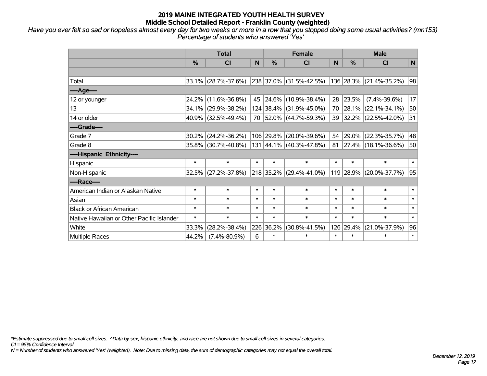*Have you ever felt so sad or hopeless almost every day for two weeks or more in a row that you stopped doing some usual activities? (mn153) Percentage of students who answered 'Yes'*

|                                           |        | <b>Total</b>        | N<br><b>CI</b><br>45<br>70<br>$\ast$<br>$\ast$<br>$\ast$<br>$\ast$<br>$\ast$<br>$\ast$<br>$\ast$<br>$\ast$<br>$\ast$<br>$\ast$<br>226 36.2%<br>6 |               | <b>Female</b>           |        |          | <b>Male</b>              |              |  |  |  |
|-------------------------------------------|--------|---------------------|--------------------------------------------------------------------------------------------------------------------------------------------------|---------------|-------------------------|--------|----------|--------------------------|--------------|--|--|--|
|                                           | %      |                     |                                                                                                                                                  | $\frac{0}{0}$ | CI                      | N      | %        | <b>CI</b>                | $\mathsf{N}$ |  |  |  |
|                                           |        |                     |                                                                                                                                                  |               |                         |        |          |                          |              |  |  |  |
| Total                                     | 33.1%  | $(28.7\% - 37.6\%)$ |                                                                                                                                                  |               | 238 37.0% (31.5%-42.5%) |        |          | 136 28.3% (21.4%-35.2%)  | 98           |  |  |  |
| ---- Age----                              |        |                     |                                                                                                                                                  |               |                         |        |          |                          |              |  |  |  |
| 12 or younger                             | 24.2%  | $(11.6\% - 36.8\%)$ |                                                                                                                                                  | 24.6%         | $(10.9\% - 38.4\%)$     | 28     | 23.5%    | $(7.4\% - 39.6\%)$       | 17           |  |  |  |
| 13                                        | 34.1%  | $(29.9\% - 38.2\%)$ |                                                                                                                                                  |               | 124 38.4% (31.9%-45.0%) |        | 70 28.1% | $(22.1\% - 34.1\%)$      | 50           |  |  |  |
| 14 or older                               |        | 40.9% (32.5%-49.4%) |                                                                                                                                                  |               | 52.0% (44.7%-59.3%)     |        |          | 39 32.2% (22.5%-42.0%)   | 31           |  |  |  |
| ----Grade----                             |        |                     |                                                                                                                                                  |               |                         |        |          |                          |              |  |  |  |
| Grade 7                                   | 30.2%  | $(24.2\% - 36.2\%)$ |                                                                                                                                                  | 106 29.8%     | $(20.0\% - 39.6\%)$     | 54     |          | 29.0% (22.3%-35.7%)      | 48           |  |  |  |
| Grade 8                                   |        | 35.8% (30.7%-40.8%) |                                                                                                                                                  |               | 131 44.1% (40.3%-47.8%) | 81     |          | $ 27.4\% $ (18.1%-36.6%) | 50           |  |  |  |
| ----Hispanic Ethnicity----                |        |                     |                                                                                                                                                  |               |                         |        |          |                          |              |  |  |  |
| Hispanic                                  | $\ast$ |                     |                                                                                                                                                  | $\ast$        | $\ast$                  | $\ast$ | $\ast$   | $\ast$                   | $\ast$       |  |  |  |
| Non-Hispanic                              |        | 32.5% (27.2%-37.8%) |                                                                                                                                                  |               | 218 35.2% (29.4%-41.0%) |        |          | 119 28.9% (20.0%-37.7%)  | 95           |  |  |  |
| ----Race----                              |        |                     |                                                                                                                                                  |               |                         |        |          |                          |              |  |  |  |
| American Indian or Alaskan Native         | $\ast$ |                     |                                                                                                                                                  | $\ast$        | $\ast$                  | $\ast$ | $\ast$   | $\ast$                   | $\ast$       |  |  |  |
| Asian                                     | $\ast$ |                     |                                                                                                                                                  | $\ast$        | $\ast$                  | $\ast$ | $\ast$   | $\ast$                   | $\ast$       |  |  |  |
| <b>Black or African American</b>          | $\ast$ |                     |                                                                                                                                                  | $\ast$        | $\ast$                  | $\ast$ | $\ast$   | $\ast$                   | $\ast$       |  |  |  |
| Native Hawaiian or Other Pacific Islander | $\ast$ |                     |                                                                                                                                                  | $\ast$        | $\ast$                  | $\ast$ | $\ast$   | $\ast$                   | $\ast$       |  |  |  |
| White                                     | 33.3%  | $(28.2\% - 38.4\%)$ |                                                                                                                                                  |               | $(30.8\% - 41.5\%)$     | 126    | 29.4%    | $(21.0\% - 37.9\%)$      | 96           |  |  |  |
| <b>Multiple Races</b>                     | 44.2%  | $(7.4\% - 80.9\%)$  |                                                                                                                                                  | $\ast$        | $\ast$                  | $\ast$ | $\ast$   | $\ast$                   | $\ast$       |  |  |  |

*\*Estimate suppressed due to small cell sizes. ^Data by sex, hispanic ethnicity, and race are not shown due to small cell sizes in several categories.*

*CI = 95% Confidence Interval*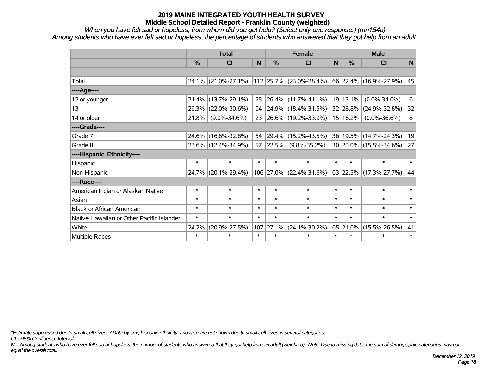*When you have felt sad or hopeless, from whom did you get help? (Select only one response.) (mn154b) Among students who have ever felt sad or hopeless, the percentage of students who answered that they got help from an adult*

|                                           |               | <b>Total</b>           |        |        | <b>Female</b>             |              |          | <b>Male</b>            |        |
|-------------------------------------------|---------------|------------------------|--------|--------|---------------------------|--------------|----------|------------------------|--------|
|                                           | $\frac{0}{0}$ | <b>CI</b>              | N      | %      | <b>CI</b>                 | $\mathsf{N}$ | %        | <b>CI</b>              | N      |
|                                           |               |                        |        |        |                           |              |          |                        |        |
| Total                                     |               | $24.1\%$ (21.0%-27.1%) |        |        | $112$ 25.7% (23.0%-28.4%) |              |          | 66 22.4% (16.9%-27.9%) | 45     |
| ----Age----                               |               |                        |        |        |                           |              |          |                        |        |
| 12 or younger                             | 21.4%         | $(13.7\% - 29.1\%)$    | 25     |        | $26.4\%$ (11.7%-41.1%)    |              | 19 13.1% | $(0.0\% - 34.0\%)$     | 6      |
| 13                                        | 26.3%         | $(22.0\% - 30.6\%)$    | 64     |        | 24.9% (18.4%-31.5%)       |              | 32 28.8% | $(24.9\% - 32.8\%)$    | 32     |
| 14 or older                               | 21.8%         | $(9.0\% - 34.6\%)$     | 23     |        | 26.6% (19.2%-33.9%)       |              | 15 16.2% | $(0.0\% - 36.6\%)$     | 8      |
| ----Grade----                             |               |                        |        |        |                           |              |          |                        |        |
| Grade 7                                   |               | 24.6% (16.6%-32.6%)    | 54     | 29.4%  | $(15.2\% - 43.5\%)$       |              | 36 19.5% | $(14.7\% - 24.3\%)$    | 19     |
| Grade 8                                   |               | 23.6% (12.4%-34.9%)    | 57     | 22.5%  | $(9.8\% - 35.2\%)$        |              |          | 30 25.0% (15.5%-34.6%) | 27     |
| ----Hispanic Ethnicity----                |               |                        |        |        |                           |              |          |                        |        |
| <b>Hispanic</b>                           | $\ast$        | $\ast$                 | $\ast$ | $\ast$ | $\ast$                    | $\ast$       | $\ast$   | $\ast$                 | $\ast$ |
| Non-Hispanic                              |               | 24.7% (20.1%-29.4%)    |        |        | 106 27.0% (22.4%-31.6%)   |              |          | 63 22.5% (17.3%-27.7%) | 44     |
| ----Race----                              |               |                        |        |        |                           |              |          |                        |        |
| American Indian or Alaskan Native         | $\ast$        | $\ast$                 | $\ast$ | $\ast$ | $\ast$                    | $\ast$       | $\ast$   | $\ast$                 | $\ast$ |
| Asian                                     | $\ast$        | $\ast$                 | $\ast$ | $\ast$ | $\ast$                    | $\ast$       | $\ast$   | $\ast$                 | $\ast$ |
| <b>Black or African American</b>          | $\ast$        | $\ast$                 | $\ast$ | $\ast$ | $\ast$                    | $\ast$       | $\ast$   | $\ast$                 | $\ast$ |
| Native Hawaiian or Other Pacific Islander | $\ast$        | $\ast$                 | $\ast$ | $\ast$ | $\ast$                    | $\ast$       | $\ast$   | $\ast$                 | $\ast$ |
| White                                     | 24.2%         | $(20.9\% - 27.5\%)$    | 107    | 27.1%  | $(24.1\% - 30.2\%)$       |              | 65 21.0% | $(15.5\% - 26.5\%)$    | 41     |
| Multiple Races                            | $\ast$        | $\ast$                 | $\ast$ | $\ast$ | $\ast$                    | $\ast$       | $\ast$   | $\ast$                 | $\ast$ |

*\*Estimate suppressed due to small cell sizes. ^Data by sex, hispanic ethnicity, and race are not shown due to small cell sizes in several categories.*

*CI = 95% Confidence Interval*

*N = Among students who have ever felt sad or hopeless, the number of students who answered that they got help from an adult (weighted). Note: Due to missing data, the sum of demographic categories may not equal the overall total.*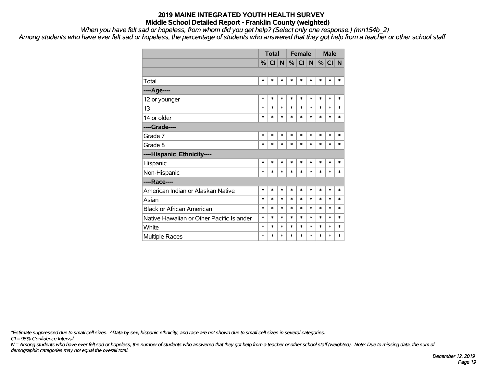*When you have felt sad or hopeless, from whom did you get help? (Select only one response.) (mn154b\_2)*

*Among students who have ever felt sad or hopeless, the percentage of students who answered that they got help from a teacher or other school staff*

|                                           |        | <b>Total</b><br>$\%$ CI<br>*<br>$\ast$ |        |        | <b>Female</b> |        |        | <b>Male</b> |          |
|-------------------------------------------|--------|----------------------------------------|--------|--------|---------------|--------|--------|-------------|----------|
|                                           |        |                                        | N      |        | $\%$ CI       | N      |        | $\%$ CI     | <b>N</b> |
|                                           |        |                                        |        |        |               |        |        |             |          |
| Total                                     |        |                                        | $\ast$ | $\ast$ | $\ast$        | *      | $\ast$ | *           | $\ast$   |
| ----Age----                               |        |                                        |        |        |               |        |        |             |          |
| 12 or younger                             | *      | $\ast$                                 | *      | $\ast$ | $\ast$        | $\ast$ | $\ast$ | *           | $\ast$   |
| 13                                        | $\ast$ | $\ast$                                 | *      | $\ast$ | $\ast$        | $\ast$ | $\ast$ | $\ast$      | $\ast$   |
| 14 or older                               | *      | $\ast$                                 | $\ast$ | $\ast$ | $\ast$        | $\ast$ | $\ast$ | *           | $\ast$   |
| ----Grade----                             |        |                                        |        |        |               |        |        |             |          |
| Grade 7                                   | *      | $\ast$                                 | $\ast$ | $\ast$ | $\ast$        | $\ast$ | $\ast$ | $\ast$      | $\ast$   |
| Grade 8                                   | $\ast$ | $\ast$                                 | *      | $\ast$ | $\ast$        | $\ast$ | $\ast$ | $\ast$      | $\ast$   |
| ----Hispanic Ethnicity----                |        |                                        |        |        |               |        |        |             |          |
| Hispanic                                  | $\ast$ | $\ast$                                 | $\ast$ | $\ast$ | $\ast$        | $\ast$ | $\ast$ | $\ast$      | $\ast$   |
| Non-Hispanic                              | *      | $\ast$                                 | $\ast$ | $\ast$ | $\ast$        | $\ast$ | $\ast$ | $\ast$      | $\ast$   |
| ----Race----                              |        |                                        |        |        |               |        |        |             |          |
| American Indian or Alaskan Native         | *      | $\ast$                                 | *      | $\ast$ | $\ast$        | $\ast$ | $\ast$ | $\ast$      | $\ast$   |
| Asian                                     | $\ast$ | $\ast$                                 | $\ast$ | $\ast$ | $\ast$        | $\ast$ | $\ast$ | $\ast$      | *        |
| <b>Black or African American</b>          | $\ast$ | $\ast$                                 | $\ast$ | $\ast$ | $\ast$        | $\ast$ | $\ast$ | $\ast$      | $\ast$   |
| Native Hawaiian or Other Pacific Islander | $\ast$ | $\ast$                                 | *      | $\ast$ | $\ast$        | $\ast$ | $\ast$ | $\ast$      | *        |
| White                                     | $\ast$ | $\ast$                                 | *      | $\ast$ | $\ast$        | $\ast$ | $\ast$ | *           | $\ast$   |
| Multiple Races                            | $\ast$ | $\ast$                                 | $\ast$ | $\ast$ | $\ast$        | $\ast$ | $\ast$ | $\ast$      | $\ast$   |

*\*Estimate suppressed due to small cell sizes. ^Data by sex, hispanic ethnicity, and race are not shown due to small cell sizes in several categories.*

*CI = 95% Confidence Interval*

*N = Among students who have ever felt sad or hopeless, the number of students who answered that they got help from a teacher or other school staff (weighted). Note: Due to missing data, the sum of demographic categories may not equal the overall total.*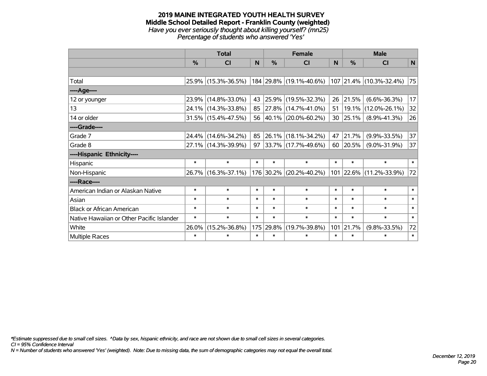#### **2019 MAINE INTEGRATED YOUTH HEALTH SURVEY Middle School Detailed Report - Franklin County (weighted)** *Have you ever seriously thought about killing yourself? (mn25) Percentage of students who answered 'Yes'*

|                                           |        | <b>Total</b>           |        |               | <b>Female</b>                                   |                  |               | <b>Male</b>              |        |
|-------------------------------------------|--------|------------------------|--------|---------------|-------------------------------------------------|------------------|---------------|--------------------------|--------|
|                                           | %      | <b>CI</b>              | N      | $\frac{9}{6}$ | <b>CI</b>                                       | N                | $\frac{0}{0}$ | <b>CI</b>                | N      |
|                                           |        |                        |        |               |                                                 |                  |               |                          |        |
| Total                                     |        | 25.9% (15.3%-36.5%)    |        |               | 184 29.8% (19.1%-40.6%) 107 21.4% (10.3%-32.4%) |                  |               |                          | 75     |
| ----Age----                               |        |                        |        |               |                                                 |                  |               |                          |        |
| 12 or younger                             | 23.9%  | $(14.8\% - 33.0\%)$    | 43     | 25.9%         | $(19.5\% - 32.3\%)$                             | 26               | 21.5%         | $(6.6\% - 36.3\%)$       | 17     |
| 13                                        | 24.1%  | $(14.3\% - 33.8\%)$    | 85     |               | $ 27.8\% $ (14.7%-41.0%)                        | 51               | 19.1%         | $(12.0\% - 26.1\%)$      | 32     |
| 14 or older                               |        | $31.5\%$ (15.4%-47.5%) |        |               | 56 40.1% (20.0%-60.2%)                          | 30               | 25.1%         | $(8.9\% - 41.3\%)$       | 26     |
| ----Grade----                             |        |                        |        |               |                                                 |                  |               |                          |        |
| Grade 7                                   | 24.4%  | $(14.6\% - 34.2\%)$    | 85     | 26.1%         | $(18.1\% - 34.2\%)$                             | 47               | 21.7%         | $(9.9\% - 33.5\%)$       | 37     |
| Grade 8                                   |        | 27.1% (14.3%-39.9%)    | 97     |               | $ 33.7\% $ (17.7%-49.6%)                        | 60               | 20.5%         | $(9.0\% - 31.9\%)$       | 37     |
| ----Hispanic Ethnicity----                |        |                        |        |               |                                                 |                  |               |                          |        |
| Hispanic                                  | $\ast$ | $\ast$                 | $\ast$ | $\ast$        | $\ast$                                          | $\ast$           | $\ast$        | $\ast$                   | $\ast$ |
| Non-Hispanic                              |        | 26.7% (16.3%-37.1%)    |        |               | 176 30.2% (20.2%-40.2%)                         | 101              |               | $ 22.6\% $ (11.2%-33.9%) | 72     |
| ----Race----                              |        |                        |        |               |                                                 |                  |               |                          |        |
| American Indian or Alaskan Native         | $\ast$ | $\ast$                 | $\ast$ | $\ast$        | $\ast$                                          | $\ast$           | $\ast$        | $\ast$                   | $\ast$ |
| Asian                                     | $\ast$ | $\ast$                 | $\ast$ | $\ast$        | $\ast$                                          | $\ast$           | $\ast$        | $\ast$                   | $\ast$ |
| <b>Black or African American</b>          | $\ast$ | $\ast$                 | $\ast$ | $\ast$        | $\ast$                                          | $\ast$           | $\ast$        | $\ast$                   | $\ast$ |
| Native Hawaiian or Other Pacific Islander | $\ast$ | $\ast$                 | $\ast$ | $\ast$        | $\ast$                                          | $\ast$           | $\ast$        | $\ast$                   | $\ast$ |
| White                                     | 26.0%  | $(15.2\% - 36.8\%)$    |        | 175 29.8%     | $(19.7\% - 39.8\%)$                             | 101              | 21.7%         | $(9.8\% - 33.5\%)$       | 72     |
| <b>Multiple Races</b>                     | $\ast$ | $\ast$                 | $\ast$ | $\ast$        | $\ast$                                          | $\ast$<br>$\ast$ |               | $\ast$                   | $\ast$ |

*\*Estimate suppressed due to small cell sizes. ^Data by sex, hispanic ethnicity, and race are not shown due to small cell sizes in several categories.*

*CI = 95% Confidence Interval*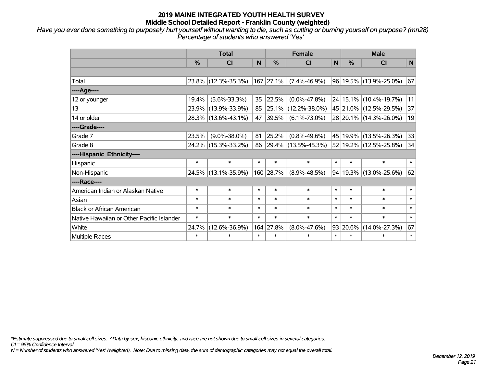*Have you ever done something to purposely hurt yourself without wanting to die, such as cutting or burning yourself on purpose? (mn28) Percentage of students who answered 'Yes'*

|                                           |               | <b>Total</b>        |        |               | <b>Female</b>       |              |          | <b>Male</b>            |        |
|-------------------------------------------|---------------|---------------------|--------|---------------|---------------------|--------------|----------|------------------------|--------|
|                                           | $\frac{0}{0}$ | <b>CI</b>           | N      | $\frac{0}{0}$ | <b>CI</b>           | $\mathsf{N}$ | %        | <b>CI</b>              | N      |
|                                           |               |                     |        |               |                     |              |          |                        |        |
| Total                                     |               | 23.8% (12.3%-35.3%) | 167    | 27.1%         | $(7.4\% - 46.9\%)$  |              |          | 96 19.5% (13.9%-25.0%) | 67     |
| ----Age----                               |               |                     |        |               |                     |              |          |                        |        |
| 12 or younger                             | 19.4%         | $(5.6\% - 33.3\%)$  | 35     | 22.5%         | $(0.0\% - 47.8\%)$  |              |          | 24 15.1% (10.4%-19.7%) | 11     |
| 13                                        | 23.9%         | $(13.9\% - 33.9\%)$ | 85     | 25.1%         | $(12.2\% - 38.0\%)$ |              |          | 45 21.0% (12.5%-29.5%) | 37     |
| 14 or older                               |               | 28.3% (13.6%-43.1%) | 47     | 39.5%         | $(6.1\% - 73.0\%)$  |              |          | 28 20.1% (14.3%-26.0%) | 19     |
| ----Grade----                             |               |                     |        |               |                     |              |          |                        |        |
| Grade 7                                   | 23.5%         | $(9.0\% - 38.0\%)$  | 81     | 25.2%         | $(0.8\% - 49.6\%)$  |              | 45 19.9% | $(13.5\% - 26.3\%)$    | 33     |
| Grade 8                                   |               | 24.2% (15.3%-33.2%) | 86     |               | 29.4% (13.5%-45.3%) |              |          | 52 19.2% (12.5%-25.8%) | 34     |
| ----Hispanic Ethnicity----                |               |                     |        |               |                     |              |          |                        |        |
| Hispanic                                  | $\ast$        | $\ast$              | $\ast$ | $\ast$        | $\ast$              | $\ast$       | $\ast$   | $\ast$                 | $\ast$ |
| Non-Hispanic                              |               | 24.5% (13.1%-35.9%) |        | 160 28.7%     | $(8.9\% - 48.5\%)$  |              | 94 19.3% | $(13.0\% - 25.6\%)$    | 62     |
| ----Race----                              |               |                     |        |               |                     |              |          |                        |        |
| American Indian or Alaskan Native         | $\ast$        | $\ast$              | $\ast$ | $\ast$        | $\ast$              | $\ast$       | $\ast$   | $\ast$                 | $\ast$ |
| Asian                                     | $\ast$        | $\ast$              | $\ast$ | $\ast$        | $\ast$              | $\ast$       | $\ast$   | $\ast$                 | $\ast$ |
| <b>Black or African American</b>          | $\ast$        | $\ast$              | $\ast$ | $\ast$        | $\ast$              | $\ast$       | $\ast$   | $\ast$                 | $\ast$ |
| Native Hawaiian or Other Pacific Islander | $\ast$        | $\ast$              | $\ast$ | $\ast$        | $\ast$              | $\ast$       | $\ast$   | $\ast$                 | $\ast$ |
| White                                     | 24.7%         | $(12.6\% - 36.9\%)$ |        | 164 27.8%     | $(8.0\% - 47.6\%)$  |              | 93 20.6% | $(14.0\% - 27.3\%)$    | 67     |
| <b>Multiple Races</b>                     | $\ast$        | $\ast$              | $\ast$ | $\ast$        | $\ast$              | $\ast$       | $\ast$   | $\ast$                 | $\ast$ |

*\*Estimate suppressed due to small cell sizes. ^Data by sex, hispanic ethnicity, and race are not shown due to small cell sizes in several categories.*

*CI = 95% Confidence Interval*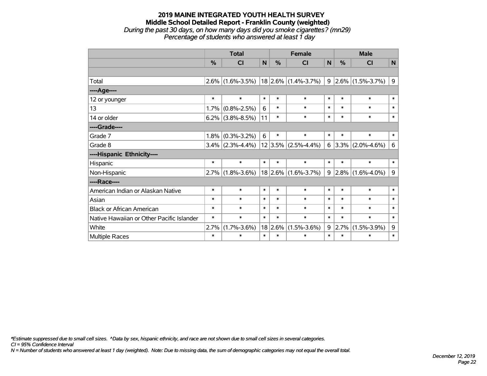#### **2019 MAINE INTEGRATED YOUTH HEALTH SURVEY Middle School Detailed Report - Franklin County (weighted)** *During the past 30 days, on how many days did you smoke cigarettes? (mn29) Percentage of students who answered at least 1 day*

|                                           |               | <b>Total</b>      |                        |                           | <b>Female</b>         |                  |        | <b>Male</b>               |              |
|-------------------------------------------|---------------|-------------------|------------------------|---------------------------|-----------------------|------------------|--------|---------------------------|--------------|
|                                           | $\frac{0}{0}$ | CI                | N                      | %                         | <b>CI</b>             | N                | $\%$   | <b>CI</b>                 | $\mathsf{N}$ |
|                                           |               |                   |                        |                           |                       |                  |        |                           |              |
| Total                                     | 2.6%          | $(1.6\% - 3.5\%)$ |                        |                           | $18$ 2.6% (1.4%-3.7%) |                  |        | $9 2.6\% (1.5\% - 3.7\%)$ | 9            |
| ----Age----                               |               |                   |                        |                           |                       |                  |        |                           |              |
| 12 or younger                             | $\ast$        | $\ast$            | $\ast$                 | $\ast$                    | $\ast$                | $\ast$           | $\ast$ | $\ast$                    | $\ast$       |
| 13                                        | 1.7%          | $(0.8\% - 2.5\%)$ | 6<br>$\ast$<br>$\ast$  |                           |                       | $\ast$           | $\ast$ | $\ast$                    | $\ast$       |
| 14 or older                               | 6.2%          | $(3.8\% - 8.5\%)$ | $\ast$<br>11<br>$\ast$ |                           |                       | $\ast$<br>$\ast$ |        | $\ast$                    | $\ast$       |
| ----Grade----                             |               |                   |                        |                           |                       |                  |        |                           |              |
| Grade 7                                   | 1.8%          | $(0.3\% - 3.2\%)$ | 6<br>$\ast$<br>$\ast$  |                           |                       | $\ast$           | $\ast$ | $\ast$                    | $\ast$       |
| Grade 8                                   | 3.4%          | $(2.3\% - 4.4\%)$ |                        | 12 3.5%                   | $(2.5\% - 4.4\%)$     | 6                |        | $3.3\%$ (2.0%-4.6%)       | 6            |
| ----Hispanic Ethnicity----                |               |                   |                        |                           |                       |                  |        |                           |              |
| Hispanic                                  | $\ast$        | $\ast$            | $\ast$                 | $\ast$                    | $\ast$                | $\ast$           | $\ast$ | $\ast$                    | $\ast$       |
| Non-Hispanic                              | 2.7%          | $(1.8\% - 3.6\%)$ |                        |                           | $18$ 2.6% (1.6%-3.7%) | 9                |        | $2.8\%$ (1.6%-4.0%)       | 9            |
| ----Race----                              |               |                   |                        |                           |                       |                  |        |                           |              |
| American Indian or Alaskan Native         | $\ast$        | $\ast$            | $\ast$                 | $\ast$                    | $\ast$                | $\ast$           | $\ast$ | $\ast$                    | $\ast$       |
| Asian                                     | $\ast$        | $\ast$            | $\ast$                 | $\ast$                    | $\ast$                | $\ast$           | $\ast$ | $\ast$                    | $\ast$       |
| <b>Black or African American</b>          | $\ast$        | $\ast$            | $\ast$                 | $\ast$                    | $\ast$                | $\ast$           | $\ast$ | $\ast$                    | $\ast$       |
| Native Hawaiian or Other Pacific Islander | $\ast$        | $\ast$            | $\ast$                 | $\ast$<br>$\ast$          |                       | $\ast$           | $\ast$ | $\ast$                    | $\ast$       |
| White                                     | 2.7%          | $(1.7\% - 3.6\%)$ | 18                     | 2.6%<br>$(1.5\% - 3.6\%)$ |                       | 9<br>2.7%        |        | $(1.5\% - 3.9\%)$         | 9            |
| Multiple Races                            | $\ast$        | $\ast$            | $\ast$                 | $\ast$                    | $\ast$                | $\ast$           | $\ast$ | $\ast$                    | $\ast$       |

*\*Estimate suppressed due to small cell sizes. ^Data by sex, hispanic ethnicity, and race are not shown due to small cell sizes in several categories.*

*CI = 95% Confidence Interval*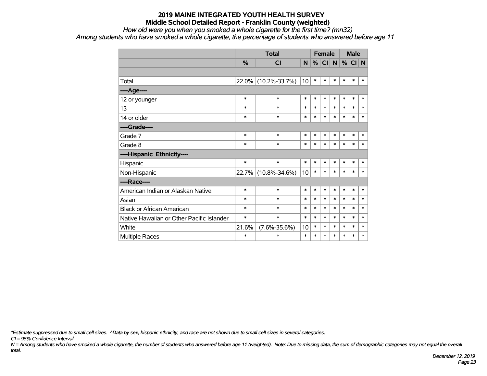#### *How old were you when you smoked a whole cigarette for the first time? (mn32)*

*Among students who have smoked a whole cigarette, the percentage of students who answered before age 11*

|                                           |          | <b>Total</b>        |        |        | <b>Female</b> |        |        | <b>Male</b> |        |
|-------------------------------------------|----------|---------------------|--------|--------|---------------|--------|--------|-------------|--------|
|                                           | %        | <b>CI</b>           | N      | %      | CI            | N      | $\%$   | CI N        |        |
|                                           |          |                     |        |        |               |        |        |             |        |
| Total                                     | $22.0\%$ | $(10.2\% - 33.7\%)$ | 10     | $\ast$ | $\ast$        | $\ast$ | $\ast$ | $\ast$      | $\ast$ |
| ----Age----                               |          |                     |        |        |               |        |        |             |        |
| 12 or younger                             | $\ast$   | $\ast$              | $\ast$ | $\ast$ | $\ast$        | $\ast$ | $\ast$ | $\ast$      | $\ast$ |
| 13                                        | $\ast$   | $\ast$              | $\ast$ | $\ast$ | $\ast$        | $\ast$ | $\ast$ | $\ast$      | $\ast$ |
| 14 or older                               | $\ast$   | $\ast$              | $\ast$ | $\ast$ | $\ast$        | $\ast$ | $\ast$ | $\ast$      | $\ast$ |
| ----Grade----                             |          |                     |        |        |               |        |        |             |        |
| Grade 7                                   | $\ast$   | $\ast$              | $\ast$ | $\ast$ | $\ast$        | $\ast$ | $\ast$ | $\ast$      | $\ast$ |
| Grade 8                                   | $\ast$   | $\ast$              | $\ast$ | $\ast$ | $\ast$        | $\ast$ | $\ast$ | $\ast$      | *      |
| ----Hispanic Ethnicity----                |          |                     |        |        |               |        |        |             |        |
| Hispanic                                  | $\ast$   | $\ast$              | $\ast$ | $\ast$ | $\ast$        | $\ast$ | $\ast$ | $\ast$      | $\ast$ |
| Non-Hispanic                              | 22.7%    | $(10.8\% - 34.6\%)$ | 10     | $\ast$ | $\ast$        | $\ast$ | $\ast$ | $\ast$      | $\ast$ |
| ----Race----                              |          |                     |        |        |               |        |        |             |        |
| American Indian or Alaskan Native         | $\ast$   | $\ast$              | $\ast$ | $\ast$ | $\ast$        | $\ast$ | $\ast$ | $\ast$      | $\ast$ |
| Asian                                     | $\ast$   | $\ast$              | $\ast$ | $\ast$ | $\ast$        | $\ast$ | $\ast$ | $\ast$      | $\ast$ |
| <b>Black or African American</b>          | $\ast$   | $\ast$              | $\ast$ | $\ast$ | $\ast$        | $\ast$ | $\ast$ | $\ast$      | $\ast$ |
| Native Hawaiian or Other Pacific Islander | $\ast$   | $\ast$              | $\ast$ | $\ast$ | $\ast$        | $\ast$ | $\ast$ | $\ast$      | $\ast$ |
| White                                     | 21.6%    | $(7.6\% - 35.6\%)$  | 10     | $\ast$ | $\ast$        | $\ast$ | $\ast$ | $\ast$      | $\ast$ |
| Multiple Races                            | $\ast$   | $\ast$              | $\ast$ | $\ast$ | $\ast$        | $\ast$ | $\ast$ | $\ast$      | $\ast$ |

*\*Estimate suppressed due to small cell sizes. ^Data by sex, hispanic ethnicity, and race are not shown due to small cell sizes in several categories.*

*CI = 95% Confidence Interval*

*N = Among students who have smoked a whole cigarette, the number of students who answered before age 11 (weighted). Note: Due to missing data, the sum of demographic categories may not equal the overall total.*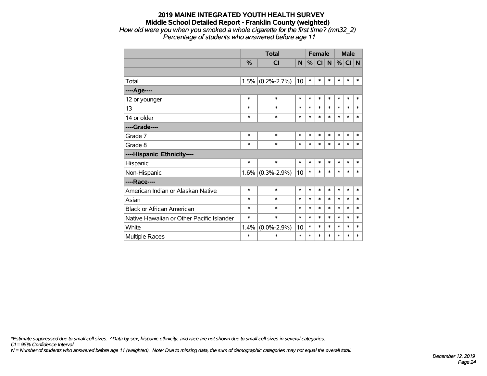# **2019 MAINE INTEGRATED YOUTH HEALTH SURVEY Middle School Detailed Report - Franklin County (weighted)** *How old were you when you smoked a whole cigarette for the first time? (mn32\_2)*

*Percentage of students who answered before age 11*

|                                           |        | <b>Total</b>        |        |        | <b>Female</b> |        |        | <b>Male</b> |        |
|-------------------------------------------|--------|---------------------|--------|--------|---------------|--------|--------|-------------|--------|
|                                           | %      | <b>CI</b>           | N      | %      | <b>CI</b>     | N      | %      | CI N        |        |
|                                           |        |                     |        |        |               |        |        |             |        |
| Total                                     | 1.5%   | $(0.2\% - 2.7\%)$   | 10     | $\ast$ | $\ast$        | $\ast$ | *      | $\ast$      | $\ast$ |
| ---- Age----                              |        |                     |        |        |               |        |        |             |        |
| 12 or younger                             | $\ast$ | $\ast$              | $\ast$ | $\ast$ | $\ast$        | $\ast$ | $\ast$ | $\ast$      | $\ast$ |
| 13                                        | $\ast$ | $\ast$              | $\ast$ | $\ast$ | $\ast$        | $\ast$ | $\ast$ | $\ast$      | $\ast$ |
| 14 or older                               | $\ast$ | $\ast$              | $\ast$ | $\ast$ | $\ast$        | $\ast$ | $\ast$ | $\ast$      | $\ast$ |
| ----Grade----                             |        |                     |        |        |               |        |        |             |        |
| Grade 7                                   | $\ast$ | $\ast$              | $\ast$ | $\ast$ | $\ast$        | $\ast$ | *      | $\ast$      | $\ast$ |
| Grade 8                                   | *      | $\ast$              | $\ast$ | $\ast$ | $\ast$        | $\ast$ | *      | $\ast$      | $\ast$ |
| ----Hispanic Ethnicity----                |        |                     |        |        |               |        |        |             |        |
| Hispanic                                  | $\ast$ | $\ast$              | $\ast$ | *      | $\ast$        | $\ast$ | $\ast$ | $\ast$      | $\ast$ |
| Non-Hispanic                              |        | $1.6\%$ (0.3%-2.9%) | 10     | $\ast$ | *             | *      | *      | $\ast$      | $\ast$ |
| ----Race----                              |        |                     |        |        |               |        |        |             |        |
| American Indian or Alaskan Native         | $\ast$ | $\ast$              | $\ast$ | $\ast$ | $\ast$        | $\ast$ | *      | $\ast$      | $\ast$ |
| Asian                                     | $\ast$ | $\ast$              | $\ast$ | $\ast$ | $\ast$        | *      | $\ast$ | *           | $\ast$ |
| <b>Black or African American</b>          | $\ast$ | $\ast$              | $\ast$ | $\ast$ | $\ast$        | *      | $\ast$ | $\ast$      | $\ast$ |
| Native Hawaiian or Other Pacific Islander | $\ast$ | $\ast$              | $\ast$ | $\ast$ | $\ast$        | $\ast$ | $\ast$ | $\ast$      | $\ast$ |
| White                                     | 1.4%   | $(0.0\% - 2.9\%)$   | 10     | $\ast$ | $\ast$        | *      | *      | $\ast$      | $\ast$ |
| Multiple Races                            | $\ast$ | *                   | $\ast$ | *      | $\ast$        | $\ast$ | *      | *           | $\ast$ |

*\*Estimate suppressed due to small cell sizes. ^Data by sex, hispanic ethnicity, and race are not shown due to small cell sizes in several categories.*

*CI = 95% Confidence Interval*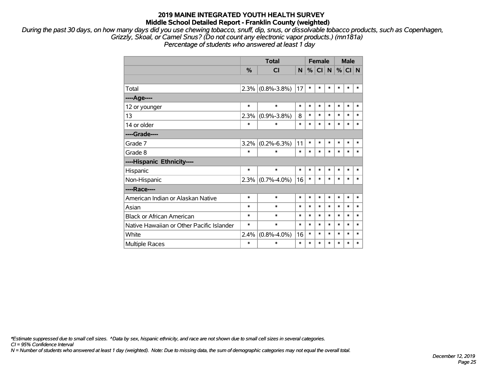*During the past 30 days, on how many days did you use chewing tobacco, snuff, dip, snus, or dissolvable tobacco products, such as Copenhagen, Grizzly, Skoal, or Camel Snus? (Do not count any electronic vapor products.) (mn181a) Percentage of students who answered at least 1 day*

|                                           |               | <b>Total</b>      |        | <b>Female</b> |        |        | <b>Male</b> |        |        |
|-------------------------------------------|---------------|-------------------|--------|---------------|--------|--------|-------------|--------|--------|
|                                           | $\frac{0}{0}$ | <b>CI</b>         | N      | %             | C      | N      | %           | CI N   |        |
|                                           |               |                   |        |               |        |        |             |        |        |
| Total                                     | 2.3%          | $(0.8\% - 3.8\%)$ | 17     | $\ast$        | $\ast$ | $\ast$ | $\ast$      | $\ast$ | $\ast$ |
| ---- Age----                              |               |                   |        |               |        |        |             |        |        |
| 12 or younger                             | $\ast$        | $\ast$            | $\ast$ | $\ast$        | $\ast$ | $\ast$ | $\ast$      | $\ast$ | $\ast$ |
| 13                                        | 2.3%          | $(0.9\% - 3.8\%)$ | 8      | $\ast$        | $\ast$ | $\ast$ | $\ast$      | $\ast$ | *      |
| 14 or older                               | $\ast$        | $\ast$            | $\ast$ | $\ast$        | $\ast$ | $\ast$ | $\ast$      | $\ast$ | $\ast$ |
| ----Grade----                             |               |                   |        |               |        |        |             |        |        |
| Grade 7                                   | 3.2%          | $(0.2\% - 6.3\%)$ | 11     | $\ast$        | $\ast$ | $\ast$ | $\ast$      | $\ast$ | $\ast$ |
| Grade 8                                   | *             | *                 | $\ast$ | $\ast$        | $\ast$ | $\ast$ | $\ast$      | $\ast$ | $\ast$ |
| ----Hispanic Ethnicity----                |               |                   |        |               |        |        |             |        |        |
| Hispanic                                  | $\ast$        | $\ast$            | $\ast$ | $\ast$        | $\ast$ | $\ast$ | $\ast$      | $\ast$ | *      |
| Non-Hispanic                              | 2.3%          | $(0.7\% - 4.0\%)$ | 16     | $\ast$        | *      | $\ast$ | $\ast$      | $\ast$ | *      |
| ----Race----                              |               |                   |        |               |        |        |             |        |        |
| American Indian or Alaskan Native         | *             | $\ast$            | $\ast$ | $\ast$        | $\ast$ | $\ast$ | $\ast$      | $\ast$ | *      |
| Asian                                     | $\ast$        | $\ast$            | $\ast$ | $\ast$        | $\ast$ | $\ast$ | $\ast$      | $\ast$ | $\ast$ |
| <b>Black or African American</b>          | $\ast$        | $\ast$            | $\ast$ | $\ast$        | $\ast$ | $\ast$ | $\ast$      | $\ast$ | $\ast$ |
| Native Hawaiian or Other Pacific Islander | $\ast$        | *                 | $\ast$ | $\ast$        | $\ast$ | $\ast$ | $\ast$      | $\ast$ | $\ast$ |
| White                                     | 2.4%          | $(0.8\% - 4.0\%)$ | 16     | *             | *      | $\ast$ | $\ast$      | *      | *      |
| Multiple Races                            | $\ast$        | *                 | $\ast$ | $\ast$        | $\ast$ | $\ast$ | $\ast$      | $\ast$ | *      |

*\*Estimate suppressed due to small cell sizes. ^Data by sex, hispanic ethnicity, and race are not shown due to small cell sizes in several categories.*

*CI = 95% Confidence Interval*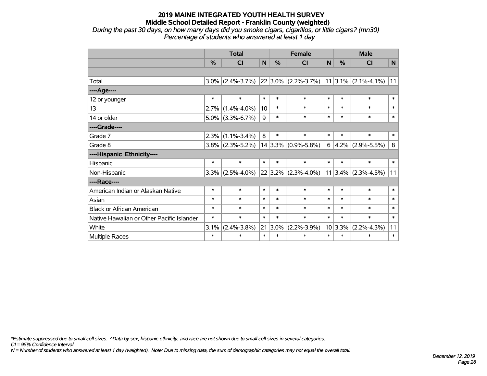*During the past 30 days, on how many days did you smoke cigars, cigarillos, or little cigars? (mn30) Percentage of students who answered at least 1 day*

|                                           |         | <b>Total</b>            |        | <b>Female</b> |                                                   | <b>Male</b> |         |                         |              |
|-------------------------------------------|---------|-------------------------|--------|---------------|---------------------------------------------------|-------------|---------|-------------------------|--------------|
|                                           | %       | $\overline{\mathsf{C}}$ | N      | %             | CI                                                | N           | %       | CI                      | $\mathsf{N}$ |
|                                           |         |                         |        |               |                                                   |             |         |                         |              |
| Total                                     | 3.0%    | $(2.4\% - 3.7\%)$       |        |               | $ 22 3.0\% $ (2.2%-3.7%) $ 11 3.1\% $ (2.1%-4.1%) |             |         |                         | 11           |
| ----Age----                               |         |                         |        |               |                                                   |             |         |                         |              |
| 12 or younger                             | $\ast$  | $\ast$                  | $\ast$ | $\ast$        | $\ast$                                            | $\ast$      | $\ast$  | $\ast$                  | $\ast$       |
| 13                                        | 2.7%    | $(1.4\% - 4.0\%)$       | 10     | $\ast$        | $\ast$                                            | $\ast$      | $\ast$  | $\ast$                  | $\ast$       |
| 14 or older                               | $5.0\%$ | $(3.3\% - 6.7\%)$       | 9      | $\ast$        | $\ast$                                            | $\ast$      | $\ast$  | $\ast$                  | $\ast$       |
| ----Grade----                             |         |                         |        |               |                                                   |             |         |                         |              |
| Grade 7                                   | 2.3%    | $(1.1\% - 3.4\%)$       | 8      | $\ast$        | $\ast$                                            | $\ast$      | $\ast$  | $\ast$                  | $\ast$       |
| Grade 8                                   |         | $3.8\%$ (2.3%-5.2%)     |        |               | $14 3.3\% $ (0.9%-5.8%)                           | $6 \mid$    |         | $4.2\%$ (2.9%-5.5%)     | 8            |
| ----Hispanic Ethnicity----                |         |                         |        |               |                                                   |             |         |                         |              |
| Hispanic                                  | $\ast$  | $\ast$                  | $\ast$ | $\ast$        | $\ast$                                            | $\ast$      | $\ast$  | $\ast$                  | $\ast$       |
| Non-Hispanic                              | 3.3%    | $(2.5\% - 4.0\%)$       |        |               | $22 3.2\% $ (2.3%-4.0%)                           |             |         | $11 3.4\% $ (2.3%-4.5%) | 11           |
| ----Race----                              |         |                         |        |               |                                                   |             |         |                         |              |
| American Indian or Alaskan Native         | $\ast$  | $\ast$                  | $\ast$ | $\ast$        | $\ast$                                            | $\ast$      | $\ast$  | $\ast$                  | $\ast$       |
| Asian                                     | $\ast$  | $\ast$                  | $\ast$ | $\ast$        | $\ast$                                            | $\ast$      | $\ast$  | $\ast$                  | $\ast$       |
| <b>Black or African American</b>          | $\ast$  | $\ast$                  | $\ast$ | $\ast$        | $\ast$                                            | $\ast$      | $\ast$  | $\ast$                  | $\ast$       |
| Native Hawaiian or Other Pacific Islander | $\ast$  | $\ast$                  | $\ast$ | $\ast$        | $\ast$                                            | $\ast$      | $\ast$  | $\ast$                  | $\ast$       |
| White                                     | 3.1%    | $(2.4\% - 3.8\%)$       | 21     | 3.0%          | $(2.2\% - 3.9\%)$                                 |             | 10 3.3% | $(2.2\% - 4.3\%)$       | 11           |
| Multiple Races                            | $\ast$  | $\ast$                  | $\ast$ | $\ast$        | $\ast$                                            | $\ast$      | $\ast$  | $\ast$                  | $\ast$       |

*\*Estimate suppressed due to small cell sizes. ^Data by sex, hispanic ethnicity, and race are not shown due to small cell sizes in several categories.*

*CI = 95% Confidence Interval*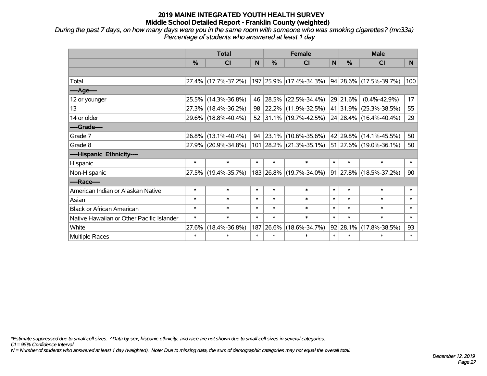*During the past 7 days, on how many days were you in the same room with someone who was smoking cigarettes? (mn33a) Percentage of students who answered at least 1 day*

|                                           | <b>Total</b> |                     |        |            | <b>Female</b>                                  |        | <b>Male</b>   |                             |                |  |
|-------------------------------------------|--------------|---------------------|--------|------------|------------------------------------------------|--------|---------------|-----------------------------|----------------|--|
|                                           | %            | <b>CI</b>           | N      | %          | <b>CI</b>                                      | N      | $\frac{0}{0}$ | <b>CI</b>                   | N <sub>1</sub> |  |
|                                           |              |                     |        |            |                                                |        |               |                             |                |  |
| Total                                     |              | 27.4% (17.7%-37.2%) |        |            | 197 25.9% (17.4%-34.3%)                        |        |               | $ 94 28.6\% $ (17.5%-39.7%) | 100            |  |
| ---- Age----                              |              |                     |        |            |                                                |        |               |                             |                |  |
| 12 or younger                             | 25.5%        | $(14.3\% - 36.8\%)$ | 46     | $ 28.5\% $ | $(22.5\% - 34.4\%)$                            |        | 29 21.6%      | $(0.4\% - 42.9\%)$          | 17             |  |
| 13                                        |              | 27.3% (18.4%-36.2%) | 98     |            | $ 22.2\% $ (11.9%-32.5%)                       |        |               | 41   31.9%   (25.3%-38.5%)  | 55             |  |
| 14 or older                               |              | 29.6% (18.8%-40.4%) |        |            | 52 31.1% (19.7%-42.5%)                         |        |               | 24 28.4% (16.4%-40.4%)      | 29             |  |
| ----Grade----                             |              |                     |        |            |                                                |        |               |                             |                |  |
| Grade 7                                   |              | 26.8% (13.1%-40.4%) | 94     | $ 23.1\% $ | $(10.6\% - 35.6\%)$                            |        | 42 29.8%      | $(14.1\% - 45.5\%)$         | 50             |  |
| Grade 8                                   |              | 27.9% (20.9%-34.8%) |        |            | 101 28.2% (21.3%-35.1%) 51 27.6% (19.0%-36.1%) |        |               |                             | 50             |  |
| ----Hispanic Ethnicity----                |              |                     |        |            |                                                |        |               |                             |                |  |
| Hispanic                                  | $\ast$       | $\ast$              | $\ast$ | $\ast$     | $\ast$                                         | $\ast$ | $\ast$        | $\ast$                      | $\ast$         |  |
| Non-Hispanic                              |              | 27.5% (19.4%-35.7%) |        |            | 183 26.8% (19.7%-34.0%)                        |        | $ 91 27.8\% $ | $(18.5\% - 37.2\%)$         | 90             |  |
| ----Race----                              |              |                     |        |            |                                                |        |               |                             |                |  |
| American Indian or Alaskan Native         | $\ast$       | $\ast$              | $\ast$ | $\ast$     | $\ast$                                         | $\ast$ | $\ast$        | $\ast$                      | $\ast$         |  |
| Asian                                     | $\ast$       | $\ast$              | $\ast$ | $\ast$     | $\ast$                                         | $\ast$ | $\ast$        | $\ast$                      | $\ast$         |  |
| <b>Black or African American</b>          | $\ast$       | $\ast$              | $\ast$ | $\ast$     | $\ast$                                         | $\ast$ | $\ast$        | $\ast$                      | $\ast$         |  |
| Native Hawaiian or Other Pacific Islander | $\ast$       | $\ast$              | $\ast$ | $\ast$     | $\ast$                                         | $\ast$ | $\ast$        | $\ast$                      | $\ast$         |  |
| White                                     | 27.6%        | $(18.4\% - 36.8\%)$ | 187    | 26.6%      | $(18.6\% - 34.7\%)$                            |        | 92 28.1%      | $(17.8\% - 38.5\%)$         | 93             |  |
| <b>Multiple Races</b>                     | $\ast$       | $\ast$              | $\ast$ | $\ast$     | $\ast$                                         | $\ast$ | $\ast$        | $\ast$                      | $\ast$         |  |

*\*Estimate suppressed due to small cell sizes. ^Data by sex, hispanic ethnicity, and race are not shown due to small cell sizes in several categories.*

*CI = 95% Confidence Interval*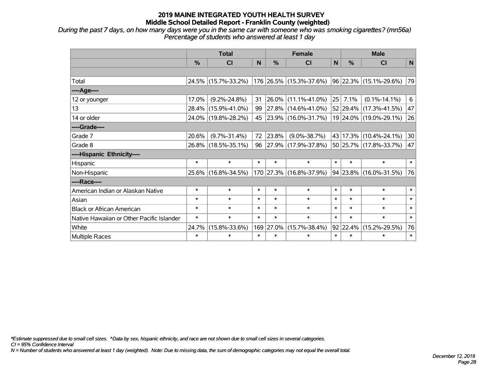*During the past 7 days, on how many days were you in the same car with someone who was smoking cigarettes? (mn56a) Percentage of students who answered at least 1 day*

|                                           | <b>Total</b> |                     |        |               | <b>Female</b>            |        |               | <b>Male</b>            |        |  |
|-------------------------------------------|--------------|---------------------|--------|---------------|--------------------------|--------|---------------|------------------------|--------|--|
|                                           | %            | <b>CI</b>           | N      | $\frac{0}{0}$ | <b>CI</b>                | N      | $\frac{0}{0}$ | <b>CI</b>              | N      |  |
|                                           |              |                     |        |               |                          |        |               |                        |        |  |
| Total                                     |              | 24.5% (15.7%-33.2%) |        |               | 176 26.5% (15.3%-37.6%)  |        |               | 96 22.3% (15.1%-29.6%) | 79     |  |
| ---- Age----                              |              |                     |        |               |                          |        |               |                        |        |  |
| 12 or younger                             | 17.0%        | $(9.2\% - 24.8\%)$  | 31     | 26.0%         | $(11.1\% - 41.0\%)$      | 25     | 7.1%          | $(0.1\% - 14.1\%)$     | 6      |  |
| 13                                        |              | 28.4% (15.9%-41.0%) | 99     |               | 27.8% (14.6%-41.0%)      |        |               | 52 29.4% (17.3%-41.5%) | 47     |  |
| 14 or older                               |              | 24.0% (19.8%-28.2%) | 45     |               | $ 23.9\% $ (16.0%-31.7%) |        |               | 19 24.0% (19.0%-29.1%) | 26     |  |
| ----Grade----                             |              |                     |        |               |                          |        |               |                        |        |  |
| Grade 7                                   | 20.6%        | $(9.7\% - 31.4\%)$  | 72     | 23.8%         | $(9.0\% - 38.7\%)$       |        |               | 43 17.3% (10.4%-24.1%) | 30     |  |
| Grade 8                                   |              | 26.8% (18.5%-35.1%) | 96     |               | $ 27.9\% $ (17.9%-37.8%) |        |               | 50 25.7% (17.8%-33.7%) | 47     |  |
| ----Hispanic Ethnicity----                |              |                     |        |               |                          |        |               |                        |        |  |
| Hispanic                                  | $\ast$       | $\ast$              | $\ast$ | $\ast$        | $\ast$                   | $\ast$ | $\ast$        | $\ast$                 | $\ast$ |  |
| Non-Hispanic                              |              | 25.6% (16.8%-34.5%) |        |               | 170 27.3% (16.8%-37.9%)  |        |               | 94 23.8% (16.0%-31.5%) | 76     |  |
| ----Race----                              |              |                     |        |               |                          |        |               |                        |        |  |
| American Indian or Alaskan Native         | $\ast$       | $\ast$              | $\ast$ | $\ast$        | $\ast$                   | $\ast$ | $\ast$        | $\ast$                 | $\ast$ |  |
| Asian                                     | $\ast$       | $\ast$              | $\ast$ | $\ast$        | $\ast$                   | $\ast$ | $\ast$        | $\ast$                 | $\ast$ |  |
| <b>Black or African American</b>          | $\ast$       | $\ast$              | $\ast$ | $\ast$        | $\ast$                   | $\ast$ | $\ast$        | $\ast$                 | $\ast$ |  |
| Native Hawaiian or Other Pacific Islander | $\ast$       | $\ast$              | $\ast$ | $\ast$        | $\ast$                   | $\ast$ | $\ast$        | $\ast$                 | $\ast$ |  |
| White                                     | 24.7%        | $(15.8\% - 33.6\%)$ |        | 169 27.0%     | $(15.7\% - 38.4\%)$      |        | 92 22.4%      | $(15.2\% - 29.5\%)$    | 76     |  |
| Multiple Races                            | $\ast$       | $\ast$              | $\ast$ | $\ast$        | $\ast$                   | $\ast$ | $\ast$        | $\ast$                 | $\ast$ |  |

*\*Estimate suppressed due to small cell sizes. ^Data by sex, hispanic ethnicity, and race are not shown due to small cell sizes in several categories.*

*CI = 95% Confidence Interval*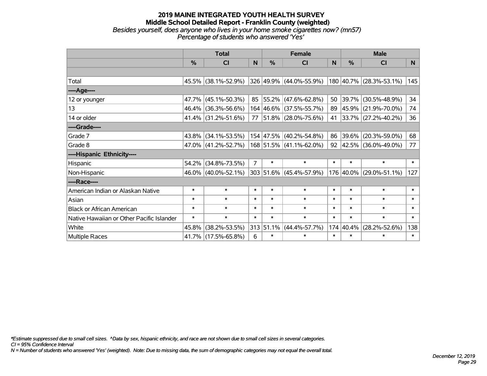#### **2019 MAINE INTEGRATED YOUTH HEALTH SURVEY Middle School Detailed Report - Franklin County (weighted)** *Besides yourself, does anyone who lives in your home smoke cigarettes now? (mn57) Percentage of students who answered 'Yes'*

|                                           | <b>Total</b>  |                     |                |           | <b>Female</b>            |              | <b>Male</b> |                             |        |  |
|-------------------------------------------|---------------|---------------------|----------------|-----------|--------------------------|--------------|-------------|-----------------------------|--------|--|
|                                           | $\frac{0}{0}$ | <b>CI</b>           | N              | $\%$      | <b>CI</b>                | <sub>N</sub> | %           | <b>CI</b>                   | N      |  |
|                                           |               |                     |                |           |                          |              |             |                             |        |  |
| Total                                     |               | 45.5% (38.1%-52.9%) |                |           | 326 49.9% (44.0%-55.9%)  |              |             | 180 40.7% (28.3%-53.1%)     | 145    |  |
| ----Age----                               |               |                     |                |           |                          |              |             |                             |        |  |
| 12 or younger                             |               | 47.7% (45.1%-50.3%) | 85             |           | $ 55.2\% $ (47.6%-62.8%) | 50           | 39.7%       | $(30.5\% - 48.9\%)$         | 34     |  |
| 13                                        |               | 46.4% (36.3%-56.6%) |                |           | 164 46.6% (37.5%-55.7%)  |              |             | 89 45.9% (21.9%-70.0%)      | 74     |  |
| 14 or older                               |               | 41.4% (31.2%-51.6%) | 77             |           | $ 51.8\% $ (28.0%-75.6%) |              |             | 41 33.7% (27.2%-40.2%)      | 36     |  |
| ----Grade----                             |               |                     |                |           |                          |              |             |                             |        |  |
| Grade 7                                   | $43.8\%$      | $(34.1\% - 53.5\%)$ |                |           | 154 47.5% (40.2%-54.8%)  | 86           | 39.6%       | $(20.3\% - 59.0\%)$         | 68     |  |
| Grade 8                                   |               | 47.0% (41.2%-52.7%) |                |           | 168 51.5% (41.1%-62.0%)  |              |             | 92 $ 42.5\% $ (36.0%-49.0%) | 77     |  |
| ----Hispanic Ethnicity----                |               |                     |                |           |                          |              |             |                             |        |  |
| Hispanic                                  | 54.2%         | $(34.8\% - 73.5\%)$ | $\overline{7}$ | $\ast$    | $\ast$                   | $\ast$       | $\ast$      | $\ast$                      | $\ast$ |  |
| Non-Hispanic                              |               | 46.0% (40.0%-52.1%) |                |           | 303 51.6% (45.4%-57.9%)  |              |             | 176 40.0% (29.0%-51.1%)     | 127    |  |
| ----Race----                              |               |                     |                |           |                          |              |             |                             |        |  |
| American Indian or Alaskan Native         | $\ast$        | $\ast$              | $\ast$         | $\ast$    | $\ast$                   | $\ast$       | $\ast$      | $\ast$                      | $\ast$ |  |
| Asian                                     | $\ast$        | $\ast$              | $\ast$         | $\ast$    | $\ast$                   | $\ast$       | $\ast$      | $\ast$                      | $\ast$ |  |
| <b>Black or African American</b>          | $\ast$        | $\ast$              | $\ast$         | $\ast$    | $\ast$                   | $\ast$       | $\ast$      | $\ast$                      | $\ast$ |  |
| Native Hawaiian or Other Pacific Islander | $\ast$        | $\ast$              | $\ast$         | $\ast$    | $\ast$                   | $\ast$       | $\ast$      | $\ast$                      | $\ast$ |  |
| White                                     | 45.8%         | $(38.2\% - 53.5\%)$ |                | 313 51.1% | $(44.4\% - 57.7\%)$      | 174          | 40.4%       | $(28.2\% - 52.6\%)$         | 138    |  |
| <b>Multiple Races</b>                     |               | 41.7% (17.5%-65.8%) | 6              | $\ast$    | $\ast$                   | $\ast$       | $\ast$      | $\ast$                      | $\ast$ |  |

*\*Estimate suppressed due to small cell sizes. ^Data by sex, hispanic ethnicity, and race are not shown due to small cell sizes in several categories.*

*CI = 95% Confidence Interval*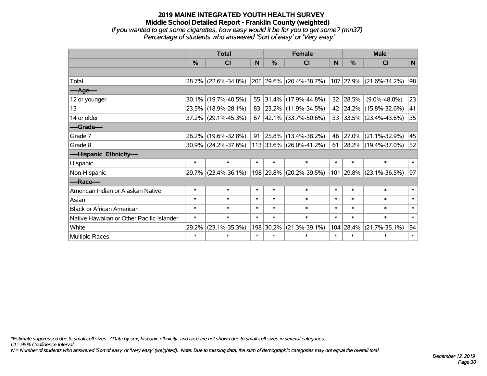#### **2019 MAINE INTEGRATED YOUTH HEALTH SURVEY Middle School Detailed Report - Franklin County (weighted)** *If you wanted to get some cigarettes, how easy would it be for you to get some? (mn37) Percentage of students who answered 'Sort of easy' or 'Very easy'*

|                                           | <b>Total</b> |                        |        |           | <b>Female</b>                                   | <b>Male</b> |           |                          |        |
|-------------------------------------------|--------------|------------------------|--------|-----------|-------------------------------------------------|-------------|-----------|--------------------------|--------|
|                                           | %            | CI                     | N      | %         | <b>CI</b>                                       | N           | $\%$      | <b>CI</b>                | N      |
|                                           |              |                        |        |           |                                                 |             |           |                          |        |
| Total                                     |              | 28.7% (22.6%-34.8%)    |        |           | 205 29.6% (20.4%-38.7%) 107 27.9% (21.6%-34.2%) |             |           |                          | 98     |
| ----Age----                               |              |                        |        |           |                                                 |             |           |                          |        |
| 12 or younger                             | 30.1%        | $(19.7\% - 40.5\%)$    | 55     | 31.4%     | $(17.9\% - 44.8\%)$                             | 32          | 28.5%     | $(9.0\% - 48.0\%)$       | 23     |
| 13                                        | 23.5%        | $(18.9\% - 28.1\%)$    | 83     |           | $ 23.2\% $ (11.9%-34.5%)                        | 42          |           | 24.2% (15.8%-32.6%)      | 41     |
| 14 or older                               |              | $37.2\%$ (29.1%-45.3%) | 67     |           | $ 42.1\% $ (33.7%-50.6%)                        | 33          |           | $ 33.5\% $ (23.4%-43.6%) | 35     |
| ----Grade----                             |              |                        |        |           |                                                 |             |           |                          |        |
| Grade 7                                   | 26.2%        | $(19.6\% - 32.8\%)$    | 91     | 25.8%     | $(13.4\% - 38.2\%)$                             | 46          | 27.0%     | $(21.1\% - 32.9\%)$      | 45     |
| Grade 8                                   |              | $30.9\%$ (24.2%-37.6%) |        |           | 113 33.6% (26.0%-41.2%)                         | 61          |           | 28.2% (19.4%-37.0%)      | 52     |
| ----Hispanic Ethnicity----                |              |                        |        |           |                                                 |             |           |                          |        |
| Hispanic                                  | $\ast$       | $\ast$                 | $\ast$ | $\ast$    | $\ast$                                          | $\ast$      | $\ast$    | $\ast$                   | $\ast$ |
| Non-Hispanic                              |              | 29.7% (23.4%-36.1%)    |        |           | 198 29.8% (20.2%-39.5%)                         |             | 101 29.8% | $(23.1\% - 36.5\%)$      | 97     |
| ----Race----                              |              |                        |        |           |                                                 |             |           |                          |        |
| American Indian or Alaskan Native         | $\ast$       | $\ast$                 | $\ast$ | $\ast$    | $\ast$                                          | $\ast$      | $\ast$    | $\ast$                   | $\ast$ |
| Asian                                     | $\ast$       | $\ast$                 | $\ast$ | $\ast$    | $\ast$                                          | $\ast$      | $\ast$    | $\ast$                   | $\ast$ |
| <b>Black or African American</b>          | $\ast$       | $\ast$                 | $\ast$ | $\ast$    | $\ast$                                          | $\ast$      | $\ast$    | $\ast$                   | $\ast$ |
| Native Hawaiian or Other Pacific Islander | $\ast$       | $\ast$                 | $\ast$ | $\ast$    | $\ast$                                          | $\ast$      | $\ast$    | $\ast$                   | $\ast$ |
| White                                     | 29.2%        | $(23.1\% - 35.3\%)$    |        | 198 30.2% | $(21.3\% - 39.1\%)$                             |             | 104 28.4% | $(21.7\% - 35.1\%)$      | 94     |
| Multiple Races                            | $\ast$       | $\ast$                 | $\ast$ | $\ast$    | $\ast$                                          | $\ast$      | $\ast$    | $\ast$                   | $\ast$ |

*\*Estimate suppressed due to small cell sizes. ^Data by sex, hispanic ethnicity, and race are not shown due to small cell sizes in several categories.*

*CI = 95% Confidence Interval*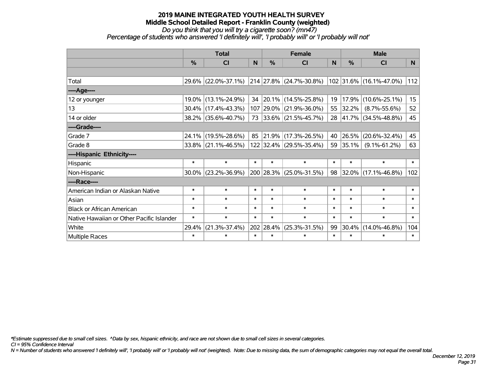*Do you think that you will try a cigarette soon? (mn47)*

*Percentage of students who answered 'I definitely will', 'I probably will' or 'I probably will not'*

|                                           | <b>Total</b>  |                        |        |               | <b>Female</b>                                   |        | <b>Male</b> |                         |        |  |
|-------------------------------------------|---------------|------------------------|--------|---------------|-------------------------------------------------|--------|-------------|-------------------------|--------|--|
|                                           | $\frac{0}{0}$ | CI                     | N      | $\frac{9}{6}$ | CI                                              | N      | %           | <b>CI</b>               | N.     |  |
|                                           |               |                        |        |               |                                                 |        |             |                         |        |  |
| Total                                     |               | 29.6% (22.0%-37.1%)    |        |               | $\vert$ 214 $\vert$ 27.8% $\vert$ (24.7%-30.8%) |        |             | 102 31.6% (16.1%-47.0%) | 112    |  |
| ----Age----                               |               |                        |        |               |                                                 |        |             |                         |        |  |
| 12 or younger                             |               | 19.0% (13.1%-24.9%)    |        |               | 34 20.1% (14.5%-25.8%)                          | 19     | 17.9%       | $(10.6\% - 25.1\%)$     | 15     |  |
| 13                                        |               | 30.4% (17.4%-43.3%)    |        |               | 107 29.0% (21.9%-36.0%)                         | 55     | 32.2%       | $(8.7\% - 55.6\%)$      | 52     |  |
| 14 or older                               |               | 38.2% (35.6%-40.7%)    |        |               | 73 33.6% (21.5%-45.7%)                          |        |             | 28 41.7% (34.5%-48.8%)  | 45     |  |
| ----Grade----                             |               |                        |        |               |                                                 |        |             |                         |        |  |
| Grade 7                                   | 24.1%         | $(19.5\% - 28.6\%)$    | 85     |               | 21.9% (17.3%-26.5%)                             | 40     | 26.5%       | $(20.6\% - 32.4\%)$     | 45     |  |
| Grade 8                                   |               | $33.8\%$ (21.1%-46.5%) |        |               | 122 32.4% (29.5%-35.4%)                         |        | 59 35.1%    | $(9.1\% - 61.2\%)$      | 63     |  |
| ----Hispanic Ethnicity----                |               |                        |        |               |                                                 |        |             |                         |        |  |
| Hispanic                                  | $\ast$        | $\ast$                 | $\ast$ | $\ast$        | $\ast$                                          | $\ast$ | $\ast$      | $\ast$                  | $\ast$ |  |
| Non-Hispanic                              | $30.0\%$      | $(23.2\% - 36.9\%)$    |        |               | 200 28.3% (25.0%-31.5%)                         | 98     |             | $32.0\%$ (17.1%-46.8%)  | 102    |  |
| ----Race----                              |               |                        |        |               |                                                 |        |             |                         |        |  |
| American Indian or Alaskan Native         | $\ast$        | $\ast$                 | $\ast$ | $\ast$        | $\ast$                                          | $\ast$ | $\ast$      | $\ast$                  | $\ast$ |  |
| Asian                                     | $\ast$        | $\ast$                 | $\ast$ | $\ast$        | $\ast$                                          | $\ast$ | $\ast$      | $\ast$                  | $\ast$ |  |
| <b>Black or African American</b>          | $\ast$        | $\ast$                 | $\ast$ | $\ast$        | $\ast$                                          | $\ast$ | $\ast$      | $\ast$                  | $\ast$ |  |
| Native Hawaiian or Other Pacific Islander | $\ast$        | $\ast$                 | $\ast$ | $\ast$        | $\ast$                                          | $\ast$ | $\ast$      | $\ast$                  | $\ast$ |  |
| White                                     | 29.4%         | $(21.3\% - 37.4\%)$    |        | 202 28.4%     | $(25.3\% - 31.5\%)$                             | 99     | 30.4%       | $(14.0\% - 46.8\%)$     | 104    |  |
| Multiple Races                            | $\ast$        | *                      | $\ast$ | $\ast$        | $\ast$                                          | $\ast$ | $\ast$      | *                       | $\ast$ |  |

*\*Estimate suppressed due to small cell sizes. ^Data by sex, hispanic ethnicity, and race are not shown due to small cell sizes in several categories.*

*CI = 95% Confidence Interval*

*N = Number of students who answered 'I definitely will', 'I probably will' or 'I probably will not' (weighted). Note: Due to missing data, the sum of demographic categories may not equal the overall total.*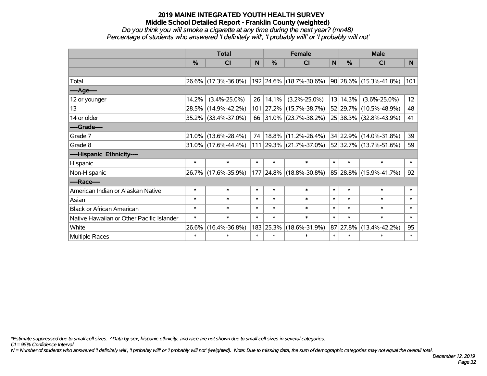#### *Do you think you will smoke a cigarette at any time during the next year? (mn48) Percentage of students who answered 'I definitely will', 'I probably will' or 'I probably will not'*

|                                           |               | <b>Total</b>           |        | <b>Female</b> |                          | <b>Male</b> |          |                        |                 |
|-------------------------------------------|---------------|------------------------|--------|---------------|--------------------------|-------------|----------|------------------------|-----------------|
|                                           | $\frac{0}{0}$ | CI                     | N      | $\frac{9}{6}$ | <b>CI</b>                | N           | %        | <b>CI</b>              | <b>N</b>        |
|                                           |               |                        |        |               |                          |             |          |                        |                 |
| Total                                     |               | 26.6% (17.3%-36.0%)    |        |               | 192 24.6% (18.7%-30.6%)  |             |          | 90 28.6% (15.3%-41.8%) | 101             |
| ----Age----                               |               |                        |        |               |                          |             |          |                        |                 |
| 12 or younger                             | 14.2%         | $(3.4\% - 25.0\%)$     | 26     | 14.1%         | $(3.2\% - 25.0\%)$       |             | 13 14.3% | $(3.6\% - 25.0\%)$     | 12 <sup>2</sup> |
| 13                                        | 28.5%         | $(14.9\% - 42.2\%)$    |        | 101 27.2%     | $(15.7\% - 38.7\%)$      |             |          | 52 29.7% (10.5%-48.9%) | 48              |
| 14 or older                               |               | 35.2% (33.4%-37.0%)    | 66     |               | $ 31.0\% $ (23.7%-38.2%) |             |          | 25 38.3% (32.8%-43.9%) | 41              |
| ----Grade----                             |               |                        |        |               |                          |             |          |                        |                 |
| Grade 7                                   | 21.0%         | $(13.6\% - 28.4\%)$    | 74     | 18.8%         | $(11.2\% - 26.4\%)$      |             |          | 34 22.9% (14.0%-31.8%) | 39              |
| Grade 8                                   |               | $31.0\%$ (17.6%-44.4%) |        |               | 111 29.3% (21.7%-37.0%)  |             |          | 52 32.7% (13.7%-51.6%) | 59              |
| ----Hispanic Ethnicity----                |               |                        |        |               |                          |             |          |                        |                 |
| Hispanic                                  | $\ast$        | $\ast$                 | $\ast$ | $\ast$        | $\ast$                   | $\ast$      | $\ast$   | $\ast$                 | $\ast$          |
| Non-Hispanic                              |               | 26.7% (17.6%-35.9%)    |        | 177 24.8%     | $(18.8\% - 30.8\%)$      |             |          | 85 28.8% (15.9%-41.7%) | 92              |
| ----Race----                              |               |                        |        |               |                          |             |          |                        |                 |
| American Indian or Alaskan Native         | $\ast$        | $\ast$                 | $\ast$ | $\ast$        | $\ast$                   | $\ast$      | $\ast$   | $\ast$                 | $\ast$          |
| Asian                                     | $\ast$        | $\ast$                 | $\ast$ | $\ast$        | $\ast$                   | $\ast$      | $\ast$   | $\ast$                 | $\ast$          |
| <b>Black or African American</b>          | $\ast$        | $\ast$                 | $\ast$ | $\ast$        | $\ast$                   | $\ast$      | $\ast$   | $\ast$                 | $\ast$          |
| Native Hawaiian or Other Pacific Islander | $\ast$        | $\ast$                 | $\ast$ | $\ast$        | $\ast$                   | $\ast$      | $\ast$   | $\ast$                 | $\ast$          |
| White                                     | 26.6%         | $(16.4\% - 36.8\%)$    |        | 183 25.3%     | $(18.6\% - 31.9\%)$      |             | 87 27.8% | $(13.4\% - 42.2\%)$    | 95              |
| <b>Multiple Races</b>                     | $\ast$        | $\ast$                 | $\ast$ | $\ast$        | $\ast$                   | $\ast$      | $\ast$   | $\ast$                 | $\ast$          |

*\*Estimate suppressed due to small cell sizes. ^Data by sex, hispanic ethnicity, and race are not shown due to small cell sizes in several categories.*

*CI = 95% Confidence Interval*

*N = Number of students who answered 'I definitely will', 'I probably will' or 'I probably will not' (weighted). Note: Due to missing data, the sum of demographic categories may not equal the overall total.*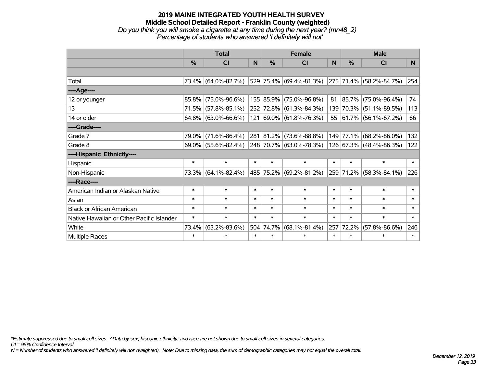# **2019 MAINE INTEGRATED YOUTH HEALTH SURVEY Middle School Detailed Report - Franklin County (weighted)** *Do you think you will smoke a cigarette at any time during the next year? (mn48\_2) Percentage of students who answered 'I definitely will not'*

|                                           | <b>Total</b>  |                        |        |           | <b>Female</b>               |        | <b>Male</b> |                         |        |  |
|-------------------------------------------|---------------|------------------------|--------|-----------|-----------------------------|--------|-------------|-------------------------|--------|--|
|                                           | $\frac{0}{0}$ | CI                     | N      | $\%$      | <b>CI</b>                   | N      | %           | СI                      | N      |  |
|                                           |               |                        |        |           |                             |        |             |                         |        |  |
| Total                                     |               | 73.4% (64.0%-82.7%)    |        |           | 529 75.4% (69.4%-81.3%)     |        |             | 275 71.4% (58.2%-84.7%) | 254    |  |
| ----Age----                               |               |                        |        |           |                             |        |             |                         |        |  |
| 12 or younger                             | $85.8\%$      | $(75.0\% - 96.6\%)$    |        |           | 155 85.9% (75.0%-96.8%)     | 81     | 85.7%       | $(75.0\% - 96.4\%)$     | 74     |  |
| 13                                        |               | 71.5% (57.8%-85.1%)    |        |           | 252 72.8% (61.3%-84.3%)     |        | 139 70.3%   | $(51.1\% - 89.5\%)$     | 113    |  |
| 14 or older                               |               | $64.8\%$ (63.0%-66.6%) |        |           | 121 69.0% (61.8%-76.3%)     |        |             | 55 61.7% (56.1%-67.2%)  | 66     |  |
| ----Grade----                             |               |                        |        |           |                             |        |             |                         |        |  |
| Grade 7                                   | 79.0%         | $(71.6\% - 86.4\%)$    |        |           | 281 81.2% (73.6%-88.8%)     | 149    | 77.1%       | $(68.2\% - 86.0\%)$     | 132    |  |
| Grade 8                                   |               | $69.0\%$ (55.6%-82.4%) |        |           | 248 70.7% (63.0%-78.3%)     |        |             | 126 67.3% (48.4%-86.3%) | 122    |  |
| ----Hispanic Ethnicity----                |               |                        |        |           |                             |        |             |                         |        |  |
| Hispanic                                  | $\ast$        | $\ast$                 | $\ast$ | $\ast$    | $\ast$                      | $\ast$ | $\ast$      | $\ast$                  | $\ast$ |  |
| Non-Hispanic                              |               | 73.3% (64.1%-82.4%)    |        |           | 485   75.2%   (69.2%-81.2%) |        | 259 71.2%   | $(58.3\% - 84.1\%)$     | 226    |  |
| ----Race----                              |               |                        |        |           |                             |        |             |                         |        |  |
| American Indian or Alaskan Native         | $\ast$        | $\ast$                 | $\ast$ | $\ast$    | $\ast$                      | $\ast$ | $\ast$      | $\ast$                  | $\ast$ |  |
| Asian                                     | $\ast$        | $\ast$                 | $\ast$ | $\ast$    | $\ast$                      | $\ast$ | $\ast$      | $\ast$                  | $\ast$ |  |
| <b>Black or African American</b>          | $\ast$        | $\ast$                 | $\ast$ | $\ast$    | $\ast$                      | $\ast$ | $\ast$      | $\ast$                  | $\ast$ |  |
| Native Hawaiian or Other Pacific Islander | $\ast$        | $\ast$                 | $\ast$ | $\ast$    | $\ast$                      | $\ast$ | $\ast$      | $\ast$                  | $\ast$ |  |
| White                                     | 73.4%         | $(63.2\% - 83.6\%)$    |        | 504 74.7% | $(68.1\% - 81.4\%)$         | 257    | 72.2%       | $(57.8\% - 86.6\%)$     | 246    |  |
| Multiple Races                            | $\ast$        | $\ast$                 | $\ast$ | $\ast$    | $\ast$                      | $\ast$ | $\ast$      | $\ast$                  | $\ast$ |  |

*\*Estimate suppressed due to small cell sizes. ^Data by sex, hispanic ethnicity, and race are not shown due to small cell sizes in several categories.*

*CI = 95% Confidence Interval*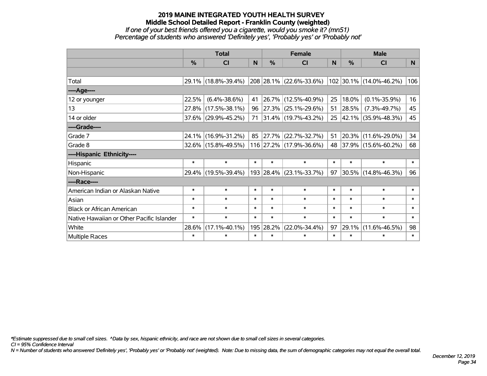#### **2019 MAINE INTEGRATED YOUTH HEALTH SURVEY Middle School Detailed Report - Franklin County (weighted)** *If one of your best friends offered you a cigarette, would you smoke it? (mn51) Percentage of students who answered 'Definitely yes', 'Probably yes' or 'Probably not'*

|                                           | <b>Total</b> |                     |        |           | <b>Female</b>            |          | <b>Male</b> |                         |                |  |
|-------------------------------------------|--------------|---------------------|--------|-----------|--------------------------|----------|-------------|-------------------------|----------------|--|
|                                           | %            | CI                  | N      | $\%$      | <b>CI</b>                | <b>N</b> | %           | <b>CI</b>               | N <sub>1</sub> |  |
|                                           |              |                     |        |           |                          |          |             |                         |                |  |
| Total                                     |              | 29.1% (18.8%-39.4%) |        |           | 208 28.1% (22.6%-33.6%)  |          |             | 102 30.1% (14.0%-46.2%) | 106            |  |
| ----Age----                               |              |                     |        |           |                          |          |             |                         |                |  |
| 12 or younger                             | 22.5%        | $(6.4\% - 38.6\%)$  | 41     |           | 26.7% (12.5%-40.9%)      | 25       | 18.0%       | $(0.1\% - 35.9\%)$      | 16             |  |
| 13                                        | 27.8%        | $(17.5\% - 38.1\%)$ | 96     |           | $ 27.3\% $ (25.1%-29.6%) | 51       | 28.5%       | $(7.3\% - 49.7\%)$      | 45             |  |
| 14 or older                               |              | 37.6% (29.9%-45.2%) | 71     |           | $ 31.4\% $ (19.7%-43.2%) |          |             | 25 42.1% (35.9%-48.3%)  | 45             |  |
| ----Grade----                             |              |                     |        |           |                          |          |             |                         |                |  |
| Grade 7                                   | $24.1\%$     | $(16.9\% - 31.2\%)$ | 85     |           | 27.7% (22.7%-32.7%)      | 51       | 20.3%       | $(11.6\% - 29.0\%)$     | 34             |  |
| Grade 8                                   |              | 32.6% (15.8%-49.5%) |        |           | 116 27.2% (17.9%-36.6%)  |          |             | 48 37.9% (15.6%-60.2%)  | 68             |  |
| ----Hispanic Ethnicity----                |              |                     |        |           |                          |          |             |                         |                |  |
| Hispanic                                  | $\ast$       | $\ast$              | $\ast$ | $\ast$    | $\ast$                   | $\ast$   | $\ast$      | $\ast$                  | $\ast$         |  |
| Non-Hispanic                              |              | 29.4% (19.5%-39.4%) |        |           | 193 28.4% (23.1%-33.7%)  | 97       |             | 30.5% (14.8%-46.3%)     | 96             |  |
| ----Race----                              |              |                     |        |           |                          |          |             |                         |                |  |
| American Indian or Alaskan Native         | $\ast$       | $\ast$              | $\ast$ | $\ast$    | $\ast$                   | $\ast$   | $\ast$      | $\ast$                  | $\ast$         |  |
| Asian                                     | $\ast$       | $\ast$              | $\ast$ | $\ast$    | $\ast$                   | $\ast$   | $\ast$      | $\ast$                  | $\ast$         |  |
| <b>Black or African American</b>          | $\ast$       | $\ast$              | $\ast$ | $\ast$    | $\ast$                   | $\ast$   | $\ast$      | $\ast$                  | $\ast$         |  |
| Native Hawaiian or Other Pacific Islander | $\ast$       | $\ast$              | $\ast$ | $\ast$    | $\ast$                   | $\ast$   | $\ast$      | $\ast$                  | $\ast$         |  |
| White                                     | 28.6%        | $(17.1\% - 40.1\%)$ |        | 195 28.2% | $(22.0\% - 34.4\%)$      | 97       | 29.1%       | $(11.6\% - 46.5\%)$     | 98             |  |
| <b>Multiple Races</b>                     | $\ast$       | $\ast$              | $\ast$ | $\ast$    | $\ast$                   | $\ast$   | $\ast$      | $\ast$                  | $\ast$         |  |

*\*Estimate suppressed due to small cell sizes. ^Data by sex, hispanic ethnicity, and race are not shown due to small cell sizes in several categories.*

*CI = 95% Confidence Interval*

*N = Number of students who answered 'Definitely yes', 'Probably yes' or 'Probably not' (weighted). Note: Due to missing data, the sum of demographic categories may not equal the overall total.*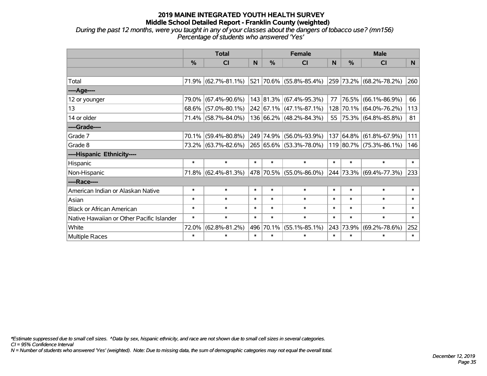*During the past 12 months, were you taught in any of your classes about the dangers of tobacco use? (mn156) Percentage of students who answered 'Yes'*

|                                           | <b>Total</b>  |                                             |        |           | <b>Female</b>               |        | <b>Male</b> |                         |        |  |
|-------------------------------------------|---------------|---------------------------------------------|--------|-----------|-----------------------------|--------|-------------|-------------------------|--------|--|
|                                           | $\frac{0}{0}$ | <b>CI</b>                                   | N      | $\%$      | <b>CI</b>                   | N      | %           | <b>CI</b>               | N.     |  |
|                                           |               |                                             |        |           |                             |        |             |                         |        |  |
| Total                                     |               | 71.9% (62.7%-81.1%)                         |        |           | 521 70.6% (55.8%-85.4%)     |        |             | 259 73.2% (68.2%-78.2%) | 260    |  |
| ----Age----                               |               |                                             |        |           |                             |        |             |                         |        |  |
| 12 or younger                             | 79.0%         | $(67.4\% - 90.6\%)$                         |        |           | 143 81.3% (67.4%-95.3%)     | 77     | 76.5%       | $(66.1\% - 86.9\%)$     | 66     |  |
| 13                                        | $68.6\%$      | $(57.0\% - 80.1\%)$                         |        |           | $242$ 67.1% (47.1%-87.1%)   |        |             | 128 70.1% (64.0%-76.2%) | 113    |  |
| 14 or older                               |               | 71.4% (58.7%-84.0%)                         |        |           | 136 66.2% (48.2%-84.3%)     |        |             | 55 75.3% (64.8%-85.8%)  | 81     |  |
| ----Grade----                             |               |                                             |        |           |                             |        |             |                         |        |  |
| Grade 7                                   | 70.1%         | $(59.4\% - 80.8\%)$                         |        |           | 249 74.9% (56.0%-93.9%)     |        | 137 64.8%   | $(61.8\% - 67.9\%)$     | 111    |  |
| Grade 8                                   |               | 73.2% (63.7%-82.6%) 265 65.6% (53.3%-78.0%) |        |           |                             |        |             | 119 80.7% (75.3%-86.1%) | 146    |  |
| ----Hispanic Ethnicity----                |               |                                             |        |           |                             |        |             |                         |        |  |
| Hispanic                                  | $\ast$        | $\ast$                                      | $\ast$ | $\ast$    | $\ast$                      | $\ast$ | $\ast$      | $\ast$                  | $\ast$ |  |
| Non-Hispanic                              |               | 71.8% (62.4%-81.3%)                         |        |           | 478   70.5%   (55.0%-86.0%) |        |             | 244 73.3% (69.4%-77.3%) | 233    |  |
| ----Race----                              |               |                                             |        |           |                             |        |             |                         |        |  |
| American Indian or Alaskan Native         | $\ast$        | $\ast$                                      | $\ast$ | $\ast$    | $\ast$                      | $\ast$ | $\ast$      | $\ast$                  | $\ast$ |  |
| Asian                                     | $\ast$        | $\ast$                                      | $\ast$ | $\ast$    | $\ast$                      | $\ast$ | $\ast$      | $\ast$                  | $\ast$ |  |
| <b>Black or African American</b>          | $\ast$        | $\ast$                                      | $\ast$ | $\ast$    | $\ast$                      | $\ast$ | $\ast$      | $\ast$                  | $\ast$ |  |
| Native Hawaiian or Other Pacific Islander | $\ast$        | $\ast$                                      | $\ast$ | $\ast$    | $\ast$                      | $\ast$ | $\ast$      | $\ast$                  | $\ast$ |  |
| White                                     | 72.0%         | $(62.8\% - 81.2\%)$                         |        | 496 70.1% | $(55.1\% - 85.1\%)$         | 243    | 73.9%       | $(69.2\% - 78.6\%)$     | 252    |  |
| Multiple Races                            | $\ast$        | $\ast$                                      | $\ast$ | $\ast$    | $\ast$                      | $\ast$ | $\ast$      | *                       | $\ast$ |  |

*\*Estimate suppressed due to small cell sizes. ^Data by sex, hispanic ethnicity, and race are not shown due to small cell sizes in several categories.*

*CI = 95% Confidence Interval*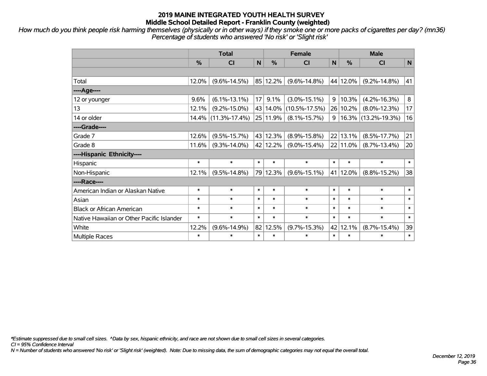*How much do you think people risk harming themselves (physically or in other ways) if they smoke one or more packs of cigarettes per day? (mn36) Percentage of students who answered 'No risk' or 'Slight risk'*

|                                           | <b>Total</b>  |                     |                 |               | <b>Female</b>       | <b>Male</b> |          |                     |        |
|-------------------------------------------|---------------|---------------------|-----------------|---------------|---------------------|-------------|----------|---------------------|--------|
|                                           | $\frac{0}{0}$ | C <sub>l</sub>      | $\mathbf N$     | $\frac{0}{0}$ | <b>CI</b>           | N           | %        | <b>CI</b>           | N      |
|                                           |               |                     |                 |               |                     |             |          |                     |        |
| Total                                     | 12.0%         | $(9.6\% - 14.5\%)$  |                 | 85 12.2%      | $(9.6\% - 14.8\%)$  |             | 44 12.0% | $(9.2\% - 14.8\%)$  | 41     |
| ----Age----                               |               |                     |                 |               |                     |             |          |                     |        |
| 12 or younger                             | 9.6%          | $(6.1\% - 13.1\%)$  | 17 <sup>1</sup> | 9.1%          | $(3.0\% - 15.1\%)$  | 9           | 10.3%    | $(4.2\% - 16.3\%)$  | 8      |
| 13                                        | 12.1%         | $(9.2\% - 15.0\%)$  |                 | 43 14.0%      | $(10.5\% - 17.5\%)$ |             | 26 10.2% | $(8.0\% - 12.3\%)$  | 17     |
| 14 or older                               |               | 14.4% (11.3%-17.4%) |                 | 25 11.9%      | $(8.1\% - 15.7\%)$  | 9           |          | 16.3% (13.2%-19.3%) | 16     |
| ----Grade----                             |               |                     |                 |               |                     |             |          |                     |        |
| Grade 7                                   | 12.6%         | $(9.5\% - 15.7\%)$  |                 | 43 12.3%      | $(8.9\% - 15.8\%)$  |             | 22 13.1% | $(8.5\% - 17.7\%)$  | 21     |
| Grade 8                                   | 11.6%         | $(9.3\% - 14.0\%)$  |                 | 42 12.2%      | $(9.0\% - 15.4\%)$  |             | 22 11.0% | $(8.7\% - 13.4\%)$  | 20     |
| ----Hispanic Ethnicity----                |               |                     |                 |               |                     |             |          |                     |        |
| Hispanic                                  | $\ast$        | $\ast$              | $\ast$          | $\ast$        | $\ast$              | $\ast$      | $\ast$   | $\ast$              | $\ast$ |
| Non-Hispanic                              | 12.1%         | $(9.5\% - 14.8\%)$  |                 | 79 12.3%      | $(9.6\% - 15.1\%)$  | 41          | 12.0%    | $(8.8\% - 15.2\%)$  | 38     |
| ----Race----                              |               |                     |                 |               |                     |             |          |                     |        |
| American Indian or Alaskan Native         | $\ast$        | $\ast$              | $\ast$          | $\ast$        | $\ast$              | $\ast$      | $\ast$   | $\ast$              | $\ast$ |
| Asian                                     | $\ast$        | $\ast$              | $\ast$          | $\ast$        | $\ast$              | $\ast$      | $\ast$   | $\ast$              | $\ast$ |
| <b>Black or African American</b>          | $\ast$        | $\ast$              | $\ast$          | $\ast$        | $\ast$              | $\ast$      | $\ast$   | $\ast$              | $\ast$ |
| Native Hawaiian or Other Pacific Islander | $\ast$        | $\ast$              | $\ast$          | $\ast$        | $\ast$              | $\ast$      | $\ast$   | $\ast$              | $\ast$ |
| White                                     | 12.2%         | $(9.6\% - 14.9\%)$  |                 | 82 12.5%      | $(9.7\% - 15.3\%)$  | 42          | 12.1%    | $(8.7\% - 15.4\%)$  | 39     |
| Multiple Races                            | $\ast$        | $\ast$              | $\ast$          | $\ast$        | $\ast$              | $\ast$      | $\ast$   | $\ast$              | $\ast$ |

*\*Estimate suppressed due to small cell sizes. ^Data by sex, hispanic ethnicity, and race are not shown due to small cell sizes in several categories.*

*CI = 95% Confidence Interval*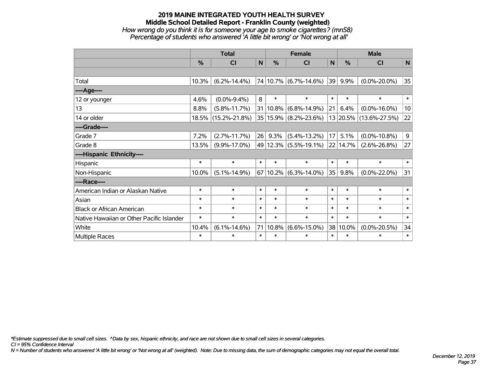## **2019 MAINE INTEGRATED YOUTH HEALTH SURVEY Middle School Detailed Report - Franklin County (weighted)** *How wrong do you think it is for someone your age to smoke cigarettes? (mn58) Percentage of students who answered 'A little bit wrong' or 'Not wrong at all'*

|                                           | <b>Total</b> |                     |        |          | <b>Female</b>                  |              | <b>Male</b> |                        |              |  |
|-------------------------------------------|--------------|---------------------|--------|----------|--------------------------------|--------------|-------------|------------------------|--------------|--|
|                                           | $\%$         | <b>CI</b>           | N      | %        | <b>CI</b>                      | N            | $\%$        | <b>CI</b>              | N            |  |
|                                           |              |                     |        |          |                                |              |             |                        |              |  |
| Total                                     | 10.3%        | $(6.2\% - 14.4\%)$  |        |          | 74 10.7% (6.7%-14.6%)          | $ 39\rangle$ | 9.9%        | $(0.0\% - 20.0\%)$     | 35           |  |
| ----Age----                               |              |                     |        |          |                                |              |             |                        |              |  |
| 12 or younger                             | 4.6%         | $(0.0\% - 9.4\%)$   | 8      | $\ast$   | $\ast$                         | $\ast$       | $\ast$      | $\ast$                 | $\ast$       |  |
| 13                                        | 8.8%         | $(5.8\% - 11.7\%)$  |        | 31 10.8% | $(6.8\% - 14.9\%)$             | 21           | 6.4%        | $(0.0\% - 16.0\%)$     | 10           |  |
| 14 or older                               |              | 18.5% (15.2%-21.8%) |        |          | 35 15.9% (8.2%-23.6%)          |              |             | 13 20.5% (13.6%-27.5%) | 22           |  |
| ----Grade----                             |              |                     |        |          |                                |              |             |                        |              |  |
| Grade 7                                   | 7.2%         | $(2.7\% - 11.7\%)$  | 26     | 9.3%     | $(5.4\% - 13.2\%)$             | 17           | 5.1%        | $(0.0\% - 10.8\%)$     | 9            |  |
| Grade 8                                   | 13.5%        | $(9.9\% - 17.0\%)$  |        |          | 49 12.3% (5.5%-19.1%) 22 14.7% |              |             | $(2.6\% - 26.8\%)$     | 27           |  |
| ----Hispanic Ethnicity----                |              |                     |        |          |                                |              |             |                        |              |  |
| Hispanic                                  | $\ast$       | $\ast$              | $\ast$ | $\ast$   | $\ast$                         | $\ast$       | $\ast$      | $\ast$                 | $\ast$       |  |
| Non-Hispanic                              | 10.0%        | $(5.1\% - 14.9\%)$  |        |          | $67 10.2\% $ (6.3%-14.0%)      | 35           | 9.8%        | $(0.0\% - 22.0\%)$     | 31           |  |
| ----Race----                              |              |                     |        |          |                                |              |             |                        |              |  |
| American Indian or Alaskan Native         | $\ast$       | $\ast$              | $\ast$ | $\ast$   | $\ast$                         | $\ast$       | $\ast$      | $\ast$                 | $\ast$       |  |
| Asian                                     | $\ast$       | $\ast$              | $\ast$ | $\ast$   | $\ast$                         | $\ast$       | $\ast$      | $\ast$                 | $\ast$       |  |
| <b>Black or African American</b>          | $\ast$       | $\ast$              | $\ast$ | $\ast$   | $\ast$                         | $\ast$       | $\ast$      | $\ast$                 | $\ast$       |  |
| Native Hawaiian or Other Pacific Islander | $\ast$       | $\ast$              | $\ast$ | $\ast$   | $\ast$                         | $\ast$       | $\ast$      | $\ast$                 | $\pmb{\ast}$ |  |
| White                                     | 10.4%        | $(6.1\% - 14.6\%)$  | 71     | 10.8%    | $(6.6\% - 15.0\%)$             | 38           | 10.0%       | $(0.0\% - 20.5\%)$     | 34           |  |
| <b>Multiple Races</b>                     | $\ast$       | $\ast$              | $\ast$ | $\ast$   | $\ast$                         | $\ast$       | $\ast$      | $\ast$                 | $\ast$       |  |

*\*Estimate suppressed due to small cell sizes. ^Data by sex, hispanic ethnicity, and race are not shown due to small cell sizes in several categories.*

*CI = 95% Confidence Interval*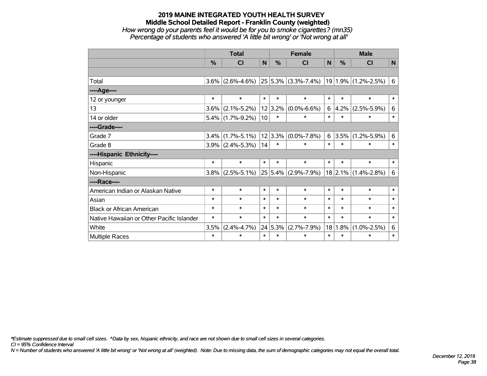### **2019 MAINE INTEGRATED YOUTH HEALTH SURVEY Middle School Detailed Report - Franklin County (weighted)** *How wrong do your parents feel it would be for you to smoke cigarettes? (mn35) Percentage of students who answered 'A little bit wrong' or 'Not wrong at all'*

|                                           | <b>Total</b>  |                     |        |               | <b>Female</b>           | <b>Male</b> |        |                           |        |
|-------------------------------------------|---------------|---------------------|--------|---------------|-------------------------|-------------|--------|---------------------------|--------|
|                                           | $\frac{0}{0}$ | CI                  | N      | $\frac{0}{0}$ | CI                      | N           | $\%$   | CI                        | N      |
|                                           |               |                     |        |               |                         |             |        |                           |        |
| Total                                     | 3.6%          | $(2.6\% - 4.6\%)$   |        |               | $25 5.3\% $ (3.3%-7.4%) |             |        | $19 1.9\% $ (1.2%-2.5%)   | 6      |
| ----Age----                               |               |                     |        |               |                         |             |        |                           |        |
| 12 or younger                             | $\ast$        | $\ast$              | $\ast$ | $\ast$        | $\ast$                  | $\ast$      | $\ast$ | $\ast$                    | $\ast$ |
| 13                                        | 3.6%          | $(2.1\% - 5.2\%)$   |        | 12 3.2%       | $(0.0\% - 6.6\%)$       | 6           |        | $4.2\%$ (2.5%-5.9%)       | 6      |
| 14 or older                               |               | $5.4\%$ (1.7%-9.2%) | 10     | $\ast$        | $\ast$                  | $\ast$      | $\ast$ | $\ast$                    | $\ast$ |
| ----Grade----                             |               |                     |        |               |                         |             |        |                           |        |
| Grade 7                                   | 3.4%          | $(1.7\% - 5.1\%)$   |        | 12 3.3%       | $(0.0\% - 7.8\%)$       |             |        | $6 3.5\% (1.2\% - 5.9\%)$ | 6      |
| Grade 8                                   | $3.9\%$       | $(2.4\% - 5.3\%)$   | 14     | $\ast$        | $\ast$                  | $\ast$      | $\ast$ | $\ast$                    | $\ast$ |
| ----Hispanic Ethnicity----                |               |                     |        |               |                         |             |        |                           |        |
| Hispanic                                  | $\ast$        | $\ast$              | $\ast$ | $\ast$        | $\ast$                  | $\ast$      | $\ast$ | $\ast$                    | $\ast$ |
| Non-Hispanic                              | 3.8%          | $(2.5\% - 5.1\%)$   | 25     |               | $5.4\%$ (2.9%-7.9%)     |             |        | $18$ 2.1% (1.4%-2.8%)     | 6      |
| ----Race----                              |               |                     |        |               |                         |             |        |                           |        |
| American Indian or Alaskan Native         | $\ast$        | $\ast$              | $\ast$ | $\ast$        | $\ast$                  | $\ast$      | $\ast$ | $\ast$                    | $\ast$ |
| Asian                                     | $\ast$        | $\ast$              | $\ast$ | $\ast$        | $\ast$                  | $\ast$      | $\ast$ | $\ast$                    | $\ast$ |
| <b>Black or African American</b>          | $\ast$        | $\ast$              | $\ast$ | $\ast$        | $\ast$                  | $\ast$      | $\ast$ | $\ast$                    | $\ast$ |
| Native Hawaiian or Other Pacific Islander | $\ast$        | $\ast$              | $\ast$ | $\ast$        | $\ast$                  | $\ast$      | $\ast$ | $\ast$                    | $\ast$ |
| White                                     | 3.5%          | $(2.4\% - 4.7\%)$   | 24     | 5.3%          | $(2.7\% - 7.9\%)$       | 18          |        | $1.8\%$ (1.0%-2.5%)       | 6      |
| Multiple Races                            | $\ast$        | $\ast$              | $\ast$ | $\ast$        | $\ast$                  | $\ast$      | $\ast$ | $\ast$                    | $\ast$ |

*\*Estimate suppressed due to small cell sizes. ^Data by sex, hispanic ethnicity, and race are not shown due to small cell sizes in several categories.*

*CI = 95% Confidence Interval*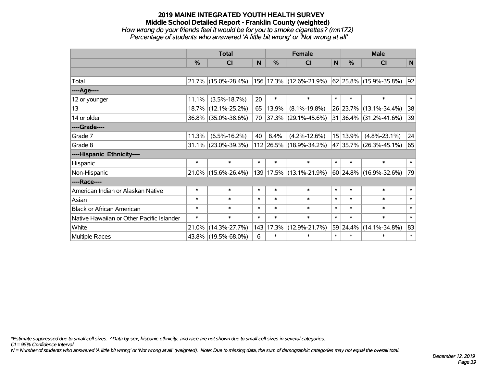### **2019 MAINE INTEGRATED YOUTH HEALTH SURVEY Middle School Detailed Report - Franklin County (weighted)** *How wrong do your friends feel it would be for you to smoke cigarettes? (mn172) Percentage of students who answered 'A little bit wrong' or 'Not wrong at all'*

|                                           | <b>Total</b> |                        |        |           | <b>Female</b>            | <b>Male</b> |          |                             |        |
|-------------------------------------------|--------------|------------------------|--------|-----------|--------------------------|-------------|----------|-----------------------------|--------|
|                                           | $\%$         | CI                     | N      | $\%$      | CI                       | N           | $\%$     | <b>CI</b>                   | N      |
|                                           |              |                        |        |           |                          |             |          |                             |        |
| Total                                     |              | $21.7\%$ (15.0%-28.4%) |        |           | 156 17.3% (12.6%-21.9%)  |             |          | 62 25.8% (15.9%-35.8%)      | 92     |
| ----Age----                               |              |                        |        |           |                          |             |          |                             |        |
| 12 or younger                             | 11.1%        | $(3.5\% - 18.7\%)$     | 20     | $\ast$    | $\ast$                   | $\ast$      | $\ast$   | $\ast$                      | $\ast$ |
| 13                                        | 18.7%        | $(12.1\% - 25.2\%)$    | 65     | 13.9%     | $(8.1\% - 19.8\%)$       |             |          | 26 23.7% (13.1%-34.4%)      | 38     |
| 14 or older                               |              | 36.8% (35.0%-38.6%)    | 70     |           | $ 37.3\% $ (29.1%-45.6%) |             |          | 31 36.4% (31.2%-41.6%)      | 39     |
| ----Grade----                             |              |                        |        |           |                          |             |          |                             |        |
| Grade 7                                   | 11.3%        | $(6.5\% - 16.2\%)$     | 40     | 8.4%      | $(4.2\% - 12.6\%)$       |             | 15 13.9% | $(4.8\% - 23.1\%)$          | 24     |
| Grade 8                                   |              | $31.1\%$ (23.0%-39.3%) |        |           | 112 26.5% (18.9%-34.2%)  |             |          | 47 35.7% (26.3%-45.1%)      | 65     |
| ----Hispanic Ethnicity----                |              |                        |        |           |                          |             |          |                             |        |
| Hispanic                                  | $\ast$       | $\ast$                 | $\ast$ | $\ast$    | $\ast$                   | $\ast$      | $\ast$   | $\ast$                      | $\ast$ |
| Non-Hispanic                              |              | $21.0\%$ (15.6%-26.4%) |        |           | 139 17.5% (13.1%-21.9%)  |             |          | $ 60 24.8\% $ (16.9%-32.6%) | 79     |
| ----Race----                              |              |                        |        |           |                          |             |          |                             |        |
| American Indian or Alaskan Native         | $\ast$       | $\ast$                 | $\ast$ | $\ast$    | $\ast$                   | $\ast$      | $\ast$   | $\ast$                      | $\ast$ |
| Asian                                     | $\ast$       | $\ast$                 | $\ast$ | $\ast$    | $\ast$                   | $\ast$      | $\ast$   | $\ast$                      | $\ast$ |
| <b>Black or African American</b>          | $\ast$       | $\ast$                 | $\ast$ | $\ast$    | $\ast$                   | $\ast$      | $\ast$   | $\ast$                      | $\ast$ |
| Native Hawaiian or Other Pacific Islander | $\ast$       | $\ast$                 | $\ast$ | $\ast$    | $\ast$                   | $\ast$      | $\ast$   | $\ast$                      | $\ast$ |
| White                                     | 21.0%        | $(14.3\% - 27.7\%)$    |        | 143 17.3% | $(12.9\% - 21.7\%)$      |             | 59 24.4% | $(14.1\% - 34.8\%)$         | 83     |
| Multiple Races                            |              | 43.8% (19.5%-68.0%)    | 6      | $\ast$    | $\ast$                   | $\ast$      | $\ast$   | $\ast$                      | $\ast$ |

*\*Estimate suppressed due to small cell sizes. ^Data by sex, hispanic ethnicity, and race are not shown due to small cell sizes in several categories.*

*CI = 95% Confidence Interval*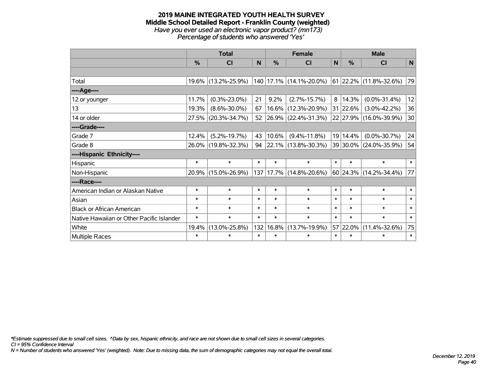#### **2019 MAINE INTEGRATED YOUTH HEALTH SURVEY Middle School Detailed Report - Franklin County (weighted)** *Have you ever used an electronic vapor product? (mn173) Percentage of students who answered 'Yes'*

|                                           | <b>Total</b> |                     |        |        | <b>Female</b>            | <b>Male</b> |               |                                |        |
|-------------------------------------------|--------------|---------------------|--------|--------|--------------------------|-------------|---------------|--------------------------------|--------|
|                                           | $\%$         | <b>CI</b>           | N      | %      | <b>CI</b>                | N           | $\frac{0}{0}$ | <b>CI</b>                      | N      |
|                                           |              |                     |        |        |                          |             |               |                                |        |
| Total                                     |              | 19.6% (13.2%-25.9%) |        |        | 140 17.1% (14.1%-20.0%)  |             |               | $ 61 22.2\% (11.8\% - 32.6\%)$ | 79     |
| ----Age----                               |              |                     |        |        |                          |             |               |                                |        |
| 12 or younger                             | 11.7%        | $(0.3\% - 23.0\%)$  | 21     | 9.2%   | $(2.7\% - 15.7\%)$       | 8           | 14.3%         | $(0.0\% - 31.4\%)$             | 12     |
| 13                                        | 19.3%        | $(8.6\% - 30.0\%)$  | 67     |        | 16.6% (12.3%-20.9%)      |             | 31 22.6%      | $(3.0\% - 42.2\%)$             | 36     |
| 14 or older                               |              | 27.5% (20.3%-34.7%) | 52     |        | 26.9% (22.4%-31.3%)      |             |               | 22 27.9% (16.0%-39.9%)         | 30     |
| ----Grade----                             |              |                     |        |        |                          |             |               |                                |        |
| Grade 7                                   | 12.4%        | $(5.2\% - 19.7\%)$  | 43     | 10.6%  | $(9.4\% - 11.8\%)$       |             | 19 14.4%      | $(0.0\% - 30.7\%)$             | 24     |
| Grade 8                                   |              | 26.0% (19.8%-32.3%) | 94     |        | $ 22.1\% $ (13.8%-30.3%) |             |               | 39 30.0% (24.0%-35.9%)         | 54     |
| ----Hispanic Ethnicity----                |              |                     |        |        |                          |             |               |                                |        |
| Hispanic                                  | $\ast$       | $\ast$              | $\ast$ | $\ast$ | $\ast$                   | $\ast$      | $\ast$        | $\ast$                         | $\ast$ |
| Non-Hispanic                              |              | 20.9% (15.0%-26.9%) |        |        | 137 17.7% (14.8%-20.6%)  |             |               | $60$ 24.3% (14.2%-34.4%)       | 77     |
| ----Race----                              |              |                     |        |        |                          |             |               |                                |        |
| American Indian or Alaskan Native         | $\ast$       | $\ast$              | $\ast$ | $\ast$ | $\ast$                   | $\ast$      | $\ast$        | $\ast$                         | $\ast$ |
| Asian                                     | $\ast$       | $\ast$              | $\ast$ | $\ast$ | $\ast$                   | $\ast$      | $\ast$        | $\ast$                         | $\ast$ |
| <b>Black or African American</b>          | $\ast$       | $\ast$              | $\ast$ | $\ast$ | $\ast$                   | $\ast$      | $\ast$        | $\ast$                         | $\ast$ |
| Native Hawaiian or Other Pacific Islander | $\ast$       | $\ast$              | $\ast$ | $\ast$ | $\ast$                   | $\ast$      | $\ast$        | $\ast$                         | $\ast$ |
| White                                     | 19.4%        | $(13.0\% - 25.8\%)$ | 132    | 16.8%  | $(13.7\% - 19.9\%)$      |             | 57 22.0%      | $(11.4\% - 32.6\%)$            | 75     |
| Multiple Races                            | $\ast$       | $\ast$              | $\ast$ | $\ast$ | $\ast$                   | $\ast$      | $\ast$        | $\ast$                         | $\ast$ |

*\*Estimate suppressed due to small cell sizes. ^Data by sex, hispanic ethnicity, and race are not shown due to small cell sizes in several categories.*

*CI = 95% Confidence Interval*

*N = Number of students who answered 'Yes' (weighted). Note: Due to missing data, the sum of demographic categories may not equal the overall total.*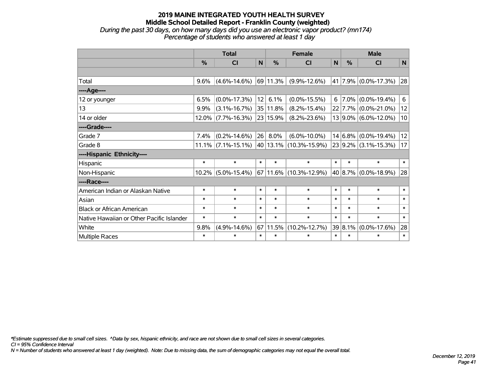*During the past 30 days, on how many days did you use an electronic vapor product? (mn174) Percentage of students who answered at least 1 day*

|                                           | <b>Total</b> |                       |        |          | <b>Female</b>              | <b>Male</b> |             |                          |        |
|-------------------------------------------|--------------|-----------------------|--------|----------|----------------------------|-------------|-------------|--------------------------|--------|
|                                           | $\%$         | <b>CI</b>             | N      | %        | <b>CI</b>                  | N           | $\%$        | <b>CI</b>                | N      |
|                                           |              |                       |        |          |                            |             |             |                          |        |
| Total                                     | 9.6%         | $(4.6\% - 14.6\%)$    |        | 69 11.3% | $(9.9\% - 12.6\%)$         |             |             | 41 7.9% (0.0%-17.3%)     | 28     |
| ---- Age----                              |              |                       |        |          |                            |             |             |                          |        |
| 12 or younger                             | 6.5%         | $(0.0\% - 17.3\%)$    | 12     | 6.1%     | $(0.0\% - 15.5\%)$         | 6           | $7.0\%$     | $(0.0\% - 19.4\%)$       | 6      |
| 13                                        | 9.9%         | $(3.1\% - 16.7\%)$    |        | 35 11.8% | $(8.2\% - 15.4\%)$         |             |             | 22 7.7% (0.0%-21.0%)     | 12     |
| 14 or older                               |              | $12.0\%$ (7.7%-16.3%) |        | 23 15.9% | $(8.2\% - 23.6\%)$         |             |             | 13 9.0% (6.0%-12.0%)     | 10     |
| ----Grade----                             |              |                       |        |          |                            |             |             |                          |        |
| Grade 7                                   | 7.4%         | $(0.2\% - 14.6\%)$    | 26     | 8.0%     | $(6.0\% - 10.0\%)$         |             | $14 6.8\% $ | $(0.0\% - 19.4\%)$       | 12     |
| Grade 8                                   |              | $11.1\%$ (7.1%-15.1%) |        |          | 40 13.1% (10.3%-15.9%)     |             |             | $23 9.2\% $ (3.1%-15.3%) | 17     |
| ----Hispanic Ethnicity----                |              |                       |        |          |                            |             |             |                          |        |
| Hispanic                                  | $\ast$       | $\ast$                | $\ast$ | $\ast$   | $\ast$                     | $\ast$      | $\ast$      | $\ast$                   | $\ast$ |
| Non-Hispanic                              | $10.2\%$     | $(5.0\% - 15.4\%)$    |        |          | $67 11.6\% $ (10.3%-12.9%) |             | 40 8.7%     | $(0.0\% - 18.9\%)$       | 28     |
| ----Race----                              |              |                       |        |          |                            |             |             |                          |        |
| American Indian or Alaskan Native         | $\ast$       | $\ast$                | $\ast$ | $\ast$   | $\ast$                     | $\ast$      | $\ast$      | $\ast$                   | $\ast$ |
| Asian                                     | $\ast$       | $\ast$                | $\ast$ | $\ast$   | $\ast$                     | $\ast$      | $\ast$      | $\ast$                   | $\ast$ |
| <b>Black or African American</b>          | $\ast$       | $\ast$                | $\ast$ | $\ast$   | $\ast$                     | $\ast$      | $\ast$      | $\ast$                   | $\ast$ |
| Native Hawaiian or Other Pacific Islander | $\ast$       | $\ast$                | $\ast$ | $\ast$   | $\ast$                     | $\ast$      | $\ast$      | $\ast$                   | $\ast$ |
| White                                     | 9.8%         | $(4.9\% - 14.6\%)$    | 67     | 11.5%    | $(10.2\% - 12.7\%)$        |             | 39 8.1%     | $(0.0\% - 17.6\%)$       | 28     |
| Multiple Races                            | $\ast$       | $\ast$                | $\ast$ | $\ast$   | $\ast$                     | $\ast$      | $\ast$      | $\ast$                   | $\ast$ |

*\*Estimate suppressed due to small cell sizes. ^Data by sex, hispanic ethnicity, and race are not shown due to small cell sizes in several categories.*

*CI = 95% Confidence Interval*

*N = Number of students who answered at least 1 day (weighted). Note: Due to missing data, the sum of demographic categories may not equal the overall total.*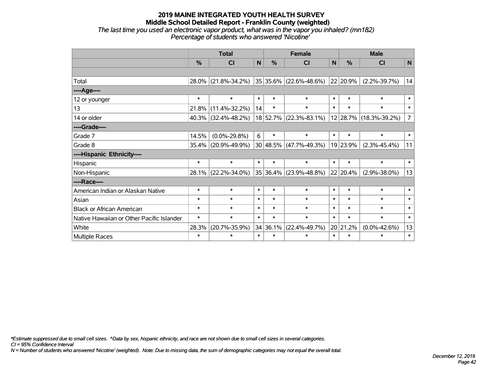#### **2019 MAINE INTEGRATED YOUTH HEALTH SURVEY Middle School Detailed Report - Franklin County (weighted)** *The last time you used an electronic vapor product, what was in the vapor you inhaled? (mn182)*

*Percentage of students who answered 'Nicotine'*

|                                           | <b>Total</b>  |                     |        |               | <b>Female</b>              | <b>Male</b> |               |                        |                |
|-------------------------------------------|---------------|---------------------|--------|---------------|----------------------------|-------------|---------------|------------------------|----------------|
|                                           | $\frac{0}{0}$ | <b>CI</b>           | N      | $\frac{9}{6}$ | C <sub>l</sub>             | N           | $\frac{0}{0}$ | CI                     | $\mathbf N$    |
|                                           |               |                     |        |               |                            |             |               |                        |                |
| Total                                     |               | 28.0% (21.8%-34.2%) |        | 35 35.6%      | $(22.6\% - 48.6\%)$        |             | 22 20.9%      | $(2.2\% - 39.7\%)$     | 14             |
| ----Age----                               |               |                     |        |               |                            |             |               |                        |                |
| 12 or younger                             | $\ast$        | $\ast$              | $\ast$ | $\ast$        | $\ast$                     | $\ast$      | $\ast$        | $\ast$                 | $\ast$         |
| 13                                        | 21.8%         | $(11.4\% - 32.2\%)$ | 14     | $\ast$        | $\ast$                     | $\ast$      | $\ast$        | $\ast$                 | $\ast$         |
| 14 or older                               |               | 40.3% (32.4%-48.2%) |        | 18 52.7%      | $(22.3\% - 83.1\%)$        |             |               | 12 28.7% (18.3%-39.2%) | $\overline{7}$ |
| ----Grade----                             |               |                     |        |               |                            |             |               |                        |                |
| Grade 7                                   | 14.5%         | $(0.0\% - 29.8\%)$  | 6      | $\ast$        | $\ast$                     | $\ast$      | $\ast$        | $\ast$                 | $\ast$         |
| Grade 8                                   |               | 35.4% (20.9%-49.9%) |        |               | $30 48.5\% $ (47.7%-49.3%) |             | 19 23.9%      | $(2.3\% - 45.4\%)$     | 11             |
| ----Hispanic Ethnicity----                |               |                     |        |               |                            |             |               |                        |                |
| Hispanic                                  | $\ast$        | $\ast$              | $\ast$ | $\ast$        | $\ast$                     | $\ast$      | $\ast$        | $\ast$                 | $\ast$         |
| Non-Hispanic                              |               | 28.1% (22.2%-34.0%) |        | 35 36.4%      | $(23.9\% - 48.8\%)$        |             | 22 20.4%      | $(2.9\% - 38.0\%)$     | 13             |
| ----Race----                              |               |                     |        |               |                            |             |               |                        |                |
| American Indian or Alaskan Native         | $\ast$        | $\ast$              | $\ast$ | $\ast$        | $\ast$                     | $\ast$      | $\ast$        | $\ast$                 | $\ast$         |
| Asian                                     | $\ast$        | $\ast$              | $\ast$ | $\ast$        | $\ast$                     | $\ast$      | $\ast$        | $\ast$                 | $\ast$         |
| <b>Black or African American</b>          | $\ast$        | $\ast$              | $\ast$ | $\ast$        | $\ast$                     | $\ast$      | $\ast$        | $\ast$                 | $\ast$         |
| Native Hawaiian or Other Pacific Islander | $\ast$        | $\ast$              | $\ast$ | $\ast$        | $\ast$                     | $\ast$      | $\ast$        | $\ast$                 | $\ast$         |
| White                                     | 28.3%         | $(20.7\% - 35.9\%)$ |        | 34 36.1%      | $(22.4\% - 49.7\%)$        |             | 20 21.2%      | $(0.0\% - 42.6\%)$     | 13             |
| Multiple Races                            | $\ast$        | $\ast$              | $\ast$ | $\ast$        | $\ast$                     | $\ast$      | $\ast$        | $\ast$                 | $\ast$         |

*\*Estimate suppressed due to small cell sizes. ^Data by sex, hispanic ethnicity, and race are not shown due to small cell sizes in several categories.*

*CI = 95% Confidence Interval*

*N = Number of students who answered 'Nicotine' (weighted). Note: Due to missing data, the sum of demographic categories may not equal the overall total.*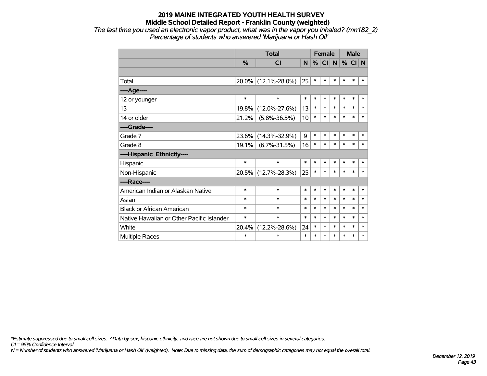*The last time you used an electronic vapor product, what was in the vapor you inhaled? (mn182\_2) Percentage of students who answered 'Marijuana or Hash Oil'*

|                                           |               | <b>Total</b>        | <b>Female</b> |        |        |        |        | <b>Male</b> |        |  |
|-------------------------------------------|---------------|---------------------|---------------|--------|--------|--------|--------|-------------|--------|--|
|                                           | $\frac{0}{0}$ | <b>CI</b>           | N             | %      | CI     | N      | %      | CI N        |        |  |
|                                           |               |                     |               |        |        |        |        |             |        |  |
| Total                                     |               | 20.0% (12.1%-28.0%) | 25            | $\ast$ | $\ast$ | $\ast$ | $\ast$ | $\ast$      | $\ast$ |  |
| ----Age----                               |               |                     |               |        |        |        |        |             |        |  |
| 12 or younger                             | $\ast$        | $\ast$              | $\ast$        | $\ast$ | $\ast$ | $\ast$ | $\ast$ | $\ast$      | $\ast$ |  |
| 13                                        | 19.8%         | $(12.0\% - 27.6\%)$ | 13            | $\ast$ | $\ast$ | $\ast$ | $\ast$ | $\ast$      | $\ast$ |  |
| 14 or older                               | 21.2%         | $(5.8\% - 36.5\%)$  | 10            | $\ast$ | $\ast$ | $\ast$ | $\ast$ | $\ast$      | $\ast$ |  |
| ----Grade----                             |               |                     |               |        |        |        |        |             |        |  |
| Grade 7                                   | 23.6%         | $(14.3\% - 32.9\%)$ | 9             | $\ast$ | $\ast$ | $\ast$ | $\ast$ | $\ast$      | $\ast$ |  |
| Grade 8                                   | 19.1%         | $(6.7\% - 31.5\%)$  | 16            | $\ast$ | $\ast$ | $\ast$ | $\ast$ | $\ast$      | $\ast$ |  |
| ----Hispanic Ethnicity----                |               |                     |               |        |        |        |        |             |        |  |
| Hispanic                                  | $\ast$        | $\ast$              | $\ast$        | $\ast$ | $\ast$ | $\ast$ | $\ast$ | $\ast$      | ∗      |  |
| Non-Hispanic                              |               | 20.5% (12.7%-28.3%) | 25            | $\ast$ | $\ast$ | $\ast$ | $\ast$ | $\ast$      | $\ast$ |  |
| ----Race----                              |               |                     |               |        |        |        |        |             |        |  |
| American Indian or Alaskan Native         | $\ast$        | $\ast$              | $\ast$        | $\ast$ | $\ast$ | $\ast$ | $\ast$ | $\ast$      | $\ast$ |  |
| Asian                                     | $\ast$        | $\ast$              | $\ast$        | $\ast$ | $\ast$ | $\ast$ | $\ast$ | $\ast$      | $\ast$ |  |
| <b>Black or African American</b>          | $\ast$        | $\ast$              | $\ast$        | $\ast$ | $\ast$ | $\ast$ | $\ast$ | $\ast$      | $\ast$ |  |
| Native Hawaiian or Other Pacific Islander | $\ast$        | $\ast$              | $\ast$        | $\ast$ | $\ast$ | $\ast$ | $\ast$ | $\ast$      | $\ast$ |  |
| White                                     | 20.4%         | $(12.2\% - 28.6\%)$ | 24            | $\ast$ | $\ast$ | $\ast$ | $\ast$ | $\ast$      | $\ast$ |  |
| <b>Multiple Races</b>                     | $\ast$        | $\ast$              | $\ast$        | $\ast$ | $\ast$ | $\ast$ | $\ast$ | $\ast$      | $\ast$ |  |

*\*Estimate suppressed due to small cell sizes. ^Data by sex, hispanic ethnicity, and race are not shown due to small cell sizes in several categories.*

*CI = 95% Confidence Interval*

*N = Number of students who answered 'Marijuana or Hash Oil' (weighted). Note: Due to missing data, the sum of demographic categories may not equal the overall total.*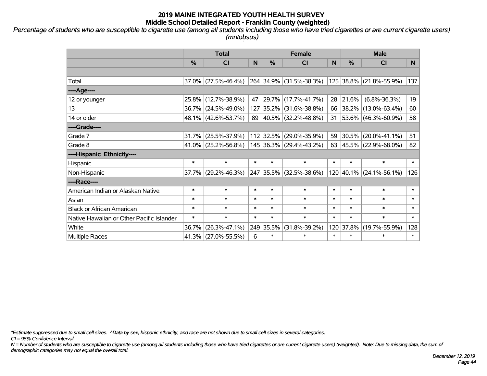*Percentage of students who are susceptible to cigarette use (among all students including those who have tried cigarettes or are current cigarette users) (mntobsus)*

|                                           | <b>Total</b>  |                        |        | <b>Female</b> | <b>Male</b>              |        |               |                          |                |
|-------------------------------------------|---------------|------------------------|--------|---------------|--------------------------|--------|---------------|--------------------------|----------------|
|                                           | $\frac{0}{0}$ | C <sub>l</sub>         | N      | %             | <b>CI</b>                | N      | $\frac{0}{0}$ | <b>CI</b>                | N <sub>1</sub> |
|                                           |               |                        |        |               |                          |        |               |                          |                |
| Total                                     |               | $37.0\%$ (27.5%-46.4%) |        |               | 264 34.9% (31.5%-38.3%)  |        |               | 125 38.8% (21.8%-55.9%)  | 137            |
| ----Age----                               |               |                        |        |               |                          |        |               |                          |                |
| 12 or younger                             |               | 25.8% (12.7%-38.9%)    | 47     |               | 29.7% (17.7%-41.7%)      | 28     | 21.6%         | $(6.8\% - 36.3\%)$       | 19             |
| 13                                        |               | 36.7% (24.5%-49.0%)    | 127    |               | $ 35.2\% $ (31.6%-38.8%) | 66     |               | $ 38.2\% $ (13.0%-63.4%) | 60             |
| 14 or older                               |               | 48.1% (42.6%-53.7%)    |        |               | 89 40.5% (32.2%-48.8%)   | 31     |               | $ 53.6\% $ (46.3%-60.9%) | 58             |
| ----Grade----                             |               |                        |        |               |                          |        |               |                          |                |
| Grade 7                                   | 31.7%         | $(25.5\% - 37.9\%)$    |        |               | 112 32.5% (29.0%-35.9%)  | 59     | 30.5%         | $(20.0\% - 41.1\%)$      | 51             |
| Grade 8                                   |               | 41.0% (25.2%-56.8%)    |        |               | 145 36.3% (29.4%-43.2%)  | 63     |               | $ 45.5\% $ (22.9%-68.0%) | 82             |
| ----Hispanic Ethnicity----                |               |                        |        |               |                          |        |               |                          |                |
| Hispanic                                  | $\ast$        | $\ast$                 | $\ast$ | $\ast$        | $\ast$                   | $\ast$ | $\ast$        | $\ast$                   | $\ast$         |
| Non-Hispanic                              |               | 37.7% (29.2%-46.3%)    |        |               | 247 35.5% (32.5%-38.6%)  |        |               | 120 40.1% (24.1%-56.1%)  | 126            |
| ----Race----                              |               |                        |        |               |                          |        |               |                          |                |
| American Indian or Alaskan Native         | $\ast$        | $\ast$                 | $\ast$ | $\ast$        | $\ast$                   | $\ast$ | $\ast$        | $\ast$                   | $\ast$         |
| Asian                                     | $\ast$        | $\ast$                 | $\ast$ | $\ast$        | $\ast$                   | $\ast$ | $\ast$        | $\ast$                   | $\ast$         |
| <b>Black or African American</b>          | $\ast$        | $\ast$                 | $\ast$ | $\ast$        | $\ast$                   | $\ast$ | $\ast$        | $\ast$                   | $\ast$         |
| Native Hawaiian or Other Pacific Islander | $\ast$        | $\ast$                 | $\ast$ | $\ast$        | $\ast$                   | $\ast$ | $\ast$        | $\ast$                   | $\pmb{\ast}$   |
| White                                     | 36.7%         | $(26.3\% - 47.1\%)$    |        | 249 35.5%     | $(31.8\% - 39.2\%)$      | 120    | 37.8%         | $(19.7\% - 55.9\%)$      | 128            |
| <b>Multiple Races</b>                     |               | 41.3% (27.0%-55.5%)    | 6      | $\ast$        | $\ast$                   | $\ast$ | $\ast$        | $\ast$                   | $\ast$         |

*\*Estimate suppressed due to small cell sizes. ^Data by sex, hispanic ethnicity, and race are not shown due to small cell sizes in several categories.*

*CI = 95% Confidence Interval*

*N = Number of students who are susceptible to cigarette use (among all students including those who have tried cigarettes or are current cigarette users) (weighted). Note: Due to missing data, the sum of demographic categories may not equal the overall total.*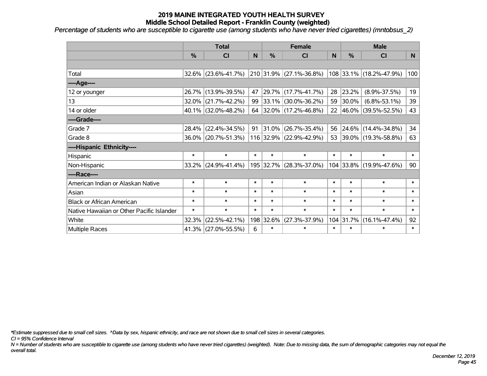*Percentage of students who are susceptible to cigarette use (among students who have never tried cigarettes) (mntobsus\_2)*

|                                           |          | <b>Total</b>           |        |           | <b>Female</b>            |        | <b>Male</b> |                         |        |  |
|-------------------------------------------|----------|------------------------|--------|-----------|--------------------------|--------|-------------|-------------------------|--------|--|
|                                           | %        | C <sub>l</sub>         | N      | %         | <b>CI</b>                | N      | %           | <b>CI</b>               | N      |  |
|                                           |          |                        |        |           |                          |        |             |                         |        |  |
| Total                                     |          | $32.6\%$ (23.6%-41.7%) |        |           | 210 31.9% (27.1%-36.8%)  |        |             | 108 33.1% (18.2%-47.9%) | 100    |  |
| ---- Age----                              |          |                        |        |           |                          |        |             |                         |        |  |
| 12 or younger                             |          | 26.7% (13.9%-39.5%)    | 47     |           | 29.7% (17.7%-41.7%)      | 28     | 23.2%       | $(8.9\% - 37.5\%)$      | 19     |  |
| 13                                        | 32.0%    | $(21.7\% - 42.2\%)$    | 99     |           | $ 33.1\% $ (30.0%-36.2%) | 59     | 30.0%       | $(6.8\% - 53.1\%)$      | 39     |  |
| 14 or older                               |          | $40.1\%$ (32.0%-48.2%) |        |           | 64 32.0% (17.2%-46.8%)   |        |             | 22 46.0% (39.5%-52.5%)  | 43     |  |
| ----Grade----                             |          |                        |        |           |                          |        |             |                         |        |  |
| Grade 7                                   | 28.4%    | $(22.4\% - 34.5\%)$    | 91     | $31.0\%$  | $(26.7\% - 35.4\%)$      | 56     | 24.6%       | $(14.4\% - 34.8\%)$     | 34     |  |
| Grade 8                                   |          | 36.0% (20.7%-51.3%)    |        |           | 116 32.9% (22.9%-42.9%)  |        |             | 53 39.0% (19.3%-58.8%)  | 63     |  |
| ----Hispanic Ethnicity----                |          |                        |        |           |                          |        |             |                         |        |  |
| Hispanic                                  | $\ast$   | $\ast$                 | $\ast$ | $\ast$    | $\ast$                   | $\ast$ | $\ast$      | $\ast$                  | $\ast$ |  |
| Non-Hispanic                              | $33.2\%$ | $ (24.9\% - 41.4\%)$   |        |           | 195 32.7% (28.3%-37.0%)  |        | 104 33.8%   | $(19.9\% - 47.6\%)$     | 90     |  |
| ----Race----                              |          |                        |        |           |                          |        |             |                         |        |  |
| American Indian or Alaskan Native         | $\ast$   | $\ast$                 | $\ast$ | $\ast$    | $\ast$                   | $\ast$ | $\ast$      | $\ast$                  | $\ast$ |  |
| Asian                                     | $\ast$   | $\ast$                 | $\ast$ | $\ast$    | $\ast$                   | $\ast$ | $\ast$      | $\ast$                  | $\ast$ |  |
| <b>Black or African American</b>          | $\ast$   | $\ast$                 | $\ast$ | $\ast$    | $\ast$                   | $\ast$ | $\ast$      | $\ast$                  | $\ast$ |  |
| Native Hawaiian or Other Pacific Islander | $\ast$   | $\ast$                 | $\ast$ | $\ast$    | $\ast$                   | $\ast$ | $\ast$      | $\ast$                  | $\ast$ |  |
| White                                     | 32.3%    | $(22.5\% - 42.1\%)$    |        | 198 32.6% | $(27.3\% - 37.9\%)$      |        | 104 31.7%   | $(16.1\% - 47.4\%)$     | 92     |  |
| <b>Multiple Races</b>                     |          | 41.3% (27.0%-55.5%)    | 6      | $\ast$    | $\ast$                   | $\ast$ | $\ast$      | $\ast$                  | $\ast$ |  |

*\*Estimate suppressed due to small cell sizes. ^Data by sex, hispanic ethnicity, and race are not shown due to small cell sizes in several categories.*

*CI = 95% Confidence Interval*

*N = Number of students who are susceptible to cigarette use (among students who have never tried cigarettes) (weighted). Note: Due to missing data, the sum of demographic categories may not equal the overall total.*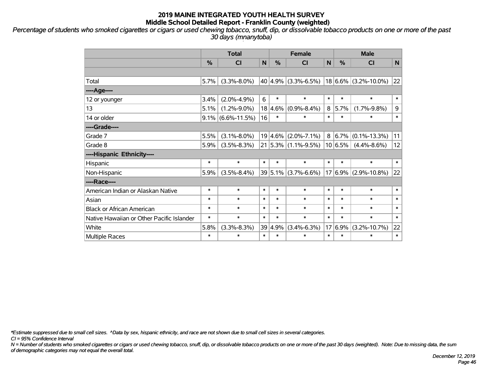*Percentage of students who smoked cigarettes or cigars or used chewing tobacco, snuff, dip, or dissolvable tobacco products on one or more of the past 30 days (mnanytoba)*

|                                           | <b>Total</b> |                      |             |        | <b>Female</b>              |              | <b>Male</b> |                          |        |  |
|-------------------------------------------|--------------|----------------------|-------------|--------|----------------------------|--------------|-------------|--------------------------|--------|--|
|                                           | %            | <b>CI</b>            | $\mathbf N$ | %      | <b>CI</b>                  | $\mathsf{N}$ | %           | <b>CI</b>                | N      |  |
|                                           |              |                      |             |        |                            |              |             |                          |        |  |
| Total                                     | 5.7%         | $(3.3\% - 8.0\%)$    |             |        | $40 4.9\% $ (3.3%-6.5%)    |              |             | $18 6.6\% $ (3.2%-10.0%) | 22     |  |
| ----Age----                               |              |                      |             |        |                            |              |             |                          |        |  |
| 12 or younger                             | 3.4%         | $(2.0\% - 4.9\%)$    | 6           | $\ast$ | $\ast$                     | $\ast$       | $\ast$      | $\ast$                   | $\ast$ |  |
| 13                                        | 5.1%         | $(1.2\% - 9.0\%)$    | 18          | 4.6%   | $(0.9\% - 8.4\%)$          | 8            | 5.7%        | $(1.7\% - 9.8\%)$        | 9      |  |
| 14 or older                               |              | $9.1\%$ (6.6%-11.5%) | 16          | $\ast$ | $\ast$                     | $\ast$       | $\ast$      | $\ast$                   | $\ast$ |  |
| ----Grade----                             |              |                      |             |        |                            |              |             |                          |        |  |
| Grade 7                                   | 5.5%         | $(3.1\% - 8.0\%)$    |             |        | $19 4.6\% $ (2.0%-7.1%)    | 8            | $6.7\%$     | $(0.1\% - 13.3\%)$       | 11     |  |
| Grade 8                                   | 5.9%         | $(3.5\% - 8.3\%)$    |             |        | $21 5.3\% (1.1\% - 9.5\%)$ |              | 10 6.5%     | $(4.4\% - 8.6\%)$        | 12     |  |
| ----Hispanic Ethnicity----                |              |                      |             |        |                            |              |             |                          |        |  |
| Hispanic                                  | $\ast$       | $\ast$               | $\ast$      | $\ast$ | $\ast$                     | $\ast$       | $\ast$      | $\ast$                   | $\ast$ |  |
| Non-Hispanic                              | 5.9%         | $(3.5\% - 8.4\%)$    |             |        | $39 5.1\% $ (3.7%-6.6%)    |              | $17 6.9\% $ | $(2.9\% - 10.8\%)$       | 22     |  |
| ----Race----                              |              |                      |             |        |                            |              |             |                          |        |  |
| American Indian or Alaskan Native         | $\ast$       | $\ast$               | $\ast$      | $\ast$ | $\ast$                     | $\ast$       | $\ast$      | $\ast$                   | $\ast$ |  |
| Asian                                     | $\ast$       | $\ast$               | $\ast$      | $\ast$ | $\ast$                     | $\ast$       | $\ast$      | $\ast$                   | $\ast$ |  |
| <b>Black or African American</b>          | $\ast$       | $\ast$               | $\ast$      | $\ast$ | $\ast$                     | $\ast$       | $\ast$      | $\ast$                   | $\ast$ |  |
| Native Hawaiian or Other Pacific Islander | $\ast$       | $\ast$               | $\ast$      | $\ast$ | $\ast$                     | $\ast$       | $\ast$      | $\ast$                   | $\ast$ |  |
| White                                     | 5.8%         | $(3.3\% - 8.3\%)$    | 39          | 4.9%   | $(3.4\% - 6.3\%)$          | 17           | 6.9%        | $(3.2\% - 10.7\%)$       | 22     |  |
| Multiple Races                            | $\ast$       | $\ast$               | $\ast$      | $\ast$ | $\ast$                     | $\ast$       | $\ast$      | $\ast$                   | $\ast$ |  |

*\*Estimate suppressed due to small cell sizes. ^Data by sex, hispanic ethnicity, and race are not shown due to small cell sizes in several categories.*

*CI = 95% Confidence Interval*

*N = Number of students who smoked cigarettes or cigars or used chewing tobacco, snuff, dip, or dissolvable tobacco products on one or more of the past 30 days (weighted). Note: Due to missing data, the sum of demographic categories may not equal the overall total.*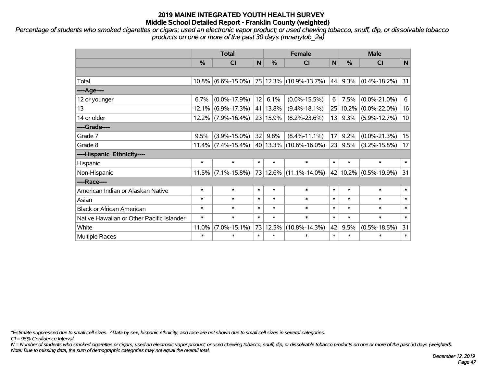*Percentage of students who smoked cigarettes or cigars; used an electronic vapor product; or used chewing tobacco, snuff, dip, or dissolvable tobacco products on one or more of the past 30 days (mnanytob\_2a)*

|                                           | <b>Total</b> |                    |        |               | <b>Female</b>          | <b>Male</b> |         |                    |        |
|-------------------------------------------|--------------|--------------------|--------|---------------|------------------------|-------------|---------|--------------------|--------|
|                                           | %            | <b>CI</b>          | N      | $\frac{0}{0}$ | <b>CI</b>              | N           | %       | <b>CI</b>          | N      |
|                                           |              |                    |        |               |                        |             |         |                    |        |
| Total                                     | $10.8\%$     | $(6.6\% - 15.0\%)$ |        |               | 75 12.3% (10.9%-13.7%) | 44          | 9.3%    | $(0.4\% - 18.2\%)$ | 31     |
| ----Age----                               |              |                    |        |               |                        |             |         |                    |        |
| 12 or younger                             | 6.7%         | $(0.0\% - 17.9\%)$ | 12     | 6.1%          | $(0.0\% - 15.5\%)$     | 6           | 7.5%    | $(0.0\% - 21.0\%)$ | 6      |
| 13                                        | 12.1%        | $(6.9\% - 17.3\%)$ |        | 41 13.8%      | $(9.4\% - 18.1\%)$     | 25          | 10.2%   | $(0.0\% - 22.0\%)$ | 16     |
| 14 or older                               | $12.2\%$     | $(7.9\% - 16.4\%)$ |        | 23 15.9%      | $(8.2\% - 23.6\%)$     | 13          | $9.3\%$ | $(5.9\% - 12.7\%)$ | 10     |
| ----Grade----                             |              |                    |        |               |                        |             |         |                    |        |
| Grade 7                                   | 9.5%         | $(3.9\% - 15.0\%)$ | 32     | 9.8%          | $(8.4\% - 11.1\%)$     | 17          | 9.2%    | $(0.0\% - 21.3\%)$ | 15     |
| Grade 8                                   | 11.4%        | $(7.4\% - 15.4\%)$ |        |               | 40 13.3% (10.6%-16.0%) | 23          | 9.5%    | $(3.2\% - 15.8\%)$ | 17     |
| ----Hispanic Ethnicity----                |              |                    |        |               |                        |             |         |                    |        |
| Hispanic                                  | $\ast$       | $\ast$             | $\ast$ | $\ast$        | $\ast$                 | $\ast$      | $\ast$  | $\ast$             | $\ast$ |
| Non-Hispanic                              | 11.5%        | $(7.1\% - 15.8\%)$ |        |               | 73 12.6% (11.1%-14.0%) | 42          | 10.2%   | $(0.5\% - 19.9\%)$ | 31     |
| ----Race----                              |              |                    |        |               |                        |             |         |                    |        |
| American Indian or Alaskan Native         | $\ast$       | $\ast$             | $\ast$ | $\ast$        | $\ast$                 | $\ast$      | $\ast$  | $\ast$             | $\ast$ |
| Asian                                     | $\ast$       | $\ast$             | $\ast$ | $\ast$        | $\ast$                 | $\ast$      | $\ast$  | $\ast$             | $\ast$ |
| <b>Black or African American</b>          | $\ast$       | $\ast$             | $\ast$ | $\ast$        | $\ast$                 | $\ast$      | $\ast$  | $\ast$             | $\ast$ |
| Native Hawaiian or Other Pacific Islander | $\ast$       | $\ast$             | $\ast$ | $\ast$        | $\ast$                 | $\ast$      | $\ast$  | $\ast$             | $\ast$ |
| White                                     | 11.0%        | $(7.0\% - 15.1\%)$ | 73     | 12.5%         | $(10.8\% - 14.3\%)$    | 42          | 9.5%    | $(0.5\% - 18.5\%)$ | 31     |
| Multiple Races                            | $\ast$       | $\ast$             | $\ast$ | $\ast$        | $\ast$                 | $\ast$      | $\ast$  | $\ast$             | $\ast$ |

*\*Estimate suppressed due to small cell sizes. ^Data by sex, hispanic ethnicity, and race are not shown due to small cell sizes in several categories.*

*CI = 95% Confidence Interval*

*N = Number of students who smoked cigarettes or cigars; used an electronic vapor product; or used chewing tobacco, snuff, dip, or dissolvable tobacco products on one or more of the past 30 days (weighted). Note: Due to missing data, the sum of demographic categories may not equal the overall total.*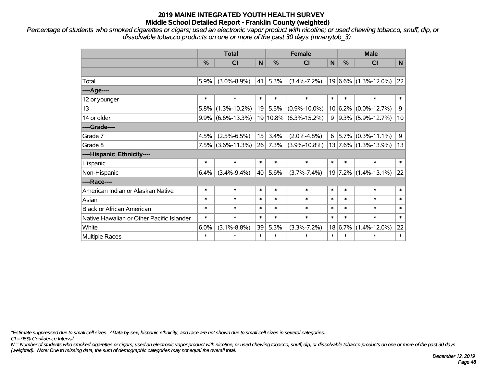*Percentage of students who smoked cigarettes or cigars; used an electronic vapor product with nicotine; or used chewing tobacco, snuff, dip, or dissolvable tobacco products on one or more of the past 30 days (mnanytob\_3)*

|                                           | <b>Total</b>  |                    |        |          | <b>Female</b>      | <b>Male</b> |               |                          |        |
|-------------------------------------------|---------------|--------------------|--------|----------|--------------------|-------------|---------------|--------------------------|--------|
|                                           | $\frac{9}{6}$ | CI                 | N      | $\%$     | <b>CI</b>          | N           | $\frac{0}{0}$ | <b>CI</b>                | N      |
|                                           |               |                    |        |          |                    |             |               |                          |        |
| Total                                     | 5.9%          | $(3.0\% - 8.9\%)$  | 41     | 5.3%     | $(3.4\% - 7.2\%)$  |             |               | $19 6.6\% $ (1.3%-12.0%) | 22     |
| ---- Age----                              |               |                    |        |          |                    |             |               |                          |        |
| 12 or younger                             | $\ast$        | $\ast$             | $\ast$ | $\ast$   | $\ast$             | $\ast$      | $\ast$        | $\ast$                   | $\ast$ |
| 13                                        | 5.8%          | $(1.3\% - 10.2\%)$ | 19     | 5.5%     | $(0.9\% - 10.0\%)$ |             | 10 6.2%       | $(0.0\% - 12.7\%)$       | 9      |
| 14 or older                               | $9.9\%$       | $(6.6\% - 13.3\%)$ |        | 19 10.8% | $(6.3\% - 15.2\%)$ | 9           |               | $ 9.3\% $ (5.9%-12.7%)   | 10     |
| ----Grade----                             |               |                    |        |          |                    |             |               |                          |        |
| Grade 7                                   | 4.5%          | $(2.5\% - 6.5\%)$  | 15     | 3.4%     | $(2.0\% - 4.8\%)$  | 6           |               | $ 5.7\% $ (0.3%-11.1%)   | 9      |
| Grade 8                                   | 7.5%          | $(3.6\% - 11.3\%)$ | 26     | 7.3%     | $(3.9\% - 10.8\%)$ |             |               | $13 7.6\% $ (1.3%-13.9%) | 13     |
| ----Hispanic Ethnicity----                |               |                    |        |          |                    |             |               |                          |        |
| Hispanic                                  | $\ast$        | $\ast$             | $\ast$ | $\ast$   | $\ast$             | $\ast$      | $\ast$        | $\ast$                   | $\ast$ |
| Non-Hispanic                              | 6.4%          | $(3.4\% - 9.4\%)$  | 40     | 5.6%     | $(3.7\% - 7.4\%)$  |             |               | $19 7.2\% $ (1.4%-13.1%) | 22     |
| ----Race----                              |               |                    |        |          |                    |             |               |                          |        |
| American Indian or Alaskan Native         | $\ast$        | $\ast$             | $\ast$ | $\ast$   | $\ast$             | $\ast$      | $\ast$        | $\ast$                   | $\ast$ |
| Asian                                     | $\ast$        | $\ast$             | $\ast$ | $\ast$   | $\ast$             | $\ast$      | $\ast$        | $\ast$                   | $\ast$ |
| <b>Black or African American</b>          | *             | $\ast$             | $\ast$ | $\ast$   | $\ast$             | $\ast$      | $\ast$        | $\ast$                   | $\ast$ |
| Native Hawaiian or Other Pacific Islander | $\ast$        | $\ast$             | $\ast$ | $\ast$   | $\ast$             | $\ast$      | $\ast$        | $\ast$                   | $\ast$ |
| White                                     | 6.0%          | $(3.1\% - 8.8\%)$  | 39     | 5.3%     | $(3.3\% - 7.2\%)$  |             | 18 6.7%       | $(1.4\% - 12.0\%)$       | 22     |
| Multiple Races                            | $\ast$        | $\ast$             | $\ast$ | $\ast$   | $\ast$             | $\ast$      | $\ast$        | $\ast$                   | $\ast$ |

*\*Estimate suppressed due to small cell sizes. ^Data by sex, hispanic ethnicity, and race are not shown due to small cell sizes in several categories.*

*CI = 95% Confidence Interval*

*N = Number of students who smoked cigarettes or cigars; used an electronic vapor product with nicotine; or used chewing tobacco, snuff, dip, or dissolvable tobacco products on one or more of the past 30 days (weighted). Note: Due to missing data, the sum of demographic categories may not equal the overall total.*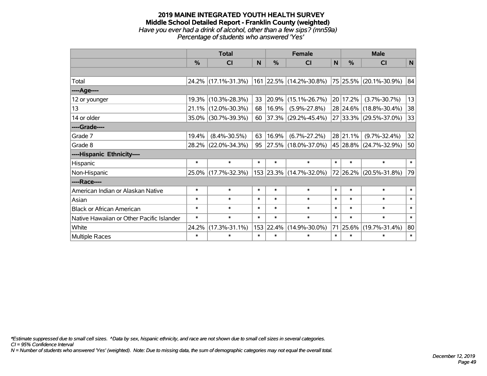#### **2019 MAINE INTEGRATED YOUTH HEALTH SURVEY Middle School Detailed Report - Franklin County (weighted)** *Have you ever had a drink of alcohol, other than a few sips? (mn59a) Percentage of students who answered 'Yes'*

|                                           | <b>Total</b>  |                     |        |           | <b>Female</b>                                    | <b>Male</b> |               |                        |        |
|-------------------------------------------|---------------|---------------------|--------|-----------|--------------------------------------------------|-------------|---------------|------------------------|--------|
|                                           | $\frac{0}{0}$ | <b>CI</b>           | N      | %         | <b>CI</b>                                        | N           | $\frac{0}{0}$ | <b>CI</b>              | N      |
|                                           |               |                     |        |           |                                                  |             |               |                        |        |
| Total                                     |               | 24.2% (17.1%-31.3%) |        |           | $161$ 22.5% (14.2%-30.8%) 75 25.5% (20.1%-30.9%) |             |               |                        | 84     |
| ----Age----                               |               |                     |        |           |                                                  |             |               |                        |        |
| 12 or younger                             | 19.3%         | $(10.3\% - 28.3\%)$ | 33     | 20.9%     | $(15.1\% - 26.7\%)$                              |             | 20 17.2%      | $(3.7\% - 30.7\%)$     | 13     |
| 13                                        | 21.1%         | $(12.0\% - 30.3\%)$ | 68     | 16.9%     | $(5.9\% - 27.8\%)$                               |             |               | 28 24.6% (18.8%-30.4%) | 38     |
| 14 or older                               |               | 35.0% (30.7%-39.3%) | 60     |           | $ 37.3\% $ (29.2%-45.4%)                         |             |               | 27 33.3% (29.5%-37.0%) | 33     |
| ----Grade----                             |               |                     |        |           |                                                  |             |               |                        |        |
| Grade 7                                   | 19.4%         | $(8.4\% - 30.5\%)$  | 63     | 16.9%     | $(6.7\% - 27.2\%)$                               |             | 28 21.1%      | $(9.7\% - 32.4\%)$     | 32     |
| Grade 8                                   |               | 28.2% (22.0%-34.3%) | 95     |           | 27.5% (18.0%-37.0%)                              |             |               | 45 28.8% (24.7%-32.9%) | 50     |
| ----Hispanic Ethnicity----                |               |                     |        |           |                                                  |             |               |                        |        |
| Hispanic                                  | $\ast$        | $\ast$              | $\ast$ | $\ast$    | $\ast$                                           | $\ast$      | $\ast$        | $\ast$                 | $\ast$ |
| Non-Hispanic                              |               | 25.0% (17.7%-32.3%) |        |           | 153 23.3% (14.7%-32.0%)                          |             |               | 72 26.2% (20.5%-31.8%) | 79     |
| ----Race----                              |               |                     |        |           |                                                  |             |               |                        |        |
| American Indian or Alaskan Native         | $\ast$        | $\ast$              | $\ast$ | $\ast$    | $\ast$                                           | $\ast$      | $\ast$        | $\ast$                 | $\ast$ |
| Asian                                     | $\ast$        | $\ast$              | $\ast$ | $\ast$    | $\ast$                                           | $\ast$      | $\ast$        | $\ast$                 | $\ast$ |
| <b>Black or African American</b>          | $\ast$        | $\ast$              | $\ast$ | $\ast$    | $\ast$                                           | $\ast$      | $\ast$        | $\ast$                 | $\ast$ |
| Native Hawaiian or Other Pacific Islander | $\ast$        | $\ast$              | $\ast$ | $\ast$    | $\ast$                                           | $\ast$      | $\ast$        | $\ast$                 | $\ast$ |
| White                                     | 24.2%         | $(17.3\% - 31.1\%)$ |        | 153 22.4% | $(14.9\% - 30.0\%)$                              |             | 71 25.6%      | $(19.7\% - 31.4\%)$    | 80     |
| Multiple Races                            | $\ast$        | $\ast$              | $\ast$ | $\ast$    | $\ast$                                           | $\ast$      | $\ast$        | $\ast$                 | $\ast$ |

*\*Estimate suppressed due to small cell sizes. ^Data by sex, hispanic ethnicity, and race are not shown due to small cell sizes in several categories.*

*CI = 95% Confidence Interval*

*N = Number of students who answered 'Yes' (weighted). Note: Due to missing data, the sum of demographic categories may not equal the overall total.*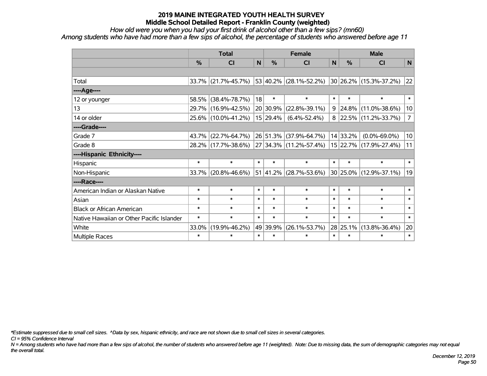*How old were you when you had your first drink of alcohol other than a few sips? (mn60)*

*Among students who have had more than a few sips of alcohol, the percentage of students who answered before age 11*

|                                           | <b>Total</b> |                     |        |               | <b>Female</b>                           | <b>Male</b>  |               |                        |                |
|-------------------------------------------|--------------|---------------------|--------|---------------|-----------------------------------------|--------------|---------------|------------------------|----------------|
|                                           | $\%$         | <b>CI</b>           | N      | $\frac{0}{0}$ | <b>CI</b>                               | $\mathsf{N}$ | $\frac{0}{0}$ | <b>CI</b>              | N              |
|                                           |              |                     |        |               |                                         |              |               |                        |                |
| Total                                     | 33.7%        | $(21.7\% - 45.7\%)$ |        |               | 53 40.2% (28.1%-52.2%)                  |              |               | 30 26.2% (15.3%-37.2%) | 22             |
| ---- Age----                              |              |                     |        |               |                                         |              |               |                        |                |
| 12 or younger                             | 58.5%        | $(38.4\% - 78.7\%)$ | 18     | $\ast$        | $\ast$                                  | $\ast$       | $\ast$        | $\ast$                 | $\ast$         |
| 13                                        | $29.7\%$     | $(16.9\% - 42.5\%)$ |        | 20 30.9%      | $(22.8\% - 39.1\%)$                     | 9            | 24.8%         | $(11.0\% - 38.6\%)$    | 10             |
| 14 or older                               |              | 25.6% (10.0%-41.2%) |        | 15 29.4%      | $(6.4\% - 52.4\%)$                      | 8            |               | 22.5% (11.2%-33.7%)    | $\overline{7}$ |
| ----Grade----                             |              |                     |        |               |                                         |              |               |                        |                |
| Grade 7                                   | 43.7%        | $(22.7\% - 64.7\%)$ |        | 26 51.3%      | (37.9%-64.7%)                           |              | 14 33.2%      | $(0.0\% - 69.0\%)$     | 10             |
| Grade 8                                   |              | 28.2% (17.7%-38.6%) |        |               | $ 27 34.3\% $ (11.2%-57.4%)             |              |               | 15 22.7% (17.9%-27.4%) | 11             |
| ----Hispanic Ethnicity----                |              |                     |        |               |                                         |              |               |                        |                |
| Hispanic                                  | $\ast$       | $\ast$              | $\ast$ | $\ast$        | $\ast$                                  | $\ast$       | $\ast$        | $\ast$                 | $\ast$         |
| Non-Hispanic                              | 33.7%        | $(20.8\% - 46.6\%)$ |        |               | $51 \,   41.2\% \,   (28.7\% - 53.6\%)$ |              |               | 30 25.0% (12.9%-37.1%) | 19             |
| ----Race----                              |              |                     |        |               |                                         |              |               |                        |                |
| American Indian or Alaskan Native         | $\ast$       | $\ast$              | $\ast$ | $\ast$        | $\ast$                                  | $\ast$       | $\ast$        | $\ast$                 | $\ast$         |
| Asian                                     | $\ast$       | $\ast$              | $\ast$ | $\ast$        | $\ast$                                  | $\ast$       | $\ast$        | $\ast$                 | $\ast$         |
| <b>Black or African American</b>          | *            | $\ast$              | $\ast$ | $\ast$        | $\ast$                                  | $\ast$       | $\ast$        | $\ast$                 | $\ast$         |
| Native Hawaiian or Other Pacific Islander | $\ast$       | $\ast$              | $\ast$ | $\ast$        | $\ast$                                  | $\ast$       | $\ast$        | $\ast$                 | $\ast$         |
| White                                     | 33.0%        | $(19.9\% - 46.2\%)$ |        | 49 39.9%      | $(26.1\% - 53.7\%)$                     |              | $28$ 25.1%    | $(13.8\% - 36.4\%)$    | 20             |
| Multiple Races                            | $\ast$       | $\ast$              | $\ast$ | $\ast$        | $\ast$                                  | $\ast$       | $\ast$        | $\ast$                 | $\ast$         |

*\*Estimate suppressed due to small cell sizes. ^Data by sex, hispanic ethnicity, and race are not shown due to small cell sizes in several categories.*

*CI = 95% Confidence Interval*

*N = Among students who have had more than a few sips of alcohol, the number of students who answered before age 11 (weighted). Note: Due to missing data, the sum of demographic categories may not equal the overall total.*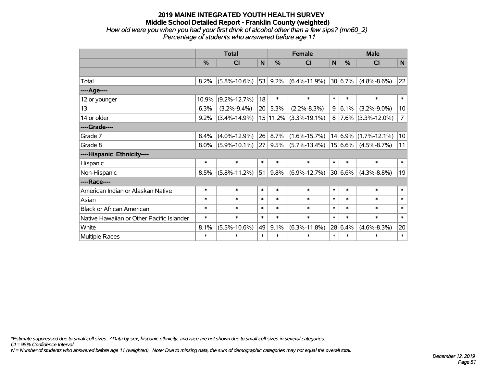#### **2019 MAINE INTEGRATED YOUTH HEALTH SURVEY Middle School Detailed Report - Franklin County (weighted)** *How old were you when you had your first drink of alcohol other than a few sips? (mn60\_2) Percentage of students who answered before age 11*

|                                           |        | <b>Total</b>       | <b>Female</b> |               |                    | <b>Male</b> |         |                             |                |
|-------------------------------------------|--------|--------------------|---------------|---------------|--------------------|-------------|---------|-----------------------------|----------------|
|                                           | %      | C <sub>1</sub>     | N             | $\frac{0}{0}$ | <b>CI</b>          | N           | %       | <b>CI</b>                   | N              |
|                                           |        |                    |               |               |                    |             |         |                             |                |
| Total                                     | 8.2%   | $(5.8\% - 10.6\%)$ | 53            | 9.2%          | $(6.4\% - 11.9\%)$ |             | 30 6.7% | $(4.8\% - 8.6\%)$           | 22             |
| ----Age----                               |        |                    |               |               |                    |             |         |                             |                |
| 12 or younger                             | 10.9%  | $(9.2\% - 12.7\%)$ | 18            | $\ast$        | $\ast$             | $\ast$      | $\ast$  | $\ast$                      | $\ast$         |
| 13                                        | 6.3%   | $(3.2\% - 9.4\%)$  | 20            | 5.3%          | $(2.2\% - 8.3\%)$  | 9           | 6.1%    | $(3.2\% - 9.0\%)$           | 10             |
| 14 or older                               | 9.2%   | $(3.4\% - 14.9\%)$ |               | 15 11.2%      | $(3.3\% - 19.1\%)$ | 8           |         | $7.6\%$ (3.3%-12.0%)        | $\overline{7}$ |
| ----Grade----                             |        |                    |               |               |                    |             |         |                             |                |
| Grade 7                                   | 8.4%   | $(4.0\% - 12.9\%)$ | 26            | 8.7%          | $(1.6\% - 15.7\%)$ |             |         | $14 6.9\% (1.7\% - 12.1\%)$ | 10             |
| Grade 8                                   | 8.0%   | $(5.9\% - 10.1\%)$ | 27            | 9.5%          | $(5.7\% - 13.4\%)$ |             | 15 6.6% | $(4.5\% - 8.7\%)$           | 11             |
| ----Hispanic Ethnicity----                |        |                    |               |               |                    |             |         |                             |                |
| Hispanic                                  | $\ast$ | $\ast$             | $\ast$        | $\ast$        | $\ast$             | $\ast$      | $\ast$  | $\ast$                      | $\ast$         |
| Non-Hispanic                              | 8.5%   | $(5.8\% - 11.2\%)$ | 51            | 9.8%          | $(6.9\% - 12.7\%)$ |             | 30 6.6% | $(4.3\% - 8.8\%)$           | 19             |
| ----Race----                              |        |                    |               |               |                    |             |         |                             |                |
| American Indian or Alaskan Native         | $\ast$ | $\ast$             | $\ast$        | $\ast$        | $\ast$             | $\ast$      | $\ast$  | $\ast$                      | $\ast$         |
| Asian                                     | $\ast$ | $\ast$             | $\ast$        | $\ast$        | $\ast$             | $\ast$      | $\ast$  | $\ast$                      | $\ast$         |
| <b>Black or African American</b>          | $\ast$ | $\ast$             | $\ast$        | $\ast$        | $\ast$             | $\ast$      | $\ast$  | $\ast$                      | $\ast$         |
| Native Hawaiian or Other Pacific Islander | $\ast$ | $\ast$             | $\ast$        | $\ast$        | $\ast$             | $\ast$      | $\ast$  | $\ast$                      | $\ast$         |
| White                                     | 8.1%   | $(5.5\% - 10.6\%)$ | 49            | 9.1%          | $(6.3\% - 11.8\%)$ |             | 28 6.4% | $(4.6\% - 8.3\%)$           | 20             |
| Multiple Races                            | $\ast$ | $\ast$             | $\ast$        | $\ast$        | $\ast$             | $\ast$      | $\ast$  | $\ast$                      | $\ast$         |

*\*Estimate suppressed due to small cell sizes. ^Data by sex, hispanic ethnicity, and race are not shown due to small cell sizes in several categories.*

*CI = 95% Confidence Interval*

*N = Number of students who answered before age 11 (weighted). Note: Due to missing data, the sum of demographic categories may not equal the overall total.*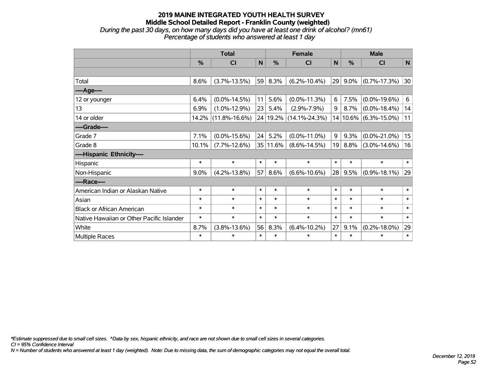## **2019 MAINE INTEGRATED YOUTH HEALTH SURVEY Middle School Detailed Report - Franklin County (weighted)** *During the past 30 days, on how many days did you have at least one drink of alcohol? (mn61)*

| aning arc past 50 days, on now many days are you have at reast one annily or alcohol: (mno) |
|---------------------------------------------------------------------------------------------|
| Percentage of students who answered at least 1 day                                          |
|                                                                                             |

|                                           | <b>Total</b> |                     |        | <b>Female</b> |                     |        | <b>Male</b>  |                    |              |  |
|-------------------------------------------|--------------|---------------------|--------|---------------|---------------------|--------|--------------|--------------------|--------------|--|
|                                           | %            | <b>CI</b>           | N      | $\frac{0}{0}$ | CI                  | N      | %            | <b>CI</b>          | $\mathsf{N}$ |  |
|                                           |              |                     |        |               |                     |        |              |                    |              |  |
| Total                                     | 8.6%         | $(3.7\% - 13.5\%)$  | 59     | 8.3%          | $(6.2\% - 10.4\%)$  | 29     | $9.0\%$      | $(0.7\% - 17.3\%)$ | 30           |  |
| ---- Age----                              |              |                     |        |               |                     |        |              |                    |              |  |
| 12 or younger                             | 6.4%         | $(0.0\% - 14.5\%)$  | 11     | 5.6%          | $(0.0\% - 11.3\%)$  | 6      | 7.5%         | $(0.0\% - 19.6\%)$ | 6            |  |
| 13                                        | 6.9%         | $(1.0\% - 12.9\%)$  | 23     | 5.4%          | $(2.9\% - 7.9\%)$   | 9      | 8.7%         | $(0.0\% - 18.4\%)$ | 14           |  |
| 14 or older                               | 14.2%        | $(11.8\% - 16.6\%)$ |        | 24 19.2%      | $(14.1\% - 24.3\%)$ |        | $14 10.6\% $ | $(6.3\% - 15.0\%)$ | 11           |  |
| ----Grade----                             |              |                     |        |               |                     |        |              |                    |              |  |
| Grade 7                                   | 7.1%         | $(0.0\% - 15.6\%)$  | 24     | 5.2%          | $(0.0\% - 11.0\%)$  | 9      | 9.3%         | $(0.0\% - 21.0\%)$ | 15           |  |
| Grade 8                                   | 10.1%        | $(7.7\% - 12.6\%)$  |        | 35 11.6%      | $(8.6\% - 14.5\%)$  | 19     | 8.8%         | $(3.0\% - 14.6\%)$ | 16           |  |
| ----Hispanic Ethnicity----                |              |                     |        |               |                     |        |              |                    |              |  |
| Hispanic                                  | $\ast$       | $\ast$              | $\ast$ | $\ast$        | $\ast$              | $\ast$ | $\ast$       | $\ast$             | $\ast$       |  |
| Non-Hispanic                              | 9.0%         | $(4.2\% - 13.8\%)$  | 57     | 8.6%          | $(6.6\% - 10.6\%)$  | 28     | 9.5%         | $(0.9\% - 18.1\%)$ | 29           |  |
| ----Race----                              |              |                     |        |               |                     |        |              |                    |              |  |
| American Indian or Alaskan Native         | $\ast$       | $\ast$              | $\ast$ | $\ast$        | $\ast$              | $\ast$ | $\ast$       | $\ast$             | $\ast$       |  |
| Asian                                     | $\ast$       | $\ast$              | $\ast$ | $\ast$        | $\ast$              | $\ast$ | $\ast$       | $\ast$             | $\ast$       |  |
| <b>Black or African American</b>          | $\ast$       | $\ast$              | $\ast$ | $\ast$        | $\ast$              | $\ast$ | $\ast$       | $\ast$             | $\ast$       |  |
| Native Hawaiian or Other Pacific Islander | $\ast$       | $\ast$              | $\ast$ | $\ast$        | $\ast$              | $\ast$ | $\ast$       | $\ast$             | $\ast$       |  |
| White                                     | 8.7%         | $(3.8\% - 13.6\%)$  | 56     | 8.3%          | $(6.4\% - 10.2\%)$  | 27     | 9.1%         | $(0.2\% - 18.0\%)$ | 29           |  |
| Multiple Races                            | $\ast$       | $\ast$              | $\ast$ | $\ast$        | $\ast$              | $\ast$ | $\ast$       | $\ast$             | $\pmb{\ast}$ |  |

*\*Estimate suppressed due to small cell sizes. ^Data by sex, hispanic ethnicity, and race are not shown due to small cell sizes in several categories.*

*CI = 95% Confidence Interval*

*N = Number of students who answered at least 1 day (weighted). Note: Due to missing data, the sum of demographic categories may not equal the overall total.*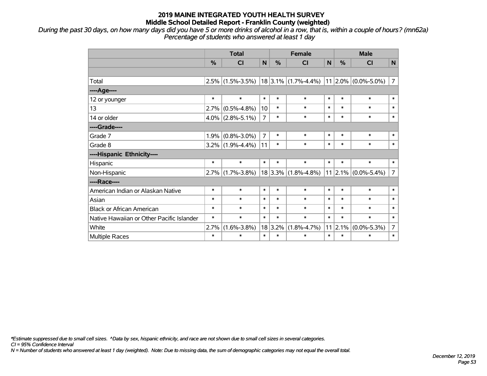*During the past 30 days, on how many days did you have 5 or more drinks of alcohol in a row, that is, within a couple of hours? (mn62a) Percentage of students who answered at least 1 day*

|                                           |               | <b>Total</b>        |                | <b>Female</b> | <b>Male</b>             |        |                 |                               |                |
|-------------------------------------------|---------------|---------------------|----------------|---------------|-------------------------|--------|-----------------|-------------------------------|----------------|
|                                           | $\frac{0}{0}$ | CI                  | N              | $\%$          | <b>CI</b>               | N      | $\%$            | <b>CI</b>                     | N              |
|                                           |               |                     |                |               |                         |        |                 |                               |                |
| Total                                     |               | $2.5\%$ (1.5%-3.5%) |                |               | $18 3.1\% $ (1.7%-4.4%) |        |                 | $11 2.0\% $ (0.0%-5.0%)       | $\overline{7}$ |
| ----Age----                               |               |                     |                |               |                         |        |                 |                               |                |
| 12 or younger                             | $\ast$        | $\ast$              | $\ast$         | $\ast$        | $\ast$                  | $\ast$ | $\ast$          | $\ast$                        | $\ast$         |
| 13                                        | 2.7%          | $(0.5\% - 4.8\%)$   | 10             | $\ast$        | $\ast$                  | $\ast$ | $\ast$          | $\ast$                        | $\ast$         |
| 14 or older                               | $4.0\%$       | $(2.8\% - 5.1\%)$   | $\overline{7}$ | $\ast$        | $\ast$                  | $\ast$ | $\ast$          | $\ast$                        | $\ast$         |
| ----Grade----                             |               |                     |                |               |                         |        |                 |                               |                |
| Grade 7                                   | 1.9%          | $(0.8\% - 3.0\%)$   | $\overline{7}$ | $\ast$        | $\ast$                  | $\ast$ | $\ast$          | $\ast$                        | $\ast$         |
| Grade 8                                   |               | $3.2\%$ (1.9%-4.4%) | 11             | $\ast$        | $\ast$                  | $\ast$ | *               | $\ast$                        | $\ast$         |
| ----Hispanic Ethnicity----                |               |                     |                |               |                         |        |                 |                               |                |
| Hispanic                                  | $\ast$        | $\ast$              | $\ast$         | $\ast$        | $\ast$                  | $\ast$ | $\ast$          | $\ast$                        | $\ast$         |
| Non-Hispanic                              | 2.7%          | $(1.7\% - 3.8\%)$   |                | 18 3.3%       | $(1.8\% - 4.8\%)$       |        |                 | $11$   2.1% $(0.0\% - 5.4\%)$ | $\overline{7}$ |
| ----Race----                              |               |                     |                |               |                         |        |                 |                               |                |
| American Indian or Alaskan Native         | $\ast$        | $\ast$              | $\ast$         | $\ast$        | $\ast$                  | $\ast$ | $\ast$          | $\ast$                        | $\ast$         |
| Asian                                     | $\ast$        | $\ast$              | $\ast$         | $\ast$        | $\ast$                  | $\ast$ | $\ast$          | $\ast$                        | $\ast$         |
| <b>Black or African American</b>          | $\ast$        | $\ast$              | $\ast$         | $\ast$        | $\ast$                  | $\ast$ | $\ast$          | $\ast$                        | $\ast$         |
| Native Hawaiian or Other Pacific Islander | $\ast$        | $\ast$              | $\ast$         | $\ast$        | $\ast$                  | $\ast$ | $\ast$          | $\ast$                        | $\ast$         |
| White                                     | 2.7%          | $(1.6\% - 3.8\%)$   | 18             | 3.2%          | $(1.8\% - 4.7\%)$       |        | $11 \,   2.1\%$ | $(0.0\% - 5.3\%)$             | 7              |
| Multiple Races                            | $\ast$        | $\ast$              | $\ast$         | $\ast$        | $\ast$                  | $\ast$ | $\ast$          | $\ast$                        | $\ast$         |

*\*Estimate suppressed due to small cell sizes. ^Data by sex, hispanic ethnicity, and race are not shown due to small cell sizes in several categories.*

*CI = 95% Confidence Interval*

*N = Number of students who answered at least 1 day (weighted). Note: Due to missing data, the sum of demographic categories may not equal the overall total.*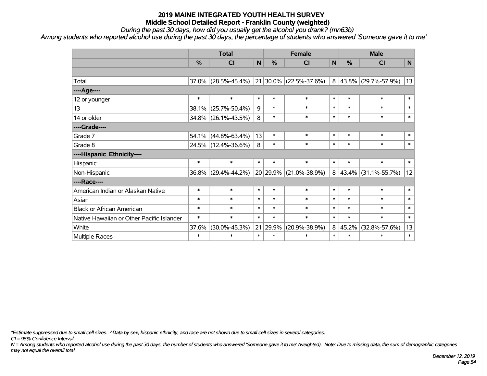*During the past 30 days, how did you usually get the alcohol you drank? (mn63b)*

*Among students who reported alcohol use during the past 30 days, the percentage of students who answered 'Someone gave it to me'*

|                                           | <b>Total</b> |                     |              |          | <b>Female</b>          | <b>Male</b>  |            |                     |           |
|-------------------------------------------|--------------|---------------------|--------------|----------|------------------------|--------------|------------|---------------------|-----------|
|                                           | %            | CI                  | $\mathsf{N}$ | %        | <b>CI</b>              | $\mathsf{N}$ | %          | <b>CI</b>           | ${\sf N}$ |
|                                           |              |                     |              |          |                        |              |            |                     |           |
| Total                                     |              | 37.0% (28.5%-45.4%) |              |          | 21 30.0% (22.5%-37.6%) | 8            |            | 43.8% (29.7%-57.9%) | 13        |
| ----Age----                               |              |                     |              |          |                        |              |            |                     |           |
| 12 or younger                             | $\ast$       | $\ast$              | $\ast$       | $\ast$   | $\ast$                 | $\ast$       | $\ast$     | $\ast$              | $\ast$    |
| 13                                        | 38.1%        | $(25.7\% - 50.4\%)$ | 9            | $\ast$   | $\ast$                 | $\ast$       | $\ast$     | $\ast$              | $\ast$    |
| 14 or older                               |              | 34.8% (26.1%-43.5%) | 8            | $\ast$   | $\ast$                 | $\ast$       | $\ast$     | $\ast$              | $\ast$    |
| ----Grade----                             |              |                     |              |          |                        |              |            |                     |           |
| Grade 7                                   | 54.1%        | $(44.8\% - 63.4\%)$ | 13           | $\ast$   | $\ast$                 | $\ast$       | $\ast$     | $\ast$              | $\ast$    |
| Grade 8                                   |              | 24.5% (12.4%-36.6%) | 8            | $\ast$   | $\ast$                 | $\ast$       | $\ast$     | $\ast$              | $\ast$    |
| ----Hispanic Ethnicity----                |              |                     |              |          |                        |              |            |                     |           |
| Hispanic                                  | $\ast$       | $\ast$              | $\ast$       | $\ast$   | $\ast$                 | $\ast$       | $\ast$     | $\ast$              | $\ast$    |
| Non-Hispanic                              |              | 36.8% (29.4%-44.2%) |              | 20 29.9% | $(21.0\% - 38.9\%)$    | 8            | $ 43.4\% $ | $(31.1\% - 55.7\%)$ | 12        |
| ----Race----                              |              |                     |              |          |                        |              |            |                     |           |
| American Indian or Alaskan Native         | $\ast$       | $\ast$              | $\ast$       | $\ast$   | $\ast$                 | $\ast$       | $\ast$     | $\ast$              | $\ast$    |
| Asian                                     | $\ast$       | $\ast$              | $\ast$       | $\ast$   | $\ast$                 | $\ast$       | $\ast$     | $\ast$              | $\ast$    |
| <b>Black or African American</b>          | $\ast$       | $\ast$              | $\ast$       | $\ast$   | $\ast$                 | $\ast$       | $\ast$     | $\ast$              | $\ast$    |
| Native Hawaiian or Other Pacific Islander | $\ast$       | $\ast$              | $\ast$       | $\ast$   | $\ast$                 | $\ast$       | $\ast$     | $\ast$              | $\ast$    |
| White                                     | 37.6%        | $(30.0\% - 45.3\%)$ |              | 21 29.9% | $(20.9\% - 38.9\%)$    | 8            | 45.2%      | $(32.8\% - 57.6\%)$ | 13        |
| Multiple Races                            | $\ast$       | $\ast$              | $\ast$       | $\ast$   | $\ast$                 | $\ast$       | $\ast$     | $\ast$              | $\ast$    |

*\*Estimate suppressed due to small cell sizes. ^Data by sex, hispanic ethnicity, and race are not shown due to small cell sizes in several categories.*

*CI = 95% Confidence Interval*

*N = Among students who reported alcohol use during the past 30 days, the number of students who answered 'Someone gave it to me' (weighted). Note: Due to missing data, the sum of demographic categories may not equal the overall total.*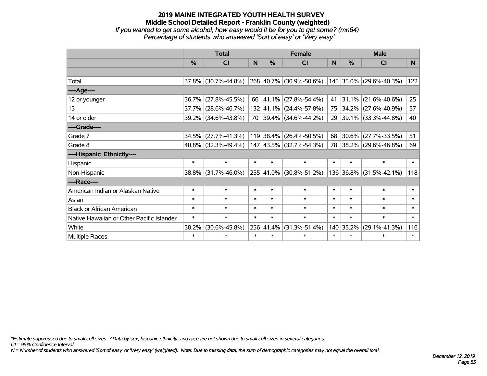#### **2019 MAINE INTEGRATED YOUTH HEALTH SURVEY Middle School Detailed Report - Franklin County (weighted)** *If you wanted to get some alcohol, how easy would it be for you to get some? (mn64) Percentage of students who answered 'Sort of easy' or 'Very easy'*

|                                           |               | <b>Total</b>           |        | <b>Female</b> | <b>Male</b>               |        |           |                          |          |
|-------------------------------------------|---------------|------------------------|--------|---------------|---------------------------|--------|-----------|--------------------------|----------|
|                                           | $\frac{0}{0}$ | CI                     | N      | $\frac{0}{0}$ | CI                        | N      | %         | <b>CI</b>                | <b>N</b> |
|                                           |               |                        |        |               |                           |        |           |                          |          |
| Total                                     |               | 37.8% (30.7%-44.8%)    |        |               | 268 40.7% (30.9%-50.6%)   |        |           | 145 35.0% (29.6%-40.3%)  | 122      |
| ----Age----                               |               |                        |        |               |                           |        |           |                          |          |
| 12 or younger                             | 36.7%         | $(27.8\% - 45.5\%)$    |        |               | 66 41.1% (27.8%-54.4%)    | 41     | 31.1%     | $(21.6\% - 40.6\%)$      | 25       |
| 13                                        | 37.7%         | $(28.6\% - 46.7\%)$    |        |               | 132 41.1% (24.4%-57.8%)   | 75     |           | 34.2% (27.6%-40.9%)      | 57       |
| 14 or older                               |               | 39.2% (34.6%-43.8%)    |        |               | 70 39.4% (34.6%-44.2%)    | 29     |           | 39.1% (33.3%-44.8%)      | 40       |
| ----Grade----                             |               |                        |        |               |                           |        |           |                          |          |
| Grade 7                                   | 34.5%         | $(27.7\% - 41.3\%)$    |        |               | $119$ 38.4% (26.4%-50.5%) | 68     | 30.6%     | $(27.7\% - 33.5\%)$      | 51       |
| Grade 8                                   |               | $40.8\%$ (32.3%-49.4%) |        |               | 147 43.5% (32.7%-54.3%)   | 78     |           | $ 38.2\% $ (29.6%-46.8%) | 69       |
| ----Hispanic Ethnicity----                |               |                        |        |               |                           |        |           |                          |          |
| Hispanic                                  | $\ast$        | $\ast$                 | $\ast$ | $\ast$        | $\ast$                    | $\ast$ | $\ast$    | $\ast$                   | $\ast$   |
| Non-Hispanic                              | 38.8%         | $(31.7\% - 46.0\%)$    |        | 255 41.0%     | $(30.8\% - 51.2\%)$       |        |           | 136 36.8% (31.5%-42.1%)  | 118      |
| ----Race----                              |               |                        |        |               |                           |        |           |                          |          |
| American Indian or Alaskan Native         | $\ast$        | $\ast$                 | $\ast$ | $\ast$        | $\ast$                    | $\ast$ | $\ast$    | $\ast$                   | $\ast$   |
| Asian                                     | $\ast$        | $\ast$                 | $\ast$ | $\ast$        | $\ast$                    | $\ast$ | $\ast$    | $\ast$                   | $\ast$   |
| <b>Black or African American</b>          | $\ast$        | $\ast$                 | $\ast$ | $\ast$        | $\ast$                    | $\ast$ | $\ast$    | $\ast$                   | $\ast$   |
| Native Hawaiian or Other Pacific Islander | $\ast$        | $\ast$                 | $\ast$ | $\ast$        | $\ast$                    | $\ast$ | $\ast$    | $\ast$                   | $\ast$   |
| White                                     | 38.2%         | $(30.6\% - 45.8\%)$    |        | 256 41.4%     | $(31.3\% - 51.4\%)$       |        | 140 35.2% | $(29.1\% - 41.3\%)$      | 116      |
| Multiple Races                            | $\ast$        | $\ast$                 | $\ast$ | $\ast$        | $\ast$                    | $\ast$ | $\ast$    | $\ast$                   | $\ast$   |

*\*Estimate suppressed due to small cell sizes. ^Data by sex, hispanic ethnicity, and race are not shown due to small cell sizes in several categories.*

*CI = 95% Confidence Interval*

*N = Number of students who answered 'Sort of easy' or 'Very easy' (weighted). Note: Due to missing data, the sum of demographic categories may not equal the overall total.*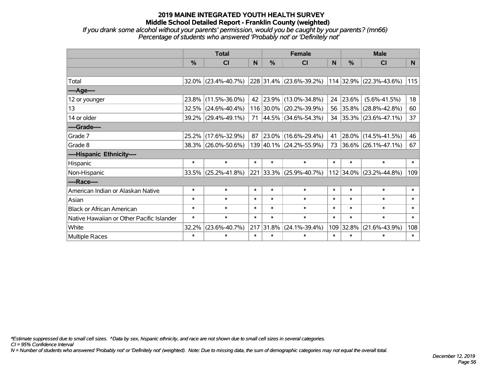*If you drank some alcohol without your parents' permission, would you be caught by your parents? (mn66) Percentage of students who answered 'Probably not' or 'Definitely not'*

|                                           | <b>Total</b>  |                        |        |               | <b>Female</b>                    |          | <b>Male</b> |                         |                 |  |
|-------------------------------------------|---------------|------------------------|--------|---------------|----------------------------------|----------|-------------|-------------------------|-----------------|--|
|                                           | $\frac{0}{0}$ | CI                     | N.     | $\frac{0}{0}$ | CI                               | <b>N</b> | %           | <b>CI</b>               | N <sub>1</sub>  |  |
|                                           |               |                        |        |               |                                  |          |             |                         |                 |  |
| Total                                     |               | $32.0\%$ (23.4%-40.7%) |        |               | 228 31.4% (23.6%-39.2%)          |          |             | 114 32.9% (22.3%-43.6%) | 115             |  |
| ----Age----                               |               |                        |        |               |                                  |          |             |                         |                 |  |
| 12 or younger                             | 23.8%         | $(11.5\% - 36.0\%)$    | 42     |               | $ 23.9\% $ (13.0%-34.8%)         | 24       | 23.6%       | $(5.6\% - 41.5\%)$      | 18 <sup>1</sup> |  |
| 13                                        |               | $32.5\%$ (24.6%-40.4%) |        |               | 116 30.0% (20.2%-39.9%)          |          | 56 35.8%    | $(28.8\% - 42.8\%)$     | 60              |  |
| 14 or older                               |               | 39.2% (29.4%-49.1%)    |        |               | 71   44.5%   $(34.6\% - 54.3\%)$ |          |             | 34 35.3% (23.6%-47.1%)  | 37              |  |
| ----Grade----                             |               |                        |        |               |                                  |          |             |                         |                 |  |
| Grade 7                                   | 25.2%         | $(17.6\% - 32.9\%)$    | 87     |               | 23.0% (16.6%-29.4%)              | 41       | 28.0%       | $(14.5\% - 41.5\%)$     | 46              |  |
| Grade 8                                   |               | 38.3% (26.0%-50.6%)    |        |               | 139 40.1% (24.2%-55.9%)          |          |             | 73 36.6% (26.1%-47.1%)  | 67              |  |
| ----Hispanic Ethnicity----                |               |                        |        |               |                                  |          |             |                         |                 |  |
| Hispanic                                  | $\ast$        | $\ast$                 | $\ast$ | $\ast$        | $\ast$                           | $\ast$   | $\ast$      | $\ast$                  | $\ast$          |  |
| Non-Hispanic                              | 33.5%         | $(25.2\% - 41.8\%)$    |        |               | 221 33.3% (25.9%-40.7%)          |          | 112 34.0%   | $(23.2\% - 44.8\%)$     | 109             |  |
| ----Race----                              |               |                        |        |               |                                  |          |             |                         |                 |  |
| American Indian or Alaskan Native         | $\ast$        | $\ast$                 | $\ast$ | $\ast$        | $\ast$                           | $\ast$   | $\ast$      | $\ast$                  | $\ast$          |  |
| Asian                                     | $\ast$        | $\ast$                 | $\ast$ | $\ast$        | $\ast$                           | $\ast$   | $\ast$      | $\ast$                  | $\ast$          |  |
| <b>Black or African American</b>          | $\ast$        | $\ast$                 | $\ast$ | $\ast$        | $\ast$                           | $\ast$   | $\ast$      | $\ast$                  | $\ast$          |  |
| Native Hawaiian or Other Pacific Islander | $\ast$        | $\ast$                 | $\ast$ | $\ast$        | $\ast$                           | $\ast$   | $\ast$      | $\ast$                  | $\ast$          |  |
| White                                     | 32.2%         | $(23.6\% - 40.7\%)$    | 217    | 31.8%         | $(24.1\% - 39.4\%)$              | 109      | 32.8%       | $(21.6\% - 43.9\%)$     | 108             |  |
| Multiple Races                            | $\ast$        | $\ast$                 | $\ast$ | $\ast$        | $\ast$                           | $\ast$   | $\ast$      | $\ast$                  | $\ast$          |  |

*\*Estimate suppressed due to small cell sizes. ^Data by sex, hispanic ethnicity, and race are not shown due to small cell sizes in several categories.*

*CI = 95% Confidence Interval*

*N = Number of students who answered 'Probably not' or 'Definitely not' (weighted). Note: Due to missing data, the sum of demographic categories may not equal the overall total.*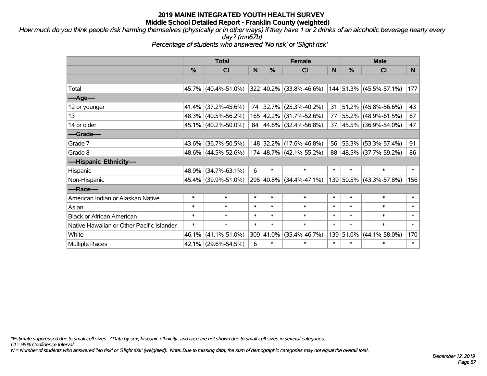*How much do you think people risk harming themselves (physically or in other ways) if they have 1 or 2 drinks of an alcoholic beverage nearly every day? (mn67b)*

*Percentage of students who answered 'No risk' or 'Slight risk'*

|                                           | <b>Total</b> |                     |        |               | <b>Female</b>           |        | <b>Male</b> |                         |        |  |
|-------------------------------------------|--------------|---------------------|--------|---------------|-------------------------|--------|-------------|-------------------------|--------|--|
|                                           | $\%$         | <b>CI</b>           | N      | $\frac{0}{0}$ | <b>CI</b>               | N      | %           | <b>CI</b>               | N      |  |
|                                           |              |                     |        |               |                         |        |             |                         |        |  |
| Total                                     |              | 45.7% (40.4%-51.0%) |        |               | 322 40.2% (33.8%-46.6%) |        |             | 144 51.3% (45.5%-57.1%) | 177    |  |
| ----Age----                               |              |                     |        |               |                         |        |             |                         |        |  |
| 12 or younger                             |              | 41.4% (37.2%-45.6%) | 74     | 32.7%         | $(25.3\% - 40.2\%)$     | 31     | 51.2%       | $(45.8\% - 56.6\%)$     | 43     |  |
| 13                                        |              | 48.3% (40.5%-56.2%) |        | 165 42.2%     | $(31.7\% - 52.6\%)$     |        |             | 77 55.2% (48.9%-61.5%)  | 87     |  |
| 14 or older                               |              | 45.1% (40.2%-50.0%) |        |               | 84 44.6% (32.4%-56.8%)  |        |             | 37 45.5% (36.9%-54.0%)  | 47     |  |
| ----Grade----                             |              |                     |        |               |                         |        |             |                         |        |  |
| Grade 7                                   |              | 43.6% (36.7%-50.5%) |        | 148 32.2%     | $(17.6\% - 46.8\%)$     | 56     | 55.3%       | $(53.3\% - 57.4\%)$     | 91     |  |
| Grade 8                                   |              | 48.6% (44.5%-52.6%) |        |               | 174 48.7% (42.1%-55.2%) |        |             | 88 48.5% (37.7%-59.2%)  | 86     |  |
| ----Hispanic Ethnicity----                |              |                     |        |               |                         |        |             |                         |        |  |
| Hispanic                                  |              | 48.9% (34.7%-63.1%) | 6      | $\ast$        | $\ast$                  | $\ast$ | $\ast$      | $\ast$                  | $\ast$ |  |
| Non-Hispanic                              |              | 45.4% (39.9%-51.0%) |        |               | 295 40.8% (34.4%-47.1%) |        |             | 139 50.5% (43.3%-57.8%) | 156    |  |
| ----Race----                              |              |                     |        |               |                         |        |             |                         |        |  |
| American Indian or Alaskan Native         | $\ast$       | $\ast$              | $\ast$ | $\ast$        | $\ast$                  | $\ast$ | $\ast$      | $\ast$                  | $\ast$ |  |
| Asian                                     | $\ast$       | $\ast$              | $\ast$ | $\ast$        | $\ast$                  | $\ast$ | $\ast$      | $\ast$                  | $\ast$ |  |
| <b>Black or African American</b>          | $\ast$       | $\ast$              | $\ast$ | $\ast$        | $\ast$                  | $\ast$ | $\ast$      | $\ast$                  | $\ast$ |  |
| Native Hawaiian or Other Pacific Islander | $\ast$       | $\ast$              | $\ast$ | $\ast$        | $\ast$                  | $\ast$ | $\ast$      | $\ast$                  | $\ast$ |  |
| White                                     | 46.1%        | $(41.1\% - 51.0\%)$ |        | 309 41.0%     | $(35.4\% - 46.7\%)$     | 139    | 51.0%       | $(44.1\% - 58.0\%)$     | 170    |  |
| Multiple Races                            |              | 42.1% (29.6%-54.5%) | 6      | $\ast$        | $\ast$                  | $\ast$ | $\ast$      | $\ast$                  | $\ast$ |  |

*\*Estimate suppressed due to small cell sizes. ^Data by sex, hispanic ethnicity, and race are not shown due to small cell sizes in several categories.*

*CI = 95% Confidence Interval*

*N = Number of students who answered 'No risk' or 'Slight risk' (weighted). Note: Due to missing data, the sum of demographic categories may not equal the overall total.*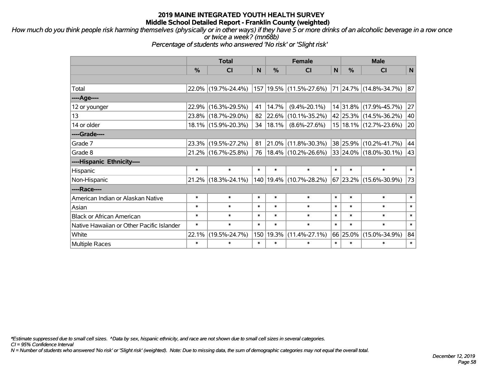*How much do you think people risk harming themselves (physically or in other ways) if they have 5 or more drinks of an alcoholic beverage in a row once or twice a week? (mn68b)*

*Percentage of students who answered 'No risk' or 'Slight risk'*

|                                           | <b>Total</b> |                     |        |            | <b>Female</b>               | <b>Male</b> |               |                            |        |
|-------------------------------------------|--------------|---------------------|--------|------------|-----------------------------|-------------|---------------|----------------------------|--------|
|                                           | %            | <b>CI</b>           | N      | %          | <b>CI</b>                   | N           | $\frac{0}{0}$ | <b>CI</b>                  | N      |
|                                           |              |                     |        |            |                             |             |               |                            |        |
| Total                                     |              | 22.0% (19.7%-24.4%) |        |            | 157 19.5% (11.5%-27.6%)     |             |               | 71 24.7% (14.8%-34.7%)     | 87     |
| ----Age----                               |              |                     |        |            |                             |             |               |                            |        |
| 12 or younger                             | 22.9%        | $(16.3\% - 29.5\%)$ | 41     | 14.7%      | $(9.4\% - 20.1\%)$          |             |               | 14 31.8% (17.9%-45.7%)     | 27     |
| 13                                        |              | 23.8% (18.7%-29.0%) | 82     | $ 22.6\% $ | $(10.1\% - 35.2\%)$         |             |               | 42 25.3% (14.5%-36.2%)     | 40     |
| 14 or older                               |              | 18.1% (15.9%-20.3%) | 34     | $ 18.1\% $ | $(8.6\% - 27.6\%)$          |             |               | 15   18.1%   (12.7%-23.6%) | 20     |
| ----Grade----                             |              |                     |        |            |                             |             |               |                            |        |
| Grade 7                                   |              | 23.3% (19.5%-27.2%) | 81     | $21.0\%$   | $(11.8\% - 30.3\%)$         |             |               | 38 25.9% (10.2%-41.7%)     | 44     |
| Grade 8                                   |              | 21.2% (16.7%-25.8%) | 76     |            | $18.4\%$ (10.2%-26.6%)      |             |               | 33 24.0% (18.0%-30.1%)     | 43     |
| ----Hispanic Ethnicity----                |              |                     |        |            |                             |             |               |                            |        |
| Hispanic                                  | $\ast$       | $\ast$              | $\ast$ | $\ast$     | $\ast$                      | $\ast$      | $\ast$        | $\ast$                     | $\ast$ |
| Non-Hispanic                              |              | 21.2% (18.3%-24.1%) |        |            | 140   19.4%   (10.7%-28.2%) |             |               | 67 23.2% (15.6%-30.9%)     | 73     |
| ----Race----                              |              |                     |        |            |                             |             |               |                            |        |
| American Indian or Alaskan Native         | $\ast$       | $\ast$              | $\ast$ | $\ast$     | $\ast$                      | $\ast$      | $\ast$        | $\ast$                     | $\ast$ |
| Asian                                     | $\ast$       | $\ast$              | $\ast$ | $\ast$     | $\ast$                      | $\ast$      | $\ast$        | $\ast$                     | $\ast$ |
| <b>Black or African American</b>          | $\ast$       | $\ast$              | $\ast$ | $\ast$     | $\ast$                      | $\ast$      | $\ast$        | $\ast$                     | $\ast$ |
| Native Hawaiian or Other Pacific Islander | $\ast$       | $\ast$              | $\ast$ | $\ast$     | $\ast$                      | $\ast$      | $\ast$        | $\ast$                     | $\ast$ |
| White                                     | 22.1%        | $(19.5\% - 24.7\%)$ | 150    | 19.3%      | $(11.4\% - 27.1\%)$         |             | 66 25.0%      | $(15.0\% - 34.9\%)$        | 84     |
| <b>Multiple Races</b>                     | $\ast$       | $\ast$              | $\ast$ | $\ast$     | $\ast$                      | $\ast$      | $\ast$        | $\ast$                     | $\ast$ |

*\*Estimate suppressed due to small cell sizes. ^Data by sex, hispanic ethnicity, and race are not shown due to small cell sizes in several categories.*

*CI = 95% Confidence Interval*

*N = Number of students who answered 'No risk' or 'Slight risk' (weighted). Note: Due to missing data, the sum of demographic categories may not equal the overall total.*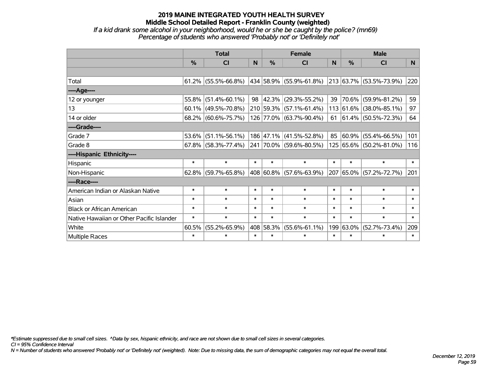*If a kid drank some alcohol in your neighborhood, would he or she be caught by the police? (mn69) Percentage of students who answered 'Probably not' or 'Definitely not'*

|                                           | <b>Total</b>  |                                                |        |               | <b>Female</b>                                        |        | <b>Male</b>   |                             |                |  |
|-------------------------------------------|---------------|------------------------------------------------|--------|---------------|------------------------------------------------------|--------|---------------|-----------------------------|----------------|--|
|                                           | $\frac{0}{0}$ | <b>CI</b>                                      | N      | $\frac{0}{0}$ | <b>CI</b>                                            | N      | $\frac{0}{0}$ | <b>CI</b>                   | N <sub>1</sub> |  |
|                                           |               |                                                |        |               |                                                      |        |               |                             |                |  |
| Total                                     |               | $61.2\%$ (55.5%-66.8%)                         |        |               | $ 434 58.9\% $ (55.9%-61.8%) 213 63.7% (53.5%-73.9%) |        |               |                             | 220            |  |
| ----Age----                               |               |                                                |        |               |                                                      |        |               |                             |                |  |
| 12 or younger                             | 55.8%         | $(51.4\% - 60.1\%)$                            |        | 98 42.3%      | $(29.3\% - 55.2\%)$                                  | 39     | 70.6%         | $(59.9\% - 81.2\%)$         | 59             |  |
| 13                                        |               | $60.1\%$ (49.5%-70.8%)                         |        |               | 210 59.3% (57.1%-61.4%)                              |        |               | 113 61.6% (38.0%-85.1%)     | 97             |  |
| 14 or older                               |               | 68.2% (60.6%-75.7%)                            |        |               | 126 77.0% (63.7%-90.4%)                              |        |               | 61 $ 61.4\% $ (50.5%-72.3%) | 64             |  |
| ----Grade----                             |               |                                                |        |               |                                                      |        |               |                             |                |  |
| Grade 7                                   | 53.6%         | $(51.1\% - 56.1\%)$                            |        |               | 186 47.1% (41.5%-52.8%)                              | 85     | 60.9%         | $(55.4\% - 66.5\%)$         | 101            |  |
| Grade 8                                   |               | $67.8\%$ (58.3%-77.4%) 241 70.0% (59.6%-80.5%) |        |               |                                                      |        |               | 125 65.6% (50.2%-81.0%)     | 116            |  |
| ----Hispanic Ethnicity----                |               |                                                |        |               |                                                      |        |               |                             |                |  |
| Hispanic                                  | $\ast$        | $\ast$                                         | $\ast$ | $\ast$        | $\ast$                                               | $\ast$ | $\ast$        | $\ast$                      | $\ast$         |  |
| Non-Hispanic                              | 62.8%         | $(59.7\% - 65.8\%)$                            |        |               | 408 60.8% (57.6%-63.9%)                              |        | 207 65.0%     | $(57.2\% - 72.7\%)$         | 201            |  |
| ----Race----                              |               |                                                |        |               |                                                      |        |               |                             |                |  |
| American Indian or Alaskan Native         | $\ast$        | $\ast$                                         | $\ast$ | $\ast$        | $\ast$                                               | $\ast$ | $\ast$        | $\ast$                      | $\ast$         |  |
| Asian                                     | $\ast$        | $\ast$                                         | $\ast$ | $\ast$        | $\ast$                                               | $\ast$ | $\ast$        | $\ast$                      | $\ast$         |  |
| <b>Black or African American</b>          | $\ast$        | $\ast$                                         | $\ast$ | $\ast$        | $\ast$                                               | $\ast$ | $\ast$        | $\ast$                      | $\ast$         |  |
| Native Hawaiian or Other Pacific Islander | $\ast$        | $\ast$                                         | $\ast$ | $\ast$        | $\ast$                                               | $\ast$ | $\ast$        | $\ast$                      | $\ast$         |  |
| White                                     | 60.5%         | $(55.2\% - 65.9\%)$                            |        | 408 58.3%     | $(55.6\% - 61.1\%)$                                  | 199    | 63.0%         | $(52.7\% - 73.4\%)$         | 209            |  |
| <b>Multiple Races</b>                     | $\ast$        | $\ast$                                         | $\ast$ | $\ast$        | $\ast$                                               | $\ast$ | $\ast$        | $\ast$                      | $\ast$         |  |

*\*Estimate suppressed due to small cell sizes. ^Data by sex, hispanic ethnicity, and race are not shown due to small cell sizes in several categories.*

*CI = 95% Confidence Interval*

*N = Number of students who answered 'Probably not' or 'Definitely not' (weighted). Note: Due to missing data, the sum of demographic categories may not equal the overall total.*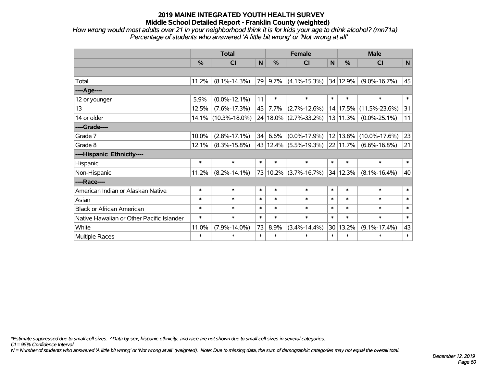*How wrong would most adults over 21 in your neighborhood think it is for kids your age to drink alcohol? (mn71a) Percentage of students who answered 'A little bit wrong' or 'Not wrong at all'*

|                                           | <b>Total</b> |                     |        |        | <b>Female</b>                  |        | <b>Male</b> |                     |        |  |
|-------------------------------------------|--------------|---------------------|--------|--------|--------------------------------|--------|-------------|---------------------|--------|--|
|                                           | $\%$         | <b>CI</b>           | N      | $\%$   | <b>CI</b>                      | N      | $\%$        | <b>CI</b>           | N      |  |
|                                           |              |                     |        |        |                                |        |             |                     |        |  |
| Total                                     | 11.2%        | $(8.1\% - 14.3\%)$  | 79     | 9.7%   | $(4.1\% - 15.3\%)$             |        | 34 12.9%    | $(9.0\% - 16.7\%)$  | 45     |  |
| ----Age----                               |              |                     |        |        |                                |        |             |                     |        |  |
| 12 or younger                             | 5.9%         | $(0.0\% - 12.1\%)$  | 11     | $\ast$ | $\ast$                         | $\ast$ | $\ast$      | $\ast$              | $\ast$ |  |
| 13                                        | 12.5%        | $(7.6\% - 17.3\%)$  | 45     | 7.7%   | $(2.7\% - 12.6\%)$             |        | 14 17.5%    | $(11.5\% - 23.6\%)$ | 31     |  |
| 14 or older                               | 14.1%        | $(10.3\% - 18.0\%)$ |        |        | 24   18.0%   (2.7%-33.2%)      |        | 13 11.3%    | $(0.0\% - 25.1\%)$  | 11     |  |
| ----Grade----                             |              |                     |        |        |                                |        |             |                     |        |  |
| Grade 7                                   | 10.0%        | $(2.8\% - 17.1\%)$  | 34     | 6.6%   | $(0.0\% - 17.9\%)$             |        | 12 13.8%    | $(10.0\% - 17.6\%)$ | 23     |  |
| Grade 8                                   | 12.1%        | $(8.3\% - 15.8\%)$  |        |        | 43 12.4% (5.5%-19.3%) 22 11.7% |        |             | $(6.6\% - 16.8\%)$  | 21     |  |
| ----Hispanic Ethnicity----                |              |                     |        |        |                                |        |             |                     |        |  |
| Hispanic                                  | $\ast$       | $\ast$              | $\ast$ | $\ast$ | $\ast$                         | $\ast$ | $\ast$      | $\ast$              | $\ast$ |  |
| Non-Hispanic                              | 11.2%        | $(8.2\% - 14.1\%)$  |        |        | 73 10.2% (3.7%-16.7%)          | 34     | 12.3%       | $(8.1\% - 16.4\%)$  | 40     |  |
| ----Race----                              |              |                     |        |        |                                |        |             |                     |        |  |
| American Indian or Alaskan Native         | $\ast$       | $\ast$              | $\ast$ | $\ast$ | $\ast$                         | $\ast$ | $\ast$      | $\ast$              | $\ast$ |  |
| Asian                                     | $\ast$       | $\ast$              | $\ast$ | $\ast$ | $\ast$                         | $\ast$ | $\ast$      | $\ast$              | $\ast$ |  |
| <b>Black or African American</b>          | $\ast$       | $\ast$              | $\ast$ | $\ast$ | $\ast$                         | $\ast$ | $\ast$      | $\ast$              | $\ast$ |  |
| Native Hawaiian or Other Pacific Islander | $\ast$       | $\ast$              | $\ast$ | $\ast$ | $\ast$                         | $\ast$ | $\ast$      | $\ast$              | $\ast$ |  |
| White                                     | 11.0%        | $(7.9\% - 14.0\%)$  | 73     | 8.9%   | $(3.4\% - 14.4\%)$             | 30     | 13.2%       | $(9.1\% - 17.4\%)$  | 43     |  |
| Multiple Races                            | $\ast$       | $\ast$              | $\ast$ | $\ast$ | $\ast$                         | $\ast$ | $\ast$      | $\ast$              | $\ast$ |  |

*\*Estimate suppressed due to small cell sizes. ^Data by sex, hispanic ethnicity, and race are not shown due to small cell sizes in several categories.*

*CI = 95% Confidence Interval*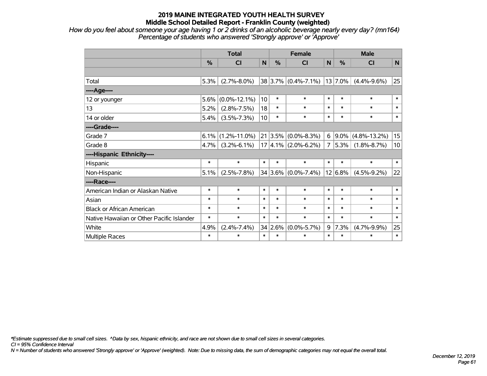*How do you feel about someone your age having 1 or 2 drinks of an alcoholic beverage nearly every day? (mn164) Percentage of students who answered 'Strongly approve' or 'Approve'*

|                                           | <b>Total</b> |                    |                 |               | <b>Female</b>           |        |           | <b>Male</b>          |        |  |  |
|-------------------------------------------|--------------|--------------------|-----------------|---------------|-------------------------|--------|-----------|----------------------|--------|--|--|
|                                           | %            | CI                 | $\mathbf N$     | $\frac{0}{0}$ | CI                      | N      | %         | <b>CI</b>            | N      |  |  |
|                                           |              |                    |                 |               |                         |        |           |                      |        |  |  |
| Total                                     | 5.3%         | $(2.7\% - 8.0\%)$  |                 |               | $38 3.7\% $ (0.4%-7.1%) |        | 13 7.0%   | $(4.4\% - 9.6\%)$    | 25     |  |  |
| ----Age----                               |              |                    |                 |               |                         |        |           |                      |        |  |  |
| 12 or younger                             | 5.6%         | $(0.0\% - 12.1\%)$ | 10 <sup>1</sup> | $\ast$        | $\ast$                  | $\ast$ | $\ast$    | $\ast$               | $\ast$ |  |  |
| 13                                        | 5.2%         | $(2.8\% - 7.5\%)$  | 18              | $\ast$        | $\ast$                  | $\ast$ | $\ast$    | $\ast$               | $\ast$ |  |  |
| 14 or older                               | 5.4%         | $(3.5\% - 7.3\%)$  | 10 <sup>1</sup> | $\ast$        | $\ast$                  | $\ast$ | $\ast$    | $\ast$               | $\ast$ |  |  |
| ----Grade----                             |              |                    |                 |               |                         |        |           |                      |        |  |  |
| Grade 7                                   | 6.1%         | $(1.2\% - 11.0\%)$ | 21              | $ 3.5\% $     | $(0.0\% - 8.3\%)$       | 6      |           | $9.0\%$ (4.8%-13.2%) | 15     |  |  |
| Grade 8                                   | 4.7%         | $(3.2\% - 6.1\%)$  |                 |               | $17 4.1\% $ (2.0%-6.2%) | 7      | $ 5.3\% $ | $(1.8\% - 8.7\%)$    | 10     |  |  |
| ----Hispanic Ethnicity----                |              |                    |                 |               |                         |        |           |                      |        |  |  |
| Hispanic                                  | $\ast$       | $\ast$             | $\ast$          | $\ast$        | $\ast$                  | $\ast$ | $\ast$    | $\ast$               | $\ast$ |  |  |
| Non-Hispanic                              | 5.1%         | $(2.5\% - 7.8\%)$  |                 |               | 34 3.6% (0.0%-7.4%)     |        | 12 6.8%   | $(4.5\% - 9.2\%)$    | 22     |  |  |
| ----Race----                              |              |                    |                 |               |                         |        |           |                      |        |  |  |
| American Indian or Alaskan Native         | $\ast$       | $\ast$             | $\ast$          | $\ast$        | $\ast$                  | $\ast$ | $\ast$    | $\ast$               | $\ast$ |  |  |
| Asian                                     | $\ast$       | $\ast$             | $\ast$          | $\ast$        | $\ast$                  | $\ast$ | $\ast$    | $\ast$               | $\ast$ |  |  |
| <b>Black or African American</b>          | $\ast$       | $\ast$             | $\ast$          | $\ast$        | $\ast$                  | $\ast$ | $\ast$    | $\ast$               | $\ast$ |  |  |
| Native Hawaiian or Other Pacific Islander | $\ast$       | $\ast$             | $\ast$          | $\ast$        | $\ast$                  | $\ast$ | $\ast$    | $\ast$               | $\ast$ |  |  |
| White                                     | 4.9%         | $(2.4\% - 7.4\%)$  | 34              | 2.6%          | $(0.0\% - 5.7\%)$       | 9      | 7.3%      | $(4.7\% - 9.9\%)$    | 25     |  |  |
| Multiple Races                            | $\ast$       | $\ast$             | $\ast$          | $\ast$        | $\ast$                  | $\ast$ | $\ast$    | $\ast$               | $\ast$ |  |  |

*\*Estimate suppressed due to small cell sizes. ^Data by sex, hispanic ethnicity, and race are not shown due to small cell sizes in several categories.*

*CI = 95% Confidence Interval*

*N = Number of students who answered 'Strongly approve' or 'Approve' (weighted). Note: Due to missing data, the sum of demographic categories may not equal the overall total.*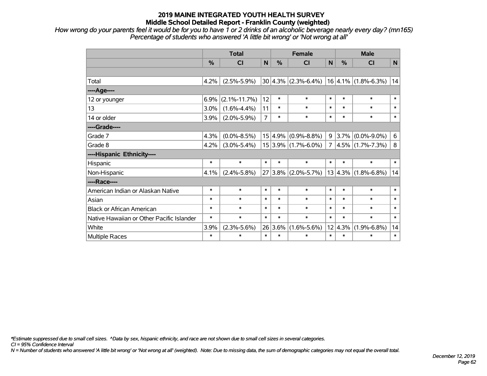*How wrong do your parents feel it would be for you to have 1 or 2 drinks of an alcoholic beverage nearly every day? (mn165) Percentage of students who answered 'A little bit wrong' or 'Not wrong at all'*

|                                           | <b>Total</b> |                    |                |         | <b>Female</b>           | <b>Male</b>    |         |                         |        |
|-------------------------------------------|--------------|--------------------|----------------|---------|-------------------------|----------------|---------|-------------------------|--------|
|                                           | %            | CI                 | N              | %       | <b>CI</b>               | N              | %       | <b>CI</b>               | N      |
|                                           |              |                    |                |         |                         |                |         |                         |        |
| Total                                     | 4.2%         | $(2.5\% - 5.9\%)$  |                |         | $30 4.3\% $ (2.3%-6.4%) |                |         | $16 4.1\% $ (1.8%-6.3%) | 14     |
| ----Age----                               |              |                    |                |         |                         |                |         |                         |        |
| 12 or younger                             | 6.9%         | $(2.1\% - 11.7\%)$ | 12             | $\ast$  | $\ast$                  | $\ast$         | $\ast$  | $\ast$                  | $\ast$ |
| 13                                        | 3.0%         | $(1.6\% - 4.4\%)$  | 11             | $\ast$  | $\ast$                  | $\ast$         | $\ast$  | $\ast$                  | $\ast$ |
| 14 or older                               | 3.9%         | $(2.0\% - 5.9\%)$  | $\overline{7}$ | $\ast$  | $\ast$                  | $\ast$         | $\ast$  | $\ast$                  | $\ast$ |
| ----Grade----                             |              |                    |                |         |                         |                |         |                         |        |
| Grade 7                                   | 4.3%         | $(0.0\% - 8.5\%)$  |                |         | $15 4.9\% $ (0.9%-8.8%) | 9              | 3.7%    | $(0.0\% - 9.0\%)$       | 6      |
| Grade 8                                   | 4.2%         | $(3.0\% - 5.4\%)$  |                |         | $15 3.9\% $ (1.7%-6.0%) | $\overline{7}$ |         | $4.5\%$ (1.7%-7.3%)     | 8      |
| ----Hispanic Ethnicity----                |              |                    |                |         |                         |                |         |                         |        |
| Hispanic                                  | $\ast$       | $\ast$             | $\ast$         | $\ast$  | $\ast$                  | $\ast$         | $\ast$  | $\ast$                  | $\ast$ |
| Non-Hispanic                              | 4.1%         | $(2.4\% - 5.8\%)$  |                |         | $27 3.8\% $ (2.0%-5.7%) |                | 13 4.3% | $(1.8\% - 6.8\%)$       | 14     |
| ----Race----                              |              |                    |                |         |                         |                |         |                         |        |
| American Indian or Alaskan Native         | $\ast$       | $\ast$             | $\ast$         | $\ast$  | $\ast$                  | $\ast$         | $\ast$  | $\ast$                  | $\ast$ |
| Asian                                     | $\ast$       | $\ast$             | $\ast$         | $\ast$  | $\ast$                  | $\ast$         | $\ast$  | $\ast$                  | $\ast$ |
| <b>Black or African American</b>          | $\ast$       | $\ast$             | $\ast$         | $\ast$  | $\ast$                  | $\ast$         | $\ast$  | $\ast$                  | $\ast$ |
| Native Hawaiian or Other Pacific Islander | $\ast$       | $\ast$             | $\ast$         | $\ast$  | $\ast$                  | $\ast$         | $\ast$  | $\ast$                  | $\ast$ |
| White                                     | 3.9%         | $(2.3\% - 5.6\%)$  | 26             | $3.6\%$ | $(1.6\% - 5.6\%)$       | 12             | 4.3%    | $(1.9\% - 6.8\%)$       | 14     |
| <b>Multiple Races</b>                     | $\ast$       | $\ast$             | $\ast$         | $\ast$  | $\ast$                  | $\ast$         | $\ast$  | $\ast$                  | $\ast$ |

*\*Estimate suppressed due to small cell sizes. ^Data by sex, hispanic ethnicity, and race are not shown due to small cell sizes in several categories.*

*CI = 95% Confidence Interval*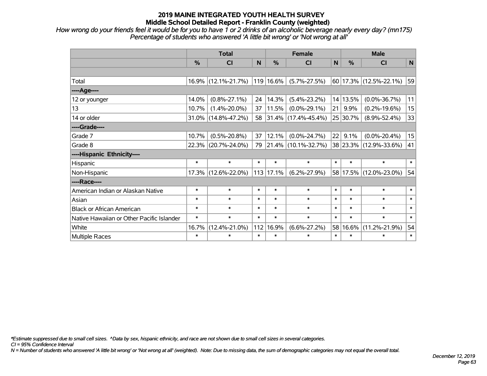*How wrong do your friends feel it would be for you to have 1 or 2 drinks of an alcoholic beverage nearly every day? (mn175) Percentage of students who answered 'A little bit wrong' or 'Not wrong at all'*

|                                           | <b>Total</b>  |                     |        | <b>Female</b> | <b>Male</b>              |              |          |                             |        |
|-------------------------------------------|---------------|---------------------|--------|---------------|--------------------------|--------------|----------|-----------------------------|--------|
|                                           | $\frac{0}{0}$ | CI                  | N      | $\frac{9}{6}$ | CI                       | $\mathsf{N}$ | %        | <b>CI</b>                   | N      |
|                                           |               |                     |        |               |                          |              |          |                             |        |
| Total                                     |               | 16.9% (12.1%-21.7%) |        | 119 16.6%     | $(5.7\% - 27.5\%)$       |              |          | $ 60 17.3\% $ (12.5%-22.1%) | 59     |
| ---- Age----                              |               |                     |        |               |                          |              |          |                             |        |
| 12 or younger                             | 14.0%         | $(0.8\% - 27.1\%)$  | 24     | 14.3%         | $(5.4\% - 23.2\%)$       |              | 14 13.5% | $(0.0\% - 36.7\%)$          | 11     |
| 13                                        | 10.7%         | $(1.4\% - 20.0\%)$  | 37     | 11.5%         | $(0.0\% - 29.1\%)$       | 21           | 9.9%     | $(0.2\% - 19.6\%)$          | 15     |
| 14 or older                               |               | 31.0% (14.8%-47.2%) | 58     |               | $ 31.4\% $ (17.4%-45.4%) |              | 25 30.7% | $(8.9\% - 52.4\%)$          | 33     |
| ----Grade----                             |               |                     |        |               |                          |              |          |                             |        |
| Grade 7                                   | 10.7%         | $(0.5\% - 20.8\%)$  | 37     | 12.1%         | $(0.0\% - 24.7\%)$       | 22           | 9.1%     | $(0.0\% - 20.4\%)$          | 15     |
| Grade 8                                   |               | 22.3% (20.7%-24.0%) | 79     |               | $ 21.4\% $ (10.1%-32.7%) |              |          | 38 23.3% (12.9%-33.6%)      | 41     |
| ----Hispanic Ethnicity----                |               |                     |        |               |                          |              |          |                             |        |
| Hispanic                                  | $\ast$        | $\ast$              | $\ast$ | $\ast$        | $\ast$                   | $\ast$       | $\ast$   | $\ast$                      | $\ast$ |
| Non-Hispanic                              |               | 17.3% (12.6%-22.0%) |        | 113 17.1%     | $(6.2\% - 27.9\%)$       | 58           |          | 17.5% (12.0%-23.0%)         | 54     |
| ----Race----                              |               |                     |        |               |                          |              |          |                             |        |
| American Indian or Alaskan Native         | $\ast$        | $\ast$              | $\ast$ | $\ast$        | $\ast$                   | $\ast$       | $\ast$   | $\ast$                      | $\ast$ |
| Asian                                     | $\ast$        | $\ast$              | $\ast$ | $\ast$        | $\ast$                   | $\ast$       | $\ast$   | $\ast$                      | $\ast$ |
| <b>Black or African American</b>          | $\ast$        | $\ast$              | $\ast$ | $\ast$        | $\ast$                   | $\ast$       | $\ast$   | $\ast$                      | $\ast$ |
| Native Hawaiian or Other Pacific Islander | $\ast$        | $\ast$              | $\ast$ | $\ast$        | $\ast$                   | $\ast$       | $\ast$   | $\ast$                      | $\ast$ |
| White                                     | 16.7%         | $(12.4\% - 21.0\%)$ | 112    | 16.9%         | $(6.6\% - 27.2\%)$       | 58           | 16.6%    | $(11.2\% - 21.9\%)$         | 54     |
| Multiple Races                            | $\ast$        | $\ast$              | $\ast$ | $\ast$        | $\ast$                   | $\ast$       | $\ast$   | $\ast$                      | $\ast$ |

*\*Estimate suppressed due to small cell sizes. ^Data by sex, hispanic ethnicity, and race are not shown due to small cell sizes in several categories.*

*CI = 95% Confidence Interval*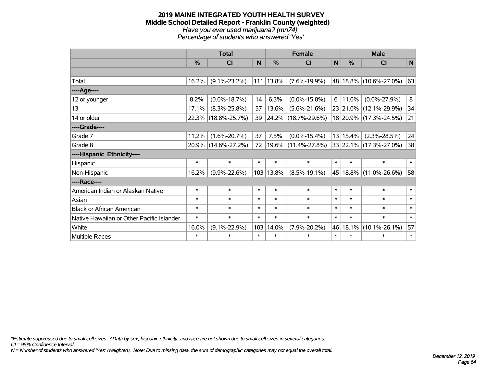#### **2019 MAINE INTEGRATED YOUTH HEALTH SURVEY Middle School Detailed Report - Franklin County (weighted)** *Have you ever used marijuana? (mn74) Percentage of students who answered 'Yes'*

|                                           | <b>Total</b>  |                     |        | <b>Female</b> | <b>Male</b>              |                |               |                        |              |
|-------------------------------------------|---------------|---------------------|--------|---------------|--------------------------|----------------|---------------|------------------------|--------------|
|                                           | $\frac{0}{0}$ | CI                  | N      | $\frac{0}{0}$ | <b>CI</b>                | $\mathsf{N}$   | $\frac{0}{0}$ | <b>CI</b>              | $\mathsf{N}$ |
|                                           |               |                     |        |               |                          |                |               |                        |              |
| Total                                     | 16.2%         | $(9.1\% - 23.2\%)$  | 111    | 13.8%         | $(7.6\% - 19.9\%)$       |                |               | 48 18.8% (10.6%-27.0%) | 63           |
| ----Age----                               |               |                     |        |               |                          |                |               |                        |              |
| 12 or younger                             | 8.2%          | $(0.0\% - 18.7\%)$  | 14     | 6.3%          | $(0.0\% - 15.0\%)$       | 6 <sup>1</sup> | 11.0%         | $(0.0\% - 27.9\%)$     | 8            |
| 13                                        | 17.1%         | $(8.3\% - 25.8\%)$  | 57     | 13.6%         | $(5.6\% - 21.6\%)$       |                |               | 23 21.0% (12.1%-29.9%) | 34           |
| 14 or older                               |               | 22.3% (18.8%-25.7%) | 39     |               | $ 24.2\% $ (18.7%-29.6%) |                |               | 18 20.9% (17.3%-24.5%) | 21           |
| ----Grade----                             |               |                     |        |               |                          |                |               |                        |              |
| Grade 7                                   | 11.2%         | $(1.6\% - 20.7\%)$  | 37     | 7.5%          | $(0.0\% - 15.4\%)$       |                | 13 15.4%      | $(2.3\% - 28.5\%)$     | 24           |
| Grade 8                                   |               | 20.9% (14.6%-27.2%) | 72     |               | $19.6\%$ (11.4%-27.8%)   |                |               | 33 22.1% (17.3%-27.0%) | 38           |
| ----Hispanic Ethnicity----                |               |                     |        |               |                          |                |               |                        |              |
| Hispanic                                  | $\ast$        | $\ast$              | $\ast$ | $\ast$        | $\ast$                   | $\ast$         | $\ast$        | $\ast$                 | $\ast$       |
| Non-Hispanic                              | 16.2%         | $(9.9\% - 22.6\%)$  |        | 103 13.8%     | $(8.5\% - 19.1\%)$       | 45             |               | 18.8% (11.0%-26.6%)    | 58           |
| ----Race----                              |               |                     |        |               |                          |                |               |                        |              |
| American Indian or Alaskan Native         | $\ast$        | $\ast$              | $\ast$ | $\ast$        | $\ast$                   | $\ast$         | $\ast$        | $\ast$                 | $\ast$       |
| Asian                                     | $\ast$        | $\ast$              | $\ast$ | $\ast$        | $\ast$                   | $\ast$         | $\ast$        | $\ast$                 | $\ast$       |
| <b>Black or African American</b>          | $\ast$        | $\ast$              | $\ast$ | $\ast$        | $\ast$                   | $\ast$         | $\ast$        | $\ast$                 | $\ast$       |
| Native Hawaiian or Other Pacific Islander | $\ast$        | $\ast$              | $\ast$ | $\ast$        | $\ast$                   | $\ast$         | $\ast$        | $\ast$                 | $\ast$       |
| White                                     | 16.0%         | $(9.1\% - 22.9\%)$  | 103    | 14.0%         | $(7.9\% - 20.2\%)$       | 46             | 18.1%         | $(10.1\% - 26.1\%)$    | 57           |
| Multiple Races                            | $\ast$        | $\ast$              | $\ast$ | $\ast$        | $\ast$                   | $\ast$         | $\ast$        | $\ast$                 | $\ast$       |

*\*Estimate suppressed due to small cell sizes. ^Data by sex, hispanic ethnicity, and race are not shown due to small cell sizes in several categories.*

*CI = 95% Confidence Interval*

*N = Number of students who answered 'Yes' (weighted). Note: Due to missing data, the sum of demographic categories may not equal the overall total.*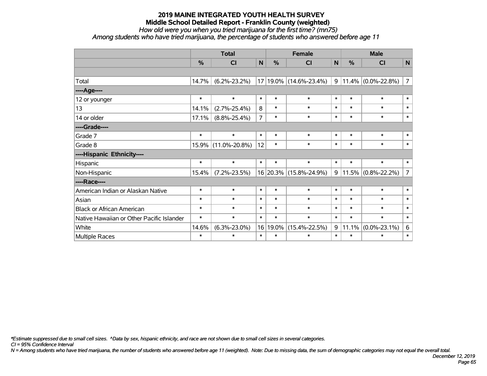*How old were you when you tried marijuana for the first time? (mn75)*

*Among students who have tried marijuana, the percentage of students who answered before age 11*

|                                           | <b>Total</b> |                     |                | <b>Female</b> |                        |              | <b>Male</b>   |                       |                |
|-------------------------------------------|--------------|---------------------|----------------|---------------|------------------------|--------------|---------------|-----------------------|----------------|
|                                           | %            | <b>CI</b>           | N              | %             | CI                     | $\mathsf{N}$ | $\frac{0}{0}$ | <b>CI</b>             | N              |
|                                           |              |                     |                |               |                        |              |               |                       |                |
| Total                                     | 14.7%        | $(6.2\% - 23.2\%)$  |                |               | 17 19.0% (14.6%-23.4%) | 9            |               | $11.4\%$ (0.0%-22.8%) | $\overline{7}$ |
| ----Age----                               |              |                     |                |               |                        |              |               |                       |                |
| 12 or younger                             | $\ast$       | $\ast$              | $\ast$         | $\ast$        | $\ast$                 | $\ast$       | $\ast$        | $\ast$                | $\ast$         |
| 13                                        | 14.1%        | $(2.7\% - 25.4\%)$  | 8              | $\ast$        | $\ast$                 | $\ast$       | $\ast$        | $\ast$                | $\ast$         |
| 14 or older                               | 17.1%        | $(8.8\% - 25.4\%)$  | $\overline{7}$ | $\ast$        | $\ast$                 | $\ast$       | $\ast$        | $\ast$                | $\ast$         |
| ----Grade----                             |              |                     |                |               |                        |              |               |                       |                |
| Grade 7                                   | $\ast$       | $\ast$              | $\ast$         | $\ast$        | $\ast$                 | $\ast$       | $\ast$        | $\ast$                | $\ast$         |
| Grade 8                                   | 15.9%        | $(11.0\% - 20.8\%)$ | 12             | $\ast$        | $\ast$                 | $\ast$       | $\ast$        | $\ast$                | $\ast$         |
| ----Hispanic Ethnicity----                |              |                     |                |               |                        |              |               |                       |                |
| Hispanic                                  | $\ast$       | $\ast$              | $\ast$         | $\ast$        | $\ast$                 | $\ast$       | $\ast$        | $\ast$                | $\ast$         |
| Non-Hispanic                              | 15.4%        | $(7.2\% - 23.5\%)$  |                |               | 16 20.3% (15.8%-24.9%) | 9            |               | $11.5\%$ (0.8%-22.2%) | $\overline{7}$ |
| ----Race----                              |              |                     |                |               |                        |              |               |                       |                |
| American Indian or Alaskan Native         | $\ast$       | $\ast$              | $\ast$         | $\ast$        | $\ast$                 | $\ast$       | $\ast$        | $\ast$                | $\ast$         |
| Asian                                     | $\ast$       | $\ast$              | $\ast$         | $\ast$        | $\ast$                 | $\ast$       | $\ast$        | $\ast$                | $\ast$         |
| <b>Black or African American</b>          | $\ast$       | $\ast$              | $\ast$         | $\ast$        | $\ast$                 | $\ast$       | $\ast$        | $\ast$                | $\ast$         |
| Native Hawaiian or Other Pacific Islander | $\ast$       | $\ast$              | $\ast$         | $\ast$        | $\ast$                 | $\ast$       | $\ast$        | $\ast$                | $\ast$         |
| White                                     | 14.6%        | $(6.3\% - 23.0\%)$  | 16             | 19.0%         | $(15.4\% - 22.5\%)$    | 9            | 11.1%         | $(0.0\% - 23.1\%)$    | 6              |
| Multiple Races                            | $\ast$       | $\ast$              | $\ast$         | $\ast$        | $\ast$                 | $\ast$       | $\ast$        | $\ast$                | $\ast$         |

*\*Estimate suppressed due to small cell sizes. ^Data by sex, hispanic ethnicity, and race are not shown due to small cell sizes in several categories.*

*CI = 95% Confidence Interval*

*N = Among students who have tried marijuana, the number of students who answered before age 11 (weighted). Note: Due to missing data, the sum of demographic categories may not equal the overall total.*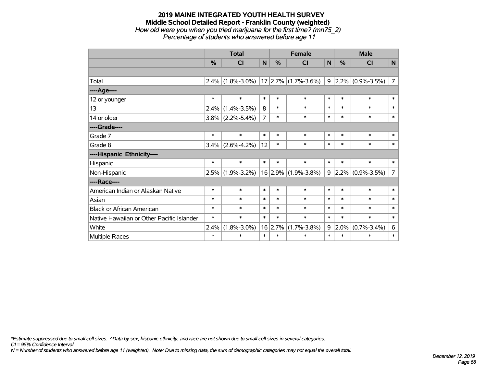#### **2019 MAINE INTEGRATED YOUTH HEALTH SURVEY Middle School Detailed Report - Franklin County (weighted)** *How old were you when you tried marijuana for the first time? (mn75\_2) Percentage of students who answered before age 11*

|                                           | <b>Total</b>  |                   |                |               | <b>Female</b>                           | <b>Male</b> |               |                     |                |
|-------------------------------------------|---------------|-------------------|----------------|---------------|-----------------------------------------|-------------|---------------|---------------------|----------------|
|                                           | $\frac{0}{0}$ | <b>CI</b>         | N              | $\frac{0}{0}$ | <b>CI</b>                               | N           | $\frac{0}{2}$ | <b>CI</b>           | N              |
|                                           |               |                   |                |               |                                         |             |               |                     |                |
| Total                                     |               |                   |                |               | $2.4\%$ (1.8%-3.0%) 17 2.7% (1.7%-3.6%) | 9           |               | $2.2\%$ (0.9%-3.5%) | $\overline{7}$ |
| ----Age----                               |               |                   |                |               |                                         |             |               |                     |                |
| 12 or younger                             | $\ast$        | $\ast$            | $\ast$         | $\ast$        | $\ast$                                  | $\ast$      | $\ast$        | $\ast$              | $\ast$         |
| 13                                        | 2.4%          | $(1.4\% - 3.5\%)$ | 8              | $\ast$        | $\ast$                                  | $\ast$      | $\ast$        | $\ast$              | $\ast$         |
| 14 or older                               | $3.8\%$       | $(2.2\% - 5.4\%)$ | $\overline{7}$ | $\ast$        | $\ast$                                  | $\ast$      | $\ast$        | $\ast$              | $\ast$         |
| ----Grade----                             |               |                   |                |               |                                         |             |               |                     |                |
| Grade 7                                   | $\ast$        | $\ast$            | $\ast$         | $\ast$        | $\ast$                                  | $\ast$      | $\ast$        | $\ast$              | $\ast$         |
| Grade 8                                   | 3.4%          | $(2.6\% - 4.2\%)$ | 12             | $\ast$        | $\ast$                                  | $\ast$      | $\ast$        | $\ast$              | $\ast$         |
| ----Hispanic Ethnicity----                |               |                   |                |               |                                         |             |               |                     |                |
| Hispanic                                  | $\ast$        | $\ast$            | $\ast$         | $\ast$        | $\ast$                                  | $\ast$      | $\ast$        | $\ast$              | $\ast$         |
| Non-Hispanic                              | 2.5%          | $(1.9\% - 3.2\%)$ |                | $16$ 2.9%     | $(1.9\% - 3.8\%)$                       | 9           | $2.2\%$       | $(0.9\% - 3.5\%)$   | $\overline{7}$ |
| ----Race----                              |               |                   |                |               |                                         |             |               |                     |                |
| American Indian or Alaskan Native         | $\ast$        | $\ast$            | $\ast$         | $\ast$        | $\ast$                                  | $\ast$      | $\ast$        | $\ast$              | $\ast$         |
| Asian                                     | $\ast$        | $\ast$            | $\ast$         | $\ast$        | $\ast$                                  | $\ast$      | $\ast$        | $\ast$              | $\ast$         |
| <b>Black or African American</b>          | $\ast$        | $\ast$            | $\ast$         | $\ast$        | $\ast$                                  | $\ast$      | $\ast$        | $\ast$              | $\ast$         |
| Native Hawaiian or Other Pacific Islander | $\ast$        | $\ast$            | $\ast$         | $\ast$        | $\ast$                                  | $\ast$      | $\ast$        | $\ast$              | $\pmb{\ast}$   |
| White                                     | 2.4%          | $(1.8\% - 3.0\%)$ |                | 16 2.7%       | $(1.7\% - 3.8\%)$                       | 9           | 2.0%          | $(0.7\% - 3.4\%)$   | 6              |
| Multiple Races                            | $\ast$        | $\ast$            | $\ast$         | $\ast$        | $\ast$                                  | $\ast$      | $\ast$        | $\ast$              | $\ast$         |

*\*Estimate suppressed due to small cell sizes. ^Data by sex, hispanic ethnicity, and race are not shown due to small cell sizes in several categories.*

*CI = 95% Confidence Interval*

*N = Number of students who answered before age 11 (weighted). Note: Due to missing data, the sum of demographic categories may not equal the overall total.*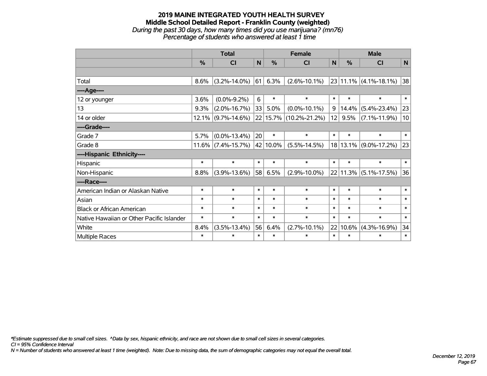#### **2019 MAINE INTEGRATED YOUTH HEALTH SURVEY Middle School Detailed Report - Franklin County (weighted)** *During the past 30 days, how many times did you use marijuana? (mn76) Percentage of students who answered at least 1 time*

|                                           | <b>Total</b>  |                    |        |               | <b>Female</b>          | <b>Male</b> |          |                           |        |
|-------------------------------------------|---------------|--------------------|--------|---------------|------------------------|-------------|----------|---------------------------|--------|
|                                           | $\frac{9}{6}$ | <b>CI</b>          | N      | $\frac{0}{0}$ | <b>CI</b>              | N           | %        | <b>CI</b>                 | N      |
|                                           |               |                    |        |               |                        |             |          |                           |        |
| Total                                     | 8.6%          | $(3.2\% - 14.0\%)$ | 61     | 6.3%          | $(2.6\% - 10.1\%)$     |             |          | $23 11.1\% $ (4.1%-18.1%) | 38     |
| ----Age----                               |               |                    |        |               |                        |             |          |                           |        |
| 12 or younger                             | 3.6%          | $(0.0\% - 9.2\%)$  | 6      | $\ast$        | $\ast$                 | $\ast$      | $\ast$   | $\ast$                    | $\ast$ |
| 13                                        | 9.3%          | $(2.0\% - 16.7\%)$ | 33     | 5.0%          | $(0.0\% - 10.1\%)$     | 9           | 14.4%    | $(5.4\% - 23.4\%)$        | 23     |
| 14 or older                               | 12.1%         | $(9.7\% - 14.6\%)$ |        |               | 22 15.7% (10.2%-21.2%) | 12          | 9.5%     | $(7.1\% - 11.9\%)$        | 10     |
| ----Grade----                             |               |                    |        |               |                        |             |          |                           |        |
| Grade 7                                   | 5.7%          | $(0.0\% - 13.4\%)$ | 20     | $\ast$        | $\ast$                 | $\ast$      | $\ast$   | $\ast$                    | $\ast$ |
| Grade 8                                   | 11.6%         | $(7.4\% - 15.7\%)$ |        | 42 10.0%      | $(5.5\% - 14.5\%)$     |             | 18 13.1% | $(9.0\% - 17.2\%)$        | 23     |
| ----Hispanic Ethnicity----                |               |                    |        |               |                        |             |          |                           |        |
| Hispanic                                  | $\ast$        | $\ast$             | $\ast$ | $\ast$        | $\ast$                 | $\ast$      | $\ast$   | $\ast$                    | $\ast$ |
| Non-Hispanic                              | 8.8%          | $(3.9\% - 13.6\%)$ | 58     | 6.5%          | $(2.9\% - 10.0\%)$     |             | 22 11.3% | $(5.1\% - 17.5\%)$        | 36     |
| ----Race----                              |               |                    |        |               |                        |             |          |                           |        |
| American Indian or Alaskan Native         | $\ast$        | $\ast$             | $\ast$ | $\ast$        | $\ast$                 | $\ast$      | $\ast$   | $\ast$                    | $\ast$ |
| Asian                                     | $\ast$        | $\ast$             | $\ast$ | $\ast$        | $\ast$                 | $\ast$      | $\ast$   | $\ast$                    | $\ast$ |
| <b>Black or African American</b>          | $\ast$        | $\ast$             | $\ast$ | $\ast$        | $\ast$                 | $\ast$      | $\ast$   | $\ast$                    | $\ast$ |
| Native Hawaiian or Other Pacific Islander | $\ast$        | $\ast$             | $\ast$ | $\ast$        | $\ast$                 | $\ast$      | $\ast$   | $\ast$                    | $\ast$ |
| White                                     | 8.4%          | $(3.5\% - 13.4\%)$ | 56     | 6.4%          | $(2.7\% - 10.1\%)$     | 22          | 10.6%    | $(4.3\% - 16.9\%)$        | 34     |
| <b>Multiple Races</b>                     | $\ast$        | $\ast$             | $\ast$ | $\ast$        | $\ast$                 | $\ast$      | $\ast$   | $\ast$                    | $\ast$ |

*\*Estimate suppressed due to small cell sizes. ^Data by sex, hispanic ethnicity, and race are not shown due to small cell sizes in several categories.*

*CI = 95% Confidence Interval*

*N = Number of students who answered at least 1 time (weighted). Note: Due to missing data, the sum of demographic categories may not equal the overall total.*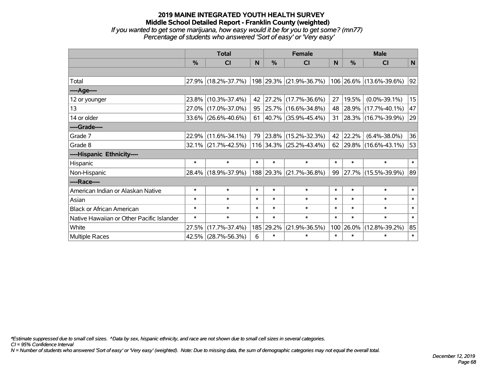*If you wanted to get some marijuana, how easy would it be for you to get some? (mn77) Percentage of students who answered 'Sort of easy' or 'Very easy'*

|                                           | <b>Total</b> |                        |        |           | <b>Female</b>            | <b>Male</b> |        |                          |              |
|-------------------------------------------|--------------|------------------------|--------|-----------|--------------------------|-------------|--------|--------------------------|--------------|
|                                           | %            | <b>CI</b>              | N      | %         | <b>CI</b>                | N           | $\%$   | <b>CI</b>                | $\mathsf{N}$ |
|                                           |              |                        |        |           |                          |             |        |                          |              |
| Total                                     |              | 27.9% (18.2%-37.7%)    |        |           | 198 29.3% (21.9%-36.7%)  |             |        | 106 26.6% (13.6%-39.6%)  | 92           |
| ----Age----                               |              |                        |        |           |                          |             |        |                          |              |
| 12 or younger                             | 23.8%        | $(10.3\% - 37.4\%)$    | 42     | 27.2%     | $(17.7\% - 36.6\%)$      | 27          | 19.5%  | $(0.0\% - 39.1\%)$       | 15           |
| 13                                        | 27.0%        | $(17.0\% - 37.0\%)$    | 95     |           | $ 25.7\% $ (16.6%-34.8%) | 48          |        | 28.9% (17.7%-40.1%)      | 47           |
| 14 or older                               | 33.6%        | $(26.6\% - 40.6\%)$    | 61     |           | $ 40.7\% $ (35.9%-45.4%) | 31          |        | $ 28.3\% $ (16.7%-39.9%) | 29           |
| ----Grade----                             |              |                        |        |           |                          |             |        |                          |              |
| Grade 7                                   | 22.9%        | $(11.6\% - 34.1\%)$    | 79     | 23.8%     | $(15.2\% - 32.3\%)$      | 42          | 22.2%  | $(6.4\% - 38.0\%)$       | 36           |
| Grade 8                                   |              | $32.1\%$ (21.7%-42.5%) |        |           | 116 34.3% (25.2%-43.4%)  | 62          |        | $ 29.8\% $ (16.6%-43.1%) | 53           |
| ----Hispanic Ethnicity----                |              |                        |        |           |                          |             |        |                          |              |
| Hispanic                                  | $\ast$       | $\ast$                 | $\ast$ | $\ast$    | $\ast$                   | $\ast$      | $\ast$ | $\ast$                   | $*1$         |
| Non-Hispanic                              |              | 28.4% (18.9%-37.9%)    |        | 188 29.3% | $(21.7\% - 36.8\%)$      | 99          |        | 27.7% (15.5%-39.9%)      | 89           |
| ----Race----                              |              |                        |        |           |                          |             |        |                          |              |
| American Indian or Alaskan Native         | $\ast$       | $\ast$                 | $\ast$ | $\ast$    | $\ast$                   | $\ast$      | $\ast$ | $\ast$                   | $\ast$       |
| Asian                                     | $\ast$       | $\ast$                 | $\ast$ | $\ast$    | $\ast$                   | $\ast$      | $\ast$ | $\ast$                   | $\ast$       |
| <b>Black or African American</b>          | $\ast$       | $\ast$                 | $\ast$ | $\ast$    | $\ast$                   | $\ast$      | $\ast$ | $\ast$                   | $\ast$       |
| Native Hawaiian or Other Pacific Islander | $\ast$       | $\ast$                 | $\ast$ | $\ast$    | $\ast$                   | $\ast$      | $\ast$ | $\ast$                   | $\ast$       |
| White                                     | 27.5%        | $(17.7\% - 37.4\%)$    |        | 185 29.2% | $(21.9\% - 36.5\%)$      | 100         | 26.0%  | $(12.8\% - 39.2\%)$      | 85           |
| Multiple Races                            |              | 42.5% (28.7%-56.3%)    | 6      | $\ast$    | $\ast$                   | $\ast$      | $\ast$ | $\ast$                   | $\ast$       |

*\*Estimate suppressed due to small cell sizes. ^Data by sex, hispanic ethnicity, and race are not shown due to small cell sizes in several categories.*

*CI = 95% Confidence Interval*

*N = Number of students who answered 'Sort of easy' or 'Very easy' (weighted). Note: Due to missing data, the sum of demographic categories may not equal the overall total.*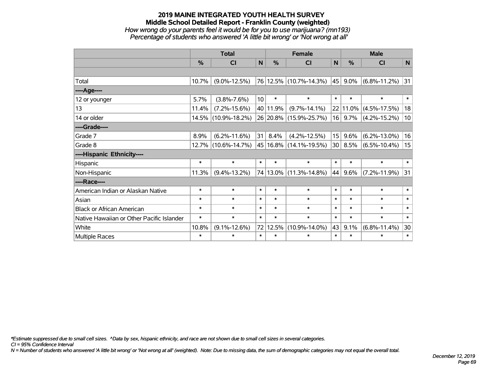#### **2019 MAINE INTEGRATED YOUTH HEALTH SURVEY Middle School Detailed Report - Franklin County (weighted)** *How wrong do your parents feel it would be for you to use marijuana? (mn193) Percentage of students who answered 'A little bit wrong' or 'Not wrong at all'*

|                                           | <b>Total</b>  |                     |                 |               | <b>Female</b>          |                 |           | <b>Male</b>               |                 |  |  |
|-------------------------------------------|---------------|---------------------|-----------------|---------------|------------------------|-----------------|-----------|---------------------------|-----------------|--|--|
|                                           | $\frac{0}{0}$ | <b>CI</b>           | $\mathsf{N}$    | $\frac{0}{0}$ | CI                     | $\mathsf{N}$    | %         | CI                        | ${\sf N}$       |  |  |
|                                           |               |                     |                 |               |                        |                 |           |                           |                 |  |  |
| Total                                     | 10.7%         | $(9.0\% - 12.5\%)$  |                 |               | 76 12.5% (10.7%-14.3%) | 45              | $9.0\%$   | $(6.8\% - 11.2\%)$        | 31              |  |  |
| ----Age----                               |               |                     |                 |               |                        |                 |           |                           |                 |  |  |
| 12 or younger                             | 5.7%          | $(3.8\% - 7.6\%)$   | 10 <sup>1</sup> | $\ast$        | $\ast$                 | $\ast$          | $\ast$    | $\ast$                    | $\ast$          |  |  |
| 13                                        | 11.4%         | $(7.2\% - 15.6\%)$  |                 | 40 11.9%      | $(9.7\% - 14.1\%)$     |                 |           | 22   11.0%   (4.5%-17.5%) | 18              |  |  |
| 14 or older                               |               | 14.5% (10.9%-18.2%) |                 |               | 26 20.8% (15.9%-25.7%) |                 | $16$ 9.7% | $(4.2\% - 15.2\%)$        | 10 <sup>1</sup> |  |  |
| ----Grade----                             |               |                     |                 |               |                        |                 |           |                           |                 |  |  |
| Grade 7                                   | 8.9%          | $(6.2\% - 11.6\%)$  | 31 <sup>1</sup> | 8.4%          | $(4.2\% - 12.5\%)$     | 15 <sup>1</sup> | 9.6%      | $(6.2\% - 13.0\%)$        | 16              |  |  |
| Grade 8                                   |               | 12.7% (10.6%-14.7%) |                 |               | 45 16.8% (14.1%-19.5%) | 30              | 8.5%      | $(6.5\% - 10.4\%)$        | 15              |  |  |
| ----Hispanic Ethnicity----                |               |                     |                 |               |                        |                 |           |                           |                 |  |  |
| Hispanic                                  | $\ast$        | $\ast$              | $\ast$          | $\ast$        | $\ast$                 | $\ast$          | $\ast$    | $\ast$                    | $\ast$          |  |  |
| Non-Hispanic                              | 11.3%         | $(9.4\% - 13.2\%)$  |                 |               | 74 13.0% (11.3%-14.8%) | 44              | 9.6%      | $(7.2\% - 11.9\%)$        | 31              |  |  |
| ----Race----                              |               |                     |                 |               |                        |                 |           |                           |                 |  |  |
| American Indian or Alaskan Native         | $\ast$        | $\ast$              | $\ast$          | $\ast$        | $\ast$                 | $\ast$          | $\ast$    | $\ast$                    | $\ast$          |  |  |
| Asian                                     | $\ast$        | $\ast$              | $\ast$          | $\ast$        | $\ast$                 | $\ast$          | $\ast$    | $\ast$                    | $\ast$          |  |  |
| <b>Black or African American</b>          | $\ast$        | $\ast$              | $\ast$          | $\ast$        | $\ast$                 | $\ast$          | $\ast$    | $\ast$                    | $\ast$          |  |  |
| Native Hawaiian or Other Pacific Islander | $\ast$        | $\ast$              | $\ast$          | $\ast$        | $\ast$                 | $\ast$          | $\ast$    | $\ast$                    | $\ast$          |  |  |
| White                                     | 10.8%         | $(9.1\% - 12.6\%)$  |                 | 72 12.5%      | $(10.9\% - 14.0\%)$    | 43              | 9.1%      | $(6.8\% - 11.4\%)$        | 30              |  |  |
| <b>Multiple Races</b>                     | $\ast$        | $\ast$              | $\ast$          | $\ast$        | $\ast$                 | $\ast$          | $\ast$    | $\ast$                    | $\ast$          |  |  |

*\*Estimate suppressed due to small cell sizes. ^Data by sex, hispanic ethnicity, and race are not shown due to small cell sizes in several categories.*

*CI = 95% Confidence Interval*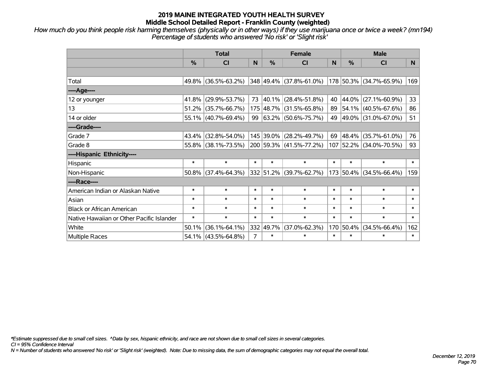*How much do you think people risk harming themselves (physically or in other ways) if they use marijuana once or twice a week? (mn194) Percentage of students who answered 'No risk' or 'Slight risk'*

|                                           | <b>Total</b>  |                        |                |               | <b>Female</b>            |        | <b>Male</b> |                          |                |  |
|-------------------------------------------|---------------|------------------------|----------------|---------------|--------------------------|--------|-------------|--------------------------|----------------|--|
|                                           | $\frac{0}{0}$ | <b>CI</b>              | N              | $\frac{9}{6}$ | <b>CI</b>                | N      | %           | <b>CI</b>                | N <sub>1</sub> |  |
|                                           |               |                        |                |               |                          |        |             |                          |                |  |
| Total                                     |               | 49.8% (36.5%-63.2%)    |                |               | 348 49.4% (37.8%-61.0%)  |        |             | 178 50.3% (34.7%-65.9%)  | 169            |  |
| ----Age----                               |               |                        |                |               |                          |        |             |                          |                |  |
| 12 or younger                             | 41.8%         | $(29.9\% - 53.7\%)$    | 73             |               | 40.1% (28.4%-51.8%)      | 40     | $ 44.0\% $  | $(27.1\% - 60.9\%)$      | 33             |  |
| 13                                        |               | $51.2\%$ (35.7%-66.7%) |                |               | 175 48.7% (31.5%-65.8%)  | 89     |             | $ 54.1\% $ (40.5%-67.6%) | 86             |  |
| 14 or older                               |               | 55.1% (40.7%-69.4%)    | 99             |               | $ 63.2\% $ (50.6%-75.7%) |        |             | 49 49.0% (31.0%-67.0%)   | 51             |  |
| ----Grade----                             |               |                        |                |               |                          |        |             |                          |                |  |
| Grade 7                                   |               | 43.4% (32.8%-54.0%)    |                |               | 145 39.0% (28.2%-49.7%)  | 69     | 48.4%       | $(35.7\% - 61.0\%)$      | 76             |  |
| Grade 8                                   |               | 55.8% (38.1%-73.5%)    |                |               | 200 59.3% (41.5%-77.2%)  |        |             | 107 52.2% (34.0%-70.5%)  | 93             |  |
| ----Hispanic Ethnicity----                |               |                        |                |               |                          |        |             |                          |                |  |
| Hispanic                                  | $\ast$        | $\ast$                 | $\ast$         | $\ast$        | $\ast$                   | $\ast$ | $\ast$      | $\ast$                   | $\ast$         |  |
| Non-Hispanic                              |               | $50.8\%$ (37.4%-64.3%) |                |               | 332 51.2% (39.7%-62.7%)  |        | 173 50.4%   | $(34.5\% - 66.4\%)$      | 159            |  |
| ----Race----                              |               |                        |                |               |                          |        |             |                          |                |  |
| American Indian or Alaskan Native         | $\ast$        | $\ast$                 | $\ast$         | $\ast$        | $\ast$                   | $\ast$ | $\ast$      | $\ast$                   | $\ast$         |  |
| Asian                                     | $\ast$        | $\ast$                 | $\ast$         | $\ast$        | $\ast$                   | $\ast$ | $\ast$      | $\ast$                   | $\ast$         |  |
| <b>Black or African American</b>          | $\ast$        | $\ast$                 | $\ast$         | $\ast$        | $\ast$                   | $\ast$ | $\ast$      | $\ast$                   | $\ast$         |  |
| Native Hawaiian or Other Pacific Islander | $\ast$        | $\ast$                 | $\ast$         | $\ast$        | $\ast$                   | $\ast$ | $\ast$      | $\ast$                   | $\ast$         |  |
| White                                     | 50.1%         | $(36.1\% - 64.1\%)$    |                | 332 49.7%     | $(37.0\% - 62.3\%)$      |        | 170 50.4%   | $(34.5\% - 66.4\%)$      | 162            |  |
| <b>Multiple Races</b>                     |               | $54.1\%$ (43.5%-64.8%) | $\overline{7}$ | $\ast$        | $\ast$                   | $\ast$ | $\ast$      | $\ast$                   | $\ast$         |  |

*\*Estimate suppressed due to small cell sizes. ^Data by sex, hispanic ethnicity, and race are not shown due to small cell sizes in several categories.*

*CI = 95% Confidence Interval*

*N = Number of students who answered 'No risk' or 'Slight risk' (weighted). Note: Due to missing data, the sum of demographic categories may not equal the overall total.*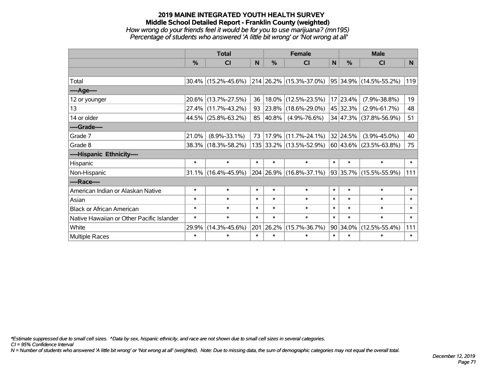## **2019 MAINE INTEGRATED YOUTH HEALTH SURVEY Middle School Detailed Report - Franklin County (weighted)** *How wrong do your friends feel it would be for you to use marijuana? (mn195) Percentage of students who answered 'A little bit wrong' or 'Not wrong at all'*

|                                           | <b>Total</b> |                        |        |            | <b>Female</b>                   |              | <b>Male</b> |                                 |        |  |
|-------------------------------------------|--------------|------------------------|--------|------------|---------------------------------|--------------|-------------|---------------------------------|--------|--|
|                                           | %            | <b>CI</b>              | N      | %          | <b>CI</b>                       | $\mathsf{N}$ | %           | <b>CI</b>                       | N.     |  |
|                                           |              |                        |        |            |                                 |              |             |                                 |        |  |
| Total                                     |              | $30.4\%$ (15.2%-45.6%) |        |            | $ 214 26.2\% (15.3\% - 37.0\%)$ |              |             | $ 95 34.9\%  (14.5\% - 55.2\%)$ | 119    |  |
| ----Age----                               |              |                        |        |            |                                 |              |             |                                 |        |  |
| 12 or younger                             | 20.6%        | $(13.7\% - 27.5\%)$    | 36     | 18.0%      | $(12.5\% - 23.5\%)$             |              | 17 23.4%    | $(7.9\% - 38.8\%)$              | 19     |  |
| 13                                        | 27.4%        | $(11.7\% - 43.2\%)$    | 93     | $ 23.8\% $ | $(18.6\% - 29.0\%)$             |              | 45 32.3%    | $(2.9\% - 61.7\%)$              | 48     |  |
| 14 or older                               |              | 44.5% (25.8%-63.2%)    | 85     | $ 40.8\%$  | $(4.9\% - 76.6\%)$              |              |             | 34 47.3% (37.8%-56.9%)          | 51     |  |
| ----Grade----                             |              |                        |        |            |                                 |              |             |                                 |        |  |
| Grade 7                                   | 21.0%        | $(8.9\% - 33.1\%)$     | 73     | 17.9%      | $(11.7\% - 24.1\%)$             |              | 32 24.5%    | $(3.9\% - 45.0\%)$              | 40     |  |
| Grade 8                                   |              | 38.3% (18.3%-58.2%)    |        |            | 135 33.2% (13.5%-52.9%)         |              |             | $ 60 43.6\% $ (23.5%-63.8%)     | 75     |  |
| ----Hispanic Ethnicity----                |              |                        |        |            |                                 |              |             |                                 |        |  |
| Hispanic                                  | $\ast$       | $\ast$                 | $\ast$ | $\ast$     | $\ast$                          | $\ast$       | $\ast$      | $\ast$                          | $\ast$ |  |
| Non-Hispanic                              |              | $31.1\%$ (16.4%-45.9%) |        | 204 26.9%  | $(16.8\% - 37.1\%)$             |              |             | $ 93 35.7\%  (15.5\% - 55.9\%)$ | 111    |  |
| ----Race----                              |              |                        |        |            |                                 |              |             |                                 |        |  |
| American Indian or Alaskan Native         | $\ast$       | $\ast$                 | $\ast$ | $\ast$     | $\ast$                          | $\ast$       | $\ast$      | $\ast$                          | $\ast$ |  |
| Asian                                     | $\ast$       | $\ast$                 | $\ast$ | $\ast$     | $\ast$                          | $\ast$       | $\ast$      | $\ast$                          | $\ast$ |  |
| <b>Black or African American</b>          | $\ast$       | $\ast$                 | $\ast$ | $\ast$     | $\ast$                          | $\ast$       | $\ast$      | $\ast$                          | $\ast$ |  |
| Native Hawaiian or Other Pacific Islander | $\ast$       | $\ast$                 | $\ast$ | $\ast$     | $\ast$                          | $\ast$       | $\ast$      | $\ast$                          | $\ast$ |  |
| White                                     | 29.9%        | $(14.3\% - 45.6\%)$    | 201    | 26.2%      | $(15.7\% - 36.7\%)$             | 90           | 34.0%       | $(12.5\% - 55.4\%)$             | 111    |  |
| Multiple Races                            | $\ast$       | $\ast$                 | $\ast$ | $\ast$     | *                               | $\ast$       | $\ast$      | $\ast$                          | $\ast$ |  |

*\*Estimate suppressed due to small cell sizes. ^Data by sex, hispanic ethnicity, and race are not shown due to small cell sizes in several categories.*

*CI = 95% Confidence Interval*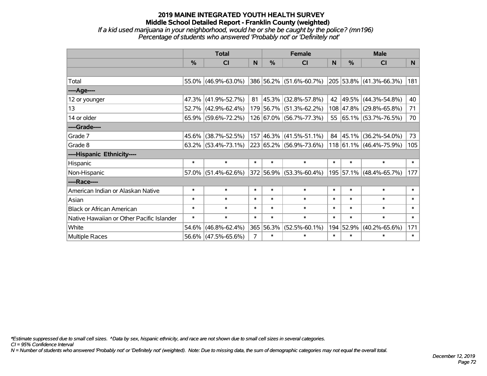#### **2019 MAINE INTEGRATED YOUTH HEALTH SURVEY Middle School Detailed Report - Franklin County (weighted)** *If a kid used marijuana in your neighborhood, would he or she be caught by the police? (mn196) Percentage of students who answered 'Probably not' or 'Definitely not'*

|                 | <b>Total</b> |                        |   | <b>Female</b> |                                                 |   | <b>Male</b>   |                                                                         |    |
|-----------------|--------------|------------------------|---|---------------|-------------------------------------------------|---|---------------|-------------------------------------------------------------------------|----|
|                 | %            | <b>CI</b>              | N | $\frac{9}{6}$ | CI                                              | N | $\frac{9}{6}$ | <b>CI</b>                                                               | N  |
|                 |              |                        |   |               |                                                 |   |               |                                                                         |    |
| Total           |              |                        |   |               |                                                 |   |               | 55.0% (46.9%-63.0%) 386 56.2% (51.6%-60.7%) 205 53.8% (41.3%-66.3%) 181 |    |
| ----Age----     |              |                        |   |               |                                                 |   |               |                                                                         |    |
| 12 or younger   |              | 47.3% (41.9%-52.7%)    |   |               | $81 \vert 45.3\% \vert (32.8\% - 57.8\%)$       |   |               | 42 49.5% (44.3%-54.8%)                                                  | 40 |
| 13 <sup>2</sup> |              | $52.7\%$ (42.9%-62.4%) |   |               | $ 179 56.7\%  (51.3\% - 62.2\%)$                |   |               | 108 47.8% (29.8%-65.8%)                                                 | 71 |
| 14 or older     |              | $65.9\%$ (59.6%-72.2%) |   |               | $\vert$ 126 $\vert$ 67.0% $\vert$ (56.7%-77.3%) |   |               | 55 65.1% (53.7%-76.5%)                                                  | 70 |
| ----Grade----   |              |                        |   |               |                                                 |   |               |                                                                         |    |
|                 |              |                        |   |               |                                                 |   |               |                                                                         |    |

Grade 7 45.6% (38.7%-52.5%) 157 46.3% (41.5%-51.1%) 84 45.1% (36.2%-54.0%) 73 Grade 8 63.2% (53.4%-73.1%) 223 65.2% (56.9%-73.6%) 118 61.1% (46.4%-75.9%) 105 **----Hispanic Ethnicity----** Hispanic \* \* \* \* \* \* \* \* \* Non-Hispanic 57.0% (51.4%-62.6%) 372 56.9% (53.3%-60.4%) 195 57.1% (48.4%-65.7%) 177 **----Race----** American Indian or Alaskan Native \* \* \* \* \* \* \* \* \* Asian \* \* \* \* \* \* \* \* \* \* \* \* \* \* \* \* Black or African American \* \* \* \* \* \* \* \* \* Native Hawaiian or Other Pacific Islander \* \* \* \* \* \* \* \* \* White 54.6% (46.8%-62.4%) 365 56.3% (52.5%-60.1%) 194 52.9% (40.2%-65.6%) 171 Multiple Races  $56.6\%$  (47.5%-65.6%)  $7$  \* \* \* \* \* \* \*

*\*Estimate suppressed due to small cell sizes. ^Data by sex, hispanic ethnicity, and race are not shown due to small cell sizes in several categories.*

*CI = 95% Confidence Interval*

*N = Number of students who answered 'Probably not' or 'Definitely not' (weighted). Note: Due to missing data, the sum of demographic categories may not equal the overall total.*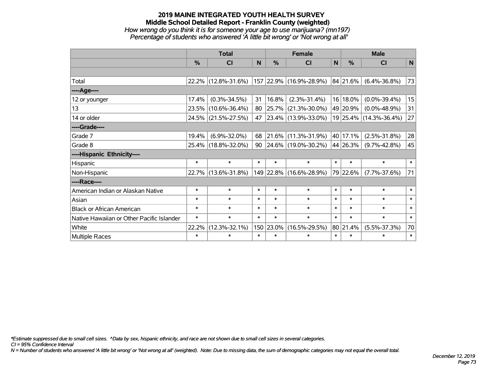#### **2019 MAINE INTEGRATED YOUTH HEALTH SURVEY Middle School Detailed Report - Franklin County (weighted)** *How wrong do you think it is for someone your age to use marijuana? (mn197) Percentage of students who answered 'A little bit wrong' or 'Not wrong at all'*

|                                           | <b>Total</b>  |                     |        |            | <b>Female</b>            | <b>Male</b> |          |                        |        |
|-------------------------------------------|---------------|---------------------|--------|------------|--------------------------|-------------|----------|------------------------|--------|
|                                           | $\frac{0}{0}$ | <b>CI</b>           | N      | %          | <b>CI</b>                | N           | %        | <b>CI</b>              | N      |
|                                           |               |                     |        |            |                          |             |          |                        |        |
| Total                                     |               | 22.2% (12.8%-31.6%) |        |            | 157 22.9% (16.9%-28.9%)  |             | 84 21.6% | $(6.4\% - 36.8\%)$     | 73     |
| ----Age----                               |               |                     |        |            |                          |             |          |                        |        |
| 12 or younger                             | 17.4%         | $(0.3\% - 34.5\%)$  | 31     | 16.8%      | $(2.3\% - 31.4\%)$       | 16          | 18.0%    | $(0.0\% - 39.4\%)$     | 15     |
| 13                                        |               | 23.5% (10.6%-36.4%) | 80     | $ 25.7\% $ | $(21.3\% - 30.0\%)$      |             | 49 20.9% | $(0.0\% - 48.9\%)$     | 31     |
| 14 or older                               |               | 24.5% (21.5%-27.5%) | 47     |            | 23.4% (13.9%-33.0%)      |             |          | 19 25.4% (14.3%-36.4%) | 27     |
| ----Grade----                             |               |                     |        |            |                          |             |          |                        |        |
| Grade 7                                   | 19.4%         | $(6.9\% - 32.0\%)$  | 68     |            | 21.6% (11.3%-31.9%)      |             | 40 17.1% | $(2.5\% - 31.8\%)$     | 28     |
| Grade 8                                   |               | 25.4% (18.8%-32.0%) | 90     |            | $ 24.6\% $ (19.0%-30.2%) |             | 44 26.3% | $(9.7\% - 42.8\%)$     | 45     |
| ----Hispanic Ethnicity----                |               |                     |        |            |                          |             |          |                        |        |
| Hispanic                                  | $\ast$        | $\ast$              | $\ast$ | $\ast$     | $\ast$                   | $\ast$      | $\ast$   | $\ast$                 | $\ast$ |
| Non-Hispanic                              |               | 22.7% (13.6%-31.8%) |        |            | 149 22.8% (16.6%-28.9%)  |             | 79 22.6% | $(7.7\% - 37.6\%)$     | 71     |
| ----Race----                              |               |                     |        |            |                          |             |          |                        |        |
| American Indian or Alaskan Native         | $\ast$        | $\ast$              | $\ast$ | $\ast$     | $\ast$                   | $\ast$      | $\ast$   | $\ast$                 | $\ast$ |
| Asian                                     | $\ast$        | $\ast$              | $\ast$ | $\ast$     | $\ast$                   | $\ast$      | $\ast$   | $\ast$                 | $\ast$ |
| <b>Black or African American</b>          | $\ast$        | $\ast$              | $\ast$ | $\ast$     | $\ast$                   | $\ast$      | $\ast$   | $\ast$                 | $\ast$ |
| Native Hawaiian or Other Pacific Islander | $\ast$        | $\ast$              | $\ast$ | $\ast$     | $\ast$                   | $\ast$      | $\ast$   | $\ast$                 | $\ast$ |
| White                                     | 22.2%         | $(12.3\% - 32.1\%)$ |        | 150 23.0%  | $(16.5\% - 29.5\%)$      | 80          | 21.4%    | $(5.5\% - 37.3\%)$     | 70     |
| <b>Multiple Races</b>                     | $\ast$        | $\ast$              | $\ast$ | $\ast$     | $\ast$                   | $\ast$      | $\ast$   | *                      | $\ast$ |

*\*Estimate suppressed due to small cell sizes. ^Data by sex, hispanic ethnicity, and race are not shown due to small cell sizes in several categories.*

*CI = 95% Confidence Interval*

*N = Number of students who answered 'A little bit wrong' or 'Not wrong at all' (weighted). Note: Due to missing data, the sum of demographic categories may not equal the overall total.*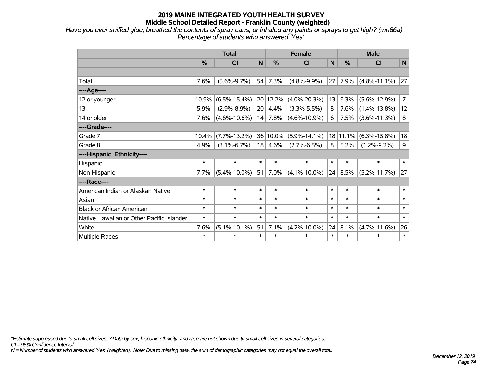*Have you ever sniffed glue, breathed the contents of spray cans, or inhaled any paints or sprays to get high? (mn86a) Percentage of students who answered 'Yes'*

|                                           | <b>Total</b>  |                    |        | <b>Female</b> |                    |              | <b>Male</b> |                    |                |  |
|-------------------------------------------|---------------|--------------------|--------|---------------|--------------------|--------------|-------------|--------------------|----------------|--|
|                                           | $\frac{0}{0}$ | <b>CI</b>          | N      | %             | <b>CI</b>          | $\mathsf{N}$ | %           | <b>CI</b>          | $\mathbf N$    |  |
|                                           |               |                    |        |               |                    |              |             |                    |                |  |
| Total                                     | 7.6%          | $(5.6\% - 9.7\%)$  | 54     | 7.3%          | $(4.8\% - 9.9\%)$  | 27           | 7.9%        | $(4.8\% - 11.1\%)$ | 27             |  |
| ----Age----                               |               |                    |        |               |                    |              |             |                    |                |  |
| 12 or younger                             | 10.9%         | $(6.5\% - 15.4\%)$ | 20     | 12.2%         | $(4.0\% - 20.3\%)$ | 13           | 9.3%        | $(5.6\% - 12.9\%)$ | $\overline{7}$ |  |
| 13                                        | 5.9%          | $(2.9\% - 8.9\%)$  | 20     | 4.4%          | $(3.3\% - 5.5\%)$  | 8            | 7.6%        | $(1.4\% - 13.8\%)$ | 12             |  |
| 14 or older                               | 7.6%          | $(4.6\% - 10.6\%)$ | 14     | 7.8%          | $(4.6\% - 10.9\%)$ | 6            | 7.5%        | $(3.6\% - 11.3\%)$ | 8              |  |
| ----Grade----                             |               |                    |        |               |                    |              |             |                    |                |  |
| Grade 7                                   | 10.4%         | $(7.7\% - 13.2\%)$ | 36     | 10.0%         | $(5.9\% - 14.1\%)$ | 18           | 11.1%       | $(6.3\% - 15.8\%)$ | 18             |  |
| Grade 8                                   | 4.9%          | $(3.1\% - 6.7\%)$  | 18     | 4.6%          | $(2.7\% - 6.5\%)$  | 8            | 5.2%        | $(1.2\% - 9.2\%)$  | 9              |  |
| ----Hispanic Ethnicity----                |               |                    |        |               |                    |              |             |                    |                |  |
| Hispanic                                  | $\ast$        | $\ast$             | $\ast$ | $\ast$        | $\ast$             | $\ast$       | $\ast$      | $\ast$             | $\ast$         |  |
| Non-Hispanic                              | 7.7%          | $(5.4\% - 10.0\%)$ | 51     | 7.0%          | $(4.1\% - 10.0\%)$ | 24           | 8.5%        | $(5.2\% - 11.7\%)$ | 27             |  |
| ----Race----                              |               |                    |        |               |                    |              |             |                    |                |  |
| American Indian or Alaskan Native         | $\ast$        | $\ast$             | $\ast$ | $\ast$        | $\ast$             | $\ast$       | $\ast$      | $\ast$             | $\ast$         |  |
| Asian                                     | $\ast$        | $\ast$             | $\ast$ | $\ast$        | $\ast$             | $\ast$       | $\ast$      | $\ast$             | $\ast$         |  |
| <b>Black or African American</b>          | $\ast$        | $\ast$             | $\ast$ | $\ast$        | $\ast$             | $\ast$       | $\ast$      | $\ast$             | $\ast$         |  |
| Native Hawaiian or Other Pacific Islander | $\ast$        | $\ast$             | $\ast$ | $\ast$        | $\ast$             | $\ast$       | $\ast$      | $\ast$             | $\ast$         |  |
| White                                     | 7.6%          | $(5.1\% - 10.1\%)$ | 51     | 7.1%          | $(4.2\% - 10.0\%)$ | 24           | 8.1%        | $(4.7\% - 11.6\%)$ | 26             |  |
| <b>Multiple Races</b>                     | $\ast$        | $\ast$             | $\ast$ | $\ast$        | $\ast$             | $\ast$       | $\ast$      | $\ast$             | $\ast$         |  |

*\*Estimate suppressed due to small cell sizes. ^Data by sex, hispanic ethnicity, and race are not shown due to small cell sizes in several categories.*

*CI = 95% Confidence Interval*

*N = Number of students who answered 'Yes' (weighted). Note: Due to missing data, the sum of demographic categories may not equal the overall total.*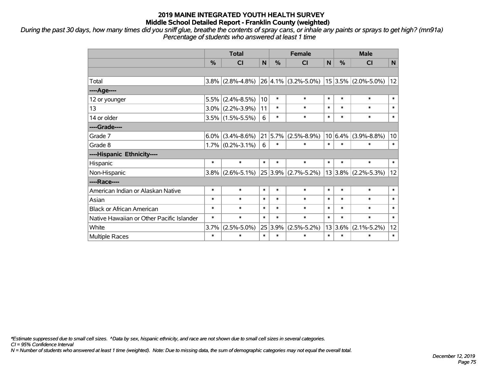*During the past 30 days, how many times did you sniff glue, breathe the contents of spray cans, or inhale any paints or sprays to get high? (mn91a) Percentage of students who answered at least 1 time*

|                                           | <b>Total</b> |                     |        | <b>Female</b> |                         |        | <b>Male</b> |                         |        |  |
|-------------------------------------------|--------------|---------------------|--------|---------------|-------------------------|--------|-------------|-------------------------|--------|--|
|                                           | $\%$         | C <sub>l</sub>      | N      | $\frac{0}{0}$ | <b>CI</b>               | N      | $\%$        | <b>CI</b>               | N      |  |
|                                           |              |                     |        |               |                         |        |             |                         |        |  |
| Total                                     | 3.8%         | $(2.8\% - 4.8\%)$   |        |               | $26 4.1\% $ (3.2%-5.0%) |        |             | $15$ 3.5% (2.0%-5.0%)   | 12     |  |
| ----Age----                               |              |                     |        |               |                         |        |             |                         |        |  |
| 12 or younger                             | 5.5%         | $(2.4\% - 8.5\%)$   | 10     | $\ast$        | $\ast$                  | $\ast$ | $\ast$      | $\ast$                  | $\ast$ |  |
| 13                                        |              | $3.0\%$ (2.2%-3.9%) | 11     | $\ast$        | $\ast$                  | $\ast$ | $\ast$      | $\ast$                  | $\ast$ |  |
| 14 or older                               |              | $3.5\%$ (1.5%-5.5%) | 6      | *             | $\ast$                  | $\ast$ | $\ast$      | $\ast$                  | $\ast$ |  |
| ----Grade----                             |              |                     |        |               |                         |        |             |                         |        |  |
| Grade 7                                   | 6.0%         | $(3.4\% - 8.6\%)$   |        | 21 5.7%       | $(2.5\% - 8.9\%)$       |        | $10 6.4\% $ | $(3.9\% - 8.8\%)$       | 10     |  |
| Grade 8                                   |              | $1.7\%$ (0.2%-3.1%) | 6      | $\ast$        | $\ast$                  | $\ast$ | $\ast$      | $\ast$                  | $\ast$ |  |
| ----Hispanic Ethnicity----                |              |                     |        |               |                         |        |             |                         |        |  |
| Hispanic                                  | $\ast$       | $\ast$              | $\ast$ | $\ast$        | $\ast$                  | $\ast$ | $\ast$      | $\ast$                  | $\ast$ |  |
| Non-Hispanic                              | 3.8%         | $(2.6\% - 5.1\%)$   |        |               | 25 3.9% (2.7%-5.2%)     |        |             | $13 3.8\% $ (2.2%-5.3%) | 12     |  |
| ----Race----                              |              |                     |        |               |                         |        |             |                         |        |  |
| American Indian or Alaskan Native         | $\ast$       | $\ast$              | $\ast$ | $\ast$        | $\ast$                  | $\ast$ | $\ast$      | $\ast$                  | $\ast$ |  |
| Asian                                     | $\ast$       | $\ast$              | $\ast$ | $\ast$        | $\ast$                  | $\ast$ | $\ast$      | $\ast$                  | $\ast$ |  |
| <b>Black or African American</b>          | $\ast$       | $\ast$              | $\ast$ | $\ast$        | $\ast$                  | $\ast$ | $\ast$      | $\ast$                  | $\ast$ |  |
| Native Hawaiian or Other Pacific Islander | $\ast$       | $\ast$              | $\ast$ | $\ast$        | $\ast$                  | $\ast$ | $\ast$      | $\ast$                  | $\ast$ |  |
| White                                     | 3.7%         | $(2.5\% - 5.0\%)$   | 25     | $3.9\%$       | $(2.5\% - 5.2\%)$       |        | 13 3.6%     | $(2.1\% - 5.2\%)$       | 12     |  |
| <b>Multiple Races</b>                     | $\ast$       | $\ast$              | $\ast$ | $\ast$        | $\ast$                  | $\ast$ | $\ast$      | $\ast$                  | $\ast$ |  |

*\*Estimate suppressed due to small cell sizes. ^Data by sex, hispanic ethnicity, and race are not shown due to small cell sizes in several categories.*

*CI = 95% Confidence Interval*

*N = Number of students who answered at least 1 time (weighted). Note: Due to missing data, the sum of demographic categories may not equal the overall total.*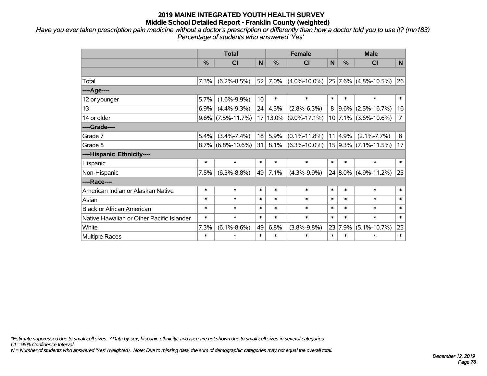*Have you ever taken prescription pain medicine without a doctor's prescription or differently than how a doctor told you to use it? (mn183) Percentage of students who answered 'Yes'*

|                                           | <b>Total</b>  |                      |                 | <b>Female</b> |                    |              | <b>Male</b>   |                           |                |  |
|-------------------------------------------|---------------|----------------------|-----------------|---------------|--------------------|--------------|---------------|---------------------------|----------------|--|
|                                           | $\frac{0}{0}$ | <b>CI</b>            | N               | %             | <b>CI</b>          | $\mathsf{N}$ | $\frac{0}{0}$ | CI                        | N              |  |
|                                           |               |                      |                 |               |                    |              |               |                           |                |  |
| Total                                     | 7.3%          | $(6.2\% - 8.5\%)$    | 52              | 7.0%          | $(4.0\% - 10.0\%)$ |              |               | $ 25 7.6\% $ (4.8%-10.5%) | 26             |  |
| ----Age----                               |               |                      |                 |               |                    |              |               |                           |                |  |
| 12 or younger                             | 5.7%          | $(1.6\% - 9.9\%)$    | 10 <sup>1</sup> | $\ast$        | $\ast$             | $\ast$       | $\ast$        | $\ast$                    | $\ast$         |  |
| 13                                        | 6.9%          | $(4.4\% - 9.3\%)$    | 24              | 4.5%          | $(2.8\% - 6.3\%)$  | 8            | $ 9.6\% $     | $(2.5\% - 16.7\%)$        | 16             |  |
| 14 or older                               |               | $9.6\%$ (7.5%-11.7%) |                 | $17 13.0\%$   | $(9.0\% - 17.1\%)$ |              |               | $10$ 7.1% (3.6%-10.6%)    | $\overline{7}$ |  |
| ----Grade----                             |               |                      |                 |               |                    |              |               |                           |                |  |
| Grade 7                                   | 5.4%          | $(3.4\% - 7.4\%)$    | 18              | 5.9%          | $(0.1\% - 11.8\%)$ |              | 11 4.9%       | $(2.1\% - 7.7\%)$         | 8              |  |
| Grade 8                                   |               | $8.7\%$ (6.8%-10.6%) | 31              | 8.1%          | $(6.3\% - 10.0\%)$ |              |               | $15 9.3\% $ (7.1%-11.5%)  | 17             |  |
| ----Hispanic Ethnicity----                |               |                      |                 |               |                    |              |               |                           |                |  |
| Hispanic                                  | $\ast$        | $\ast$               | $\ast$          | $\ast$        | $\ast$             | $\ast$       | $\ast$        | $\ast$                    | $\ast$         |  |
| Non-Hispanic                              | 7.5%          | $(6.3\% - 8.8\%)$    | 49              | 7.1%          | $(4.3\% - 9.9\%)$  |              | $24 8.0\% $   | $(4.9\% - 11.2\%)$        | 25             |  |
| ----Race----                              |               |                      |                 |               |                    |              |               |                           |                |  |
| American Indian or Alaskan Native         | $\ast$        | $\ast$               | $\ast$          | $\ast$        | $\ast$             | $\ast$       | $\ast$        | $\ast$                    | $\ast$         |  |
| Asian                                     | $\ast$        | $\ast$               | $\ast$          | $\ast$        | $\ast$             | $\ast$       | $\ast$        | $\ast$                    | $\ast$         |  |
| <b>Black or African American</b>          | $\ast$        | $\ast$               | $\ast$          | $\ast$        | $\ast$             | $\ast$       | $\ast$        | $\ast$                    | $\ast$         |  |
| Native Hawaiian or Other Pacific Islander | $\ast$        | $\ast$               | $\ast$          | $\ast$        | $\ast$             | $\ast$       | $\ast$        | $\ast$                    | $\ast$         |  |
| White                                     | 7.3%          | $(6.1\% - 8.6\%)$    | 49              | 6.8%          | $(3.8\% - 9.8\%)$  |              | 23 7.9%       | $(5.1\% - 10.7\%)$        | 25             |  |
| Multiple Races                            | $\ast$        | $\ast$               | $\ast$          | $\ast$        | $\ast$             | $\ast$       | $\ast$        | $\ast$                    | $\ast$         |  |

*\*Estimate suppressed due to small cell sizes. ^Data by sex, hispanic ethnicity, and race are not shown due to small cell sizes in several categories.*

*CI = 95% Confidence Interval*

*N = Number of students who answered 'Yes' (weighted). Note: Due to missing data, the sum of demographic categories may not equal the overall total.*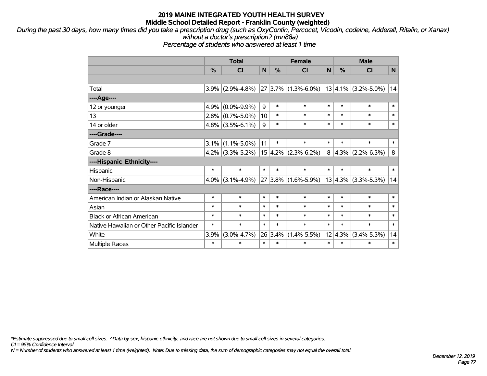*During the past 30 days, how many times did you take a prescription drug (such as OxyContin, Percocet, Vicodin, codeine, Adderall, Ritalin, or Xanax) without a doctor's prescription? (mn88a)*

*Percentage of students who answered at least 1 time*

|                                           | <b>Total</b> |                   |        | <b>Female</b> |                         |        | <b>Male</b>   |                                  |        |  |
|-------------------------------------------|--------------|-------------------|--------|---------------|-------------------------|--------|---------------|----------------------------------|--------|--|
|                                           | %            | CI                | N      | %             | CI                      | N      | $\frac{0}{0}$ | <b>CI</b>                        | N      |  |
|                                           |              |                   |        |               |                         |        |               |                                  |        |  |
| Total                                     | 3.9%         | $(2.9\% - 4.8\%)$ |        |               | $27 3.7\% $ (1.3%-6.0%) |        |               | $13 \, 4.1\% \, (3.2\% - 5.0\%)$ | 14     |  |
| ---- Age----                              |              |                   |        |               |                         |        |               |                                  |        |  |
| 12 or younger                             | 4.9%         | $(0.0\% - 9.9\%)$ | 9      | $\ast$        | $\ast$                  | $\ast$ | $\ast$        | $\ast$                           | $\ast$ |  |
| 13                                        | 2.8%         | $(0.7\% - 5.0\%)$ | 10     | $\ast$        | $\ast$                  | $\ast$ | $\ast$        | $\ast$                           | $\ast$ |  |
| 14 or older                               | 4.8%         | $(3.5\% - 6.1\%)$ | 9      | $\ast$        | $\ast$                  | $\ast$ | $\ast$        | $\ast$                           | $\ast$ |  |
| ----Grade----                             |              |                   |        |               |                         |        |               |                                  |        |  |
| Grade 7                                   | 3.1%         | $(1.1\% - 5.0\%)$ | 11     | $\ast$        | $\ast$                  | $\ast$ | $\ast$        | $\ast$                           | $\ast$ |  |
| Grade 8                                   | 4.2%         | $(3.3\% - 5.2\%)$ |        |               | $15 4.2\% $ (2.3%-6.2%) | 8      |               | $ 4.3\% $ (2.2%-6.3%)            | 8      |  |
| ----Hispanic Ethnicity----                |              |                   |        |               |                         |        |               |                                  |        |  |
| Hispanic                                  | $\ast$       | $\ast$            | $\ast$ | $\ast$        | $\ast$                  | $\ast$ | $\ast$        | $\ast$                           | $\ast$ |  |
| Non-Hispanic                              | 4.0%         | $(3.1\% - 4.9\%)$ |        |               | $27 3.8\% $ (1.6%-5.9%) |        |               | $13 4.3\% $ (3.3%-5.3%)          | 14     |  |
| ----Race----                              |              |                   |        |               |                         |        |               |                                  |        |  |
| American Indian or Alaskan Native         | $\ast$       | $\ast$            | $\ast$ | $\ast$        | $\ast$                  | $\ast$ | $\ast$        | $\ast$                           | $\ast$ |  |
| Asian                                     | $\ast$       | $\ast$            | $\ast$ | $\ast$        | *                       | $\ast$ | $\ast$        | $\ast$                           | $\ast$ |  |
| <b>Black or African American</b>          | $\ast$       | $\ast$            | $\ast$ | $\ast$        | $\ast$                  | $\ast$ | $\ast$        | $\ast$                           | $\ast$ |  |
| Native Hawaiian or Other Pacific Islander | $\ast$       | $\ast$            | $\ast$ | $\ast$        | $\ast$                  | $\ast$ | $\ast$        | $\ast$                           | $\ast$ |  |
| White                                     | 3.9%         | $(3.0\% - 4.7\%)$ |        | 26 3.4%       | $(1.4\% - 5.5\%)$       |        | $12 4.3\% $   | $(3.4\% - 5.3\%)$                | 14     |  |
| <b>Multiple Races</b>                     | $\ast$       | $\ast$            | $\ast$ | $\ast$        | $\ast$                  | $\ast$ | $\ast$        | $\ast$                           | $\ast$ |  |

*\*Estimate suppressed due to small cell sizes. ^Data by sex, hispanic ethnicity, and race are not shown due to small cell sizes in several categories.*

*CI = 95% Confidence Interval*

*N = Number of students who answered at least 1 time (weighted). Note: Due to missing data, the sum of demographic categories may not equal the overall total.*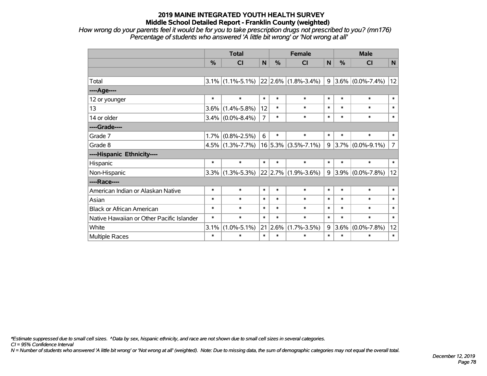*How wrong do your parents feel it would be for you to take prescription drugs not prescribed to you? (mn176) Percentage of students who answered 'A little bit wrong' or 'Not wrong at all'*

|                                           | <b>Total</b>  |                                         |                | <b>Female</b> |                         |        | <b>Male</b> |                           |                |  |
|-------------------------------------------|---------------|-----------------------------------------|----------------|---------------|-------------------------|--------|-------------|---------------------------|----------------|--|
|                                           | $\frac{9}{6}$ | CI                                      | $\mathbf N$    | $\frac{0}{0}$ | <b>CI</b>               | N      | $\%$        | <b>CI</b>                 | $\mathsf{N}$   |  |
|                                           |               |                                         |                |               |                         |        |             |                           |                |  |
| Total                                     |               | $3.1\%$ (1.1%-5.1%) 22 2.6% (1.8%-3.4%) |                |               |                         |        |             | $9 3.6\% (0.0\% - 7.4\%)$ | 12             |  |
| ----Age----                               |               |                                         |                |               |                         |        |             |                           |                |  |
| 12 or younger                             | $\ast$        | $\ast$                                  | $\ast$         | $\ast$        | $\ast$                  | $\ast$ | $\ast$      | $\ast$                    | $\ast$         |  |
| 13                                        | 3.6%          | $(1.4\% - 5.8\%)$                       | 12             | $\ast$        | $\ast$                  | $\ast$ | $\ast$      | $\ast$                    | $\ast$         |  |
| 14 or older                               |               | $3.4\%$ (0.0%-8.4%)                     | $\overline{7}$ | $\ast$        | $\ast$                  | $\ast$ | $\ast$      | $\ast$                    | $\ast$         |  |
| ----Grade----                             |               |                                         |                |               |                         |        |             |                           |                |  |
| Grade 7                                   | 1.7%          | $(0.8\% - 2.5\%)$                       | 6              | $\ast$        | $\ast$                  | $\ast$ | $\ast$      | $\ast$                    | $\ast$         |  |
| Grade 8                                   |               | $4.5\%$ (1.3%-7.7%)                     |                |               | $16 5.3\% $ (3.5%-7.1%) |        | 9 3.7%      | $(0.0\% - 9.1\%)$         | $\overline{7}$ |  |
| ----Hispanic Ethnicity----                |               |                                         |                |               |                         |        |             |                           |                |  |
| Hispanic                                  | $\ast$        | $\ast$                                  | $\ast$         | $\ast$        | $\ast$                  | $\ast$ | $\ast$      | $\ast$                    | $\ast$         |  |
| Non-Hispanic                              | $3.3\%$       | $(1.3\% - 5.3\%)$                       |                |               | 22 2.7% (1.9%-3.6%)     |        | $9 3.9\% $  | $(0.0\% - 7.8\%)$         | 12             |  |
| ----Race----                              |               |                                         |                |               |                         |        |             |                           |                |  |
| American Indian or Alaskan Native         | $\ast$        | $\ast$                                  | $\ast$         | $\ast$        | $\ast$                  | $\ast$ | $\ast$      | $\ast$                    | $\ast$         |  |
| Asian                                     | $\ast$        | $\ast$                                  | $\ast$         | $\ast$        | $\ast$                  | $\ast$ | $\ast$      | $\ast$                    | $\ast$         |  |
| <b>Black or African American</b>          | $\ast$        | $\ast$                                  | $\ast$         | $\ast$        | $\ast$                  | $\ast$ | $\ast$      | $\ast$                    | $\ast$         |  |
| Native Hawaiian or Other Pacific Islander | $\ast$        | $\ast$                                  | $\ast$         | $\ast$        | $\ast$                  | $\ast$ | $\ast$      | $\ast$                    | $\ast$         |  |
| White                                     | 3.1%          | $(1.0\% - 5.1\%)$                       | 21             | 2.6%          | $(1.7\% - 3.5\%)$       | 9      | $3.6\%$     | $(0.0\% - 7.8\%)$         | 12             |  |
| Multiple Races                            | $\ast$        | $\ast$                                  | $\ast$         | $\ast$        | $\ast$                  | $\ast$ | $\ast$      | $\ast$                    | $\ast$         |  |

*\*Estimate suppressed due to small cell sizes. ^Data by sex, hispanic ethnicity, and race are not shown due to small cell sizes in several categories.*

*CI = 95% Confidence Interval*

*N = Number of students who answered 'A little bit wrong' or 'Not wrong at all' (weighted). Note: Due to missing data, the sum of demographic categories may not equal the overall total.*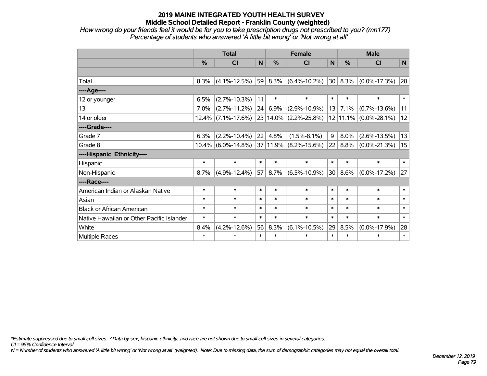*How wrong do your friends feel it would be for you to take prescription drugs not prescribed to you? (mn177) Percentage of students who answered 'A little bit wrong' or 'Not wrong at all'*

|                                           | <b>Total</b> |                       |        |        | <b>Female</b>         |        |        | <b>Male</b>               |        |  |
|-------------------------------------------|--------------|-----------------------|--------|--------|-----------------------|--------|--------|---------------------------|--------|--|
|                                           | $\%$         | <b>CI</b>             | N      | $\%$   | <b>CI</b>             | N      | $\%$   | <b>CI</b>                 | N      |  |
|                                           |              |                       |        |        |                       |        |        |                           |        |  |
| Total                                     | 8.3%         | $(4.1\% - 12.5\%)$    | 59     | 8.3%   | $(6.4\% - 10.2\%)$    | 30     | 8.3%   | $(0.0\% - 17.3\%)$        | 28     |  |
| ---- Age----                              |              |                       |        |        |                       |        |        |                           |        |  |
| 12 or younger                             | 6.5%         | $(2.7\% - 10.3\%)$    | 11     | $\ast$ | $\ast$                | $\ast$ | $\ast$ | $\ast$                    | $\ast$ |  |
| 13                                        | 7.0%         | $(2.7\% - 11.2\%)$    | 24     | 6.9%   | $(2.9\% - 10.9\%)$    | 13     | 7.1%   | $(0.7\% - 13.6\%)$        | 11     |  |
| 14 or older                               |              | $12.4\%$ (7.1%-17.6%) |        |        | 23 14.0% (2.2%-25.8%) |        |        | $12 11.1\% $ (0.0%-28.1%) | 12     |  |
| ----Grade----                             |              |                       |        |        |                       |        |        |                           |        |  |
| Grade 7                                   | 6.3%         | $(2.2\% - 10.4\%)$    | 22     | 4.8%   | $(1.5\% - 8.1\%)$     | 9      | 8.0%   | $(2.6\% - 13.5\%)$        | 13     |  |
| Grade 8                                   |              | $10.4\%$ (6.0%-14.8%) |        |        | 37 11.9% (8.2%-15.6%) | 22     | 8.8%   | $(0.0\% - 21.3\%)$        | 15     |  |
| ----Hispanic Ethnicity----                |              |                       |        |        |                       |        |        |                           |        |  |
| Hispanic                                  | $\ast$       | $\ast$                | $\ast$ | $\ast$ | $\ast$                | $\ast$ | $\ast$ | $\ast$                    | $\ast$ |  |
| Non-Hispanic                              | 8.7%         | $(4.9\% - 12.4\%)$    | 57     | 8.7%   | $(6.5\% - 10.9\%)$    | 30     | 8.6%   | $(0.0\% - 17.2\%)$        | 27     |  |
| ----Race----                              |              |                       |        |        |                       |        |        |                           |        |  |
| American Indian or Alaskan Native         | $\ast$       | $\ast$                | $\ast$ | $\ast$ | $\ast$                | $\ast$ | $\ast$ | $\ast$                    | $\ast$ |  |
| Asian                                     | $\ast$       | $\ast$                | $\ast$ | $\ast$ | $\ast$                | $\ast$ | $\ast$ | $\ast$                    | $\ast$ |  |
| <b>Black or African American</b>          | $\ast$       | $\ast$                | $\ast$ | $\ast$ | $\ast$                | $\ast$ | $\ast$ | $\ast$                    | $\ast$ |  |
| Native Hawaiian or Other Pacific Islander | $\ast$       | $\ast$                | $\ast$ | $\ast$ | $\ast$                | $\ast$ | $\ast$ | $\ast$                    | $\ast$ |  |
| White                                     | 8.4%         | $(4.2\% - 12.6\%)$    | 56     | 8.3%   | $(6.1\% - 10.5\%)$    | 29     | 8.5%   | $(0.0\% - 17.9\%)$        | 28     |  |
| Multiple Races                            | $\ast$       | $\ast$                | $\ast$ | $\ast$ | $\ast$                | $\ast$ | $\ast$ | $\ast$                    | $\ast$ |  |

*\*Estimate suppressed due to small cell sizes. ^Data by sex, hispanic ethnicity, and race are not shown due to small cell sizes in several categories.*

*CI = 95% Confidence Interval*

*N = Number of students who answered 'A little bit wrong' or 'Not wrong at all' (weighted). Note: Due to missing data, the sum of demographic categories may not equal the overall total.*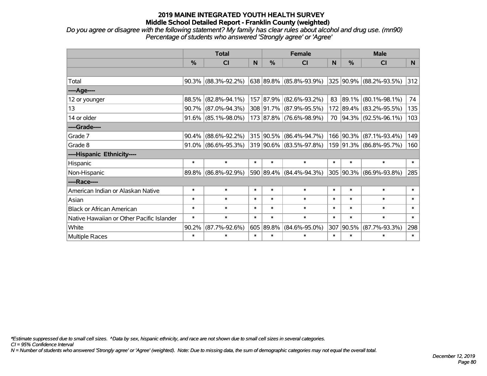*Do you agree or disagree with the following statement? My family has clear rules about alcohol and drug use. (mn90) Percentage of students who answered 'Strongly agree' or 'Agree'*

|                                           | <b>Total</b>  |                        |        | <b>Female</b> |                         | <b>Male</b>  |           |                         |        |
|-------------------------------------------|---------------|------------------------|--------|---------------|-------------------------|--------------|-----------|-------------------------|--------|
|                                           | $\frac{0}{0}$ | <b>CI</b>              | N      | %             | <b>CI</b>               | <sub>N</sub> | %         | <b>CI</b>               | N      |
|                                           |               |                        |        |               |                         |              |           |                         |        |
| Total                                     |               | $90.3\%$ (88.3%-92.2%) |        |               | 638 89.8% (85.8%-93.9%) |              |           | 325 90.9% (88.2%-93.5%) | 312    |
| ----Age----                               |               |                        |        |               |                         |              |           |                         |        |
| 12 or younger                             | 88.5%         | $(82.8\% - 94.1\%)$    |        | 157 87.9%     | $(82.6\% - 93.2\%)$     | 83           | 89.1%     | $(80.1\% - 98.1\%)$     | 74     |
| 13                                        |               | 90.7% (87.0%-94.3%)    |        |               | 308 91.7% (87.9%-95.5%) |              |           | 172 89.4% (83.2%-95.5%) | 135    |
| 14 or older                               |               | 91.6% (85.1%-98.0%)    |        |               | 173 87.8% (76.6%-98.9%) |              |           | 70 94.3% (92.5%-96.1%)  | 103    |
| ----Grade----                             |               |                        |        |               |                         |              |           |                         |        |
| Grade 7                                   | 90.4%         | $(88.6\% - 92.2\%)$    |        |               | 315 90.5% (86.4%-94.7%) |              | 166 90.3% | $(87.1\% - 93.4\%)$     | 149    |
| Grade 8                                   |               | $91.0\%$ (86.6%-95.3%) |        |               | 319 90.6% (83.5%-97.8%) |              |           | 159 91.3% (86.8%-95.7%) | 160    |
| ----Hispanic Ethnicity----                |               |                        |        |               |                         |              |           |                         |        |
| Hispanic                                  | $\ast$        | $\ast$                 | $\ast$ | $\ast$        | $\ast$                  | $\ast$       | $\ast$    | $\ast$                  | $\ast$ |
| Non-Hispanic                              |               | 89.8% (86.8%-92.9%)    |        |               | 590 89.4% (84.4%-94.3%) |              | 305 90.3% | $(86.9\% - 93.8\%)$     | 285    |
| ----Race----                              |               |                        |        |               |                         |              |           |                         |        |
| American Indian or Alaskan Native         | $\ast$        | $\ast$                 | $\ast$ | $\ast$        | $\ast$                  | $\ast$       | $\ast$    | $\ast$                  | $\ast$ |
| Asian                                     | $\ast$        | $\ast$                 | $\ast$ | $\ast$        | $\ast$                  | $\ast$       | $\ast$    | $\ast$                  | $\ast$ |
| <b>Black or African American</b>          | $\ast$        | $\ast$                 | $\ast$ | $\ast$        | $\ast$                  | $\ast$       | $\ast$    | $\ast$                  | $\ast$ |
| Native Hawaiian or Other Pacific Islander | $\ast$        | $\ast$                 | $\ast$ | $\ast$        | $\ast$                  | $\ast$       | $\ast$    | $\ast$                  | $\ast$ |
| White                                     | 90.2%         | $(87.7\% - 92.6\%)$    |        | 605 89.8%     | $(84.6\% - 95.0\%)$     | 307          | 90.5%     | $(87.7\% - 93.3\%)$     | 298    |
| Multiple Races                            | $\ast$        | $\ast$                 | $\ast$ | $\ast$        | $\ast$                  | $\ast$       | $\ast$    | $\ast$                  | $\ast$ |

*\*Estimate suppressed due to small cell sizes. ^Data by sex, hispanic ethnicity, and race are not shown due to small cell sizes in several categories.*

*CI = 95% Confidence Interval*

*N = Number of students who answered 'Strongly agree' or 'Agree' (weighted). Note: Due to missing data, the sum of demographic categories may not equal the overall total.*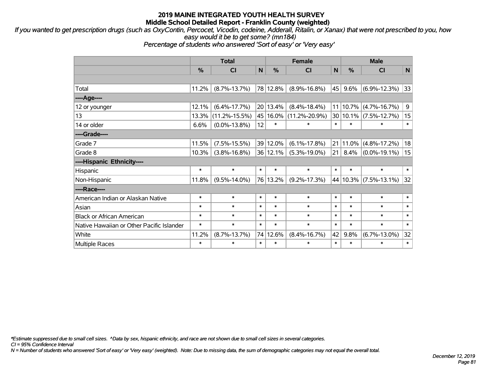*If you wanted to get prescription drugs (such as OxyContin, Percocet, Vicodin, codeine, Adderall, Ritalin, or Xanax) that were not prescribed to you, how easy would it be to get some? (mn184)*

*Percentage of students who answered 'Sort of easy' or 'Very easy'*

|                                           | <b>Total</b> |                     |              |          | <b>Female</b>       |             |          | <b>Male</b>               |        |  |  |
|-------------------------------------------|--------------|---------------------|--------------|----------|---------------------|-------------|----------|---------------------------|--------|--|--|
|                                           | $\%$         | CI                  | $\mathsf{N}$ | %        | <b>CI</b>           | $\mathbf N$ | %        | <b>CI</b>                 | N      |  |  |
|                                           |              |                     |              |          |                     |             |          |                           |        |  |  |
| Total                                     | 11.2%        | $(8.7\% - 13.7\%)$  |              | 78 12.8% | $(8.9\% - 16.8\%)$  | 45          | 9.6%     | $(6.9\% - 12.3\%)$        | 33     |  |  |
| ----Age----                               |              |                     |              |          |                     |             |          |                           |        |  |  |
| 12 or younger                             | 12.1%        | $(6.4\% - 17.7\%)$  |              | 20 13.4% | $(8.4\% - 18.4\%)$  |             | 11 10.7% | $(4.7\% - 16.7\%)$        | 9      |  |  |
| 13                                        | 13.3%        | $(11.2\% - 15.5\%)$ |              | 45 16.0% | $(11.2\% - 20.9\%)$ |             | 30 10.1% | $(7.5\% - 12.7\%)$        | 15     |  |  |
| 14 or older                               | 6.6%         | $(0.0\% - 13.8\%)$  | 12           | $\ast$   | $\ast$              | $\ast$      | $\ast$   | $\ast$                    | $\ast$ |  |  |
| ----Grade----                             |              |                     |              |          |                     |             |          |                           |        |  |  |
| Grade 7                                   | 11.5%        | $(7.5\% - 15.5\%)$  |              | 39 12.0% | $(6.1\% - 17.8\%)$  |             | 21 11.0% | $(4.8\% - 17.2\%)$        | 18     |  |  |
| Grade 8                                   | 10.3%        | $(3.8\% - 16.8\%)$  |              | 36 12.1% | $(5.3\% - 19.0\%)$  | 21          | 8.4%     | $(0.0\% - 19.1\%)$        | 15     |  |  |
| ----Hispanic Ethnicity----                |              |                     |              |          |                     |             |          |                           |        |  |  |
| Hispanic                                  | $\ast$       | $\ast$              | $\ast$       | $\ast$   | $\ast$              | $\ast$      | $\ast$   | $\ast$                    | $\ast$ |  |  |
| Non-Hispanic                              | 11.8%        | $(9.5\% - 14.0\%)$  |              | 76 13.2% | $(9.2\% - 17.3\%)$  |             |          | 44   10.3%   (7.5%-13.1%) | 32     |  |  |
| ----Race----                              |              |                     |              |          |                     |             |          |                           |        |  |  |
| American Indian or Alaskan Native         | $\ast$       | $\ast$              | $\ast$       | $\ast$   | $\ast$              | $\ast$      | $\ast$   | $\ast$                    | $\ast$ |  |  |
| Asian                                     | $\ast$       | $\ast$              | $\ast$       | $\ast$   | $\ast$              | $\ast$      | $\ast$   | $\ast$                    | $\ast$ |  |  |
| <b>Black or African American</b>          | $\ast$       | $\ast$              | $\ast$       | $\ast$   | $\ast$              | $\ast$      | $\ast$   | $\ast$                    | $\ast$ |  |  |
| Native Hawaiian or Other Pacific Islander | $\ast$       | $\ast$              | $\ast$       | $\ast$   | $\ast$              | $\ast$      | $\ast$   | $\ast$                    | $\ast$ |  |  |
| White                                     | 11.2%        | $(8.7\% - 13.7\%)$  | 74           | 12.6%    | $(8.4\% - 16.7\%)$  | 42          | 9.8%     | $(6.7\% - 13.0\%)$        | 32     |  |  |
| <b>Multiple Races</b>                     | $\ast$       | $\ast$              | $\ast$       | $\ast$   | $\ast$              | $\ast$      | $\ast$   | *                         | $\ast$ |  |  |

*\*Estimate suppressed due to small cell sizes. ^Data by sex, hispanic ethnicity, and race are not shown due to small cell sizes in several categories.*

*CI = 95% Confidence Interval*

*N = Number of students who answered 'Sort of easy' or 'Very easy' (weighted). Note: Due to missing data, the sum of demographic categories may not equal the overall total.*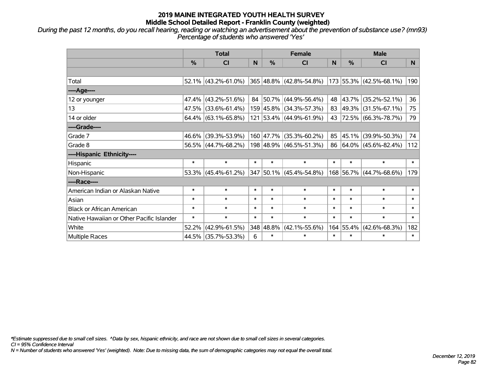*During the past 12 months, do you recall hearing, reading or watching an advertisement about the prevention of substance use? (mn93) Percentage of students who answered 'Yes'*

|                                           | <b>Total</b>  |                           |        |               | <b>Female</b>                |        | <b>Male</b> |                         |        |  |
|-------------------------------------------|---------------|---------------------------|--------|---------------|------------------------------|--------|-------------|-------------------------|--------|--|
|                                           | $\frac{0}{0}$ | <b>CI</b>                 | N      | $\frac{9}{6}$ | <b>CI</b>                    | N      | %           | <b>CI</b>               | N.     |  |
|                                           |               |                           |        |               |                              |        |             |                         |        |  |
| Total                                     |               | 52.1% (43.2%-61.0%)       |        |               | $ 365 48.8\% $ (42.8%-54.8%) |        |             | 173 55.3% (42.5%-68.1%) | 190    |  |
| ----Age----                               |               |                           |        |               |                              |        |             |                         |        |  |
| 12 or younger                             | 47.4%         | $(43.2\% - 51.6\%)$       |        |               | 84 50.7% (44.9%-56.4%)       |        | 48 43.7%    | $(35.2\% - 52.1\%)$     | 36     |  |
| 13                                        |               | 47.5% (33.6%-61.4%)       |        |               | 159 45.8% (34.3%-57.3%)      |        |             | 83 49.3% (31.5%-67.1%)  | 75     |  |
| 14 or older                               |               | 64.4% $(63.1\% - 65.8\%)$ |        |               | 121 53.4% (44.9%-61.9%)      |        |             | 43 72.5% (66.3%-78.7%)  | 79     |  |
| ----Grade----                             |               |                           |        |               |                              |        |             |                         |        |  |
| Grade 7                                   | $46.6\%$      | $(39.3\% - 53.9\%)$       |        |               | 160 47.7% (35.3%-60.2%)      | 85     | 45.1%       | $(39.9\% - 50.3\%)$     | 74     |  |
| Grade 8                                   |               | 56.5% (44.7%-68.2%)       |        |               | 198 48.9% (46.5%-51.3%)      |        |             | 86 64.0% (45.6%-82.4%)  | 112    |  |
| ----Hispanic Ethnicity----                |               |                           |        |               |                              |        |             |                         |        |  |
| Hispanic                                  | $\ast$        | $\ast$                    | $\ast$ | $\ast$        | $\ast$                       | $\ast$ | $\ast$      | $\ast$                  | $\ast$ |  |
| Non-Hispanic                              |               | $53.3\%$ (45.4%-61.2%)    |        |               | 347 50.1% (45.4%-54.8%)      |        |             | 168 56.7% (44.7%-68.6%) | 179    |  |
| ----Race----                              |               |                           |        |               |                              |        |             |                         |        |  |
| American Indian or Alaskan Native         | $\ast$        | $\ast$                    | $\ast$ | $\ast$        | $\ast$                       | $\ast$ | $\ast$      | $\ast$                  | $\ast$ |  |
| Asian                                     | $\ast$        | $\ast$                    | $\ast$ | $\ast$        | $\ast$                       | $\ast$ | $\ast$      | $\ast$                  | $\ast$ |  |
| <b>Black or African American</b>          | $\ast$        | $\ast$                    | $\ast$ | $\ast$        | $\ast$                       | $\ast$ | $\ast$      | $\ast$                  | $\ast$ |  |
| Native Hawaiian or Other Pacific Islander | $\ast$        | $\ast$                    | $\ast$ | $\ast$        | $\ast$                       | $\ast$ | $\ast$      | $\ast$                  | $\ast$ |  |
| White                                     | 52.2%         | $(42.9\% - 61.5\%)$       |        | 348 48.8%     | $(42.1\% - 55.6\%)$          |        | 164 55.4%   | $(42.6\% - 68.3\%)$     | 182    |  |
| Multiple Races                            |               | 44.5% (35.7%-53.3%)       | 6      | $\ast$        | $\ast$                       | $\ast$ | $\ast$      | *                       | $\ast$ |  |

*\*Estimate suppressed due to small cell sizes. ^Data by sex, hispanic ethnicity, and race are not shown due to small cell sizes in several categories.*

*CI = 95% Confidence Interval*

*N = Number of students who answered 'Yes' (weighted). Note: Due to missing data, the sum of demographic categories may not equal the overall total.*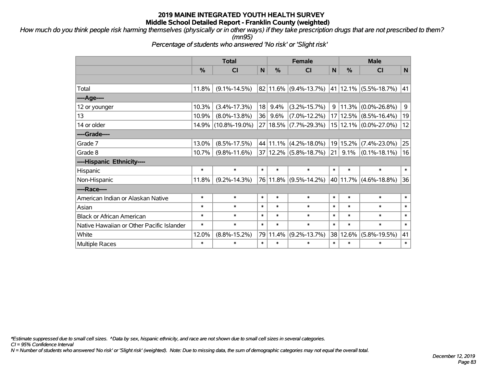*How much do you think people risk harming themselves (physically or in other ways) if they take prescription drugs that are not prescribed to them? (mn95)*

*Percentage of students who answered 'No risk' or 'Slight risk'*

|                                           | <b>Total</b>  |                     |        | <b>Female</b> |                           |        | <b>Male</b>   |                           |             |  |
|-------------------------------------------|---------------|---------------------|--------|---------------|---------------------------|--------|---------------|---------------------------|-------------|--|
|                                           | $\frac{9}{6}$ | CI                  | N      | %             | CI                        | N      | $\frac{0}{0}$ | CI                        | N           |  |
|                                           |               |                     |        |               |                           |        |               |                           |             |  |
| Total                                     | 11.8%         | $(9.1\% - 14.5\%)$  |        |               | $82 11.6\% $ (9.4%-13.7%) |        |               | 41   12.1%   (5.5%-18.7%) | 41          |  |
| ----Age----                               |               |                     |        |               |                           |        |               |                           |             |  |
| 12 or younger                             | 10.3%         | $(3.4\% - 17.3\%)$  | 18     | 9.4%          | $(3.2\% - 15.7\%)$        | 9      | 11.3%         | $(0.0\% - 26.8\%)$        | $\mathsf 9$ |  |
| 13                                        | 10.9%         | $(8.0\% - 13.8\%)$  | 36     | 9.6%          | $(7.0\% - 12.2\%)$        |        | 17 12.5%      | $(8.5\% - 16.4\%)$        | 19          |  |
| 14 or older                               | 14.9%         | $(10.8\% - 19.0\%)$ |        | 27 18.5%      | $(7.7\% - 29.3\%)$        |        |               | 15 12.1% (0.0%-27.0%)     | 12          |  |
| ----Grade----                             |               |                     |        |               |                           |        |               |                           |             |  |
| Grade 7                                   | 13.0%         | $(8.5\% - 17.5\%)$  |        | 44 11.1%      | $(4.2\% - 18.0\%)$        |        | 19 15.2%      | $(7.4\% - 23.0\%)$        | 25          |  |
| Grade 8                                   | 10.7%         | $(9.8\% - 11.6\%)$  |        | 37 12.2%      | $(5.8\% - 18.7\%)$        | 21     | 9.1%          | $(0.1\% - 18.1\%)$        | 16          |  |
| ----Hispanic Ethnicity----                |               |                     |        |               |                           |        |               |                           |             |  |
| Hispanic                                  | $\ast$        | $\ast$              | $\ast$ | $\ast$        | $\ast$                    | $\ast$ | $\ast$        | $\ast$                    | $\ast$      |  |
| Non-Hispanic                              | 11.8%         | $(9.2\% - 14.3\%)$  |        | 76 11.8%      | $(9.5\% - 14.2\%)$        |        |               | 40   11.7%   (4.6%-18.8%) | 36          |  |
| ----Race----                              |               |                     |        |               |                           |        |               |                           |             |  |
| American Indian or Alaskan Native         | $\ast$        | $\ast$              | $\ast$ | $\ast$        | $\ast$                    | $\ast$ | $\ast$        | $\ast$                    | $\ast$      |  |
| Asian                                     | $\ast$        | $\ast$              | $\ast$ | $\ast$        | $\ast$                    | $\ast$ | $\ast$        | $\ast$                    | $\ast$      |  |
| <b>Black or African American</b>          | $\ast$        | $\ast$              | $\ast$ | $\ast$        | $\ast$                    | $\ast$ | $\ast$        | $\ast$                    | $\ast$      |  |
| Native Hawaiian or Other Pacific Islander | $\ast$        | $\ast$              | $\ast$ | $\ast$        | $\ast$                    | $\ast$ | $\ast$        | $\ast$                    | $\ast$      |  |
| White                                     | 12.0%         | $(8.8\% - 15.2\%)$  |        | 79 11.4%      | $(9.2\% - 13.7\%)$        |        | 38 12.6%      | $(5.8\% - 19.5\%)$        | 41          |  |
| <b>Multiple Races</b>                     | $\ast$        | $\ast$              | $\ast$ | $\ast$        | $\ast$                    | $\ast$ | $\ast$        | *                         | $\ast$      |  |

*\*Estimate suppressed due to small cell sizes. ^Data by sex, hispanic ethnicity, and race are not shown due to small cell sizes in several categories.*

*CI = 95% Confidence Interval*

*N = Number of students who answered 'No risk' or 'Slight risk' (weighted). Note: Due to missing data, the sum of demographic categories may not equal the overall total.*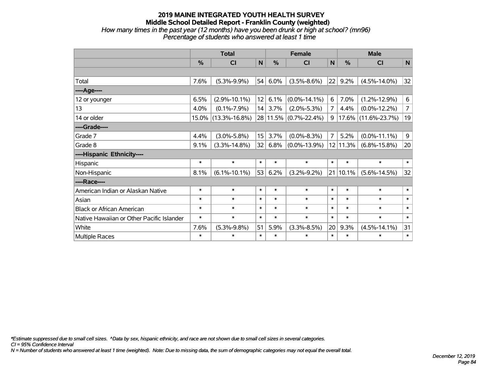#### **2019 MAINE INTEGRATED YOUTH HEALTH SURVEY Middle School Detailed Report - Franklin County (weighted)** *How many times in the past year (12 months) have you been drunk or high at school? (mn96) Percentage of students who answered at least 1 time*

|                                           | <b>Total</b> |                     |              |               | <b>Female</b>         |                | <b>Male</b>   |                        |                |  |
|-------------------------------------------|--------------|---------------------|--------------|---------------|-----------------------|----------------|---------------|------------------------|----------------|--|
|                                           | $\%$         | C <sub>l</sub>      | $\mathsf{N}$ | $\frac{9}{6}$ | CI                    | N              | $\frac{0}{0}$ | CI                     | N              |  |
|                                           |              |                     |              |               |                       |                |               |                        |                |  |
| Total                                     | 7.6%         | $(5.3\% - 9.9\%)$   | 54           | 6.0%          | $(3.5\% - 8.6\%)$     | 22             | 9.2%          | $(4.5\% - 14.0\%)$     | 32             |  |
| ---- Age----                              |              |                     |              |               |                       |                |               |                        |                |  |
| 12 or younger                             | 6.5%         | $(2.9\% - 10.1\%)$  | 12           | 6.1%          | $(0.0\% - 14.1\%)$    | 6              | 7.0%          | $(1.2\% - 12.9\%)$     | 6              |  |
| 13                                        | 4.0%         | $(0.1\% - 7.9\%)$   | 14           | 3.7%          | $(2.0\% - 5.3\%)$     | 7              | 4.4%          | $(0.0\% - 12.2\%)$     | $\overline{7}$ |  |
| 14 or older                               | 15.0%        | $(13.3\% - 16.8\%)$ |              |               | 28 11.5% (0.7%-22.4%) | 9              |               | $17.6\%$ (11.6%-23.7%) | 19             |  |
| ----Grade----                             |              |                     |              |               |                       |                |               |                        |                |  |
| Grade 7                                   | 4.4%         | $(3.0\% - 5.8\%)$   | 15           | 3.7%          | $(0.0\% - 8.3\%)$     | $\overline{7}$ | 5.2%          | $(0.0\% - 11.1\%)$     | 9              |  |
| Grade 8                                   | 9.1%         | $(3.3\% - 14.8\%)$  | 32           | 6.8%          | $(0.0\% - 13.9\%)$    | 12             | 11.3%         | $(6.8\% - 15.8\%)$     | 20             |  |
| ----Hispanic Ethnicity----                |              |                     |              |               |                       |                |               |                        |                |  |
| Hispanic                                  | $\ast$       | $\ast$              | $\ast$       | $\ast$        | $\ast$                | $\ast$         | $\ast$        | $\ast$                 | $\ast$         |  |
| Non-Hispanic                              | 8.1%         | $(6.1\% - 10.1\%)$  | 53           | 6.2%          | $(3.2\% - 9.2\%)$     | 21             | 10.1%         | $(5.6\% - 14.5\%)$     | 32             |  |
| ----Race----                              |              |                     |              |               |                       |                |               |                        |                |  |
| American Indian or Alaskan Native         | $\ast$       | $\ast$              | $\ast$       | $\ast$        | $\ast$                | $\ast$         | $\ast$        | $\ast$                 | $\ast$         |  |
| Asian                                     | $\ast$       | $\ast$              | $\ast$       | $\ast$        | $\ast$                | $\ast$         | $\ast$        | $\ast$                 | $\ast$         |  |
| <b>Black or African American</b>          | $\ast$       | $\ast$              | $\ast$       | $\ast$        | $\ast$                | $\ast$         | $\ast$        | $\ast$                 | $\ast$         |  |
| Native Hawaiian or Other Pacific Islander | $\ast$       | $\ast$              | $\ast$       | $\ast$        | $\ast$                | $\ast$         | $\ast$        | $\ast$                 | $\ast$         |  |
| White                                     | 7.6%         | $(5.3\% - 9.8\%)$   | 51           | 5.9%          | $(3.3\% - 8.5\%)$     | 20             | 9.3%          | $(4.5\% - 14.1\%)$     | 31             |  |
| Multiple Races                            | $\ast$       | $\ast$              | $\ast$       | $\ast$        | $\ast$                | $\ast$         | $\ast$        | $\ast$                 | $\ast$         |  |

*\*Estimate suppressed due to small cell sizes. ^Data by sex, hispanic ethnicity, and race are not shown due to small cell sizes in several categories.*

*CI = 95% Confidence Interval*

*N = Number of students who answered at least 1 time (weighted). Note: Due to missing data, the sum of demographic categories may not equal the overall total.*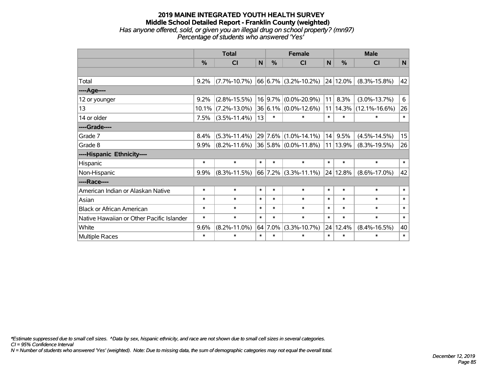#### **2019 MAINE INTEGRATED YOUTH HEALTH SURVEY Middle School Detailed Report - Franklin County (weighted)** *Has anyone offered, sold, or given you an illegal drug on school property? (mn97) Percentage of students who answered 'Yes'*

|                                           | <b>Total</b> |                    |        | <b>Female</b> |                               |             | <b>Male</b>   |                     |        |  |
|-------------------------------------------|--------------|--------------------|--------|---------------|-------------------------------|-------------|---------------|---------------------|--------|--|
|                                           | %            | CI                 | N      | %             | <b>CI</b>                     | $\mathbf N$ | $\frac{0}{0}$ | <b>CI</b>           | N      |  |
|                                           |              |                    |        |               |                               |             |               |                     |        |  |
| Total                                     | 9.2%         | $(7.7\% - 10.7\%)$ |        |               | $66 6.7\% $ (3.2%-10.2%)      |             | 24 12.0%      | $(8.3\% - 15.8\%)$  | 42     |  |
| ---- Age----                              |              |                    |        |               |                               |             |               |                     |        |  |
| 12 or younger                             | 9.2%         | $(2.8\% - 15.5\%)$ |        | 16 9.7%       | $(0.0\% - 20.9\%)$            | 11          | 8.3%          | $(3.0\% - 13.7\%)$  | 6      |  |
| 13                                        | 10.1%        | $(7.2\% - 13.0\%)$ |        | 36 6.1%       | $(0.0\% - 12.6\%)$            |             | 11 14.3%      | $(12.1\% - 16.6\%)$ | 26     |  |
| 14 or older                               | 7.5%         | $(3.5\% - 11.4\%)$ | 13     | $\ast$        | $\ast$                        | $\ast$      | $\ast$        | $\ast$              | $\ast$ |  |
| ----Grade----                             |              |                    |        |               |                               |             |               |                     |        |  |
| Grade 7                                   | 8.4%         | $(5.3\% - 11.4\%)$ |        |               | 29 7.6% (1.0%-14.1%)          | 14          | 9.5%          | $(4.5\% - 14.5\%)$  | 15     |  |
| Grade 8                                   | 9.9%         | $(8.2\% - 11.6\%)$ |        |               | $ 36 5.8\% $ (0.0%-11.8%) $ $ |             | 11 13.9%      | $(8.3\% - 19.5\%)$  | 26     |  |
| ----Hispanic Ethnicity----                |              |                    |        |               |                               |             |               |                     |        |  |
| Hispanic                                  | $\ast$       | $\ast$             | $\ast$ | $\ast$        | $\ast$                        | $\ast$      | $\ast$        | $\ast$              | $\ast$ |  |
| Non-Hispanic                              | 9.9%         | $(8.3\% - 11.5\%)$ |        | 66 7.2%       | $(3.3\% - 11.1\%)$            |             | 24 12.8%      | $(8.6\% - 17.0\%)$  | 42     |  |
| ----Race----                              |              |                    |        |               |                               |             |               |                     |        |  |
| American Indian or Alaskan Native         | $\ast$       | $\ast$             | $\ast$ | $\ast$        | $\ast$                        | $\ast$      | $\ast$        | $\ast$              | $\ast$ |  |
| Asian                                     | $\ast$       | $\ast$             | $\ast$ | $\ast$        | $\ast$                        | $\ast$      | $\ast$        | $\ast$              | $\ast$ |  |
| <b>Black or African American</b>          | $\ast$       | $\ast$             | $\ast$ | $\ast$        | $\ast$                        | $\ast$      | $\ast$        | $\ast$              | $\ast$ |  |
| Native Hawaiian or Other Pacific Islander | $\ast$       | $\ast$             | $\ast$ | $\ast$        | $\ast$                        | $\ast$      | $\ast$        | $\ast$              | $\ast$ |  |
| White                                     | 9.6%         | $(8.2\% - 11.0\%)$ |        | 64 7.0%       | $(3.3\% - 10.7\%)$            |             | 24 12.4%      | $(8.4\% - 16.5\%)$  | 40     |  |
| <b>Multiple Races</b>                     | $\ast$       | $\ast$             | $\ast$ | $\ast$        | $\ast$                        | $\ast$      | $\ast$        | $\ast$              | $\ast$ |  |

*\*Estimate suppressed due to small cell sizes. ^Data by sex, hispanic ethnicity, and race are not shown due to small cell sizes in several categories.*

*CI = 95% Confidence Interval*

*N = Number of students who answered 'Yes' (weighted). Note: Due to missing data, the sum of demographic categories may not equal the overall total.*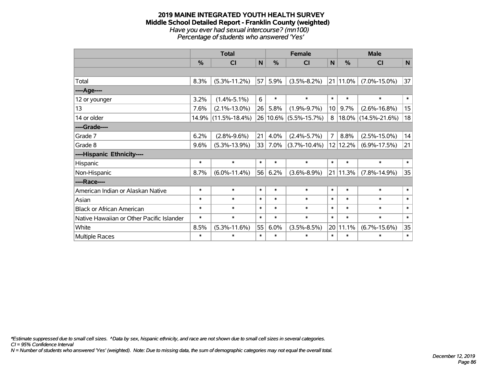#### **2019 MAINE INTEGRATED YOUTH HEALTH SURVEY Middle School Detailed Report - Franklin County (weighted)** *Have you ever had sexual intercourse? (mn100) Percentage of students who answered 'Yes'*

|                                           | <b>Total</b> |                     |        |        | <b>Female</b>         |                 | <b>Male</b>   |                     |        |  |
|-------------------------------------------|--------------|---------------------|--------|--------|-----------------------|-----------------|---------------|---------------------|--------|--|
|                                           | %            | <b>CI</b>           | N      | %      | <b>CI</b>             | $\mathsf{N}$    | $\frac{0}{0}$ | <b>CI</b>           | N      |  |
|                                           |              |                     |        |        |                       |                 |               |                     |        |  |
| Total                                     | 8.3%         | $(5.3\% - 11.2\%)$  | 57     | 5.9%   | $(3.5\% - 8.2\%)$     | 21              | $ 11.0\%$     | $(7.0\% - 15.0\%)$  | 37     |  |
| ----Age----                               |              |                     |        |        |                       |                 |               |                     |        |  |
| 12 or younger                             | 3.2%         | $(1.4\% - 5.1\%)$   | 6      | $\ast$ | $\ast$                | $\ast$          | $\ast$        | $\ast$              | $\ast$ |  |
| 13                                        | 7.6%         | $(2.1\% - 13.0\%)$  | 26     | 5.8%   | $(1.9\% - 9.7\%)$     | 10 <sup>1</sup> | 9.7%          | $(2.6\% - 16.8\%)$  | 15     |  |
| 14 or older                               | 14.9%        | $(11.5\% - 18.4\%)$ |        |        | 26 10.6% (5.5%-15.7%) | 8               |               | 18.0% (14.5%-21.6%) | 18     |  |
| ----Grade----                             |              |                     |        |        |                       |                 |               |                     |        |  |
| Grade 7                                   | 6.2%         | $(2.8\% - 9.6\%)$   | 21     | 4.0%   | $(2.4\% - 5.7\%)$     | $\overline{7}$  | 8.8%          | $(2.5\% - 15.0\%)$  | 14     |  |
| Grade 8                                   | 9.6%         | $(5.3\% - 13.9\%)$  | 33     | 7.0%   | $(3.7\% - 10.4\%)$    |                 | 12 12.2%      | $(6.9\% - 17.5\%)$  | 21     |  |
| ----Hispanic Ethnicity----                |              |                     |        |        |                       |                 |               |                     |        |  |
| Hispanic                                  | $\ast$       | $\ast$              | $\ast$ | $\ast$ | $\ast$                | $\ast$          | $\ast$        | $\ast$              | $\ast$ |  |
| Non-Hispanic                              | 8.7%         | $(6.0\% - 11.4\%)$  | 56     | 6.2%   | $(3.6\% - 8.9\%)$     |                 | 21 11.3%      | $(7.8\% - 14.9\%)$  | 35     |  |
| ----Race----                              |              |                     |        |        |                       |                 |               |                     |        |  |
| American Indian or Alaskan Native         | $\ast$       | $\ast$              | $\ast$ | $\ast$ | $\ast$                | $\ast$          | $\ast$        | $\ast$              | $\ast$ |  |
| Asian                                     | $\ast$       | $\ast$              | $\ast$ | $\ast$ | $\ast$                | $\ast$          | $\ast$        | $\ast$              | $\ast$ |  |
| <b>Black or African American</b>          | $\ast$       | $\ast$              | $\ast$ | $\ast$ | $\ast$                | $\ast$          | $\ast$        | $\ast$              | $\ast$ |  |
| Native Hawaiian or Other Pacific Islander | $\ast$       | $\ast$              | $\ast$ | $\ast$ | $\ast$                | $\ast$          | $\ast$        | $\ast$              | $\ast$ |  |
| White                                     | 8.5%         | $(5.3\% - 11.6\%)$  | 55     | 6.0%   | $(3.5\% - 8.5\%)$     |                 | 20 11.1%      | $(6.7\% - 15.6\%)$  | 35     |  |
| <b>Multiple Races</b>                     | $\ast$       | $\ast$              | $\ast$ | $\ast$ | $\ast$                | $\ast$          | $\ast$        | $\ast$              | $\ast$ |  |

*\*Estimate suppressed due to small cell sizes. ^Data by sex, hispanic ethnicity, and race are not shown due to small cell sizes in several categories.*

*CI = 95% Confidence Interval*

*N = Number of students who answered 'Yes' (weighted). Note: Due to missing data, the sum of demographic categories may not equal the overall total.*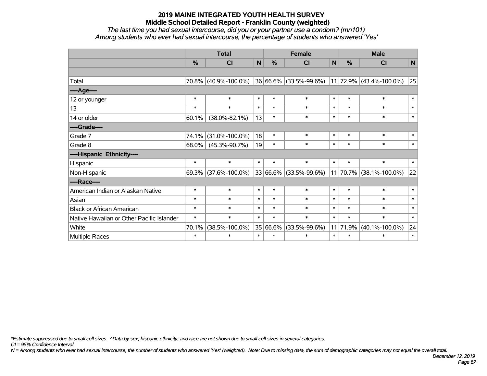*The last time you had sexual intercourse, did you or your partner use a condom? (mn101) Among students who ever had sexual intercourse, the percentage of students who answered 'Yes'*

|                                           | <b>Total</b> |                      |        |               | <b>Female</b>          | <b>Male</b> |          |                         |        |
|-------------------------------------------|--------------|----------------------|--------|---------------|------------------------|-------------|----------|-------------------------|--------|
|                                           | %            | C <sub>l</sub>       | N      | $\frac{0}{0}$ | CI                     | N           | %        | CI                      | N      |
|                                           |              |                      |        |               |                        |             |          |                         |        |
| Total                                     |              | 70.8% (40.9%-100.0%) |        |               | 36 66.6% (33.5%-99.6%) |             |          | 11 72.9% (43.4%-100.0%) | 25     |
| ----Age----                               |              |                      |        |               |                        |             |          |                         |        |
| 12 or younger                             | $\ast$       | $\ast$               | $\ast$ | $\ast$        | $\ast$                 | $\ast$      | $\ast$   | $\ast$                  | $\ast$ |
| 13                                        | $\ast$       | $\ast$               | $\ast$ | $\ast$        | $\ast$                 | $\ast$      | $\ast$   | $\ast$                  | $\ast$ |
| 14 or older                               | 60.1%        | $(38.0\% - 82.1\%)$  | 13     | $\ast$        | $\ast$                 | $\ast$      | $\ast$   | $\ast$                  | $\ast$ |
| ----Grade----                             |              |                      |        |               |                        |             |          |                         |        |
| Grade 7                                   | 74.1%        | $(31.0\% - 100.0\%)$ | 18     | $\ast$        | $\ast$                 | $\ast$      | $\ast$   | $\ast$                  | $\ast$ |
| Grade 8                                   | $68.0\%$     | $(45.3\% - 90.7\%)$  | 19     | $\ast$        | $\ast$                 | $\ast$      | $\ast$   | $\ast$                  | $\ast$ |
| ----Hispanic Ethnicity----                |              |                      |        |               |                        |             |          |                         |        |
| Hispanic                                  | $\ast$       | $\ast$               | $\ast$ | $\ast$        | $\ast$                 | $\ast$      | $\ast$   | $\ast$                  | $\ast$ |
| Non-Hispanic                              |              | 69.3% (37.6%-100.0%) |        |               | 33 66.6% (33.5%-99.6%) |             | 11 70.7% | $(38.1\% - 100.0\%)$    | 22     |
| ----Race----                              |              |                      |        |               |                        |             |          |                         |        |
| American Indian or Alaskan Native         | $\ast$       | $\ast$               | $\ast$ | $\ast$        | $\ast$                 | $\ast$      | $\ast$   | $\ast$                  | $\ast$ |
| Asian                                     | $\ast$       | $\ast$               | $\ast$ | $\ast$        | $\ast$                 | $\ast$      | $\ast$   | $\ast$                  | $\ast$ |
| <b>Black or African American</b>          | $\ast$       | $\ast$               | $\ast$ | $\ast$        | $\ast$                 | $\ast$      | $\ast$   | $\ast$                  | $\ast$ |
| Native Hawaiian or Other Pacific Islander | $\ast$       | $\ast$               | $\ast$ | $\ast$        | $\ast$                 | $\ast$      | $\ast$   | $\ast$                  | $\ast$ |
| White                                     | 70.1%        | $(38.5\% - 100.0\%)$ |        | 35 66.6%      | $(33.5\% - 99.6\%)$    |             | 11 71.9% | $(40.1\% - 100.0\%)$    | 24     |
| <b>Multiple Races</b>                     | $\ast$       | $\ast$               | $\ast$ | $\ast$        | $\ast$                 | $\ast$      | $\ast$   | $\ast$                  | $\ast$ |

*\*Estimate suppressed due to small cell sizes. ^Data by sex, hispanic ethnicity, and race are not shown due to small cell sizes in several categories.*

*CI = 95% Confidence Interval*

*N = Among students who ever had sexual intercourse, the number of students who answered 'Yes' (weighted). Note: Due to missing data, the sum of demographic categories may not equal the overall total.*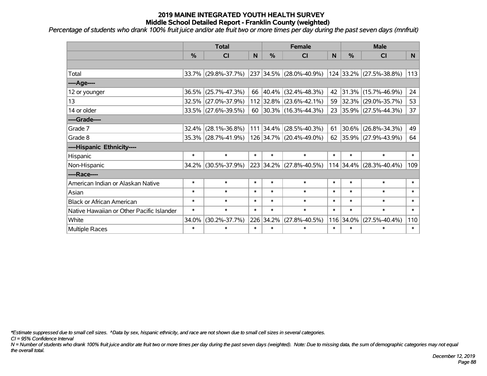*Percentage of students who drank 100% fruit juice and/or ate fruit two or more times per day during the past seven days (mnfruit)*

|                                           | <b>Total</b>  |                     |        |           | <b>Female</b>             | <b>Male</b> |           |                         |              |
|-------------------------------------------|---------------|---------------------|--------|-----------|---------------------------|-------------|-----------|-------------------------|--------------|
|                                           | $\frac{0}{0}$ | <b>CI</b>           | N      | $\%$      | <b>CI</b>                 | N           | %         | <b>CI</b>               | N.           |
|                                           |               |                     |        |           |                           |             |           |                         |              |
| Total                                     |               | 33.7% (29.8%-37.7%) |        |           | 237 34.5% (28.0%-40.9%)   |             |           | 124 33.2% (27.5%-38.8%) | 113          |
| ----Age----                               |               |                     |        |           |                           |             |           |                         |              |
| 12 or younger                             | 36.5%         | $(25.7\% - 47.3\%)$ |        |           | 66 40.4% (32.4%-48.3%)    | 42          | 31.3%     | $(15.7\% - 46.9\%)$     | 24           |
| 13                                        | 32.5%         | $(27.0\% - 37.9\%)$ |        |           | 112 32.8% (23.6%-42.1%)   | 59          |           | 32.3% (29.0%-35.7%)     | 53           |
| 14 or older                               |               | 33.5% (27.6%-39.5%) |        |           | 60 30.3% (16.3%-44.3%)    |             |           | 23 35.9% (27.5%-44.3%)  | 37           |
| ----Grade----                             |               |                     |        |           |                           |             |           |                         |              |
| Grade 7                                   | 32.4%         | $(28.1\% - 36.8\%)$ |        |           | $111$ 34.4% (28.5%-40.3%) | 61          | 30.6%     | $(26.8\% - 34.3\%)$     | 49           |
| Grade 8                                   |               | 35.3% (28.7%-41.9%) |        |           | 126 34.7% (20.4%-49.0%)   |             |           | 62 35.9% (27.9%-43.9%)  | 64           |
| ----Hispanic Ethnicity----                |               |                     |        |           |                           |             |           |                         |              |
| Hispanic                                  | $\ast$        | $\ast$              | $\ast$ | $\ast$    | $\ast$                    | $\ast$      | $\ast$    | $\ast$                  | $\ast$       |
| Non-Hispanic                              | 34.2%         | $(30.5\% - 37.9\%)$ |        |           | 223 34.2% (27.8%-40.5%)   |             | 114 34.4% | $(28.3\% - 40.4\%)$     | 109          |
| ----Race----                              |               |                     |        |           |                           |             |           |                         |              |
| American Indian or Alaskan Native         | $\ast$        | $\ast$              | $\ast$ | $\ast$    | $\ast$                    | $\ast$      | $\ast$    | $\ast$                  | $\ast$       |
| Asian                                     | $\ast$        | $\ast$              | $\ast$ | $\ast$    | $\ast$                    | $\ast$      | $\ast$    | $\ast$                  | $\ast$       |
| <b>Black or African American</b>          | $\ast$        | $\ast$              | $\ast$ | $\ast$    | $\ast$                    | $\ast$      | $\ast$    | $\ast$                  | $\ast$       |
| Native Hawaiian or Other Pacific Islander | $\ast$        | $\ast$              | $\ast$ | $\ast$    | $\ast$                    | $\ast$      | $\ast$    | $\ast$                  | $\pmb{\ast}$ |
| White                                     | 34.0%         | $(30.2\% - 37.7\%)$ |        | 226 34.2% | $(27.8\% - 40.5\%)$       | 116         | 34.0%     | $(27.5\% - 40.4\%)$     | 110          |
| Multiple Races                            | $\ast$        | $\ast$              | $\ast$ | $\ast$    | $\ast$                    | $\ast$      | $\ast$    | *                       | $\ast$       |

*\*Estimate suppressed due to small cell sizes. ^Data by sex, hispanic ethnicity, and race are not shown due to small cell sizes in several categories.*

*CI = 95% Confidence Interval*

*N = Number of students who drank 100% fruit juice and/or ate fruit two or more times per day during the past seven days (weighted). Note: Due to missing data, the sum of demographic categories may not equal the overall total.*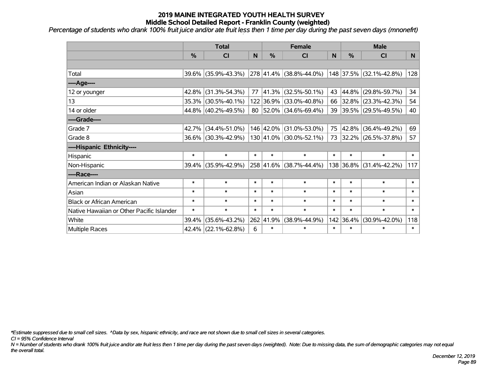*Percentage of students who drank 100% fruit juice and/or ate fruit less then 1 time per day during the past seven days (mnonefrt)*

|                                           | <b>Total</b>  |                        |                |        | <b>Female</b>                | <b>Male</b>  |           |                         |        |
|-------------------------------------------|---------------|------------------------|----------------|--------|------------------------------|--------------|-----------|-------------------------|--------|
|                                           | $\frac{0}{0}$ | CI                     | N <sub>1</sub> | $\%$   | <b>CI</b>                    | <sub>N</sub> | %         | <b>CI</b>               | N.     |
|                                           |               |                        |                |        |                              |              |           |                         |        |
| Total                                     |               | 39.6% (35.9%-43.3%)    |                |        | 278 41.4% (38.8%-44.0%)      |              |           | 148 37.5% (32.1%-42.8%) | 128    |
| ----Age----                               |               |                        |                |        |                              |              |           |                         |        |
| 12 or younger                             | $42.8\%$      | $(31.3\% - 54.3\%)$    | 77             | 41.3%  | $(32.5\% - 50.1\%)$          | 43           | 44.8%     | $(29.8\% - 59.7\%)$     | 34     |
| 13                                        |               | 35.3% (30.5%-40.1%)    |                |        | 122 36.9% (33.0%-40.8%)      |              | 66 32.8%  | $(23.3\% - 42.3\%)$     | 54     |
| 14 or older                               |               | 44.8% (40.2%-49.5%)    |                |        | $80$   52.0%   (34.6%-69.4%) |              |           | 39 39.5% (29.5%-49.5%)  | 40     |
| ----Grade----                             |               |                        |                |        |                              |              |           |                         |        |
| Grade 7                                   |               | 42.7% (34.4%-51.0%)    |                |        | 146 42.0% (31.0%-53.0%)      | 75           | 42.8%     | $(36.4\% - 49.2\%)$     | 69     |
| Grade 8                                   |               | 36.6% (30.3%-42.9%)    |                |        | 130 41.0% (30.0%-52.1%)      |              |           | 73 32.2% (26.5%-37.8%)  | 57     |
| ----Hispanic Ethnicity----                |               |                        |                |        |                              |              |           |                         |        |
| Hispanic                                  | $\ast$        | $\ast$                 | $\ast$         | $\ast$ | $\ast$                       | $\ast$       | $\ast$    | $\ast$                  | $\ast$ |
| Non-Hispanic                              |               | 39.4% (35.9%-42.9%)    |                |        | 258 41.6% (38.7%-44.4%)      |              | 138 36.8% | $(31.4\% - 42.2\%)$     | 117    |
| ----Race----                              |               |                        |                |        |                              |              |           |                         |        |
| American Indian or Alaskan Native         | $\ast$        | $\ast$                 | $\ast$         | $\ast$ | $\ast$                       | $\ast$       | $\ast$    | $\ast$                  | $\ast$ |
| Asian                                     | $\ast$        | $\ast$                 | $\ast$         | $\ast$ | $\ast$                       | $\ast$       | $\ast$    | $\ast$                  | $\ast$ |
| <b>Black or African American</b>          | $\ast$        | $\ast$                 | $\ast$         | $\ast$ | $\ast$                       | $\ast$       | $\ast$    | $\ast$                  | $\ast$ |
| Native Hawaiian or Other Pacific Islander | $\ast$        | $\ast$                 | $\ast$         | $\ast$ | $\ast$                       | $\ast$       | $\ast$    | $\ast$                  | $\ast$ |
| White                                     | 39.4%         | $(35.6\% - 43.2\%)$    | 262            | 41.9%  | $(38.9\% - 44.9\%)$          |              | 142 36.4% | $(30.9\% - 42.0\%)$     | 118    |
| Multiple Races                            |               | $42.4\%$ (22.1%-62.8%) | 6              | $\ast$ | $\ast$                       | $\ast$       | $\ast$    | $\ast$                  | $\ast$ |

*\*Estimate suppressed due to small cell sizes. ^Data by sex, hispanic ethnicity, and race are not shown due to small cell sizes in several categories.*

*CI = 95% Confidence Interval*

*N = Number of students who drank 100% fruit juice and/or ate fruit less then 1 time per day during the past seven days (weighted). Note: Due to missing data, the sum of demographic categories may not equal the overall total.*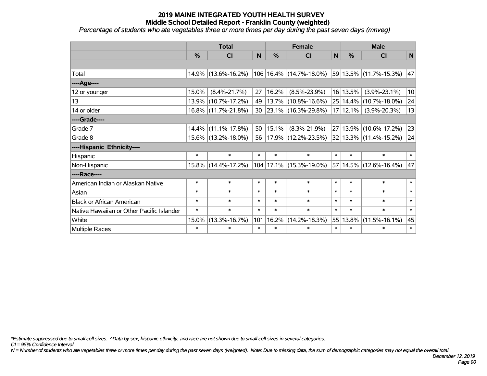*Percentage of students who ate vegetables three or more times per day during the past seven days (mnveg)*

|                                           | <b>Total</b>  |                        |        | <b>Female</b> |                             |        | <b>Male</b>  |                            |        |
|-------------------------------------------|---------------|------------------------|--------|---------------|-----------------------------|--------|--------------|----------------------------|--------|
|                                           | $\frac{0}{0}$ | <b>CI</b>              | N      | $\frac{0}{0}$ | CI                          | N      | %            | <b>CI</b>                  | N      |
|                                           |               |                        |        |               |                             |        |              |                            |        |
| Total                                     |               | 14.9% (13.6%-16.2%)    |        |               | 106   16.4%   (14.7%-18.0%) |        |              | 59 13.5% (11.7%-15.3%)     | 47     |
| ----Age----                               |               |                        |        |               |                             |        |              |                            |        |
| 12 or younger                             | 15.0%         | $(8.4\% - 21.7\%)$     | 27     | 16.2%         | $(8.5\% - 23.9\%)$          |        | 16 13.5%     | $(3.9\% - 23.1\%)$         | 10     |
| 13                                        |               | 13.9% (10.7%-17.2%)    | 49     |               | $13.7\%$ (10.8%-16.6%)      |        | $25 14.4\% $ | $(10.7\% - 18.0\%)$        | 24     |
| 14 or older                               |               | 16.8% (11.7%-21.8%)    | 30     |               | 23.1% (16.3%-29.8%)         |        | 17 12.1%     | $(3.9\% - 20.3\%)$         | 13     |
| ----Grade----                             |               |                        |        |               |                             |        |              |                            |        |
| Grade 7                                   |               | $14.4\%$ (11.1%-17.8%) | 50     | 15.1%         | $(8.3\% - 21.9\%)$          |        |              | 27 13.9% (10.6%-17.2%)     | 23     |
| Grade 8                                   |               | 15.6% (13.2%-18.0%)    | 56     |               | $17.9\%$ (12.2%-23.5%)      |        |              | $32 13.3\% $ (11.4%-15.2%) | 24     |
| ----Hispanic Ethnicity----                |               |                        |        |               |                             |        |              |                            |        |
| Hispanic                                  | $\ast$        | $\ast$                 | $\ast$ | $\ast$        | $\ast$                      | $\ast$ | $\ast$       | $\ast$                     | $\ast$ |
| Non-Hispanic                              |               | 15.8% (14.4%-17.2%)    |        |               | 104   17.1%   (15.3%-19.0%) |        |              | 57 14.5% (12.6%-16.4%)     | 47     |
| ----Race----                              |               |                        |        |               |                             |        |              |                            |        |
| American Indian or Alaskan Native         | $\ast$        | $\ast$                 | $\ast$ | $\ast$        | $\ast$                      | $\ast$ | $\ast$       | $\ast$                     | $\ast$ |
| Asian                                     | $\ast$        | $\ast$                 | $\ast$ | $\ast$        | $\ast$                      | $\ast$ | $\ast$       | $\ast$                     | $\ast$ |
| <b>Black or African American</b>          | $\ast$        | $\ast$                 | $\ast$ | $\ast$        | $\ast$                      | $\ast$ | $\ast$       | $\ast$                     | $\ast$ |
| Native Hawaiian or Other Pacific Islander | $\ast$        | $\ast$                 | $\ast$ | $\ast$        | $\ast$                      | $\ast$ | $\ast$       | $\ast$                     | $\ast$ |
| White                                     | 15.0%         | $(13.3\% - 16.7\%)$    | 101    | 16.2%         | $(14.2\% - 18.3\%)$         | 55     | 13.8%        | $(11.5\% - 16.1\%)$        | 45     |
| Multiple Races                            | $\ast$        | $\ast$                 | $\ast$ | $\ast$        | $\ast$                      | $\ast$ | $\ast$       | $\ast$                     | $\ast$ |

*\*Estimate suppressed due to small cell sizes. ^Data by sex, hispanic ethnicity, and race are not shown due to small cell sizes in several categories.*

*CI = 95% Confidence Interval*

*N = Number of students who ate vegetables three or more times per day during the past seven days (weighted). Note: Due to missing data, the sum of demographic categories may not equal the overall total.*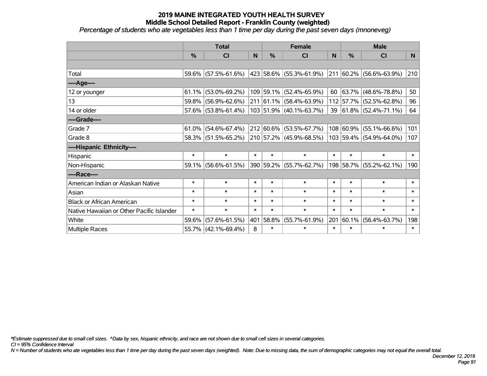*Percentage of students who ate vegetables less than 1 time per day during the past seven days (mnoneveg)*

|                                           | <b>Total</b> |                        |        | <b>Female</b> | <b>Male</b>                     |        |           |                         |                |
|-------------------------------------------|--------------|------------------------|--------|---------------|---------------------------------|--------|-----------|-------------------------|----------------|
|                                           | %            | <b>CI</b>              | N      | %             | <b>CI</b>                       | N      | %         | <b>CI</b>               | N <sub>1</sub> |
|                                           |              |                        |        |               |                                 |        |           |                         |                |
| Total                                     |              | $59.6\%$ (57.5%-61.6%) |        |               | 423 58.6% (55.3%-61.9%)         |        |           | 211 60.2% (56.6%-63.9%) | 210            |
| ----Age----                               |              |                        |        |               |                                 |        |           |                         |                |
| 12 or younger                             | 61.1%        | $(53.0\% - 69.2\%)$    |        |               | 109 59.1% (52.4%-65.9%)         | 60     | 63.7%     | $(48.6\% - 78.8\%)$     | 50             |
| 13                                        | 59.8%        | $(56.9\% - 62.6\%)$    |        |               | $211 61.1\%  (58.4\% - 63.9\%)$ |        |           | 112 57.7% (52.5%-62.8%) | 96             |
| 14 or older                               |              | 57.6% (53.8%-61.4%)    |        |               | $103$ 51.9% (40.1%-63.7%)       |        |           | 39 61.8% (52.4%-71.1%)  | 64             |
| ----Grade----                             |              |                        |        |               |                                 |        |           |                         |                |
| Grade 7                                   | 61.0%        | $(54.6\% - 67.4\%)$    |        |               | 212 60.6% (53.5%-67.7%)         |        | 108 60.9% | $(55.1\% - 66.6\%)$     | 101            |
| Grade 8                                   |              | 58.3% (51.5%-65.2%)    |        |               | $ 210 57.2\% $ (45.9%-68.5%)    |        |           | 103 59.4% (54.9%-64.0%) | 107            |
| ----Hispanic Ethnicity----                |              |                        |        |               |                                 |        |           |                         |                |
| Hispanic                                  | $\ast$       | $\ast$                 | $\ast$ | $\ast$        | $\ast$                          | $\ast$ | $\ast$    | $\ast$                  | $\ast$         |
| Non-Hispanic                              | 59.1%        | $(56.6\% - 61.5\%)$    |        |               | 390 59.2% (55.7%-62.7%)         |        | 198 58.7% | $(55.2\% - 62.1\%)$     | 190            |
| ----Race----                              |              |                        |        |               |                                 |        |           |                         |                |
| American Indian or Alaskan Native         | $\ast$       | $\ast$                 | $\ast$ | $\ast$        | $\ast$                          | $\ast$ | $\ast$    | $\ast$                  | $\ast$         |
| Asian                                     | $\ast$       | $\ast$                 | $\ast$ | $\ast$        | $\ast$                          | $\ast$ | $\ast$    | $\ast$                  | $\ast$         |
| <b>Black or African American</b>          | $\ast$       | $\ast$                 | $\ast$ | $\ast$        | $\ast$                          | $\ast$ | $\ast$    | $\ast$                  | $\ast$         |
| Native Hawaiian or Other Pacific Islander | $\ast$       | $\ast$                 | $\ast$ | $\ast$        | $\ast$                          | $\ast$ | $\ast$    | $\ast$                  | $\ast$         |
| White                                     | 59.6%        | $(57.6\% - 61.5\%)$    | 401    | 58.8%         | $(55.7\% - 61.9\%)$             | 201    | 60.1%     | $(56.4\% - 63.7\%)$     | 198            |
| Multiple Races                            |              | $55.7\%$ (42.1%-69.4%) | 8      | $\ast$        | $\ast$                          | $\ast$ | $\ast$    | *                       | $\ast$         |

*\*Estimate suppressed due to small cell sizes. ^Data by sex, hispanic ethnicity, and race are not shown due to small cell sizes in several categories.*

*CI = 95% Confidence Interval*

*N = Number of students who ate vegetables less than 1 time per day during the past seven days (weighted). Note: Due to missing data, the sum of demographic categories may not equal the overall total.*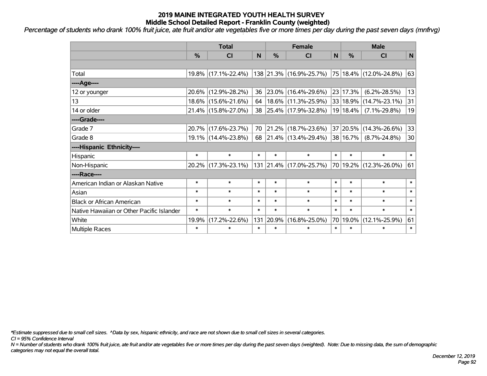*Percentage of students who drank 100% fruit juice, ate fruit and/or ate vegetables five or more times per day during the past seven days (mnfrvg)*

|                                           | <b>Total</b> |                     |        |               | <b>Female</b>            | <b>Male</b>  |               |                            |             |
|-------------------------------------------|--------------|---------------------|--------|---------------|--------------------------|--------------|---------------|----------------------------|-------------|
|                                           | $\%$         | <b>CI</b>           | N      | $\frac{0}{0}$ | <b>CI</b>                | $\mathsf{N}$ | %             | <b>CI</b>                  | $\mathbf N$ |
|                                           |              |                     |        |               |                          |              |               |                            |             |
| Total                                     |              | 19.8% (17.1%-22.4%) |        |               | 138 21.3% (16.9%-25.7%)  |              |               | 75 18.4% (12.0%-24.8%)     | 63          |
| ----Age----                               |              |                     |        |               |                          |              |               |                            |             |
| 12 or younger                             | 20.6%        | $(12.9\% - 28.2\%)$ | 36     |               | 23.0% (16.4%-29.6%)      |              | 23 17.3%      | $(6.2\% - 28.5\%)$         | 13          |
| 13                                        |              | 18.6% (15.6%-21.6%) | 64     |               | $18.6\%$ (11.3%-25.9%)   |              |               | 33   18.9%   (14.7%-23.1%) | 31          |
| 14 or older                               |              | 21.4% (15.8%-27.0%) | 38     |               | $ 25.4\% $ (17.9%-32.8%) |              | $19 18.4\% $  | $(7.1\% - 29.8\%)$         | 19          |
| ----Grade----                             |              |                     |        |               |                          |              |               |                            |             |
| Grade 7                                   |              | 20.7% (17.6%-23.7%) | 70     |               | 21.2% (18.7%-23.6%)      |              | 37 20.5%      | $(14.3\% - 26.6\%)$        | 33          |
| Grade 8                                   |              | 19.1% (14.4%-23.8%) | 68     |               | $ 21.4\% $ (13.4%-29.4%) |              | $ 38 16.7\% $ | $(8.7\% - 24.8\%)$         | 30          |
| ----Hispanic Ethnicity----                |              |                     |        |               |                          |              |               |                            |             |
| Hispanic                                  | $\ast$       | $\ast$              | $\ast$ | $\ast$        | $\ast$                   | $\ast$       | $\ast$        | $\ast$                     | $\ast$      |
| Non-Hispanic                              |              | 20.2% (17.3%-23.1%) |        |               | 131 21.4% (17.0%-25.7%)  |              |               | 70 19.2% (12.3%-26.0%)     | 61          |
| ----Race----                              |              |                     |        |               |                          |              |               |                            |             |
| American Indian or Alaskan Native         | $\ast$       | $\ast$              | $\ast$ | $\ast$        | $\ast$                   | $\ast$       | $\ast$        | $\ast$                     | $\ast$      |
| Asian                                     | $\ast$       | $\ast$              | $\ast$ | $\ast$        | $\ast$                   | $\ast$       | $\ast$        | $\ast$                     | $\ast$      |
| <b>Black or African American</b>          | $\ast$       | $\ast$              | $\ast$ | $\ast$        | $\ast$                   | $\ast$       | $\ast$        | $\ast$                     | $\ast$      |
| Native Hawaiian or Other Pacific Islander | $\ast$       | $\ast$              | $\ast$ | $\ast$        | $\ast$                   | $\ast$       | $\ast$        | $\ast$                     | $\ast$      |
| White                                     | 19.9%        | $(17.2\% - 22.6\%)$ | 131    | 20.9%         | $(16.8\% - 25.0\%)$      |              | 70 19.0%      | $(12.1\% - 25.9\%)$        | 61          |
| <b>Multiple Races</b>                     | $\ast$       | $\ast$              | $\ast$ | $\ast$        | $\ast$                   | $\ast$       | $\ast$        | $\ast$                     | $\ast$      |

*\*Estimate suppressed due to small cell sizes. ^Data by sex, hispanic ethnicity, and race are not shown due to small cell sizes in several categories.*

*CI = 95% Confidence Interval*

*N = Number of students who drank 100% fruit juice, ate fruit and/or ate vegetables five or more times per day during the past seven days (weighted). Note: Due to missing data, the sum of demographic categories may not equal the overall total.*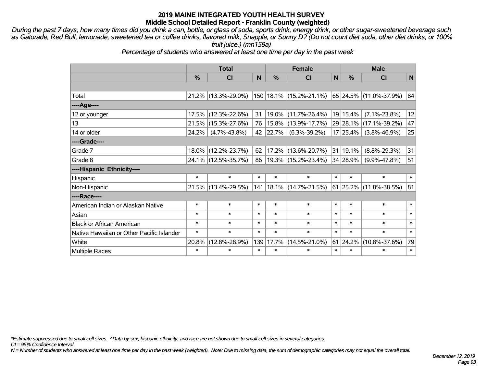*During the past 7 days, how many times did you drink a can, bottle, or glass of soda, sports drink, energy drink, or other sugar-sweetened beverage such as Gatorade, Red Bull, lemonade, sweetened tea or coffee drinks, flavored milk, Snapple, or Sunny D? (Do not count diet soda, other diet drinks, or 100% fruit juice.) (mn159a)*

*Percentage of students who answered at least one time per day in the past week*

|                                           | <b>Total</b>  |                        |        |        | <b>Female</b>                                  | <b>Male</b>  |               |                        |        |
|-------------------------------------------|---------------|------------------------|--------|--------|------------------------------------------------|--------------|---------------|------------------------|--------|
|                                           | $\frac{0}{0}$ | <b>CI</b>              | N      | %      | <b>CI</b>                                      | $\mathsf{N}$ | $\frac{0}{0}$ | <b>CI</b>              | N      |
|                                           |               |                        |        |        |                                                |              |               |                        |        |
| Total                                     |               | $21.2\%$ (13.3%-29.0%) |        |        | 150 18.1% (15.2%-21.1%) 65 24.5% (11.0%-37.9%) |              |               |                        | 84     |
| ----Age----                               |               |                        |        |        |                                                |              |               |                        |        |
| 12 or younger                             |               | 17.5% (12.3%-22.6%)    | 31     | 19.0%  | $(11.7\% - 26.4\%)$                            |              | 19 15.4%      | $(7.1\% - 23.8\%)$     | 12     |
| 13                                        | 21.5%         | $(15.3\% - 27.6\%)$    | 76     | 15.8%  | $(13.9\% - 17.7\%)$                            |              |               | 29 28.1% (17.1%-39.2%) | 47     |
| 14 or older                               | 24.2%         | $(4.7\% - 43.8\%)$     | 42     | 22.7%  | $(6.3\% - 39.2\%)$                             |              | 17 25.4%      | $(3.8\% - 46.9\%)$     | 25     |
| ----Grade----                             |               |                        |        |        |                                                |              |               |                        |        |
| Grade 7                                   |               | 18.0% (12.2%-23.7%)    | 62     | 17.2%  | $(13.6\% - 20.7\%)$                            |              | 31 19.1%      | $(8.8\% - 29.3\%)$     | 31     |
| Grade 8                                   |               | 24.1% (12.5%-35.7%)    | 86     |        | $ 19.3\% $ (15.2%-23.4%)                       |              | 34 28.9%      | $(9.9\% - 47.8\%)$     | 51     |
| ----Hispanic Ethnicity----                |               |                        |        |        |                                                |              |               |                        |        |
| Hispanic                                  | $\ast$        | $\ast$                 | $\ast$ | $\ast$ | $\ast$                                         | $\ast$       | $\ast$        | $\ast$                 | $\ast$ |
| Non-Hispanic                              |               | 21.5% (13.4%-29.5%)    |        |        | 141   18.1%   (14.7%-21.5%)                    |              |               | 61 25.2% (11.8%-38.5%) | 81     |
| ----Race----                              |               |                        |        |        |                                                |              |               |                        |        |
| American Indian or Alaskan Native         | $\ast$        | $\ast$                 | $\ast$ | $\ast$ | $\ast$                                         | $\ast$       | $\ast$        | $\ast$                 | $\ast$ |
| Asian                                     | $\ast$        | $\ast$                 | $\ast$ | $\ast$ | $\ast$                                         | $\ast$       | $\ast$        | $\ast$                 | $\ast$ |
| <b>Black or African American</b>          | $\ast$        | $\ast$                 | $\ast$ | $\ast$ | $\ast$                                         | $\ast$       | $\ast$        | $\ast$                 | $\ast$ |
| Native Hawaiian or Other Pacific Islander | $\ast$        | $\ast$                 | $\ast$ | $\ast$ | $\ast$                                         | $\ast$       | $\ast$        | $\ast$                 | $\ast$ |
| White                                     | 20.8%         | $(12.8\% - 28.9\%)$    | 139    | 17.7%  | $(14.5\% - 21.0\%)$                            | 61           | 24.2%         | $(10.8\% - 37.6\%)$    | 79     |
| Multiple Races                            | $\ast$        | $\ast$                 | $\ast$ | $\ast$ | $\ast$                                         | $\ast$       | $\ast$        | $\ast$                 | $\ast$ |

*\*Estimate suppressed due to small cell sizes. ^Data by sex, hispanic ethnicity, and race are not shown due to small cell sizes in several categories.*

*CI = 95% Confidence Interval*

*N = Number of students who answered at least one time per day in the past week (weighted). Note: Due to missing data, the sum of demographic categories may not equal the overall total.*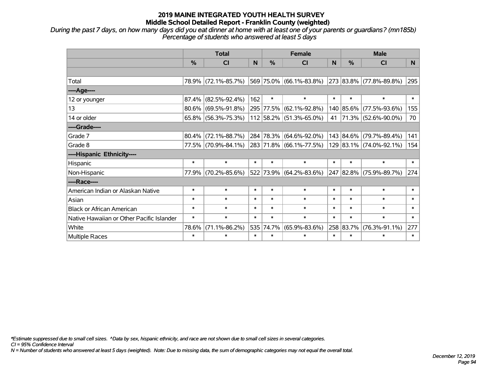*During the past 7 days, on how many days did you eat dinner at home with at least one of your parents or guardians? (mn185b) Percentage of students who answered at least 5 days*

|                                           | <b>Total</b> |                        |        |        | <b>Female</b>                                                     | <b>Male</b> |           |                         |                |
|-------------------------------------------|--------------|------------------------|--------|--------|-------------------------------------------------------------------|-------------|-----------|-------------------------|----------------|
|                                           | $\%$         | <b>CI</b>              | N      | $\%$   | CI                                                                | N           | %         | <b>CI</b>               | N <sub>1</sub> |
|                                           |              |                        |        |        |                                                                   |             |           |                         |                |
| Total                                     |              | 78.9% (72.1%-85.7%)    |        |        | $ 569 75.0\%  (66.1\% - 83.8\%)  273  83.8\%   (77.8\% - 89.8\%)$ |             |           |                         | 295            |
| ----Age----                               |              |                        |        |        |                                                                   |             |           |                         |                |
| 12 or younger                             | 87.4%        | $(82.5\% - 92.4\%)$    | 162    | $\ast$ | $\ast$                                                            | $\ast$      | $\ast$    | $\ast$                  | $\ast$         |
| 13                                        | 80.6%        | $(69.5\% - 91.8\%)$    |        |        | 295 77.5% (62.1%-92.8%)                                           |             | 140 85.6% | $(77.5\% - 93.6\%)$     | 155            |
| 14 or older                               |              | $65.8\%$ (56.3%-75.3%) |        |        | 112 58.2% (51.3%-65.0%)                                           | 41          |           | 71.3% (52.6%-90.0%)     | 70             |
| ----Grade----                             |              |                        |        |        |                                                                   |             |           |                         |                |
| Grade 7                                   | 80.4%        | $(72.1\% - 88.7\%)$    |        |        | 284 78.3% (64.6%-92.0%)                                           |             | 143 84.6% | $(79.7\% - 89.4\%)$     | 141            |
| Grade 8                                   |              | 77.5% (70.9%-84.1%)    |        |        | $ 283 71.8\%  (66.1\% -77.5\%)$                                   |             |           | 129 83.1% (74.0%-92.1%) | 154            |
| ----Hispanic Ethnicity----                |              |                        |        |        |                                                                   |             |           |                         |                |
| Hispanic                                  | $\ast$       | $\ast$                 | $\ast$ | $\ast$ | $\ast$                                                            | $\ast$      | $\ast$    | $\ast$                  | $\ast$         |
| Non-Hispanic                              | 77.9%        | $(70.2\% - 85.6\%)$    |        |        | 522 73.9% (64.2%-83.6%)                                           |             |           | 247 82.8% (75.9%-89.7%) | 274            |
| ----Race----                              |              |                        |        |        |                                                                   |             |           |                         |                |
| American Indian or Alaskan Native         | $\ast$       | $\ast$                 | $\ast$ | $\ast$ | $\ast$                                                            | $\ast$      | $\ast$    | $\ast$                  | $\ast$         |
| Asian                                     | $\ast$       | $\ast$                 | $\ast$ | $\ast$ | $\ast$                                                            | $\ast$      | $\ast$    | $\ast$                  | $\ast$         |
| <b>Black or African American</b>          | $\ast$       | $\ast$                 | $\ast$ | $\ast$ | $\ast$                                                            | $\ast$      | $\ast$    | $\ast$                  | $\ast$         |
| Native Hawaiian or Other Pacific Islander | $\ast$       | $\ast$                 | $\ast$ | $\ast$ | $\ast$                                                            | $\ast$      | $\ast$    | $\ast$                  | $\ast$         |
| White                                     | 78.6%        | $(71.1\% - 86.2\%)$    | 535    | 74.7%  | $(65.9\% - 83.6\%)$                                               |             | 258 83.7% | $(76.3\% - 91.1\%)$     | 277            |
| <b>Multiple Races</b>                     | $\ast$       | $\ast$                 | $\ast$ | $\ast$ | $\ast$                                                            | $\ast$      | $\ast$    | $\ast$                  | $\ast$         |

*\*Estimate suppressed due to small cell sizes. ^Data by sex, hispanic ethnicity, and race are not shown due to small cell sizes in several categories.*

*CI = 95% Confidence Interval*

*N = Number of students who answered at least 5 days (weighted). Note: Due to missing data, the sum of demographic categories may not equal the overall total.*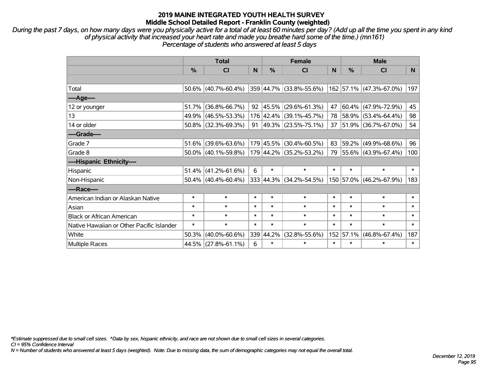*During the past 7 days, on how many days were you physically active for a total of at least 60 minutes per day? (Add up all the time you spent in any kind of physical activity that increased your heart rate and made you breathe hard some of the time.) (mn161) Percentage of students who answered at least 5 days*

|                                           | <b>Total</b>  |                        |        |               | <b>Female</b>            | <b>Male</b> |               |                          |        |
|-------------------------------------------|---------------|------------------------|--------|---------------|--------------------------|-------------|---------------|--------------------------|--------|
|                                           | $\frac{0}{0}$ | <b>CI</b>              | N      | $\frac{0}{0}$ | <b>CI</b>                | N           | $\frac{0}{0}$ | <b>CI</b>                | N.     |
|                                           |               |                        |        |               |                          |             |               |                          |        |
| Total                                     |               | $50.6\%$ (40.7%-60.4%) |        |               | 359 44.7% (33.8%-55.6%)  |             |               | 162 57.1% (47.3%-67.0%)  | 197    |
| $---Age---$                               |               |                        |        |               |                          |             |               |                          |        |
| 12 or younger                             | 51.7%         | $(36.8\% - 66.7\%)$    | 92     |               | 45.5%  (29.6%-61.3%)     | 47          | 60.4%         | $(47.9\% - 72.9\%)$      | 45     |
| 13                                        |               | 49.9% (46.5%-53.3%)    |        |               | 176 42.4% (39.1%-45.7%)  |             | 78 58.9%      | $(53.4\% - 64.4\%)$      | 98     |
| 14 or older                               |               | $50.8\%$ (32.3%-69.3%) | 91     |               | $ 49.3\% $ (23.5%-75.1%) | 37          |               | $ 51.9\% $ (36.7%-67.0%) | 54     |
| ----Grade----                             |               |                        |        |               |                          |             |               |                          |        |
| Grade 7                                   | 51.6%         | $(39.6\% - 63.6\%)$    |        | 179 45.5%     | $(30.4\% - 60.5\%)$      | 83          | 59.2%         | $(49.9\% - 68.6\%)$      | 96     |
| Grade 8                                   |               | $50.0\%$ (40.1%-59.8%) |        |               | 179 44.2% (35.2%-53.2%)  |             |               | 79 55.6% (43.9%-67.4%)   | 100    |
| ----Hispanic Ethnicity----                |               |                        |        |               |                          |             |               |                          |        |
| Hispanic                                  |               | $51.4\%$ (41.2%-61.6%) | 6      | $\ast$        | $\ast$                   | $\ast$      | $\ast$        | $\ast$                   | $\ast$ |
| Non-Hispanic                              |               | $50.4\%$ (40.4%-60.4%) |        |               | 333 44.3% (34.2%-54.5%)  |             | 150 57.0%     | $(46.2\% - 67.9\%)$      | 183    |
| ----Race----                              |               |                        |        |               |                          |             |               |                          |        |
| American Indian or Alaskan Native         | $\ast$        | $\ast$                 | $\ast$ | $\ast$        | $\ast$                   | $\ast$      | $\ast$        | $\ast$                   | $\ast$ |
| Asian                                     | $\ast$        | $\ast$                 | $\ast$ | $\ast$        | $\ast$                   | $\ast$      | $\ast$        | $\ast$                   | $\ast$ |
| <b>Black or African American</b>          | $\ast$        | $\ast$                 | $\ast$ | $\ast$        | $\ast$                   | $\ast$      | $\ast$        | $\ast$                   | $\ast$ |
| Native Hawaiian or Other Pacific Islander | $\ast$        | $\ast$                 | $\ast$ | $\ast$        | $\ast$                   | $\ast$      | $\ast$        | $\ast$                   | $\ast$ |
| White                                     | 50.3%         | $(40.0\% - 60.6\%)$    |        | 339 44.2%     | (32.8%-55.6%)            | 152         | 57.1%         | $(46.8\% - 67.4\%)$      | 187    |
| Multiple Races                            |               | 44.5% (27.8%-61.1%)    | 6      | $\ast$        | $\ast$                   | $\ast$      | $\ast$        | *                        | $\ast$ |

*\*Estimate suppressed due to small cell sizes. ^Data by sex, hispanic ethnicity, and race are not shown due to small cell sizes in several categories.*

*CI = 95% Confidence Interval*

*N = Number of students who answered at least 5 days (weighted). Note: Due to missing data, the sum of demographic categories may not equal the overall total.*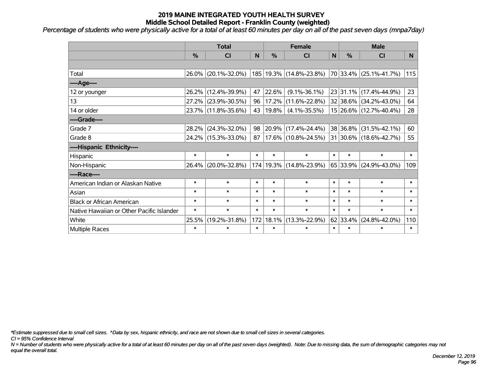*Percentage of students who were physically active for a total of at least 60 minutes per day on all of the past seven days (mnpa7day)*

|                                           | <b>Total</b> |                     |        |           | <b>Female</b>               | <b>Male</b>  |               |                        |        |
|-------------------------------------------|--------------|---------------------|--------|-----------|-----------------------------|--------------|---------------|------------------------|--------|
|                                           | %            | <b>CI</b>           | N      | %         | <b>CI</b>                   | $\mathsf{N}$ | $\frac{0}{0}$ | <b>CI</b>              | N.     |
|                                           |              |                     |        |           |                             |              |               |                        |        |
| Total                                     | 26.0%        | $(20.1\% - 32.0\%)$ |        |           | 185   19.3%   (14.8%-23.8%) |              |               | 70 33.4% (25.1%-41.7%) | 115    |
| ----Age----                               |              |                     |        |           |                             |              |               |                        |        |
| 12 or younger                             | 26.2%        | $(12.4\% - 39.9\%)$ | 47     | 22.6%     | $(9.1\% - 36.1\%)$          |              | 23 31.1%      | $(17.4\% - 44.9\%)$    | 23     |
| 13                                        | 27.2%        | $(23.9\% - 30.5\%)$ | 96     | 17.2%     | $(11.6\% - 22.8\%)$         |              |               | 32 38.6% (34.2%-43.0%) | 64     |
| 14 or older                               |              | 23.7% (11.8%-35.6%) | 43     | 19.8%     | $(4.1\% - 35.5\%)$          |              |               | 15 26.6% (12.7%-40.4%) | 28     |
| ----Grade----                             |              |                     |        |           |                             |              |               |                        |        |
| Grade 7                                   | 28.2%        | $(24.3\% - 32.0\%)$ | 98     | 20.9%     | $(17.4\% - 24.4\%)$         |              | 38 36.8%      | $(31.5\% - 42.1\%)$    | 60     |
| Grade 8                                   |              | 24.2% (15.3%-33.0%) | 87     |           | $17.6\%$ (10.8%-24.5%)      |              |               | 31 30.6% (18.6%-42.7%) | 55     |
| ----Hispanic Ethnicity----                |              |                     |        |           |                             |              |               |                        |        |
| Hispanic                                  | $\ast$       | $\ast$              | $\ast$ | $\ast$    | $\ast$                      | $\ast$       | $\ast$        | $\ast$                 | $\ast$ |
| Non-Hispanic                              | 26.4%        | $(20.0\% - 32.8\%)$ |        | 174 19.3% | $(14.8\% - 23.9\%)$         |              | 65 33.9%      | $(24.9\% - 43.0\%)$    | 109    |
| ----Race----                              |              |                     |        |           |                             |              |               |                        |        |
| American Indian or Alaskan Native         | $\ast$       | $\ast$              | $\ast$ | $\ast$    | $\ast$                      | $\ast$       | $\ast$        | $\ast$                 | $\ast$ |
| Asian                                     | $\ast$       | $\ast$              | $\ast$ | $\ast$    | $\ast$                      | $\ast$       | $\ast$        | $\ast$                 | $\ast$ |
| <b>Black or African American</b>          | $\ast$       | $\ast$              | $\ast$ | $\ast$    | $\ast$                      | $\ast$       | $\ast$        | $\ast$                 | $\ast$ |
| Native Hawaiian or Other Pacific Islander | $\ast$       | $\ast$              | $\ast$ | $\ast$    | $\ast$                      | $\ast$       | $\ast$        | $\ast$                 | $\ast$ |
| White                                     | 25.5%        | $(19.2\% - 31.8\%)$ | 172    | 18.1%     | $(13.3\% - 22.9\%)$         |              | 62 33.4%      | $(24.8\% - 42.0\%)$    | 110    |
| Multiple Races                            | $\ast$       | $\ast$              | $\ast$ | $\ast$    | $\ast$                      | $\ast$       | $\ast$        | $\ast$                 | $\ast$ |

*\*Estimate suppressed due to small cell sizes. ^Data by sex, hispanic ethnicity, and race are not shown due to small cell sizes in several categories.*

*CI = 95% Confidence Interval*

*N = Number of students who were physically active for a total of at least 60 minutes per day on all of the past seven days (weighted). Note: Due to missing data, the sum of demographic categories may not equal the overall total.*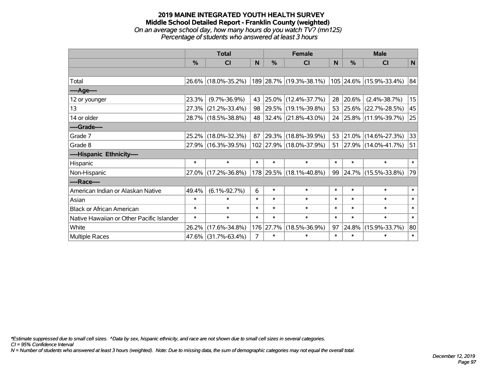#### **2019 MAINE INTEGRATED YOUTH HEALTH SURVEY Middle School Detailed Report - Franklin County (weighted)** *On an average school day, how many hours do you watch TV? (mn125) Percentage of students who answered at least 3 hours*

|                                           | <b>Total</b> |                     |                |               | <b>Female</b>            | <b>Male</b> |            |                          |        |
|-------------------------------------------|--------------|---------------------|----------------|---------------|--------------------------|-------------|------------|--------------------------|--------|
|                                           | %            | CI                  | N              | $\frac{0}{0}$ | <b>CI</b>                | N           | %          | <b>CI</b>                | N      |
|                                           |              |                     |                |               |                          |             |            |                          |        |
| Total                                     |              | 26.6% (18.0%-35.2%) |                |               | 189 28.7% (19.3%-38.1%)  |             |            | 105 24.6% (15.9%-33.4%)  | 84     |
| ----Age----                               |              |                     |                |               |                          |             |            |                          |        |
| 12 or younger                             | 23.3%        | $(9.7\% - 36.9\%)$  | 43             |               | 25.0% (12.4%-37.7%)      | 28          | 20.6%      | $(2.4\% - 38.7\%)$       | 15     |
| 13                                        | 27.3%        | $(21.2\% - 33.4\%)$ | 98             |               | 29.5% (19.1%-39.8%)      | 53          | $ 25.6\% $ | $(22.7\% - 28.5\%)$      | 45     |
| 14 or older                               |              | 28.7% (18.5%-38.8%) | 48             |               | $ 32.4\% $ (21.8%-43.0%) | 24          |            | $ 25.8\% $ (11.9%-39.7%) | 25     |
| ----Grade----                             |              |                     |                |               |                          |             |            |                          |        |
| Grade 7                                   | 25.2%        | $(18.0\% - 32.3\%)$ | 87             | 29.3%         | $(18.8\% - 39.9\%)$      | 53          | $ 21.0\% $ | $(14.6\% - 27.3\%)$      | 33     |
| Grade 8                                   |              | 27.9% (16.3%-39.5%) |                |               | 102 27.9% (18.0%-37.9%)  | 51          |            | $ 27.9\% $ (14.0%-41.7%) | 51     |
| ----Hispanic Ethnicity----                |              |                     |                |               |                          |             |            |                          |        |
| Hispanic                                  | $\ast$       | $\ast$              | $\ast$         | $\ast$        | $\ast$                   | $\ast$      | $\ast$     | $\ast$                   | $\ast$ |
| Non-Hispanic                              |              | 27.0% (17.2%-36.8%) |                |               | 178 29.5% (18.1%-40.8%)  | 99          |            | 24.7% (15.5%-33.8%)      | 79     |
| ----Race----                              |              |                     |                |               |                          |             |            |                          |        |
| American Indian or Alaskan Native         | 49.4%        | $(6.1\% - 92.7\%)$  | 6              | $\ast$        | $\ast$                   | $\ast$      | $\ast$     | $\ast$                   | $\ast$ |
| Asian                                     | $\ast$       | $\ast$              | $\ast$         | $\ast$        | $\ast$                   | $\ast$      | $\ast$     | $\ast$                   | $\ast$ |
| <b>Black or African American</b>          | $\ast$       | $\ast$              | $\ast$         | $\ast$        | $\ast$                   | $\ast$      | $\ast$     | $\ast$                   | $\ast$ |
| Native Hawaiian or Other Pacific Islander | $\ast$       | $\ast$              | $\ast$         | $\ast$        | $\ast$                   | $\ast$      | $\ast$     | $\ast$                   | $\ast$ |
| White                                     | 26.2%        | $(17.6\% - 34.8\%)$ |                | 176 27.7%     | $(18.5\% - 36.9\%)$      | 97          | 24.8%      | $(15.9\% - 33.7\%)$      | 80     |
| <b>Multiple Races</b>                     |              | 47.6% (31.7%-63.4%) | $\overline{7}$ | $\ast$        | $\ast$                   | $\ast$      | $\ast$     | $\ast$                   | $\ast$ |

*\*Estimate suppressed due to small cell sizes. ^Data by sex, hispanic ethnicity, and race are not shown due to small cell sizes in several categories.*

*CI = 95% Confidence Interval*

*N = Number of students who answered at least 3 hours (weighted). Note: Due to missing data, the sum of demographic categories may not equal the overall total.*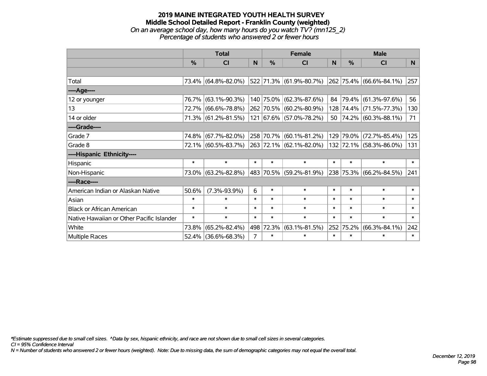### **2019 MAINE INTEGRATED YOUTH HEALTH SURVEY Middle School Detailed Report - Franklin County (weighted)** *On an average school day, how many hours do you watch TV? (mn125\_2) Percentage of students who answered 2 or fewer hours*

|                                           | <b>Total</b>  |                     |                |           | <b>Female</b>           | <b>Male</b> |        |                         |                |
|-------------------------------------------|---------------|---------------------|----------------|-----------|-------------------------|-------------|--------|-------------------------|----------------|
|                                           | $\frac{0}{0}$ | <b>CI</b>           | N.             | $\%$      | <b>CI</b>               | <b>N</b>    | %      | <b>CI</b>               | N <sub>1</sub> |
|                                           |               |                     |                |           |                         |             |        |                         |                |
| Total                                     |               | 73.4% (64.8%-82.0%) |                |           | 522 71.3% (61.9%-80.7%) |             |        | 262 75.4% (66.6%-84.1%) | 257            |
| ----Age----                               |               |                     |                |           |                         |             |        |                         |                |
| 12 or younger                             | 76.7%         | $(63.1\% - 90.3\%)$ |                |           | 140 75.0% (62.3%-87.6%) | 84          | 79.4%  | $(61.3\% - 97.6\%)$     | 56             |
| 13                                        |               | 72.7% (66.6%-78.8%) |                |           | 262 70.5% (60.2%-80.9%) |             |        | 128 74.4% (71.5%-77.3%) | 130            |
| 14 or older                               |               | 71.3% (61.2%-81.5%) |                |           | 121 67.6% (57.0%-78.2%) |             |        | 50 74.2% (60.3%-88.1%)  | 71             |
| ----Grade----                             |               |                     |                |           |                         |             |        |                         |                |
| Grade 7                                   | 74.8%         | $(67.7\% - 82.0\%)$ |                |           | 258 70.7% (60.1%-81.2%) | 129         | 79.0%  | $(72.7\% - 85.4\%)$     | 125            |
| Grade 8                                   |               | 72.1% (60.5%-83.7%) |                |           | 263 72.1% (62.1%-82.0%) |             |        | 132 72.1% (58.3%-86.0%) | 131            |
| ----Hispanic Ethnicity----                |               |                     |                |           |                         |             |        |                         |                |
| Hispanic                                  | $\ast$        | $\ast$              | $\ast$         | $\ast$    | $\ast$                  | $\ast$      | $\ast$ | $\ast$                  | $\ast$         |
| Non-Hispanic                              |               | 73.0% (63.2%-82.8%) |                |           | 483 70.5% (59.2%-81.9%) |             |        | 238 75.3% (66.2%-84.5%) | 241            |
| ----Race----                              |               |                     |                |           |                         |             |        |                         |                |
| American Indian or Alaskan Native         | 50.6%         | $(7.3\% - 93.9\%)$  | 6              | $\ast$    | $\ast$                  | $\ast$      | $\ast$ | $\ast$                  | $\ast$         |
| Asian                                     | $\ast$        | $\ast$              | $\ast$         | $\ast$    | $\ast$                  | $\ast$      | $\ast$ | $\ast$                  | $\ast$         |
| <b>Black or African American</b>          | $\ast$        | $\ast$              | $\ast$         | $\ast$    | $\ast$                  | $\ast$      | $\ast$ | $\ast$                  | $\ast$         |
| Native Hawaiian or Other Pacific Islander | $\ast$        | $\ast$              | $\ast$         | $\ast$    | $\ast$                  | $\ast$      | $\ast$ | $\ast$                  | $\ast$         |
| White                                     | 73.8%         | $(65.2\% - 82.4\%)$ |                | 498 72.3% | $(63.1\% - 81.5\%)$     | 252         | 75.2%  | $(66.3\% - 84.1\%)$     | 242            |
| <b>Multiple Races</b>                     |               | 52.4% (36.6%-68.3%) | $\overline{7}$ | $\ast$    | $\ast$                  | $\ast$      | $\ast$ | $\ast$                  | $\ast$         |

*\*Estimate suppressed due to small cell sizes. ^Data by sex, hispanic ethnicity, and race are not shown due to small cell sizes in several categories.*

*CI = 95% Confidence Interval*

*N = Number of students who answered 2 or fewer hours (weighted). Note: Due to missing data, the sum of demographic categories may not equal the overall total.*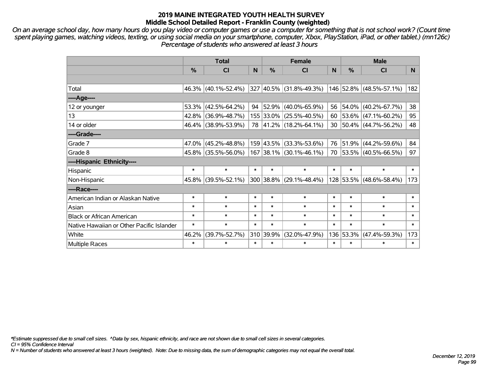*On an average school day, how many hours do you play video or computer games or use a computer for something that is not school work? (Count time spent playing games, watching videos, texting, or using social media on your smartphone, computer, Xbox, PlayStation, iPad, or other tablet.) (mn126c) Percentage of students who answered at least 3 hours*

|                                           | <b>Total</b>  |                        |        |               | <b>Female</b>             |        | <b>Male</b> |                                  |        |  |
|-------------------------------------------|---------------|------------------------|--------|---------------|---------------------------|--------|-------------|----------------------------------|--------|--|
|                                           | $\frac{0}{2}$ | <b>CI</b>              | N      | $\frac{9}{6}$ | CI                        | N      | %           | <b>CI</b>                        | N      |  |
|                                           |               |                        |        |               |                           |        |             |                                  |        |  |
| Total                                     |               | 46.3% (40.1%-52.4%)    |        |               | 327 40.5% (31.8%-49.3%)   |        |             | 146 52.8% (48.5%-57.1%)          | 182    |  |
| $---Age---$                               |               |                        |        |               |                           |        |             |                                  |        |  |
| 12 or younger                             |               | $53.3\%$ (42.5%-64.2%) | 94     |               | 52.9% (40.0%-65.9%)       | 56     | 54.0%       | $(40.2\% - 67.7\%)$              | 38     |  |
| 13                                        |               | 42.8% (36.9%-48.7%)    |        |               | 155 33.0% (25.5%-40.5%)   |        |             | 60   53.6%   $(47.1\% - 60.2\%)$ | 95     |  |
| 14 or older                               |               | 46.4% (38.9%-53.9%)    |        |               | 78 41.2% (18.2%-64.1%)    |        |             | 30 50.4% (44.7%-56.2%)           | 48     |  |
| ----Grade----                             |               |                        |        |               |                           |        |             |                                  |        |  |
| Grade 7                                   |               | $47.0\%$ (45.2%-48.8%) |        |               | 159 43.5% (33.3%-53.6%)   | 76     | 51.9%       | $(44.2\% - 59.6\%)$              | 84     |  |
| Grade 8                                   |               | 45.8% (35.5%-56.0%)    |        |               | $167$ 38.1% (30.1%-46.1%) |        |             | 70 53.5% (40.5%-66.5%)           | 97     |  |
| ----Hispanic Ethnicity----                |               |                        |        |               |                           |        |             |                                  |        |  |
| Hispanic                                  | $\ast$        | $\ast$                 | $\ast$ | $\ast$        | $\ast$                    | $\ast$ | $\ast$      | $\ast$                           | $\ast$ |  |
| Non-Hispanic                              |               | 45.8% (39.5%-52.1%)    |        |               | 300 38.8% (29.1%-48.4%)   |        | 128 53.5%   | $(48.6\% - 58.4\%)$              | 173    |  |
| ----Race----                              |               |                        |        |               |                           |        |             |                                  |        |  |
| American Indian or Alaskan Native         | $\ast$        | $\ast$                 | $\ast$ | $\ast$        | $\ast$                    | $\ast$ | $\ast$      | $\ast$                           | $\ast$ |  |
| Asian                                     | $\ast$        | $\ast$                 | $\ast$ | $\ast$        | $\ast$                    | $\ast$ | $\ast$      | $\ast$                           | $\ast$ |  |
| <b>Black or African American</b>          | $\ast$        | $\ast$                 | $\ast$ | $\ast$        | $\ast$                    | $\ast$ | $\ast$      | $\ast$                           | $\ast$ |  |
| Native Hawaiian or Other Pacific Islander | $\ast$        | $\ast$                 | $\ast$ | $\ast$        | $\ast$                    | $\ast$ | $\ast$      | $\ast$                           | $\ast$ |  |
| White                                     | 46.2%         | $(39.7\% - 52.7\%)$    |        | 310 39.9%     | $(32.0\% - 47.9\%)$       | 136    | 53.3%       | $(47.4\% - 59.3\%)$              | 173    |  |
| Multiple Races                            | $\ast$        | $\ast$                 | $\ast$ | $\ast$        | $\ast$                    | $\ast$ | $\ast$      | $\ast$                           | $\ast$ |  |

*\*Estimate suppressed due to small cell sizes. ^Data by sex, hispanic ethnicity, and race are not shown due to small cell sizes in several categories.*

*CI = 95% Confidence Interval*

*N = Number of students who answered at least 3 hours (weighted). Note: Due to missing data, the sum of demographic categories may not equal the overall total.*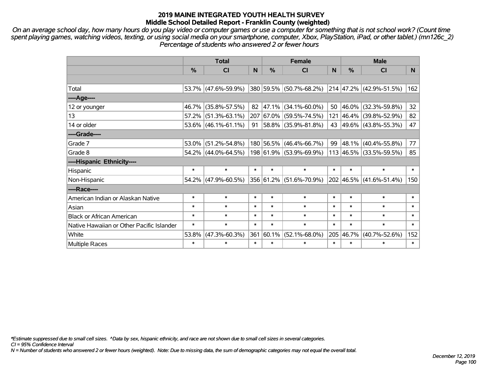*On an average school day, how many hours do you play video or computer games or use a computer for something that is not school work? (Count time spent playing games, watching videos, texting, or using social media on your smartphone, computer, Xbox, PlayStation, iPad, or other tablet.) (mn126c\_2) Percentage of students who answered 2 or fewer hours*

|                                           | <b>Total</b>  |                        |        |        | <b>Female</b>           |        | <b>Male</b> |                              |                 |  |
|-------------------------------------------|---------------|------------------------|--------|--------|-------------------------|--------|-------------|------------------------------|-----------------|--|
|                                           | $\frac{0}{0}$ | <b>CI</b>              | N      | $\%$   | <b>CI</b>               | N      | %           | <b>CI</b>                    | N.              |  |
|                                           |               |                        |        |        |                         |        |             |                              |                 |  |
| Total                                     |               | 53.7% (47.6%-59.9%)    |        |        | 380 59.5% (50.7%-68.2%) |        |             | $ 214 47.2\% $ (42.9%-51.5%) | 162             |  |
| $---Age---$                               |               |                        |        |        |                         |        |             |                              |                 |  |
| 12 or younger                             |               | 46.7% (35.8%-57.5%)    | 82     | 47.1%  | $(34.1\% - 60.0\%)$     | 50     | 46.0%       | $(32.3\% - 59.8\%)$          | 32 <sub>2</sub> |  |
| 13                                        |               | $57.2\%$ (51.3%-63.1%) |        |        | 207 67.0% (59.5%-74.5%) |        |             | 121 46.4% (39.8%-52.9%)      | 82              |  |
| 14 or older                               |               | $53.6\%$ (46.1%-61.1%) | 91     |        | 58.8% (35.9%-81.8%)     |        |             | 43 49.6% (43.8%-55.3%)       | 47              |  |
| ----Grade----                             |               |                        |        |        |                         |        |             |                              |                 |  |
| Grade 7                                   |               | $53.0\%$ (51.2%-54.8%) |        |        | 180 56.5% (46.4%-66.7%) | 99     | $ 48.1\% $  | $(40.4\% - 55.8\%)$          | 77              |  |
| Grade 8                                   |               | $54.2\%$ (44.0%-64.5%) |        |        | 198 61.9% (53.9%-69.9%) |        |             | 113 46.5% (33.5%-59.5%)      | 85              |  |
| ----Hispanic Ethnicity----                |               |                        |        |        |                         |        |             |                              |                 |  |
| Hispanic                                  | $\ast$        | $\ast$                 | $\ast$ | $\ast$ | $\ast$                  | $\ast$ | $\ast$      | $\ast$                       | $\ast$          |  |
| Non-Hispanic                              |               | 54.2% (47.9%-60.5%)    |        |        | 356 61.2% (51.6%-70.9%) |        | 202 46.5%   | $(41.6\% - 51.4\%)$          | 150             |  |
| ----Race----                              |               |                        |        |        |                         |        |             |                              |                 |  |
| American Indian or Alaskan Native         | $\ast$        | $\ast$                 | $\ast$ | $\ast$ | $\ast$                  | $\ast$ | $\ast$      | $\ast$                       | $\ast$          |  |
| Asian                                     | $\ast$        | $\ast$                 | $\ast$ | $\ast$ | $\ast$                  | $\ast$ | $\ast$      | $\ast$                       | $\ast$          |  |
| <b>Black or African American</b>          | $\ast$        | $\ast$                 | $\ast$ | $\ast$ | $\ast$                  | $\ast$ | $\ast$      | $\ast$                       | $\ast$          |  |
| Native Hawaiian or Other Pacific Islander | $\ast$        | $\ast$                 | $\ast$ | $\ast$ | $\ast$                  | $\ast$ | $\ast$      | $\ast$                       | $\ast$          |  |
| White                                     | 53.8%         | $(47.3\% - 60.3\%)$    | 361    | 60.1%  | $(52.1\% - 68.0\%)$     | 205    | 46.7%       | $(40.7\% - 52.6\%)$          | 152             |  |
| Multiple Races                            | $\ast$        | $\ast$                 | $\ast$ | $\ast$ | $\ast$                  | $\ast$ | $\ast$      | $\ast$                       | $\ast$          |  |

*\*Estimate suppressed due to small cell sizes. ^Data by sex, hispanic ethnicity, and race are not shown due to small cell sizes in several categories.*

*CI = 95% Confidence Interval*

*N = Number of students who answered 2 or fewer hours (weighted). Note: Due to missing data, the sum of demographic categories may not equal the overall total.*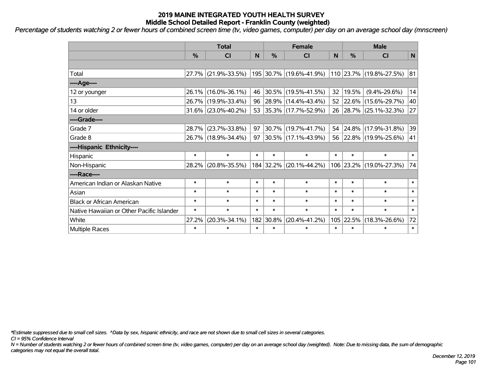*Percentage of students watching 2 or fewer hours of combined screen time (tv, video games, computer) per day on an average school day (mnscreen)*

|                                           | <b>Total</b> |                     |        |               | <b>Female</b>            | <b>Male</b> |        |                         |              |
|-------------------------------------------|--------------|---------------------|--------|---------------|--------------------------|-------------|--------|-------------------------|--------------|
|                                           | %            | <b>CI</b>           | N      | $\frac{0}{0}$ | <b>CI</b>                | N           | %      | <b>CI</b>               | $\mathsf{N}$ |
|                                           |              |                     |        |               |                          |             |        |                         |              |
| Total                                     | 27.7%        | $(21.9\% - 33.5\%)$ |        |               | 195 30.7% (19.6%-41.9%)  |             |        | 110 23.7% (19.8%-27.5%) | 81           |
| ----Age----                               |              |                     |        |               |                          |             |        |                         |              |
| 12 or younger                             | 26.1%        | $(16.0\% - 36.1\%)$ | 46     |               | 30.5% (19.5%-41.5%)      | 32          | 19.5%  | $(9.4\% - 29.6\%)$      | 14           |
| 13                                        | 26.7%        | $(19.9\% - 33.4\%)$ | 96     |               | 28.9% (14.4%-43.4%)      |             |        | 52 22.6% (15.6%-29.7%)  | 40           |
| 14 or older                               |              | 31.6% (23.0%-40.2%) | 53     |               | $ 35.3\% $ (17.7%-52.9%) |             |        | 26 28.7% (25.1%-32.3%)  | 27           |
| ----Grade----                             |              |                     |        |               |                          |             |        |                         |              |
| Grade 7                                   | 28.7%        | $(23.7\% - 33.8\%)$ | 97     |               | 30.7% (19.7%-41.7%)      | 54          |        | 24.8% (17.9%-31.8%)     | 39           |
| Grade 8                                   |              | 26.7% (18.9%-34.4%) | 97     |               | 30.5% (17.1%-43.9%)      |             |        | 56 22.8% (19.9%-25.6%)  | 41           |
| ----Hispanic Ethnicity----                |              |                     |        |               |                          |             |        |                         |              |
| Hispanic                                  | $\ast$       | $\ast$              | $\ast$ | $\ast$        | $\ast$                   | $\ast$      | $\ast$ | $\ast$                  | $\ast$       |
| Non-Hispanic                              | 28.2%        | $(20.8\% - 35.5\%)$ |        | 184 32.2%     | $(20.1\% - 44.2\%)$      |             |        | 106 23.2% (19.0%-27.3%) | 74           |
| ----Race----                              |              |                     |        |               |                          |             |        |                         |              |
| American Indian or Alaskan Native         | $\ast$       | $\ast$              | $\ast$ | $\ast$        | $\ast$                   | $\ast$      | $\ast$ | $\ast$                  | $\ast$       |
| Asian                                     | $\ast$       | $\ast$              | $\ast$ | $\ast$        | $\ast$                   | $\ast$      | $\ast$ | $\ast$                  | $\ast$       |
| <b>Black or African American</b>          | $\ast$       | $\ast$              | $\ast$ | $\ast$        | $\ast$                   | $\ast$      | $\ast$ | $\ast$                  | $\ast$       |
| Native Hawaiian or Other Pacific Islander | $\ast$       | $\ast$              | $\ast$ | $\ast$        | $\ast$                   | $\ast$      | $\ast$ | $\ast$                  | $\ast$       |
| White                                     | 27.2%        | $(20.3\% - 34.1\%)$ |        | 182 30.8%     | $(20.4\% - 41.2\%)$      | 105         | 22.5%  | $(18.3\% - 26.6\%)$     | 72           |
| <b>Multiple Races</b>                     | $\ast$       | $\ast$              | $\ast$ | $\ast$        | $\ast$                   | $\ast$      | $\ast$ | $\ast$                  | $\ast$       |

*\*Estimate suppressed due to small cell sizes. ^Data by sex, hispanic ethnicity, and race are not shown due to small cell sizes in several categories.*

*CI = 95% Confidence Interval*

*N = Number of students watching 2 or fewer hours of combined screen time (tv, video games, computer) per day on an average school day (weighted). Note: Due to missing data, the sum of demographic categories may not equal the overall total.*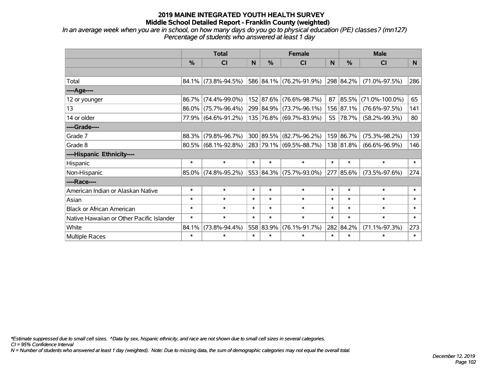*In an average week when you are in school, on how many days do you go to physical education (PE) classes? (mn127) Percentage of students who answered at least 1 day*

|                                           | <b>Total</b> |                        |        |           | <b>Female</b>           |        | <b>Male</b>   |                      |        |  |
|-------------------------------------------|--------------|------------------------|--------|-----------|-------------------------|--------|---------------|----------------------|--------|--|
|                                           | %            | <b>CI</b>              | N.     | %         | <b>CI</b>               | N      | $\frac{0}{0}$ | <b>CI</b>            | N.     |  |
|                                           |              |                        |        |           |                         |        |               |                      |        |  |
| Total                                     |              | 84.1% (73.8%-94.5%)    |        |           | 586 84.1% (76.2%-91.9%) |        | 298 84.2%     | $(71.0\% - 97.5\%)$  | 286    |  |
| ----Age----                               |              |                        |        |           |                         |        |               |                      |        |  |
| 12 or younger                             | 86.7%        | $(74.4\% - 99.0\%)$    |        | 152 87.6% | $(76.6\% - 98.7\%)$     | 87     | 85.5%         | $(71.0\% - 100.0\%)$ | 65     |  |
| 13                                        | $86.0\%$     | $(75.7\% - 96.4\%)$    |        | 299 84.9% | $(73.7\% - 96.1\%)$     |        | 156 87.1%     | $(76.6\% - 97.5\%)$  | 141    |  |
| 14 or older                               |              | 77.9% (64.6%-91.2%)    |        |           | 135 76.8% (69.7%-83.9%) |        | 55 78.7%      | $(58.2\% - 99.3\%)$  | 80     |  |
| ----Grade----                             |              |                        |        |           |                         |        |               |                      |        |  |
| Grade 7                                   | 88.3%        | $(79.8\% - 96.7\%)$    |        | 300 89.5% | $(82.7\% - 96.2\%)$     |        | 159 86.7%     | $(75.3\% - 98.2\%)$  | 139    |  |
| Grade 8                                   |              | $80.5\%$ (68.1%-92.8%) |        |           | 283 79.1% (69.5%-88.7%) |        | 138 81.8%     | $(66.6\% - 96.9\%)$  | 146    |  |
| ----Hispanic Ethnicity----                |              |                        |        |           |                         |        |               |                      |        |  |
| Hispanic                                  | $\ast$       | $\ast$                 | $\ast$ | $\ast$    | $\ast$                  | $\ast$ | $\ast$        | $\ast$               | $\ast$ |  |
| Non-Hispanic                              |              | $85.0\%$ (74.8%-95.2%) |        |           | 553 84.3% (75.7%-93.0%) |        | 277 85.6%     | $(73.5\% - 97.6\%)$  | 274    |  |
| ----Race----                              |              |                        |        |           |                         |        |               |                      |        |  |
| American Indian or Alaskan Native         | $\ast$       | $\ast$                 | $\ast$ | $\ast$    | $\ast$                  | $\ast$ | $\ast$        | $\ast$               | $\ast$ |  |
| Asian                                     | $\ast$       | $\ast$                 | $\ast$ | $\ast$    | $\ast$                  | $\ast$ | $\ast$        | $\ast$               | $\ast$ |  |
| <b>Black or African American</b>          | $\ast$       | $\ast$                 | $\ast$ | $\ast$    | $\ast$                  | $\ast$ | $\ast$        | $\ast$               | $\ast$ |  |
| Native Hawaiian or Other Pacific Islander | $\ast$       | $\ast$                 | $\ast$ | $\ast$    | $\ast$                  | $\ast$ | $\ast$        | $\ast$               | $\ast$ |  |
| White                                     | 84.1%        | $(73.8\% - 94.4\%)$    |        | 558 83.9% | $(76.1\% - 91.7\%)$     |        | 282 84.2%     | $(71.1\% - 97.3\%)$  | 273    |  |
| <b>Multiple Races</b>                     | $\ast$       | $\ast$                 | $\ast$ | $\ast$    | $\ast$                  | $\ast$ | $\ast$        | $\ast$               | $\ast$ |  |

*\*Estimate suppressed due to small cell sizes. ^Data by sex, hispanic ethnicity, and race are not shown due to small cell sizes in several categories.*

*CI = 95% Confidence Interval*

*N = Number of students who answered at least 1 day (weighted). Note: Due to missing data, the sum of demographic categories may not equal the overall total.*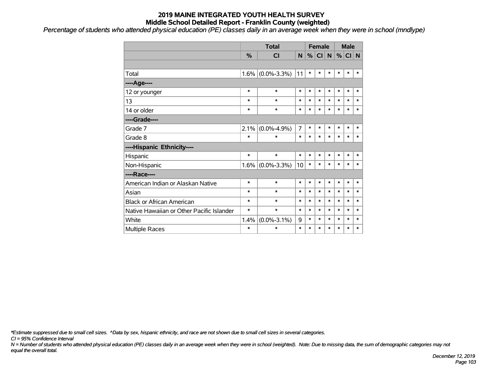*Percentage of students who attended physical education (PE) classes daily in an average week when they were in school (mndlype)*

|                                           |               | <b>Total</b>      |                | <b>Female</b> |           |        | <b>Male</b> |        |        |
|-------------------------------------------|---------------|-------------------|----------------|---------------|-----------|--------|-------------|--------|--------|
|                                           | $\frac{0}{0}$ | <b>CI</b>         | N.             | %             | <b>CI</b> | N.     | %           | $CI$ N |        |
|                                           |               |                   |                |               |           |        |             |        |        |
| Total                                     | 1.6%          | $(0.0\% - 3.3\%)$ | 11             | $\ast$        | $\ast$    | $\ast$ | $\ast$      | $\ast$ | $\ast$ |
| ---- Age----                              |               |                   |                |               |           |        |             |        |        |
| 12 or younger                             | $\ast$        | $\ast$            | $\ast$         | $\ast$        | $\ast$    | $\ast$ | $\ast$      | $\ast$ | $\ast$ |
| 13                                        | $\ast$        | $\ast$            | $\ast$         | $\ast$        | $\ast$    | $\ast$ | $\ast$      | $\ast$ | $\ast$ |
| 14 or older                               | $\ast$        | $\ast$            | $\ast$         | $\ast$        | $\ast$    | $\ast$ | $\ast$      | $\ast$ | $\ast$ |
| ----Grade----                             |               |                   |                |               |           |        |             |        |        |
| Grade 7                                   | 2.1%          | $(0.0\% - 4.9\%)$ | $\overline{7}$ | $\ast$        | $\ast$    | $\ast$ | $\ast$      | $\ast$ | $\ast$ |
| Grade 8                                   | $\ast$        | $\ast$            | $\ast$         | $\ast$        | $\ast$    | $\ast$ | $\ast$      | $\ast$ | $\ast$ |
| ----Hispanic Ethnicity----                |               |                   |                |               |           |        |             |        |        |
| Hispanic                                  | $\ast$        | $\ast$            | *              | $\ast$        | $\ast$    | $\ast$ | *           | $\ast$ | $\ast$ |
| Non-Hispanic                              | 1.6%          | $(0.0\% - 3.3\%)$ | 10             | $\ast$        | $\ast$    | $\ast$ | $\ast$      | $\ast$ | $\ast$ |
| ----Race----                              |               |                   |                |               |           |        |             |        |        |
| American Indian or Alaskan Native         | $\ast$        | $\ast$            | $\ast$         | $\ast$        | $\ast$    | $\ast$ | $\ast$      | $\ast$ | $\ast$ |
| Asian                                     | $\ast$        | $\ast$            | $\ast$         | $\ast$        | $\ast$    | $\ast$ | $\ast$      | $\ast$ | $\ast$ |
| <b>Black or African American</b>          | $\ast$        | $\ast$            | $\ast$         | $\ast$        | $\ast$    | $\ast$ | $\ast$      | $\ast$ | $\ast$ |
| Native Hawaiian or Other Pacific Islander | $\ast$        | $\ast$            | $\ast$         | $\ast$        | $\ast$    | $\ast$ | $\ast$      | $\ast$ | $\ast$ |
| White                                     | 1.4%          | $(0.0\% - 3.1\%)$ | 9              | $\ast$        | $\ast$    | $\ast$ | $\ast$      | $\ast$ | $\ast$ |
| <b>Multiple Races</b>                     | $\ast$        | $\ast$            | $\ast$         | $\ast$        | $\ast$    | $\ast$ | $\ast$      | $\ast$ | $\ast$ |

*\*Estimate suppressed due to small cell sizes. ^Data by sex, hispanic ethnicity, and race are not shown due to small cell sizes in several categories.*

*CI = 95% Confidence Interval*

*N = Number of students who attended physical education (PE) classes daily in an average week when they were in school (weighted). Note: Due to missing data, the sum of demographic categories may not equal the overall total.*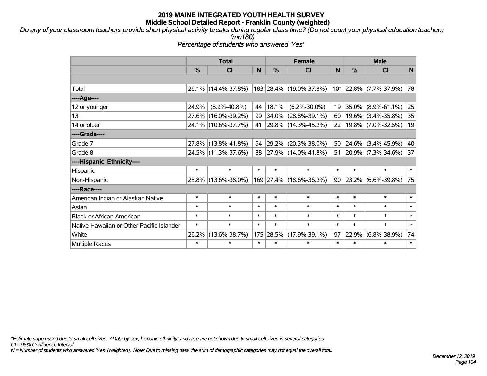*Do any of your classroom teachers provide short physical activity breaks during regular class time? (Do not count your physical education teacher.) (mn180)*

*Percentage of students who answered 'Yes'*

|                                           | <b>Total</b>  |                     | <b>Female</b> |          |                          | <b>Male</b> |        |                        |              |
|-------------------------------------------|---------------|---------------------|---------------|----------|--------------------------|-------------|--------|------------------------|--------------|
|                                           | $\frac{0}{0}$ | <b>CI</b>           | <b>N</b>      | %        | <b>CI</b>                | N           | %      | <b>CI</b>              | $\mathsf{N}$ |
|                                           |               |                     |               |          |                          |             |        |                        |              |
| Total                                     |               | 26.1% (14.4%-37.8%) |               |          | 183 28.4% (19.0%-37.8%)  |             |        | 101 22.8% (7.7%-37.9%) | 78           |
| ----Age----                               |               |                     |               |          |                          |             |        |                        |              |
| 12 or younger                             | 24.9%         | $(8.9\% - 40.8\%)$  | 44            | 18.1%    | $(6.2\% - 30.0\%)$       | 19          | 35.0%  | $(8.9\% - 61.1\%)$     | 25           |
| 13                                        | 27.6%         | $(16.0\% - 39.2\%)$ | 99            | $34.0\%$ | $(28.8\% - 39.1\%)$      | 60          |        | $19.6\%$ (3.4%-35.8%)  | 35           |
| 14 or older                               |               | 24.1% (10.6%-37.7%) | 41            |          | $ 29.8\% $ (14.3%-45.2%) | 22          |        | 19.8% (7.0%-32.5%)     | 19           |
| ----Grade----                             |               |                     |               |          |                          |             |        |                        |              |
| Grade 7                                   | 27.8%         | $(13.8\% - 41.8\%)$ | 94            | 29.2%    | $(20.3\% - 38.0\%)$      | 50          | 24.6%  | $(3.4\% - 45.9\%)$     | 40           |
| Grade 8                                   |               | 24.5% (11.3%-37.6%) | 88            |          | $ 27.9\% $ (14.0%-41.8%) | 51          |        | 20.9% (7.3%-34.6%)     | 37           |
| ----Hispanic Ethnicity----                |               |                     |               |          |                          |             |        |                        |              |
| Hispanic                                  | $\ast$        | $\ast$              | $\ast$        | $\ast$   | $\ast$                   | $\ast$      | $\ast$ | $\ast$                 | $\ast$       |
| Non-Hispanic                              |               | 25.8% (13.6%-38.0%) |               |          | 169 27.4% (18.6%-36.2%)  | 90          |        | 23.2% (6.6%-39.8%)     | 75           |
| ----Race----                              |               |                     |               |          |                          |             |        |                        |              |
| American Indian or Alaskan Native         | $\ast$        | $\ast$              | $\ast$        | $\ast$   | $\ast$                   | $\ast$      | $\ast$ | $\ast$                 | $\ast$       |
| Asian                                     | $\ast$        | $\ast$              | $\ast$        | $\ast$   | $\ast$                   | $\ast$      | $\ast$ | $\ast$                 | $\ast$       |
| <b>Black or African American</b>          | $\ast$        | $\ast$              | $\ast$        | $\ast$   | $\ast$                   | $\ast$      | $\ast$ | $\ast$                 | $\ast$       |
| Native Hawaiian or Other Pacific Islander | $\ast$        | $\ast$              | $\ast$        | $\ast$   | $\ast$                   | $\ast$      | $\ast$ | $\ast$                 | $\ast$       |
| White                                     | 26.2%         | $(13.6\% - 38.7\%)$ | 175           | 28.5%    | $(17.9\% - 39.1\%)$      | 97          | 22.9%  | $(6.8\% - 38.9\%)$     | 74           |
| <b>Multiple Races</b>                     | $\ast$        | $\ast$              | $\ast$        | $\ast$   | $\ast$                   | $\ast$      | $\ast$ | *                      | $\ast$       |

*\*Estimate suppressed due to small cell sizes. ^Data by sex, hispanic ethnicity, and race are not shown due to small cell sizes in several categories.*

*CI = 95% Confidence Interval*

*N = Number of students who answered 'Yes' (weighted). Note: Due to missing data, the sum of demographic categories may not equal the overall total.*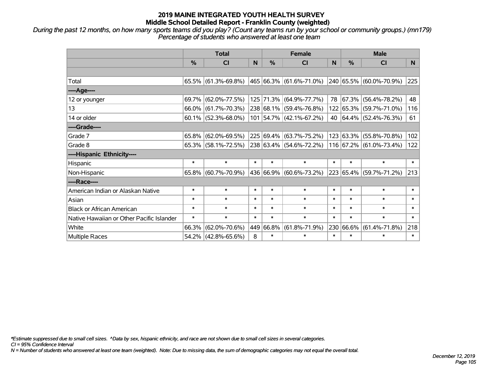*During the past 12 months, on how many sports teams did you play? (Count any teams run by your school or community groups.) (mn179) Percentage of students who answered at least one team*

|                                           | <b>Total</b>  |                                                |        |           | <b>Female</b>               | <b>Male</b> |               |                         |        |
|-------------------------------------------|---------------|------------------------------------------------|--------|-----------|-----------------------------|-------------|---------------|-------------------------|--------|
|                                           | $\frac{0}{0}$ | <b>CI</b>                                      | N      | %         | <b>CI</b>                   | N           | $\frac{0}{0}$ | <b>CI</b>               | N.     |
|                                           |               |                                                |        |           |                             |             |               |                         |        |
| Total                                     |               | $65.5\%$ (61.3%-69.8%)                         |        |           | 465   66.3%   (61.6%-71.0%) |             |               | 240 65.5% (60.0%-70.9%) | 225    |
| ----Age----                               |               |                                                |        |           |                             |             |               |                         |        |
| 12 or younger                             | 69.7%         | $(62.0\% - 77.5\%)$                            |        |           | 125 71.3% (64.9%-77.7%)     | 78          | $ 67.3\% $    | $(56.4\% - 78.2\%)$     | 48     |
| 13                                        | $66.0\%$      | $(61.7\% - 70.3\%)$                            |        |           | 238 68.1% (59.4%-76.8%)     |             |               | 122 65.3% (59.7%-71.0%) | 116    |
| 14 or older                               |               | $60.1\%$ (52.3%-68.0%)                         |        |           | 101 54.7% (42.1%-67.2%)     |             |               | 40 64.4% (52.4%-76.3%)  | 61     |
| ----Grade----                             |               |                                                |        |           |                             |             |               |                         |        |
| Grade 7                                   | $65.8\%$      | $(62.0\% - 69.5\%)$                            |        |           | 225 69.4% (63.7%-75.2%)     |             | 123 63.3%     | $(55.8\% - 70.8\%)$     | 102    |
| Grade 8                                   |               | $65.3\%$ (58.1%-72.5%) 238 63.4% (54.6%-72.2%) |        |           |                             |             |               | 116 67.2% (61.0%-73.4%) | 122    |
| ----Hispanic Ethnicity----                |               |                                                |        |           |                             |             |               |                         |        |
| Hispanic                                  | $\ast$        | $\ast$                                         | $\ast$ | $\ast$    | $\ast$                      | $\ast$      | $\ast$        | $\ast$                  | $\ast$ |
| Non-Hispanic                              |               | 65.8% (60.7%-70.9%)                            |        |           | 436 66.9% (60.6%-73.2%)     |             |               | 223 65.4% (59.7%-71.2%) | 213    |
| ----Race----                              |               |                                                |        |           |                             |             |               |                         |        |
| American Indian or Alaskan Native         | $\ast$        | $\ast$                                         | $\ast$ | $\ast$    | $\ast$                      | $\ast$      | $\ast$        | $\ast$                  | $\ast$ |
| Asian                                     | $\ast$        | $\ast$                                         | $\ast$ | $\ast$    | $\ast$                      | $\ast$      | $\ast$        | $\ast$                  | $\ast$ |
| <b>Black or African American</b>          | $\ast$        | $\ast$                                         | $\ast$ | $\ast$    | $\ast$                      | $\ast$      | $\ast$        | $\ast$                  | $\ast$ |
| Native Hawaiian or Other Pacific Islander | $\ast$        | $\ast$                                         | $\ast$ | $\ast$    | $\ast$                      | $\ast$      | $\ast$        | $\ast$                  | $\ast$ |
| White                                     | 66.3%         | $(62.0\% - 70.6\%)$                            |        | 449 66.8% | $(61.8\% - 71.9\%)$         | 230         | 66.6%         | $(61.4\% - 71.8\%)$     | 218    |
| Multiple Races                            |               | 54.2% (42.8%-65.6%)                            | 8      | $\ast$    | $\ast$                      | $\ast$      | $\ast$        | $\ast$                  | $\ast$ |

*\*Estimate suppressed due to small cell sizes. ^Data by sex, hispanic ethnicity, and race are not shown due to small cell sizes in several categories.*

*CI = 95% Confidence Interval*

*N = Number of students who answered at least one team (weighted). Note: Due to missing data, the sum of demographic categories may not equal the overall total.*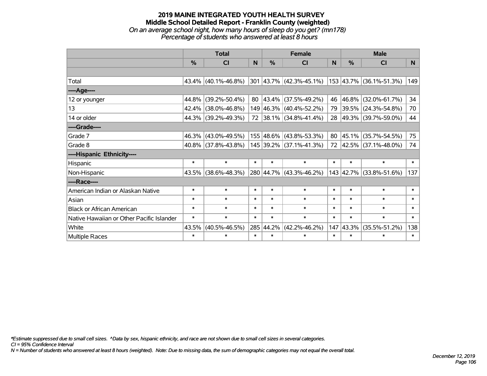### **2019 MAINE INTEGRATED YOUTH HEALTH SURVEY Middle School Detailed Report - Franklin County (weighted)** *On an average school night, how many hours of sleep do you get? (mn178) Percentage of students who answered at least 8 hours*

|                                           | <b>Total</b> |                        |        |               | <b>Female</b>                                                | <b>Male</b> |        |                         |        |
|-------------------------------------------|--------------|------------------------|--------|---------------|--------------------------------------------------------------|-------------|--------|-------------------------|--------|
|                                           | %            | <b>CI</b>              | N      | $\frac{0}{0}$ | <b>CI</b>                                                    | <b>N</b>    | %      | <b>CI</b>               | N      |
|                                           |              |                        |        |               |                                                              |             |        |                         |        |
| Total                                     |              | $43.4\%$ (40.1%-46.8%) |        |               | $ 301 $ 43.7% $ (42.3\% - 45.1\%) 153 43.7\% $ (36.1%-51.3%) |             |        |                         | 149    |
| ----Age----                               |              |                        |        |               |                                                              |             |        |                         |        |
| 12 or younger                             | 44.8%        | $(39.2\% - 50.4\%)$    |        |               | 80 $ 43.4\% $ (37.5%-49.2%)                                  | 46          |        | 46.8% (32.0%-61.7%)     | 34     |
| 13                                        | 42.4%        | $(38.0\% - 46.8\%)$    |        |               | 149 46.3% (40.4%-52.2%)                                      | 79          |        | 39.5% (24.3%-54.8%)     | 70     |
| 14 or older                               |              | 44.3% (39.2%-49.3%)    |        |               | 72 38.1% (34.8%-41.4%)                                       | 28          |        | 49.3%   (39.7%-59.0%)   | 44     |
| ----Grade----                             |              |                        |        |               |                                                              |             |        |                         |        |
| Grade 7                                   | 46.3%        | $(43.0\% - 49.5\%)$    |        |               | 155 48.6% (43.8%-53.3%)                                      | 80          |        | 45.1% (35.7%-54.5%)     | 75     |
| Grade 8                                   |              | $40.8\%$ (37.8%-43.8%) |        |               | $145$ 39.2% (37.1%-41.3%)                                    |             |        | 72 42.5% (37.1%-48.0%)  | 74     |
| ----Hispanic Ethnicity----                |              |                        |        |               |                                                              |             |        |                         |        |
| Hispanic                                  | $\ast$       | $\ast$                 | $\ast$ | $\ast$        | $\ast$                                                       | $\ast$      | $\ast$ | $\ast$                  | $\ast$ |
| Non-Hispanic                              | 43.5%        | $(38.6\% - 48.3\%)$    |        |               | 280 44.7% (43.3%-46.2%)                                      |             |        | 143 42.7% (33.8%-51.6%) | 137    |
| ----Race----                              |              |                        |        |               |                                                              |             |        |                         |        |
| American Indian or Alaskan Native         | $\ast$       | $\ast$                 | $\ast$ | $\ast$        | $\ast$                                                       | $\ast$      | $\ast$ | $\ast$                  | $\ast$ |
| Asian                                     | $\ast$       | $\ast$                 | $\ast$ | $\ast$        | $\ast$                                                       | $\ast$      | $\ast$ | $\ast$                  | $\ast$ |
| <b>Black or African American</b>          | $\ast$       | $\ast$                 | $\ast$ | $\ast$        | $\ast$                                                       | $\ast$      | $\ast$ | $\ast$                  | $\ast$ |
| Native Hawaiian or Other Pacific Islander | $\ast$       | $\ast$                 | $\ast$ | $\ast$        | $\ast$                                                       | $\ast$      | $\ast$ | $\ast$                  | $\ast$ |
| White                                     | 43.5%        | $(40.5\% - 46.5\%)$    |        | 285 44.2%     | $(42.2\% - 46.2\%)$                                          | 147         | 43.3%  | $(35.5\% - 51.2\%)$     | 138    |
| <b>Multiple Races</b>                     | $\ast$       | $\ast$                 | $\ast$ | $\ast$        | $\ast$                                                       | $\ast$      | $\ast$ | $\ast$                  | $\ast$ |

*\*Estimate suppressed due to small cell sizes. ^Data by sex, hispanic ethnicity, and race are not shown due to small cell sizes in several categories.*

*CI = 95% Confidence Interval*

*N = Number of students who answered at least 8 hours (weighted). Note: Due to missing data, the sum of demographic categories may not equal the overall total.*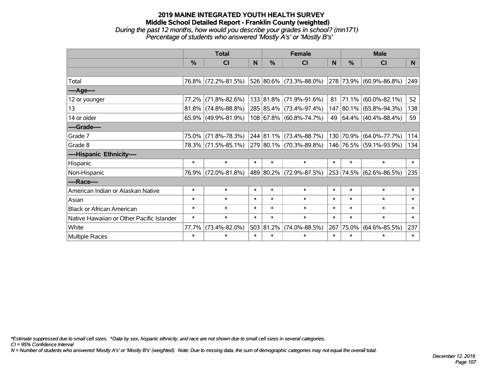### **2019 MAINE INTEGRATED YOUTH HEALTH SURVEY Middle School Detailed Report - Franklin County (weighted)** *During the past 12 months, how would you describe your grades in school? (mn171) Percentage of students who answered 'Mostly A's' or 'Mostly B's'*

|                                           | <b>Total</b>  |                        |        |               | <b>Female</b>           | <b>Male</b> |           |                          |                |
|-------------------------------------------|---------------|------------------------|--------|---------------|-------------------------|-------------|-----------|--------------------------|----------------|
|                                           | $\frac{0}{0}$ | CI                     | N.     | $\frac{0}{0}$ | CI                      | <b>N</b>    | %         | <b>CI</b>                | N <sub>1</sub> |
|                                           |               |                        |        |               |                         |             |           |                          |                |
| Total                                     |               | 76.8% (72.2%-81.5%)    |        |               | 526 80.6% (73.3%-88.0%) |             |           | 278 73.9% (60.9%-86.8%)  | 249            |
| ----Age----                               |               |                        |        |               |                         |             |           |                          |                |
| 12 or younger                             | 77.2%         | $(71.8\% - 82.6\%)$    |        |               | 133 81.8% (71.9%-91.6%) | 81          | 71.1%     | $(60.0\% - 82.1\%)$      | 52             |
| 13                                        |               | $81.8\%$ (74.8%-88.8%) |        |               | 285 85.4% (73.4%-97.4%) |             |           | 147 80.1% (65.8%-94.3%)  | 138            |
| 14 or older                               |               | 65.9% (49.9%-81.9%)    |        |               | 108 67.8% (60.8%-74.7%) | 49          |           | $ 64.4\% $ (40.4%-88.4%) | 59             |
| ----Grade----                             |               |                        |        |               |                         |             |           |                          |                |
| Grade 7                                   | 75.0%         | $(71.8\% - 78.3\%)$    |        |               | 244 81.1% (73.4%-88.7%) | 130         | 70.9%     | $(64.0\% - 77.7\%)$      | 114            |
| Grade 8                                   |               | 78.3% (71.5%-85.1%)    |        |               | 279 80.1% (70.3%-89.8%) |             |           | 146 76.5% (59.1%-93.9%)  | 134            |
| ----Hispanic Ethnicity----                |               |                        |        |               |                         |             |           |                          |                |
| Hispanic                                  | $\ast$        | $\ast$                 | $\ast$ | $\ast$        | $\ast$                  | $\ast$      | $\ast$    | $\ast$                   | $\ast$         |
| Non-Hispanic                              |               | 76.9% (72.0%-81.8%)    |        |               | 489 80.2% (72.9%-87.5%) |             | 253 74.5% | $(62.6\% - 86.5\%)$      | 235            |
| ----Race----                              |               |                        |        |               |                         |             |           |                          |                |
| American Indian or Alaskan Native         | $\ast$        | $\ast$                 | $\ast$ | $\ast$        | $\ast$                  | $\ast$      | $\ast$    | $\ast$                   | $\ast$         |
| Asian                                     | $\ast$        | $\ast$                 | $\ast$ | $\ast$        | $\ast$                  | $\ast$      | $\ast$    | $\ast$                   | $\ast$         |
| <b>Black or African American</b>          | $\ast$        | $\ast$                 | $\ast$ | $\ast$        | $\ast$                  | $\ast$      | $\ast$    | $\ast$                   | $\ast$         |
| Native Hawaiian or Other Pacific Islander | $\ast$        | $\ast$                 | $\ast$ | $\ast$        | $\ast$                  | $\ast$      | $\ast$    | $\ast$                   | $\ast$         |
| White                                     | 77.7%         | $(73.4\% - 82.0\%)$    | 503    | 81.2%         | $(74.0\% - 88.5\%)$     | 267         | 75.0%     | $(64.6\% - 85.5\%)$      | 237            |
| Multiple Races                            | $\ast$        | $\ast$                 | $\ast$ | $\ast$        | $\ast$                  | $\ast$      | $\ast$    | $\ast$                   | $\ast$         |

*\*Estimate suppressed due to small cell sizes. ^Data by sex, hispanic ethnicity, and race are not shown due to small cell sizes in several categories.*

*CI = 95% Confidence Interval*

*N = Number of students who answered 'Mostly A's' or 'Mostly B's' (weighted). Note: Due to missing data, the sum of demographic categories may not equal the overall total.*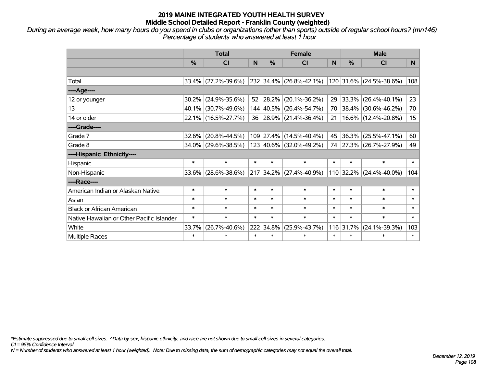*During an average week, how many hours do you spend in clubs or organizations (other than sports) outside of regular school hours? (mn146) Percentage of students who answered at least 1 hour*

|                                           | <b>Total</b>  |                        |        |               | <b>Female</b>                      | <b>Male</b> |           |                         |                  |
|-------------------------------------------|---------------|------------------------|--------|---------------|------------------------------------|-------------|-----------|-------------------------|------------------|
|                                           | $\frac{0}{0}$ | <b>CI</b>              | N      | $\frac{0}{0}$ | <b>CI</b>                          | N           | %         | <b>CI</b>               | N.               |
|                                           |               |                        |        |               |                                    |             |           |                         |                  |
| Total                                     |               | $33.4\%$ (27.2%-39.6%) |        |               | $232$ 34.4% (26.8%-42.1%)          |             |           | 120 31.6% (24.5%-38.6%) | 108              |
| ----Age----                               |               |                        |        |               |                                    |             |           |                         |                  |
| 12 or younger                             | $30.2\%$      | $(24.9\% - 35.6\%)$    | 52     | 28.2%         | $(20.1\% - 36.2\%)$                | 29          | 33.3%     | $(26.4\% - 40.1\%)$     | 23               |
| 13                                        | $40.1\%$      | $(30.7\% - 49.6\%)$    |        |               | 144 40.5% (26.4%-54.7%)            | 70          |           | 38.4% (30.6%-46.2%)     | 70               |
| 14 or older                               |               | 22.1% (16.5%-27.7%)    |        |               | 36 28.9% (21.4%-36.4%)             | 21          |           | 16.6% (12.4%-20.8%)     | 15 <sub>15</sub> |
| ----Grade----                             |               |                        |        |               |                                    |             |           |                         |                  |
| Grade 7                                   | $32.6\%$      | $(20.8\% - 44.5\%)$    |        |               | 109 27.4% (14.5%-40.4%)            | 45          | 36.3%     | $(25.5\% - 47.1\%)$     | 60               |
| Grade 8                                   |               | 34.0% (29.6%-38.5%)    |        |               | $123   40.6\%   (32.0\% - 49.2\%)$ |             |           | 74 27.3% (26.7%-27.9%)  | 49               |
| ----Hispanic Ethnicity----                |               |                        |        |               |                                    |             |           |                         |                  |
| Hispanic                                  | $\ast$        | $\ast$                 | $\ast$ | $\ast$        | $\ast$                             | $\ast$      | $\ast$    | $\ast$                  | $\ast$           |
| Non-Hispanic                              | 33.6%         | $(28.6\% - 38.6\%)$    |        |               | $217$ 34.2% (27.4%-40.9%)          |             | 110 32.2% | $(24.4\% - 40.0\%)$     | 104              |
| ----Race----                              |               |                        |        |               |                                    |             |           |                         |                  |
| American Indian or Alaskan Native         | $\ast$        | $\ast$                 | $\ast$ | $\ast$        | $\ast$                             | $\ast$      | $\ast$    | $\ast$                  | $\ast$           |
| Asian                                     | $\ast$        | $\ast$                 | $\ast$ | $\ast$        | $\ast$                             | $\ast$      | $\ast$    | $\ast$                  | $\ast$           |
| <b>Black or African American</b>          | $\ast$        | $\ast$                 | $\ast$ | $\ast$        | $\ast$                             | $\ast$      | $\ast$    | $\ast$                  | $\ast$           |
| Native Hawaiian or Other Pacific Islander | $\ast$        | $\ast$                 | $\ast$ | $\ast$        | $\ast$                             | $\ast$      | $\ast$    | $\ast$                  | $\ast$           |
| White                                     | 33.7%         | $(26.7\% - 40.6\%)$    | 222    | 34.8%         | $(25.9\% - 43.7\%)$                | 116         | 31.7%     | $(24.1\% - 39.3\%)$     | 103              |
| <b>Multiple Races</b>                     | $\ast$        | $\ast$                 | $\ast$ | $\ast$        | $\ast$                             | $\ast$      | $\ast$    | $\ast$                  | $\ast$           |

*\*Estimate suppressed due to small cell sizes. ^Data by sex, hispanic ethnicity, and race are not shown due to small cell sizes in several categories.*

*CI = 95% Confidence Interval*

*N = Number of students who answered at least 1 hour (weighted). Note: Due to missing data, the sum of demographic categories may not equal the overall total.*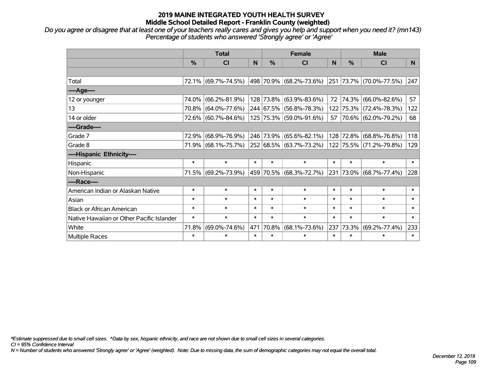## **2019 MAINE INTEGRATED YOUTH HEALTH SURVEY Middle School Detailed Report - Franklin County (weighted)**

*Do you agree or disagree that at least one of your teachers really cares and gives you help and support when you need it? (mn143) Percentage of students who answered 'Strongly agree' or 'Agree'*

|                                           | <b>Total</b>  |                     |        | <b>Female</b> |                         |           | <b>Male</b> |                         |        |
|-------------------------------------------|---------------|---------------------|--------|---------------|-------------------------|-----------|-------------|-------------------------|--------|
|                                           | $\frac{0}{0}$ | CI                  | N      | $\frac{9}{6}$ | <b>CI</b>               | N         | %           | <b>CI</b>               | N.     |
|                                           |               |                     |        |               |                         |           |             |                         |        |
| Total                                     |               | 72.1% (69.7%-74.5%) |        |               | 498 70.9% (68.2%-73.6%) |           |             | 251 73.7% (70.0%-77.5%) | 247    |
| ----Age----                               |               |                     |        |               |                         |           |             |                         |        |
| 12 or younger                             | 74.0%         | $(66.2\% - 81.9\%)$ |        |               | 128 73.8% (63.9%-83.6%) | 72        | 74.3%       | $(66.0\% - 82.6\%)$     | 57     |
| 13                                        | 70.8%         | $(64.0\% - 77.6\%)$ |        |               | 244 67.5% (56.8%-78.3%) |           |             | 122 75.3% (72.4%-78.3%) | 122    |
| 14 or older                               |               | 72.6% (60.7%-84.6%) |        |               | 125 75.3% (59.0%-91.6%) | $57 \mid$ |             | 70.6% (62.0%-79.2%)     | 68     |
| ----Grade----                             |               |                     |        |               |                         |           |             |                         |        |
| Grade 7                                   | 72.9%         | $(68.9\% - 76.9\%)$ |        |               | 246 73.9% (65.6%-82.1%) | 128       | 72.8%       | $(68.8\% - 76.8\%)$     | 118    |
| Grade 8                                   |               | 71.9% (68.1%-75.7%) |        |               | 252 68.5% (63.7%-73.2%) |           |             | 122 75.5% (71.2%-79.8%) | 129    |
| ----Hispanic Ethnicity----                |               |                     |        |               |                         |           |             |                         |        |
| Hispanic                                  | $\ast$        | $\ast$              | $\ast$ | $\ast$        | $\ast$                  | $\ast$    | $\ast$      | $\ast$                  | $\ast$ |
| Non-Hispanic                              |               | 71.5% (69.2%-73.9%) |        |               | 459 70.5% (68.3%-72.7%) | 231       |             | 73.0% (68.7%-77.4%)     | 228    |
| ----Race----                              |               |                     |        |               |                         |           |             |                         |        |
| American Indian or Alaskan Native         | $\ast$        | $\ast$              | $\ast$ | $\ast$        | $\ast$                  | $\ast$    | $\ast$      | $\ast$                  | $\ast$ |
| Asian                                     | $\ast$        | $\ast$              | $\ast$ | $\ast$        | $\ast$                  | $\ast$    | $\ast$      | $\ast$                  | $\ast$ |
| <b>Black or African American</b>          | $\ast$        | $\ast$              | $\ast$ | $\ast$        | $\ast$                  | $\ast$    | $\ast$      | $\ast$                  | $\ast$ |
| Native Hawaiian or Other Pacific Islander | $\ast$        | $\ast$              | $\ast$ | $\ast$        | $\ast$                  | $\ast$    | $\ast$      | $\ast$                  | $\ast$ |
| White                                     | 71.8%         | $(69.0\% - 74.6\%)$ | 471    | 70.8%         | $(68.1\% - 73.6\%)$     | 237       | 73.3%       | $(69.2\% - 77.4\%)$     | 233    |
| Multiple Races                            | $\ast$        | $\ast$              | $\ast$ | $\ast$        | $\ast$                  | $\ast$    | $\ast$      | *                       | $\ast$ |

*\*Estimate suppressed due to small cell sizes. ^Data by sex, hispanic ethnicity, and race are not shown due to small cell sizes in several categories.*

*CI = 95% Confidence Interval*

*N = Number of students who answered 'Strongly agree' or 'Agree' (weighted). Note: Due to missing data, the sum of demographic categories may not equal the overall total.*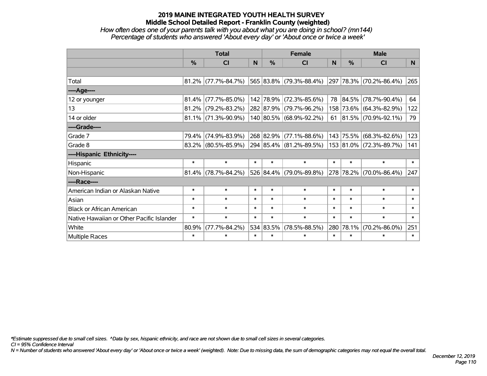## **2019 MAINE INTEGRATED YOUTH HEALTH SURVEY Middle School Detailed Report - Franklin County (weighted)**

### *How often does one of your parents talk with you about what you are doing in school? (mn144) Percentage of students who answered 'About every day' or 'About once or twice a week'*

|                                           | <b>Total</b> |                        |        | <b>Female</b> |                         |        | <b>Male</b> |                            |        |
|-------------------------------------------|--------------|------------------------|--------|---------------|-------------------------|--------|-------------|----------------------------|--------|
|                                           | $\%$         | <b>CI</b>              | N      | $\frac{0}{0}$ | CI                      | N      | %           | <b>CI</b>                  | N.     |
|                                           |              |                        |        |               |                         |        |             |                            |        |
| Total                                     |              | $81.2\%$ (77.7%-84.7%) |        |               | 565 83.8% (79.3%-88.4%) |        |             | 297 78.3% (70.2%-86.4%)    | 265    |
| ----Age----                               |              |                        |        |               |                         |        |             |                            |        |
| 12 or younger                             | 81.4%        | $(77.7\% - 85.0\%)$    |        | 142 78.9%     | $(72.3\% - 85.6\%)$     |        | 78 84.5%    | $(78.7\% - 90.4\%)$        | 64     |
| 13                                        |              | $81.2\%$ (79.2%-83.2%) |        |               | 282 87.9% (79.7%-96.2%) |        |             | 158 73.6% (64.3%-82.9%)    | 122    |
| 14 or older                               |              | $81.1\%$ (71.3%-90.9%) |        |               | 140 80.5% (68.9%-92.2%) |        |             | 61   81.5%   (70.9%-92.1%) | 79     |
| ----Grade----                             |              |                        |        |               |                         |        |             |                            |        |
| Grade 7                                   | 79.4%        | $(74.9\% - 83.9\%)$    |        | 268 82.9%     | $(77.1\% - 88.6\%)$     | 143    | 75.5%       | $(68.3\% - 82.6\%)$        | 123    |
| Grade 8                                   |              | 83.2% (80.5%-85.9%)    |        |               | 294 85.4% (81.2%-89.5%) |        |             | 153 81.0% (72.3%-89.7%)    | 141    |
| ----Hispanic Ethnicity----                |              |                        |        |               |                         |        |             |                            |        |
| Hispanic                                  | $\ast$       | $\ast$                 | $\ast$ | $\ast$        | $\ast$                  | $\ast$ | $\ast$      | $\ast$                     | $\ast$ |
| Non-Hispanic                              | 81.4%        | $(78.7\% - 84.2\%)$    |        |               | 526 84.4% (79.0%-89.8%) |        | 278 78.2%   | $(70.0\% - 86.4\%)$        | 247    |
| ----Race----                              |              |                        |        |               |                         |        |             |                            |        |
| American Indian or Alaskan Native         | $\ast$       | $\ast$                 | $\ast$ | $\ast$        | $\ast$                  | $\ast$ | $\ast$      | $\ast$                     | $\ast$ |
| Asian                                     | $\ast$       | $\ast$                 | $\ast$ | $\ast$        | $\ast$                  | $\ast$ | $\ast$      | $\ast$                     | $\ast$ |
| <b>Black or African American</b>          | $\ast$       | $\ast$                 | $\ast$ | $\ast$        | $\ast$                  | $\ast$ | $\ast$      | $\ast$                     | $\ast$ |
| Native Hawaiian or Other Pacific Islander | $\ast$       | $\ast$                 | $\ast$ | $\ast$        | $\ast$                  | $\ast$ | $\ast$      | $\ast$                     | $\ast$ |
| White                                     | 80.9%        | $(77.7\% - 84.2\%)$    |        | 534 83.5%     | $(78.5\% - 88.5\%)$     | 280    | 78.1%       | $(70.2\% - 86.0\%)$        | 251    |
| Multiple Races                            | $\ast$       | $\ast$                 | $\ast$ | $\ast$        | $\ast$                  | $\ast$ | $\ast$      | $\ast$                     | $\ast$ |

*\*Estimate suppressed due to small cell sizes. ^Data by sex, hispanic ethnicity, and race are not shown due to small cell sizes in several categories.*

*CI = 95% Confidence Interval*

*N = Number of students who answered 'About every day' or 'About once or twice a week' (weighted). Note: Due to missing data, the sum of demographic categories may not equal the overall total.*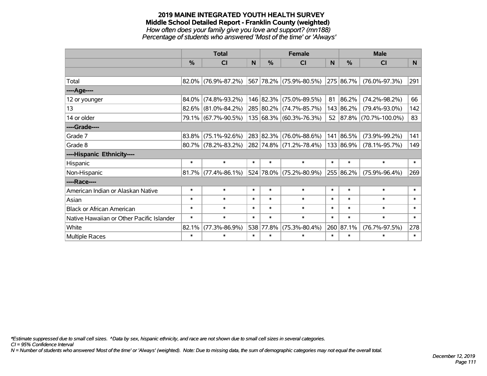#### **2019 MAINE INTEGRATED YOUTH HEALTH SURVEY Middle School Detailed Report - Franklin County (weighted)** *How often does your family give you love and support? (mn188) Percentage of students who answered 'Most of the time' or 'Always'*

|                                           | <b>Total</b> |                        |        |           | <b>Female</b>           |        | <b>Male</b> |                      |        |  |
|-------------------------------------------|--------------|------------------------|--------|-----------|-------------------------|--------|-------------|----------------------|--------|--|
|                                           | %            | CI                     | N      | %         | CI                      | N      | %           | CI                   | N      |  |
|                                           |              |                        |        |           |                         |        |             |                      |        |  |
| Total                                     |              | $82.0\%$ (76.9%-87.2%) |        |           | 567 78.2% (75.9%-80.5%) |        | 275 86.7%   | $(76.0\% - 97.3\%)$  | 291    |  |
| ----Age----                               |              |                        |        |           |                         |        |             |                      |        |  |
| 12 or younger                             | 84.0%        | $(74.8\% - 93.2\%)$    |        | 146 82.3% | $(75.0\% - 89.5\%)$     | 81     | 86.2%       | $(74.2\% - 98.2\%)$  | 66     |  |
| 13                                        | 82.6%        | $(81.0\% - 84.2\%)$    |        | 285 80.2% | $(74.7\% - 85.7\%)$     |        | 143 86.2%   | $(79.4\% - 93.0\%)$  | 142    |  |
| 14 or older                               |              | 79.1% (67.7%-90.5%)    |        |           | 135 68.3% (60.3%-76.3%) |        | 52 87.8%    | $(70.7\% - 100.0\%)$ | 83     |  |
| ----Grade----                             |              |                        |        |           |                         |        |             |                      |        |  |
| Grade 7                                   | 83.8%        | $(75.1\% - 92.6\%)$    |        | 283 82.3% | $(76.0\% - 88.6\%)$     |        | 141 86.5%   | $(73.9\% - 99.2\%)$  | 141    |  |
| Grade 8                                   |              | $80.7\%$ (78.2%-83.2%) |        |           | 282 74.8% (71.2%-78.4%) |        | 133 86.9%   | $(78.1\% - 95.7\%)$  | 149    |  |
| ----Hispanic Ethnicity----                |              |                        |        |           |                         |        |             |                      |        |  |
| Hispanic                                  | $\ast$       | $\ast$                 | $\ast$ | $\ast$    | $\ast$                  | $\ast$ | $\ast$      | $\ast$               | $\ast$ |  |
| Non-Hispanic                              |              | $81.7\%$ (77.4%-86.1%) |        |           | 524 78.0% (75.2%-80.9%) |        | 255 86.2%   | $(75.9\% - 96.4\%)$  | 269    |  |
| ----Race----                              |              |                        |        |           |                         |        |             |                      |        |  |
| American Indian or Alaskan Native         | $\ast$       | $\ast$                 | $\ast$ | $\ast$    | $\ast$                  | $\ast$ | $\ast$      | $\ast$               | $\ast$ |  |
| Asian                                     | $\ast$       | $\ast$                 | $\ast$ | $\ast$    | $\ast$                  | $\ast$ | $\ast$      | $\ast$               | $\ast$ |  |
| <b>Black or African American</b>          | $\ast$       | $\ast$                 | $\ast$ | $\ast$    | $\ast$                  | $\ast$ | $\ast$      | $\ast$               | $\ast$ |  |
| Native Hawaiian or Other Pacific Islander | $\ast$       | $\ast$                 | $\ast$ | $\ast$    | $\ast$                  | $\ast$ | $\ast$      | $\ast$               | $\ast$ |  |
| White                                     | 82.1%        | $(77.3\% - 86.9\%)$    | 538    | 77.8%     | $(75.3\% - 80.4\%)$     | 260    | 87.1%       | $(76.7\% - 97.5\%)$  | 278    |  |
| Multiple Races                            | $\ast$       | $\ast$                 | $\ast$ | $\ast$    | $\ast$                  | $\ast$ | $\ast$      | $\ast$               | $\ast$ |  |

*\*Estimate suppressed due to small cell sizes. ^Data by sex, hispanic ethnicity, and race are not shown due to small cell sizes in several categories.*

*CI = 95% Confidence Interval*

*N = Number of students who answered 'Most of the time' or 'Always' (weighted). Note: Due to missing data, the sum of demographic categories may not equal the overall total.*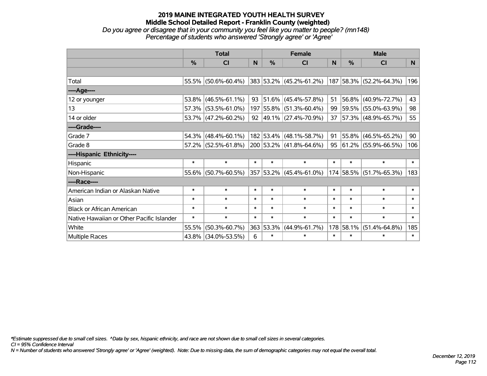#### **2019 MAINE INTEGRATED YOUTH HEALTH SURVEY Middle School Detailed Report - Franklin County (weighted)** *Do you agree or disagree that in your community you feel like you matter to people? (mn148)*

*Percentage of students who answered 'Strongly agree' or 'Agree'*

|                                           | <b>Total</b>  |                     |        | <b>Female</b> |                              |              | <b>Male</b> |                         |        |
|-------------------------------------------|---------------|---------------------|--------|---------------|------------------------------|--------------|-------------|-------------------------|--------|
|                                           | $\frac{0}{0}$ | <b>CI</b>           | N      | $\%$          | <b>CI</b>                    | <sub>N</sub> | %           | CI                      | N      |
|                                           |               |                     |        |               |                              |              |             |                         |        |
| Total                                     |               | 55.5% (50.6%-60.4%) |        |               | 383 53.2% (45.2%-61.2%)      |              |             | 187 58.3% (52.2%-64.3%) | 196    |
| ----Age----                               |               |                     |        |               |                              |              |             |                         |        |
| 12 or younger                             |               | 53.8% (46.5%-61.1%) | 93     |               | 51.6% (45.4%-57.8%)          | 51           | 56.8%       | $(40.9\% - 72.7\%)$     | 43     |
| 13                                        |               | 57.3% (53.5%-61.0%) |        |               | 197 55.8% (51.3%-60.4%)      |              |             | 99 59.5% (55.0%-63.9%)  | 98     |
| 14 or older                               |               | 53.7% (47.2%-60.2%) |        |               | 92 49.1% $(27.4\% - 70.9\%)$ |              |             | 37 57.3% (48.9%-65.7%)  | 55     |
| ----Grade----                             |               |                     |        |               |                              |              |             |                         |        |
| Grade 7                                   | 54.3% l       | $(48.4\% - 60.1\%)$ |        |               | 182 53.4% (48.1%-58.7%)      | 91           | 55.8%       | $(46.5\% - 65.2\%)$     | 90     |
| Grade 8                                   |               | 57.2% (52.5%-61.8%) |        |               | 200 53.2% (41.8%-64.6%)      |              |             | 95 61.2% (55.9%-66.5%)  | 106    |
| ----Hispanic Ethnicity----                |               |                     |        |               |                              |              |             |                         |        |
| Hispanic                                  | $\ast$        | $\ast$              | $\ast$ | $\ast$        | $\ast$                       | $\ast$       | $\ast$      | $\ast$                  | $\ast$ |
| Non-Hispanic                              |               | 55.6% (50.7%-60.5%) |        |               | 357 53.2% (45.4%-61.0%)      |              | 174 58.5%   | $(51.7\% - 65.3\%)$     | 183    |
| ----Race----                              |               |                     |        |               |                              |              |             |                         |        |
| American Indian or Alaskan Native         | $\ast$        | $\ast$              | $\ast$ | $\ast$        | $\ast$                       | $\ast$       | $\ast$      | $\ast$                  | $\ast$ |
| Asian                                     | $\ast$        | $\ast$              | $\ast$ | $\ast$        | $\ast$                       | $\ast$       | $\ast$      | $\ast$                  | $\ast$ |
| <b>Black or African American</b>          | $\ast$        | $\ast$              | $\ast$ | $\ast$        | $\ast$                       | $\ast$       | $\ast$      | $\ast$                  | $\ast$ |
| Native Hawaiian or Other Pacific Islander | $\ast$        | $\ast$              | $\ast$ | $\ast$        | $\ast$                       | $\ast$       | $\ast$      | $\ast$                  | $\ast$ |
| White                                     | 55.5%         | $(50.3\% - 60.7\%)$ |        | 363 53.3%     | $(44.9\% - 61.7\%)$          | 178          | 58.1%       | $(51.4\% - 64.8\%)$     | 185    |
| <b>Multiple Races</b>                     |               | 43.8% (34.0%-53.5%) | 6      | $\ast$        | $\ast$                       | $\ast$       | $\ast$      | $\ast$                  | $\ast$ |

*\*Estimate suppressed due to small cell sizes. ^Data by sex, hispanic ethnicity, and race are not shown due to small cell sizes in several categories.*

*CI = 95% Confidence Interval*

*N = Number of students who answered 'Strongly agree' or 'Agree' (weighted). Note: Due to missing data, the sum of demographic categories may not equal the overall total.*